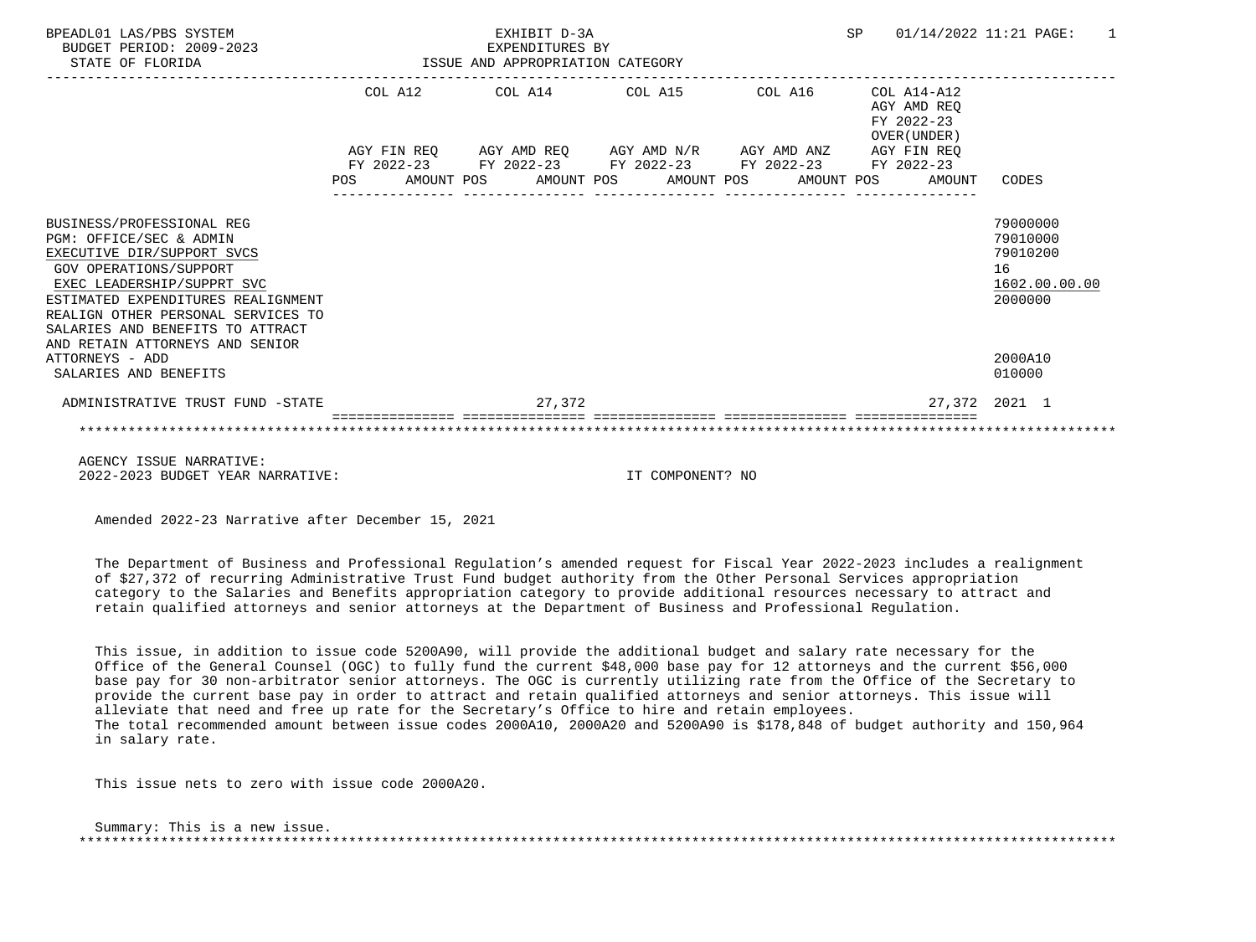| BPEADL01 LAS/PBS SYSTEM<br>BUDGET PERIOD: 2009-2023<br>STATE OF FLORIDA                                                                                                                                                                                           |            | ISSUE AND APPROPRIATION CATEGORY                            |                                 | EXHIBIT D-3A<br>EXPENDITURES BY |  |                                             | SP |  | 01/14/2022 11:21 PAGE:<br>$\overline{1}$                 |                                                                    |
|-------------------------------------------------------------------------------------------------------------------------------------------------------------------------------------------------------------------------------------------------------------------|------------|-------------------------------------------------------------|---------------------------------|---------------------------------|--|---------------------------------------------|----|--|----------------------------------------------------------|--------------------------------------------------------------------|
|                                                                                                                                                                                                                                                                   |            |                                                             | COL A12 COL A14 COL A15 COL A16 |                                 |  |                                             |    |  | COL A14-A12<br>AGY AMD REO<br>FY 2022-23<br>OVER (UNDER) |                                                                    |
|                                                                                                                                                                                                                                                                   |            | AGY FIN REQ AGY AMD REQ AGY AMD N/R AGY AMD ANZ AGY FIN REQ |                                 |                                 |  |                                             |    |  |                                                          |                                                                    |
|                                                                                                                                                                                                                                                                   |            | FY 2022-23 FY 2022-23 FY 2022-23 FY 2022-23 FY 2022-23      |                                 |                                 |  |                                             |    |  |                                                          |                                                                    |
|                                                                                                                                                                                                                                                                   | <b>POS</b> |                                                             |                                 |                                 |  | AMOUNT POS AMOUNT POS AMOUNT POS AMOUNT POS |    |  | AMOUNT                                                   | CODES                                                              |
| BUSINESS/PROFESSIONAL REG<br>PGM: OFFICE/SEC & ADMIN<br>EXECUTIVE DIR/SUPPORT SVCS<br><b>GOV OPERATIONS/SUPPORT</b><br>EXEC LEADERSHIP/SUPPRT SVC<br>ESTIMATED EXPENDITURES REALIGNMENT<br>REALIGN OTHER PERSONAL SERVICES TO<br>SALARIES AND BENEFITS TO ATTRACT |            |                                                             |                                 |                                 |  |                                             |    |  |                                                          | 79000000<br>79010000<br>79010200<br>16<br>1602.00.00.00<br>2000000 |
| AND RETAIN ATTORNEYS AND SENIOR<br>ATTORNEYS - ADD<br>SALARIES AND BENEFITS                                                                                                                                                                                       |            |                                                             |                                 |                                 |  |                                             |    |  |                                                          | 2000A10<br>010000                                                  |
| ADMINISTRATIVE TRUST FUND -STATE                                                                                                                                                                                                                                  |            | 27, 372                                                     |                                 |                                 |  |                                             |    |  |                                                          | 27,372 2021 1                                                      |
|                                                                                                                                                                                                                                                                   |            |                                                             |                                 |                                 |  |                                             |    |  |                                                          |                                                                    |
| AGENCY ISSUE NARRATIVE:                                                                                                                                                                                                                                           |            |                                                             |                                 |                                 |  |                                             |    |  |                                                          |                                                                    |
| 2022-2023 BUDGET YEAR NARRATIVE:                                                                                                                                                                                                                                  |            |                                                             |                                 |                                 |  | IT COMPONENT? NO                            |    |  |                                                          |                                                                    |

 The Department of Business and Professional Regulation's amended request for Fiscal Year 2022-2023 includes a realignment of \$27,372 of recurring Administrative Trust Fund budget authority from the Other Personal Services appropriation category to the Salaries and Benefits appropriation category to provide additional resources necessary to attract and retain qualified attorneys and senior attorneys at the Department of Business and Professional Regulation.

 This issue, in addition to issue code 5200A90, will provide the additional budget and salary rate necessary for the Office of the General Counsel (OGC) to fully fund the current \$48,000 base pay for 12 attorneys and the current \$56,000 base pay for 30 non-arbitrator senior attorneys. The OGC is currently utilizing rate from the Office of the Secretary to provide the current base pay in order to attract and retain qualified attorneys and senior attorneys. This issue will alleviate that need and free up rate for the Secretary's Office to hire and retain employees. The total recommended amount between issue codes 2000A10, 2000A20 and 5200A90 is \$178,848 of budget authority and 150,964 in salary rate.

This issue nets to zero with issue code 2000A20.

 Summary: This is a new issue. \*\*\*\*\*\*\*\*\*\*\*\*\*\*\*\*\*\*\*\*\*\*\*\*\*\*\*\*\*\*\*\*\*\*\*\*\*\*\*\*\*\*\*\*\*\*\*\*\*\*\*\*\*\*\*\*\*\*\*\*\*\*\*\*\*\*\*\*\*\*\*\*\*\*\*\*\*\*\*\*\*\*\*\*\*\*\*\*\*\*\*\*\*\*\*\*\*\*\*\*\*\*\*\*\*\*\*\*\*\*\*\*\*\*\*\*\*\*\*\*\*\*\*\*\*\*\*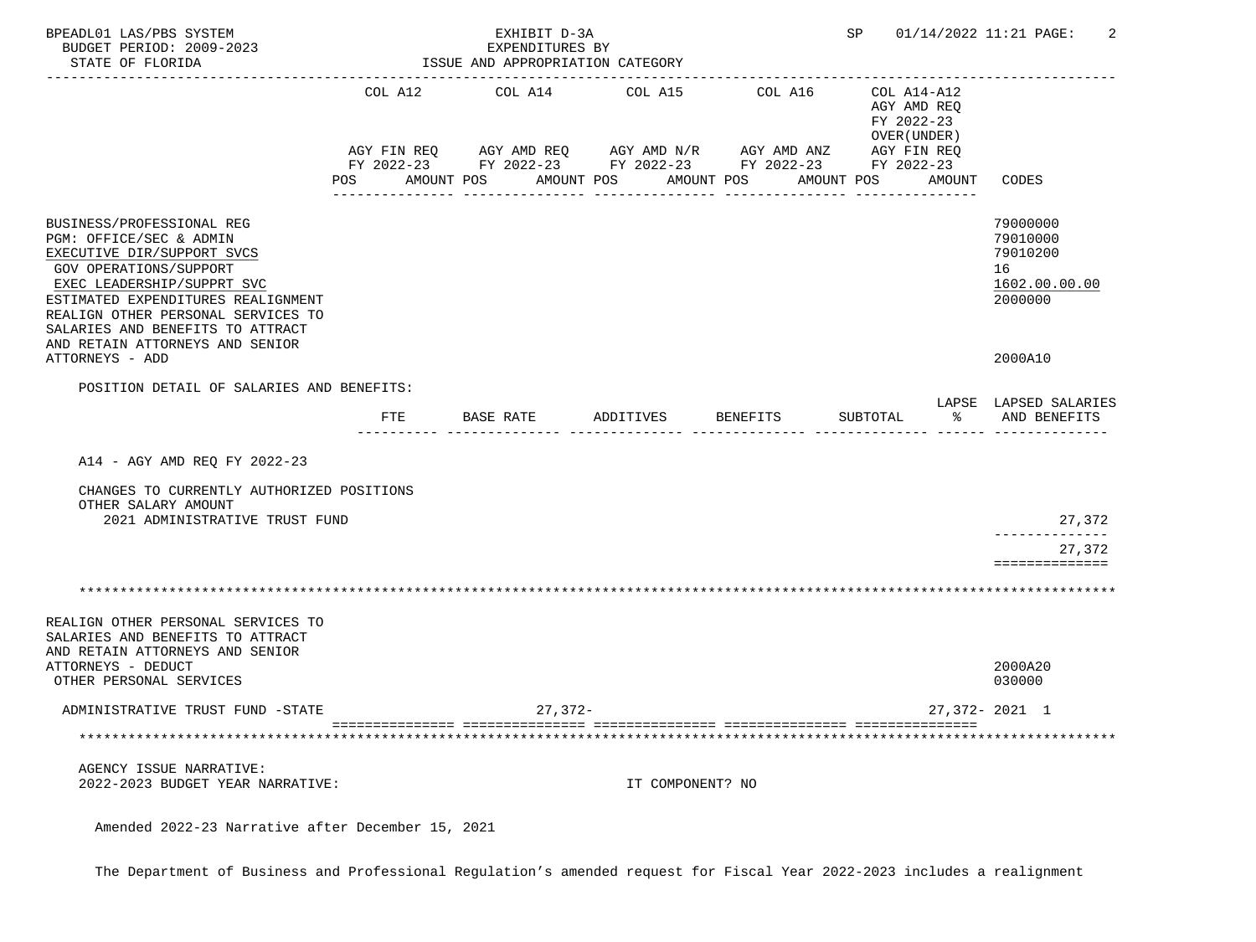| BPEADL01 LAS/PBS SYSTEM<br>BUDGET PERIOD: 2009-2023<br>STATE OF FLORIDA                                                                                                                                                                                                                              |                | EXHIBIT D-3A<br>EXPENDITURES BY<br>ISSUE AND APPROPRIATION CATEGORY |                       | SP 01/14/2022 11:21 PAGE:                                                                                             |                                                          |                                                                    |
|------------------------------------------------------------------------------------------------------------------------------------------------------------------------------------------------------------------------------------------------------------------------------------------------------|----------------|---------------------------------------------------------------------|-----------------------|-----------------------------------------------------------------------------------------------------------------------|----------------------------------------------------------|--------------------------------------------------------------------|
|                                                                                                                                                                                                                                                                                                      | COL A12        | COL A14                                                             | COL A15               | COL A16                                                                                                               | COL A14-A12<br>AGY AMD REQ<br>FY 2022-23<br>OVER (UNDER) |                                                                    |
|                                                                                                                                                                                                                                                                                                      | POS AMOUNT POS |                                                                     | AMOUNT POS AMOUNT POS | AGY FIN REQ AGY AMD REQ AGY AMD N/R AGY AMD ANZ AGY FIN REQ<br>FY 2022-23 FY 2022-23 FY 2022-23 FY 2022-23 FY 2022-23 | AMOUNT POS AMOUNT                                        | CODES                                                              |
| BUSINESS/PROFESSIONAL REG<br>PGM: OFFICE/SEC & ADMIN<br>EXECUTIVE DIR/SUPPORT SVCS<br><b>GOV OPERATIONS/SUPPORT</b><br>EXEC LEADERSHIP/SUPPRT SVC<br>ESTIMATED EXPENDITURES REALIGNMENT<br>REALIGN OTHER PERSONAL SERVICES TO<br>SALARIES AND BENEFITS TO ATTRACT<br>AND RETAIN ATTORNEYS AND SENIOR |                |                                                                     |                       |                                                                                                                       |                                                          | 79000000<br>79010000<br>79010200<br>16<br>1602.00.00.00<br>2000000 |
| ATTORNEYS - ADD                                                                                                                                                                                                                                                                                      |                |                                                                     |                       |                                                                                                                       |                                                          | 2000A10                                                            |
| POSITION DETAIL OF SALARIES AND BENEFITS:                                                                                                                                                                                                                                                            | FTE            | BASE RATE                                                           | ADDITIVES             | BENEFITS                                                                                                              | SUBTOTAL                                                 | LAPSE LAPSED SALARIES<br>% AND BENEFITS                            |
| A14 - AGY AMD REQ FY 2022-23                                                                                                                                                                                                                                                                         |                |                                                                     |                       |                                                                                                                       |                                                          |                                                                    |
| CHANGES TO CURRENTLY AUTHORIZED POSITIONS<br>OTHER SALARY AMOUNT<br>2021 ADMINISTRATIVE TRUST FUND                                                                                                                                                                                                   |                |                                                                     |                       |                                                                                                                       |                                                          | 27,372                                                             |
|                                                                                                                                                                                                                                                                                                      |                |                                                                     |                       |                                                                                                                       |                                                          | .<br>27,372<br>==============                                      |
|                                                                                                                                                                                                                                                                                                      |                |                                                                     |                       |                                                                                                                       |                                                          |                                                                    |
| REALIGN OTHER PERSONAL SERVICES TO<br>SALARIES AND BENEFITS TO ATTRACT<br>AND RETAIN ATTORNEYS AND SENIOR<br>ATTORNEYS - DEDUCT<br>OTHER PERSONAL SERVICES                                                                                                                                           |                |                                                                     |                       |                                                                                                                       |                                                          | 2000A20<br>030000                                                  |
| ADMINISTRATIVE TRUST FUND -STATE                                                                                                                                                                                                                                                                     |                | $27,372-$                                                           |                       |                                                                                                                       |                                                          | $27,372 - 2021$ 1                                                  |
|                                                                                                                                                                                                                                                                                                      |                |                                                                     |                       |                                                                                                                       |                                                          |                                                                    |
| AGENCY ISSUE NARRATIVE:<br>2022-2023 BUDGET YEAR NARRATIVE:                                                                                                                                                                                                                                          |                |                                                                     | IT COMPONENT? NO      |                                                                                                                       |                                                          |                                                                    |

The Department of Business and Professional Regulation's amended request for Fiscal Year 2022-2023 includes a realignment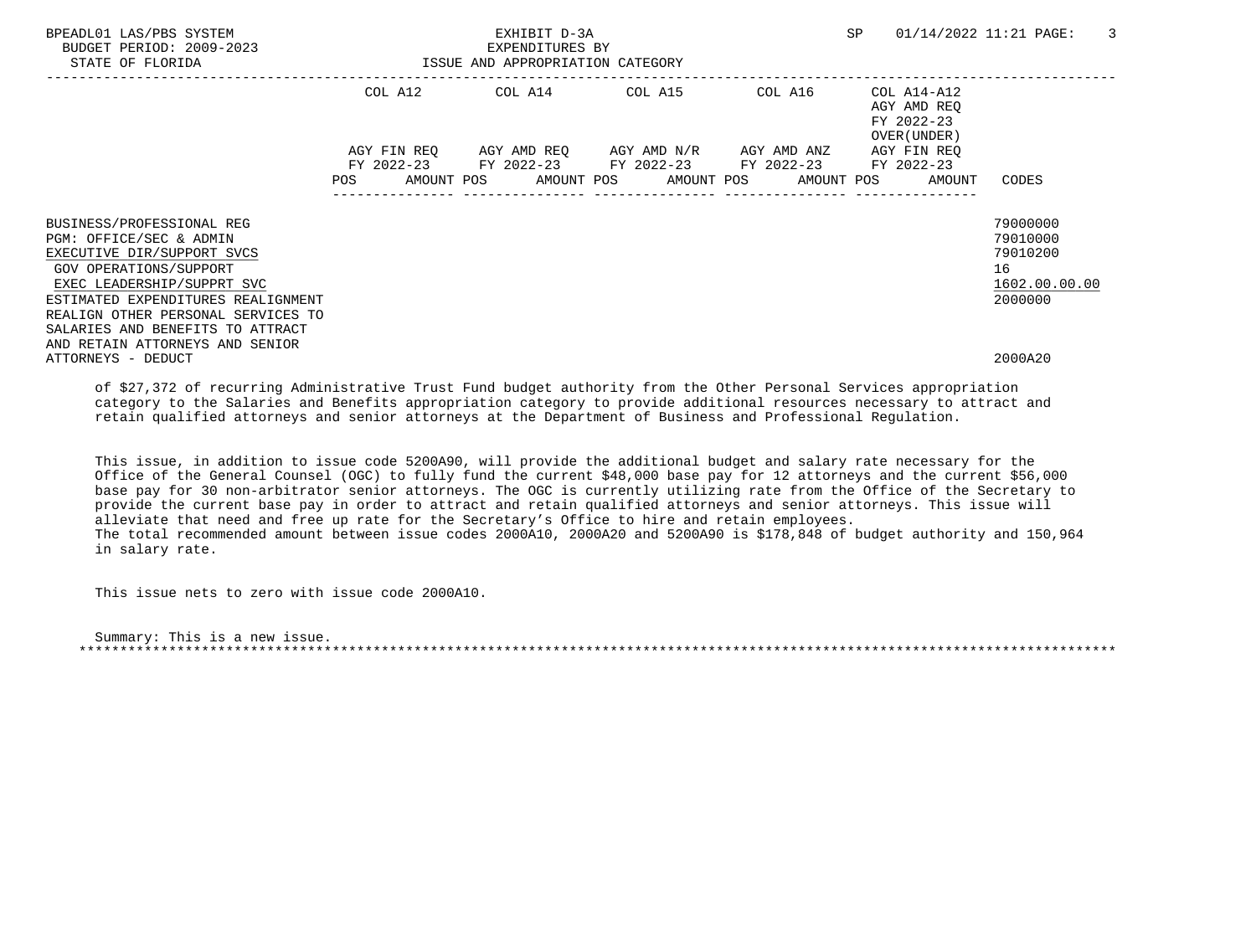| BPEADL01 LAS/PBS SYSTEM<br>BUDGET PERIOD: 2009-2023<br>STATE OF FLORIDA | EXHIBIT D-3A<br>EXPENDITURES BY<br>ISSUE AND APPROPRIATION CATEGORY                                            |  |  |  |  |                                                        | SP | 01/14/2022 11:21 PAGE: |                                                          | 3        |               |
|-------------------------------------------------------------------------|----------------------------------------------------------------------------------------------------------------|--|--|--|--|--------------------------------------------------------|----|------------------------|----------------------------------------------------------|----------|---------------|
|                                                                         |                                                                                                                |  |  |  |  | COL A12 COL A14 COL A15 COL A16                        |    |                        | COL A14-A12<br>AGY AMD REQ<br>FY 2022-23<br>OVER (UNDER) |          |               |
|                                                                         |                                                                                                                |  |  |  |  | AGY FIN REQ 6GY AMD REQ 6GY AMD N/R 6GY AMD ANZ        |    |                        | AGY FIN REO                                              |          |               |
|                                                                         |                                                                                                                |  |  |  |  | FY 2022-23 FY 2022-23 FY 2022-23 FY 2022-23 FY 2022-23 |    |                        |                                                          |          |               |
|                                                                         | POS FOR THE POST OF THE STATE STATE STATE STATE STATE STATE STATE STATE STATE STATE STATE STATE STATE STATE ST |  |  |  |  | AMOUNT POS AMOUNT POS AMOUNT POS AMOUNT POS            |    |                        | AMOUNT                                                   | CODES    |               |
|                                                                         |                                                                                                                |  |  |  |  |                                                        |    |                        |                                                          |          |               |
| BUSINESS/PROFESSIONAL REG                                               |                                                                                                                |  |  |  |  |                                                        |    |                        |                                                          | 79000000 |               |
| PGM: OFFICE/SEC & ADMIN                                                 |                                                                                                                |  |  |  |  |                                                        |    |                        |                                                          | 79010000 |               |
| EXECUTIVE DIR/SUPPORT SVCS                                              |                                                                                                                |  |  |  |  |                                                        |    |                        |                                                          | 79010200 |               |
| GOV OPERATIONS/SUPPORT                                                  |                                                                                                                |  |  |  |  |                                                        |    |                        |                                                          | 16       |               |
| EXEC LEADERSHIP/SUPPRT SVC                                              |                                                                                                                |  |  |  |  |                                                        |    |                        |                                                          |          | 1602.00.00.00 |
| ESTIMATED EXPENDITURES REALIGNMENT                                      |                                                                                                                |  |  |  |  |                                                        |    |                        |                                                          | 2000000  |               |
| REALIGN OTHER PERSONAL SERVICES TO                                      |                                                                                                                |  |  |  |  |                                                        |    |                        |                                                          |          |               |
| SALARIES AND BENEFITS TO ATTRACT                                        |                                                                                                                |  |  |  |  |                                                        |    |                        |                                                          |          |               |
| AND RETAIN ATTORNEYS AND SENIOR                                         |                                                                                                                |  |  |  |  |                                                        |    |                        |                                                          |          |               |
| ATTORNEYS - DEDUCT                                                      |                                                                                                                |  |  |  |  |                                                        |    |                        |                                                          | 2000A20  |               |

 of \$27,372 of recurring Administrative Trust Fund budget authority from the Other Personal Services appropriation category to the Salaries and Benefits appropriation category to provide additional resources necessary to attract and retain qualified attorneys and senior attorneys at the Department of Business and Professional Regulation.

 This issue, in addition to issue code 5200A90, will provide the additional budget and salary rate necessary for the Office of the General Counsel (OGC) to fully fund the current \$48,000 base pay for 12 attorneys and the current \$56,000 base pay for 30 non-arbitrator senior attorneys. The OGC is currently utilizing rate from the Office of the Secretary to provide the current base pay in order to attract and retain qualified attorneys and senior attorneys. This issue will alleviate that need and free up rate for the Secretary's Office to hire and retain employees. The total recommended amount between issue codes 2000A10, 2000A20 and 5200A90 is \$178,848 of budget authority and 150,964 in salary rate.

This issue nets to zero with issue code 2000A10.

 Summary: This is a new issue. \*\*\*\*\*\*\*\*\*\*\*\*\*\*\*\*\*\*\*\*\*\*\*\*\*\*\*\*\*\*\*\*\*\*\*\*\*\*\*\*\*\*\*\*\*\*\*\*\*\*\*\*\*\*\*\*\*\*\*\*\*\*\*\*\*\*\*\*\*\*\*\*\*\*\*\*\*\*\*\*\*\*\*\*\*\*\*\*\*\*\*\*\*\*\*\*\*\*\*\*\*\*\*\*\*\*\*\*\*\*\*\*\*\*\*\*\*\*\*\*\*\*\*\*\*\*\*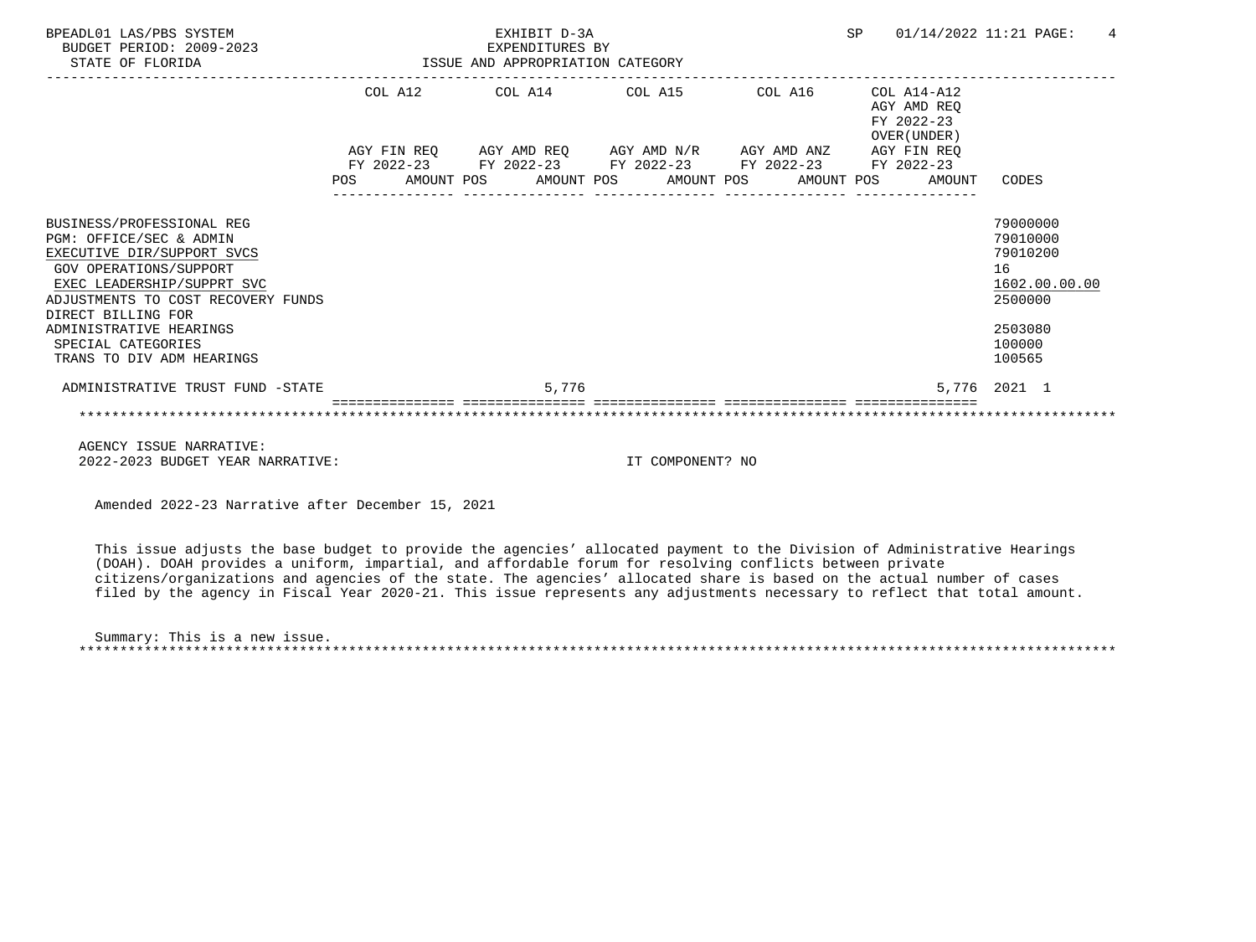| BPEADL01 LAS/PBS SYSTEM<br>BUDGET PERIOD: 2009-2023<br>STATE OF FLORIDA                                                                                                                                                                                                                     | EXHIBIT D-3A<br>EXPENDITURES BY<br>ISSUE AND APPROPRIATION CATEGORY |  |  |                                                                                                                                                                                         |  |  |  |         | SP |                                                                                   | 01/14/2022 11:21 PAGE:                                                                            | 4 |
|---------------------------------------------------------------------------------------------------------------------------------------------------------------------------------------------------------------------------------------------------------------------------------------------|---------------------------------------------------------------------|--|--|-----------------------------------------------------------------------------------------------------------------------------------------------------------------------------------------|--|--|--|---------|----|-----------------------------------------------------------------------------------|---------------------------------------------------------------------------------------------------|---|
|                                                                                                                                                                                                                                                                                             |                                                                     |  |  | COL A12 COL A14 COL A15<br>AGY FIN REQ 6GY AMD REQ 6GY AMD N/R 6GY AMD ANZ<br>FY 2022-23 FY 2022-23 FY 2022-23 FY 2022-23 FY 2022-23<br>POS AMOUNT POS AMOUNT POS AMOUNT POS AMOUNT POS |  |  |  | COL A16 |    | COL A14-A12<br>AGY AMD REO<br>FY 2022-23<br>OVER (UNDER)<br>AGY FIN REO<br>AMOUNT | CODES                                                                                             |   |
| BUSINESS/PROFESSIONAL REG<br>PGM: OFFICE/SEC & ADMIN<br>EXECUTIVE DIR/SUPPORT SVCS<br><b>GOV OPERATIONS/SUPPORT</b><br>EXEC LEADERSHIP/SUPPRT SVC<br>ADJUSTMENTS TO COST RECOVERY FUNDS<br>DIRECT BILLING FOR<br>ADMINISTRATIVE HEARINGS<br>SPECIAL CATEGORIES<br>TRANS TO DIV ADM HEARINGS |                                                                     |  |  |                                                                                                                                                                                         |  |  |  |         |    |                                                                                   | 79000000<br>79010000<br>79010200<br>16<br>1602.00.00.00<br>2500000<br>2503080<br>100000<br>100565 |   |
| ADMINISTRATIVE TRUST FUND -STATE                                                                                                                                                                                                                                                            |                                                                     |  |  | 5,776                                                                                                                                                                                   |  |  |  |         |    |                                                                                   | 5,776 2021 1                                                                                      |   |
|                                                                                                                                                                                                                                                                                             |                                                                     |  |  |                                                                                                                                                                                         |  |  |  |         |    |                                                                                   |                                                                                                   |   |
|                                                                                                                                                                                                                                                                                             |                                                                     |  |  |                                                                                                                                                                                         |  |  |  |         |    |                                                                                   |                                                                                                   |   |

 AGENCY ISSUE NARRATIVE: 2022-2023 BUDGET YEAR NARRATIVE: IT COMPONENT? NO

Amended 2022-23 Narrative after December 15, 2021

 This issue adjusts the base budget to provide the agencies' allocated payment to the Division of Administrative Hearings (DOAH). DOAH provides a uniform, impartial, and affordable forum for resolving conflicts between private citizens/organizations and agencies of the state. The agencies' allocated share is based on the actual number of cases filed by the agency in Fiscal Year 2020-21. This issue represents any adjustments necessary to reflect that total amount.

 Summary: This is a new issue. \*\*\*\*\*\*\*\*\*\*\*\*\*\*\*\*\*\*\*\*\*\*\*\*\*\*\*\*\*\*\*\*\*\*\*\*\*\*\*\*\*\*\*\*\*\*\*\*\*\*\*\*\*\*\*\*\*\*\*\*\*\*\*\*\*\*\*\*\*\*\*\*\*\*\*\*\*\*\*\*\*\*\*\*\*\*\*\*\*\*\*\*\*\*\*\*\*\*\*\*\*\*\*\*\*\*\*\*\*\*\*\*\*\*\*\*\*\*\*\*\*\*\*\*\*\*\*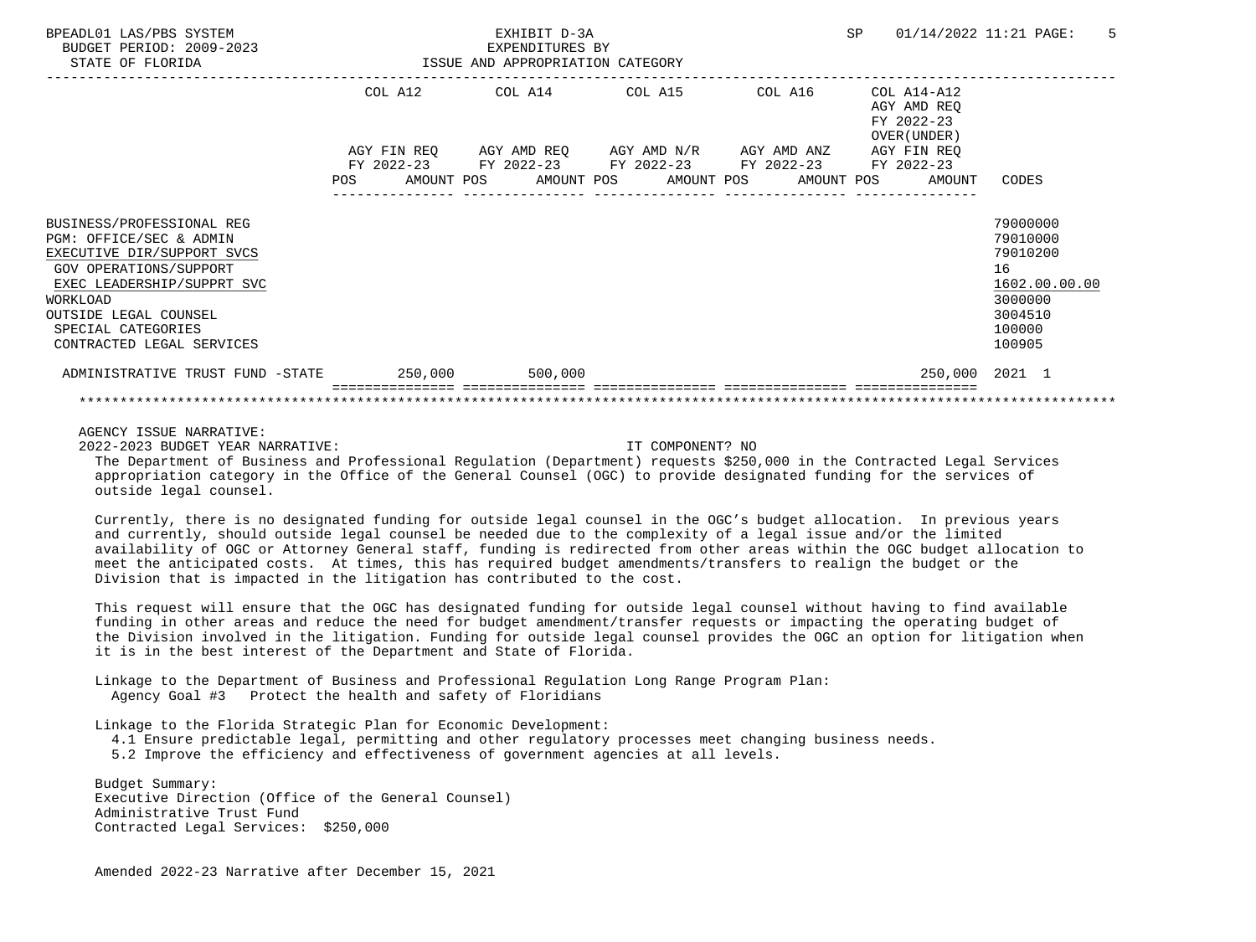| BPEADL01 LAS/PBS SYSTEM<br>BUDGET PERIOD: 2009-2023<br>STATE OF FLORIDA                                                                                                                                                            | ISSUE AND APPROPRIATION CATEGORY | EXHIBIT D-3A<br>EXPENDITURES BY                                                                                                                                                                           |  | SP                                                                                 | 01/14/2022 11:21 PAGE:<br>.5                                                                      |
|------------------------------------------------------------------------------------------------------------------------------------------------------------------------------------------------------------------------------------|----------------------------------|-----------------------------------------------------------------------------------------------------------------------------------------------------------------------------------------------------------|--|------------------------------------------------------------------------------------|---------------------------------------------------------------------------------------------------|
|                                                                                                                                                                                                                                    | <b>POS</b>                       | COL A12 COL A14 COL A15 COL A16<br>AGY FIN REQ AGY AMD REQ AGY AMD N/R AGY AMD ANZ<br>FY 2022-23 FY 2022-23 FY 2022-23 FY 2022-23 FY 2022-23<br>AMOUNT POS      AMOUNT POS      AMOUNT POS     AMOUNT POS |  | COL A14-A12<br>AGY AMD REQ<br>FY 2022-23<br>OVER (UNDER )<br>AGY FIN REO<br>AMOUNT | CODES                                                                                             |
| BUSINESS/PROFESSIONAL REG<br>PGM: OFFICE/SEC & ADMIN<br>EXECUTIVE DIR/SUPPORT SVCS<br>GOV OPERATIONS/SUPPORT<br>EXEC LEADERSHIP/SUPPRT SVC<br>WORKLOAD<br>OUTSIDE LEGAL COUNSEL<br>SPECIAL CATEGORIES<br>CONTRACTED LEGAL SERVICES |                                  |                                                                                                                                                                                                           |  |                                                                                    | 79000000<br>79010000<br>79010200<br>16<br>1602.00.00.00<br>3000000<br>3004510<br>100000<br>100905 |
| ADMINISTRATIVE TRUST FUND -STATE 250,000                                                                                                                                                                                           |                                  | 500,000                                                                                                                                                                                                   |  |                                                                                    | 250,000 2021 1                                                                                    |
|                                                                                                                                                                                                                                    |                                  |                                                                                                                                                                                                           |  |                                                                                    |                                                                                                   |

AGENCY ISSUE NARRATIVE:

2022-2023 BUDGET YEAR NARRATIVE: IT COMPONENT? NO

 The Department of Business and Professional Regulation (Department) requests \$250,000 in the Contracted Legal Services appropriation category in the Office of the General Counsel (OGC) to provide designated funding for the services of outside legal counsel.

 Currently, there is no designated funding for outside legal counsel in the OGC's budget allocation. In previous years and currently, should outside legal counsel be needed due to the complexity of a legal issue and/or the limited availability of OGC or Attorney General staff, funding is redirected from other areas within the OGC budget allocation to meet the anticipated costs. At times, this has required budget amendments/transfers to realign the budget or the Division that is impacted in the litigation has contributed to the cost.

 This request will ensure that the OGC has designated funding for outside legal counsel without having to find available funding in other areas and reduce the need for budget amendment/transfer requests or impacting the operating budget of the Division involved in the litigation. Funding for outside legal counsel provides the OGC an option for litigation when it is in the best interest of the Department and State of Florida.

 Linkage to the Department of Business and Professional Regulation Long Range Program Plan: Agency Goal #3 Protect the health and safety of Floridians

Linkage to the Florida Strategic Plan for Economic Development:

4.1 Ensure predictable legal, permitting and other regulatory processes meet changing business needs.

5.2 Improve the efficiency and effectiveness of government agencies at all levels.

 Budget Summary: Executive Direction (Office of the General Counsel) Administrative Trust Fund Contracted Legal Services: \$250,000

Amended 2022-23 Narrative after December 15, 2021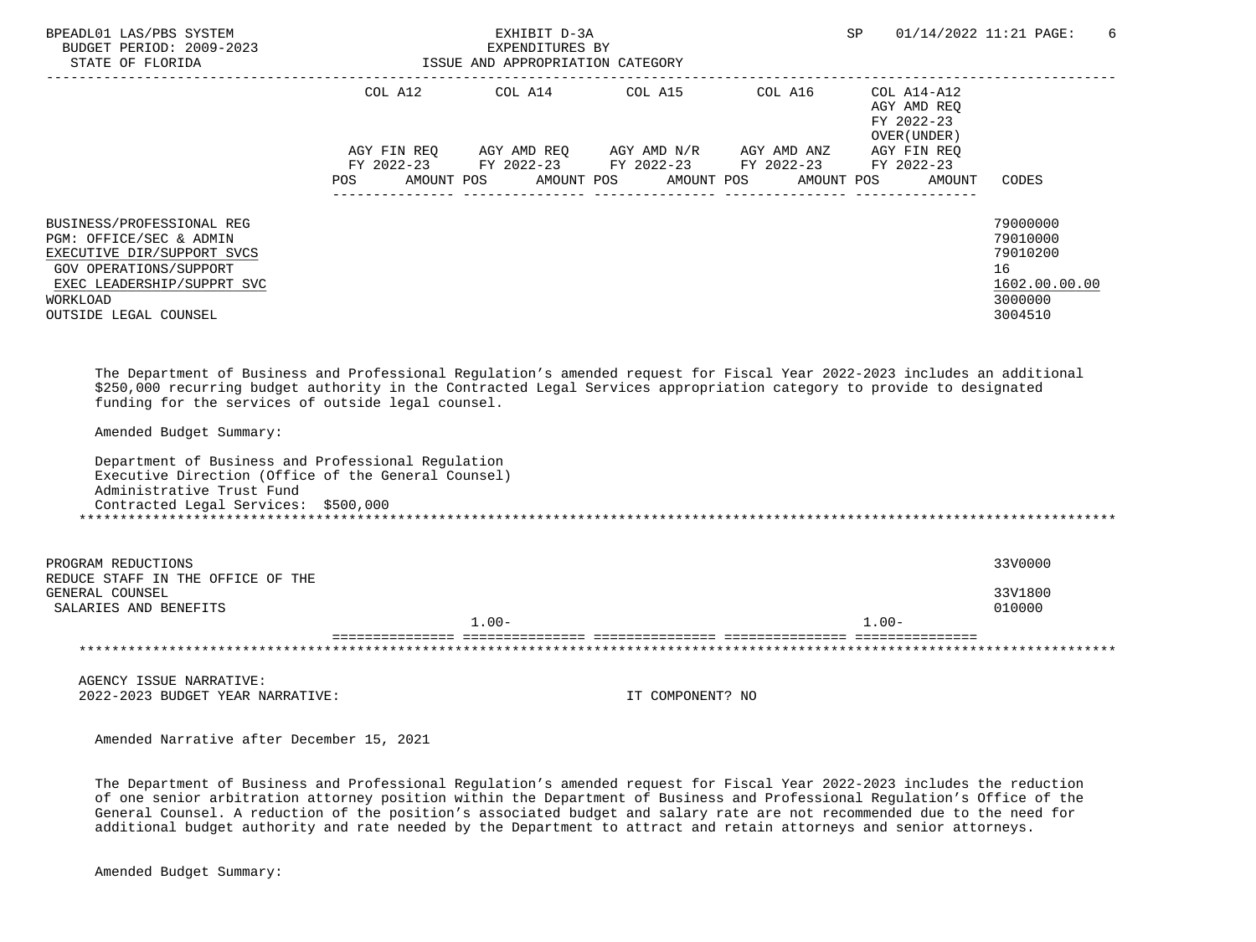| BPEADL01 LAS/PBS SYSTEM<br>BUDGET PERIOD: 2009-2023<br>STATE OF FLORIDA                                                                                                                                                                                                                                                             |            | EXHIBIT D-3A<br>EXPENDITURES BY<br>ISSUE AND APPROPRIATION CATEGORY |                  |                                                                                                                                                | <b>SP</b>                                  | 01/14/2022 11:21 PAGE:<br>6                                                   |
|-------------------------------------------------------------------------------------------------------------------------------------------------------------------------------------------------------------------------------------------------------------------------------------------------------------------------------------|------------|---------------------------------------------------------------------|------------------|------------------------------------------------------------------------------------------------------------------------------------------------|--------------------------------------------|-------------------------------------------------------------------------------|
|                                                                                                                                                                                                                                                                                                                                     |            |                                                                     |                  | COL A12 $\qquad$ COL A14 $\qquad$ COL A15 $\qquad$ COL A16 $\qquad$ COL A14-A12<br>AGY FIN REQ AGY AMD REQ AGY AMD N/R AGY AMD ANZ AGY FIN REQ | AGY AMD REQ<br>FY 2022-23<br>OVER (UNDER ) |                                                                               |
|                                                                                                                                                                                                                                                                                                                                     | <b>POS</b> | AMOUNT POS                                                          | AMOUNT POS       | FY 2022-23 FY 2022-23 FY 2022-23 FY 2022-23 FY 2022-23<br>AMOUNT POS                                                                           | AMOUNT POS<br>AMOUNT                       | CODES                                                                         |
| BUSINESS/PROFESSIONAL REG<br>PGM: OFFICE/SEC & ADMIN<br>EXECUTIVE DIR/SUPPORT SVCS<br><b>GOV OPERATIONS/SUPPORT</b><br>EXEC LEADERSHIP/SUPPRT SVC<br>WORKLOAD<br>OUTSIDE LEGAL COUNSEL                                                                                                                                              |            |                                                                     |                  |                                                                                                                                                |                                            | 79000000<br>79010000<br>79010200<br>16<br>1602.00.00.00<br>3000000<br>3004510 |
| The Department of Business and Professional Regulation's amended request for Fiscal Year 2022-2023 includes an additional<br>\$250,000 recurring budget authority in the Contracted Legal Services appropriation category to provide to designated<br>funding for the services of outside legal counsel.<br>Amended Budget Summary: |            |                                                                     |                  |                                                                                                                                                |                                            |                                                                               |
| Department of Business and Professional Regulation<br>Executive Direction (Office of the General Counsel)<br>Administrative Trust Fund<br>Contracted Legal Services: \$500,000                                                                                                                                                      |            |                                                                     |                  |                                                                                                                                                |                                            |                                                                               |
| PROGRAM REDUCTIONS<br>REDUCE STAFF IN THE OFFICE OF THE                                                                                                                                                                                                                                                                             |            |                                                                     |                  |                                                                                                                                                |                                            | 33V0000                                                                       |
| GENERAL COUNSEL<br>SALARIES AND BENEFITS                                                                                                                                                                                                                                                                                            |            | $1.00 -$                                                            |                  |                                                                                                                                                | $1.00 -$                                   | 33V1800<br>010000                                                             |
|                                                                                                                                                                                                                                                                                                                                     |            |                                                                     |                  |                                                                                                                                                |                                            |                                                                               |
| AGENCY ISSUE NARRATIVE:<br>2022-2023 BUDGET YEAR NARRATIVE:                                                                                                                                                                                                                                                                         |            |                                                                     | IT COMPONENT? NO |                                                                                                                                                |                                            |                                                                               |
| Amended Narrative after December 15, 2021                                                                                                                                                                                                                                                                                           |            |                                                                     |                  |                                                                                                                                                |                                            |                                                                               |

 The Department of Business and Professional Regulation's amended request for Fiscal Year 2022-2023 includes the reduction of one senior arbitration attorney position within the Department of Business and Professional Regulation's Office of the General Counsel. A reduction of the position's associated budget and salary rate are not recommended due to the need for additional budget authority and rate needed by the Department to attract and retain attorneys and senior attorneys.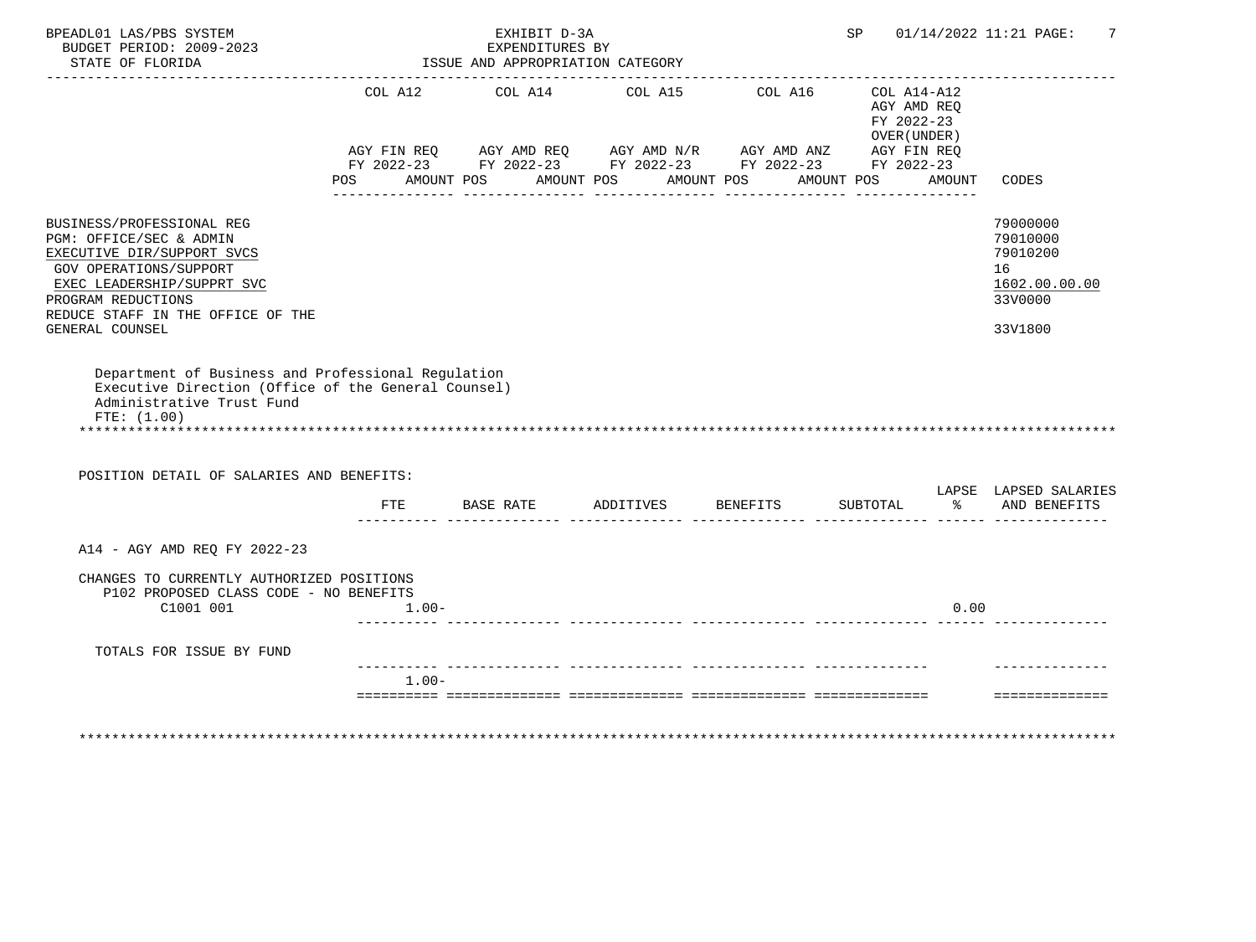| BPEADL01 LAS/PBS SYSTEM<br>BUDGET PERIOD: 2009-2023                                                                                                                                                   |            |                                                                                                                                                                                                                                                                                                                     | EXHIBIT D-3A<br>EXPENDITURES BY  |  | SP                              |            | 01/14/2022 11:21 PAGE:<br>7 |                                                             |                                                                                                                         |
|-------------------------------------------------------------------------------------------------------------------------------------------------------------------------------------------------------|------------|---------------------------------------------------------------------------------------------------------------------------------------------------------------------------------------------------------------------------------------------------------------------------------------------------------------------|----------------------------------|--|---------------------------------|------------|-----------------------------|-------------------------------------------------------------|-------------------------------------------------------------------------------------------------------------------------|
| STATE OF FLORIDA                                                                                                                                                                                      |            |                                                                                                                                                                                                                                                                                                                     | ISSUE AND APPROPRIATION CATEGORY |  |                                 |            |                             |                                                             |                                                                                                                         |
|                                                                                                                                                                                                       |            | $\begin{array}{lllllll} \textsc{AGY} & \textsc{FIN REQ} & \textsc{AGY} & \textsc{AMP} & \textsc{AGY} & \textsc{AMD} & \textsc{MY} & \textsc{MD} & \textsc{ANZ} \\ \textsc{FY} & \textsc{2022-23} & \textsc{FY} & \textsc{2022-23} & \textsc{FY} & \textsc{2022-23} & \textsc{FY} & \textsc{2022-23} \\ \end{array}$ |                                  |  | COL A12 COL A14 COL A15 COL A16 |            |                             | $COL A14- A12$<br>AGY AMD REQ<br>FY 2022-23<br>OVER (UNDER) |                                                                                                                         |
|                                                                                                                                                                                                       | <b>POS</b> |                                                                                                                                                                                                                                                                                                                     | AMOUNT POS AMOUNT POS AMOUNT POS |  |                                 | AMOUNT POS |                             | AMOUNT                                                      | CODES                                                                                                                   |
| BUSINESS/PROFESSIONAL REG<br>PGM: OFFICE/SEC & ADMIN<br>EXECUTIVE DIR/SUPPORT SVCS<br>GOV OPERATIONS/SUPPORT<br>EXEC LEADERSHIP/SUPPRT SVC<br>PROGRAM REDUCTIONS<br>REDUCE STAFF IN THE OFFICE OF THE |            |                                                                                                                                                                                                                                                                                                                     |                                  |  |                                 |            |                             |                                                             | 79000000<br>79010000<br>79010200<br>16<br>1602.00.00.00<br>33V0000                                                      |
| GENERAL COUNSEL                                                                                                                                                                                       |            |                                                                                                                                                                                                                                                                                                                     |                                  |  |                                 |            |                             |                                                             | 33V1800                                                                                                                 |
| Department of Business and Professional Regulation<br>Executive Direction (Office of the General Counsel)<br>Administrative Trust Fund<br>FTE: (1.00)<br>POSITION DETAIL OF SALARIES AND BENEFITS:    |            |                                                                                                                                                                                                                                                                                                                     |                                  |  |                                 |            |                             |                                                             |                                                                                                                         |
|                                                                                                                                                                                                       |            |                                                                                                                                                                                                                                                                                                                     | FTE BASE RATE ADDITIVES          |  | BENEFITS                        |            |                             |                                                             | LAPSE LAPSED SALARIES<br>SUBTOTAL $\frac{1}{6}$ AND BENEFITS<br>iili ililiiliiliilii ililiiliiliilii ililii tuttiiliili |
| A14 - AGY AMD REQ FY 2022-23                                                                                                                                                                          |            |                                                                                                                                                                                                                                                                                                                     |                                  |  |                                 |            |                             |                                                             |                                                                                                                         |
| CHANGES TO CURRENTLY AUTHORIZED POSITIONS<br>P102 PROPOSED CLASS CODE - NO BENEFITS<br>C1001 001                                                                                                      | $1.00-$    |                                                                                                                                                                                                                                                                                                                     |                                  |  |                                 |            |                             | 0.00                                                        |                                                                                                                         |
| TOTALS FOR ISSUE BY FUND                                                                                                                                                                              |            |                                                                                                                                                                                                                                                                                                                     |                                  |  |                                 |            |                             |                                                             |                                                                                                                         |
|                                                                                                                                                                                                       | $1.00 -$   |                                                                                                                                                                                                                                                                                                                     |                                  |  |                                 |            |                             |                                                             |                                                                                                                         |
|                                                                                                                                                                                                       |            |                                                                                                                                                                                                                                                                                                                     |                                  |  |                                 |            |                             |                                                             | ----------------                                                                                                        |
|                                                                                                                                                                                                       |            |                                                                                                                                                                                                                                                                                                                     |                                  |  |                                 |            |                             |                                                             |                                                                                                                         |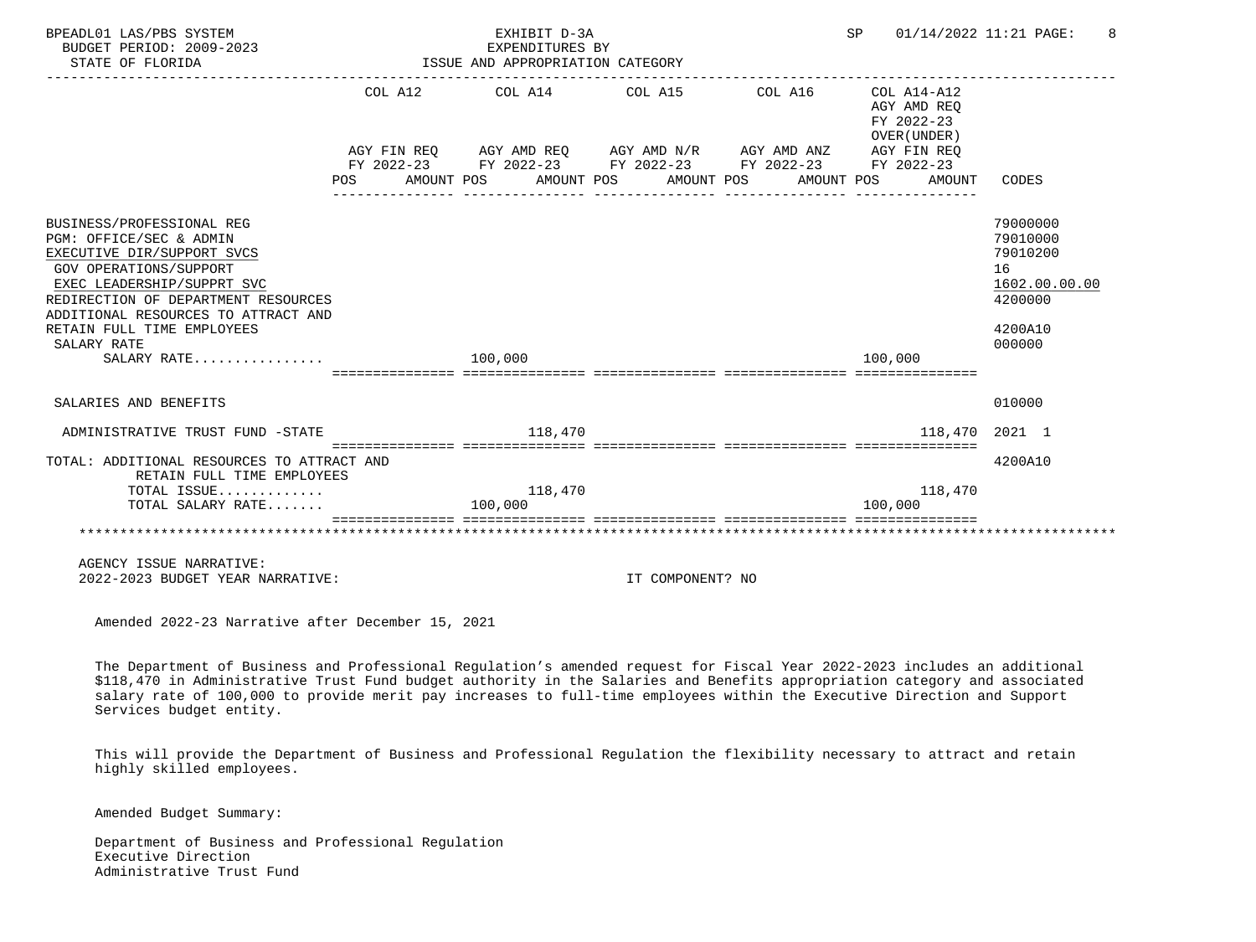| BPEADL01 LAS/PBS SYSTEM<br>BUDGET PERIOD: 2009-2023                                                                                                                                                                                                                                  |  |         | EXHIBIT D-3A<br>EXPENDITURES BY  |                                                                                                                                                               |                                   |                                                     | SP 01/14/2022 11:21 PAGE:                                                               |
|--------------------------------------------------------------------------------------------------------------------------------------------------------------------------------------------------------------------------------------------------------------------------------------|--|---------|----------------------------------|---------------------------------------------------------------------------------------------------------------------------------------------------------------|-----------------------------------|-----------------------------------------------------|-----------------------------------------------------------------------------------------|
| STATE OF FLORIDA                                                                                                                                                                                                                                                                     |  |         | ISSUE AND APPROPRIATION CATEGORY |                                                                                                                                                               |                                   |                                                     |                                                                                         |
|                                                                                                                                                                                                                                                                                      |  |         | COL A12 COL A14 COL A15          | AGY FIN REQ AGY AMD REQ AGY AMD N/R AGY AMD ANZ AGY FIN REQ<br>FY 2022-23 FY 2022-23 FY 2022-23 FY 2022-23 FY 2022-23<br>POS AMOUNT POS AMOUNT POS AMOUNT POS | COL A16 COL A14-A12<br>AMOUNT POS | AGY AMD REO<br>FY 2022-23<br>OVER (UNDER)<br>AMOUNT | CODES                                                                                   |
| BUSINESS/PROFESSIONAL REG<br>PGM: OFFICE/SEC & ADMIN<br>EXECUTIVE DIR/SUPPORT SVCS<br>GOV OPERATIONS/SUPPORT<br>EXEC LEADERSHIP/SUPPRT SVC<br>REDIRECTION OF DEPARTMENT RESOURCES<br>ADDITIONAL RESOURCES TO ATTRACT AND<br>RETAIN FULL TIME EMPLOYEES<br>SALARY RATE<br>SALARY RATE |  | 100,000 |                                  |                                                                                                                                                               |                                   | 100,000                                             | 79000000<br>79010000<br>79010200<br>16<br>1602.00.00.00<br>4200000<br>4200A10<br>000000 |
|                                                                                                                                                                                                                                                                                      |  |         |                                  |                                                                                                                                                               |                                   |                                                     |                                                                                         |
| SALARIES AND BENEFITS                                                                                                                                                                                                                                                                |  |         |                                  |                                                                                                                                                               |                                   |                                                     | 010000                                                                                  |
| ADMINISTRATIVE TRUST FUND -STATE THE SERIES OF THE STATE AND ALL 2018                                                                                                                                                                                                                |  |         |                                  |                                                                                                                                                               |                                   | 118,470 2021 1                                      |                                                                                         |
| TOTAL: ADDITIONAL RESOURCES TO ATTRACT AND<br>RETAIN FULL TIME EMPLOYEES<br>TOTAL ISSUE<br>TOTAL SALARY RATE                                                                                                                                                                         |  | 100,000 | 118,470                          |                                                                                                                                                               |                                   | 118,470<br>100,000                                  | 4200A10                                                                                 |
|                                                                                                                                                                                                                                                                                      |  |         |                                  |                                                                                                                                                               |                                   |                                                     |                                                                                         |
| AGENCY ISSUE NARRATIVE:<br>2022-2023 BUDGET YEAR NARRATIVE:                                                                                                                                                                                                                          |  |         |                                  | IT COMPONENT? NO                                                                                                                                              |                                   |                                                     |                                                                                         |
| Amended 2022-23 Narrative after December 15, 2021                                                                                                                                                                                                                                    |  |         |                                  |                                                                                                                                                               |                                   |                                                     |                                                                                         |

 The Department of Business and Professional Regulation's amended request for Fiscal Year 2022-2023 includes an additional \$118,470 in Administrative Trust Fund budget authority in the Salaries and Benefits appropriation category and associated salary rate of 100,000 to provide merit pay increases to full-time employees within the Executive Direction and Support Services budget entity.

 This will provide the Department of Business and Professional Regulation the flexibility necessary to attract and retain highly skilled employees.

Amended Budget Summary:

 Department of Business and Professional Regulation Executive Direction Administrative Trust Fund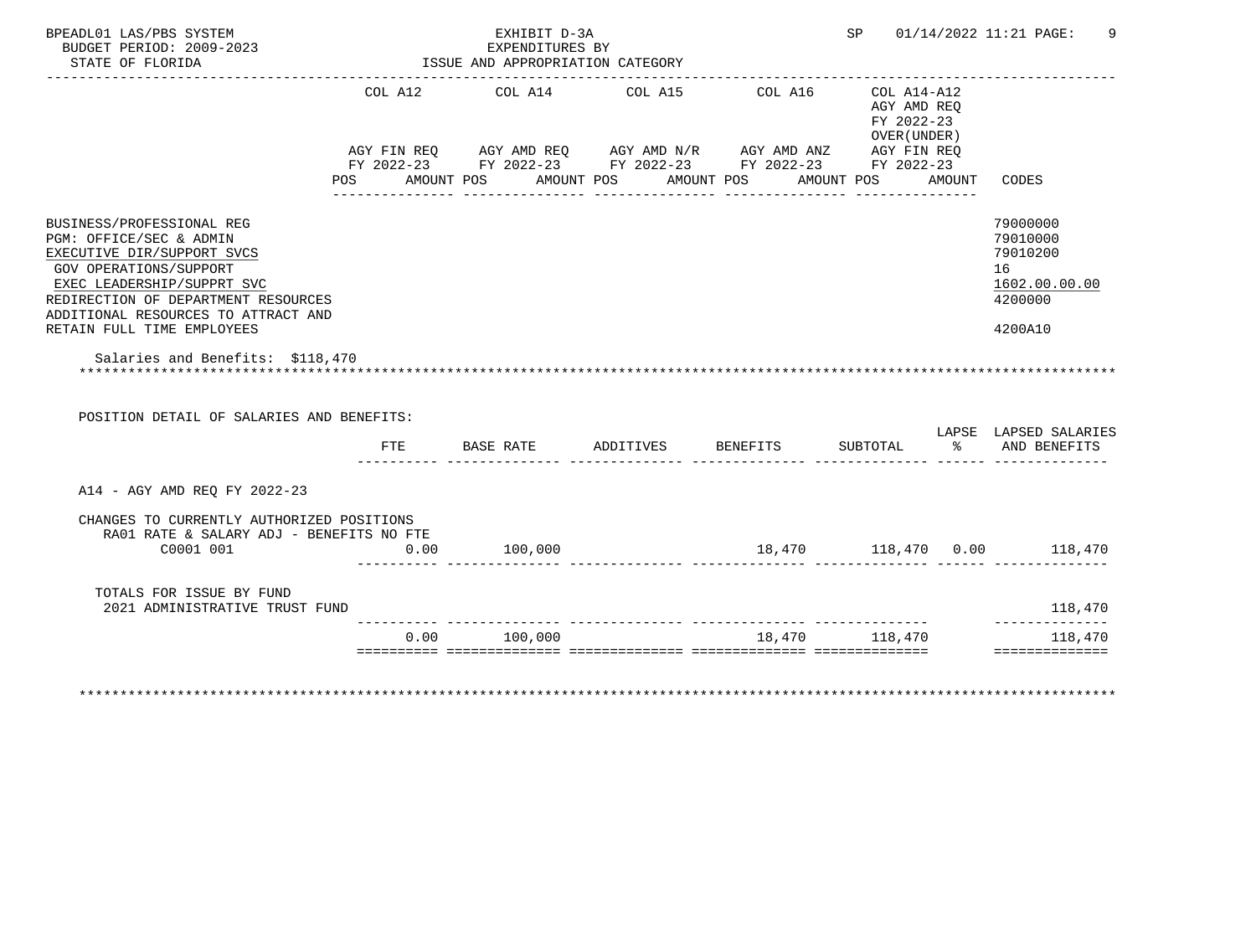| BPEADL01 LAS/PBS SYSTEM<br>BUDGET PERIOD: 2009-2023                                                                                        |         | EXHIBIT D-3A<br>EXPENDITURES BY                                                                                                  |                       |         |                                                          | SP 01/14/2022 11:21 PAGE: |                                                                    |
|--------------------------------------------------------------------------------------------------------------------------------------------|---------|----------------------------------------------------------------------------------------------------------------------------------|-----------------------|---------|----------------------------------------------------------|---------------------------|--------------------------------------------------------------------|
| STATE OF FLORIDA                                                                                                                           |         | ISSUE AND APPROPRIATION CATEGORY                                                                                                 |                       |         |                                                          |                           |                                                                    |
|                                                                                                                                            | COL A12 | COL A14<br>AGY FIN REQ AGY AMD REQ AGY AMD N/R AGY AMD ANZ AGY FIN REQ<br>FY 2022-23 FY 2022-23 FY 2022-23 FY 2022-23 FY 2022-23 | COL A15               | COL A16 | COL A14-A12<br>AGY AMD REO<br>FY 2022-23<br>OVER (UNDER) |                           |                                                                    |
|                                                                                                                                            | POS     | AMOUNT POS                                                                                                                       | AMOUNT POS AMOUNT POS |         | AMOUNT POS                                               | AMOUNT                    | CODES                                                              |
| BUSINESS/PROFESSIONAL REG<br>PGM: OFFICE/SEC & ADMIN<br>EXECUTIVE DIR/SUPPORT SVCS<br>GOV OPERATIONS/SUPPORT<br>EXEC LEADERSHIP/SUPPRT SVC |         |                                                                                                                                  |                       |         |                                                          |                           | 79000000<br>79010000<br>79010200<br>16<br>1602.00.00.00<br>4200000 |
| REDIRECTION OF DEPARTMENT RESOURCES<br>ADDITIONAL RESOURCES TO ATTRACT AND<br>RETAIN FULL TIME EMPLOYEES                                   |         |                                                                                                                                  |                       |         |                                                          |                           | 4200A10                                                            |
| Salaries and Benefits: \$118,470                                                                                                           |         |                                                                                                                                  |                       |         |                                                          |                           |                                                                    |
| POSITION DETAIL OF SALARIES AND BENEFITS:                                                                                                  |         |                                                                                                                                  |                       |         |                                                          |                           |                                                                    |
|                                                                                                                                            | FTE     | BASE RATE                                                                                                                        | ADDITIVES BENEFITS    |         | SUBTOTAL                                                 |                           | LAPSE LAPSED SALARIES<br>% AND BENEFITS                            |
| A14 - AGY AMD REO FY 2022-23                                                                                                               |         |                                                                                                                                  |                       |         |                                                          |                           |                                                                    |
| CHANGES TO CURRENTLY AUTHORIZED POSITIONS<br>RA01 RATE & SALARY ADJ - BENEFITS NO FTE<br>C0001 001                                         | 0.00    | 100,000                                                                                                                          |                       |         |                                                          |                           |                                                                    |
| TOTALS FOR ISSUE BY FUND<br>2021 ADMINISTRATIVE TRUST FUND                                                                                 |         |                                                                                                                                  |                       |         |                                                          |                           | 118,470<br>______________                                          |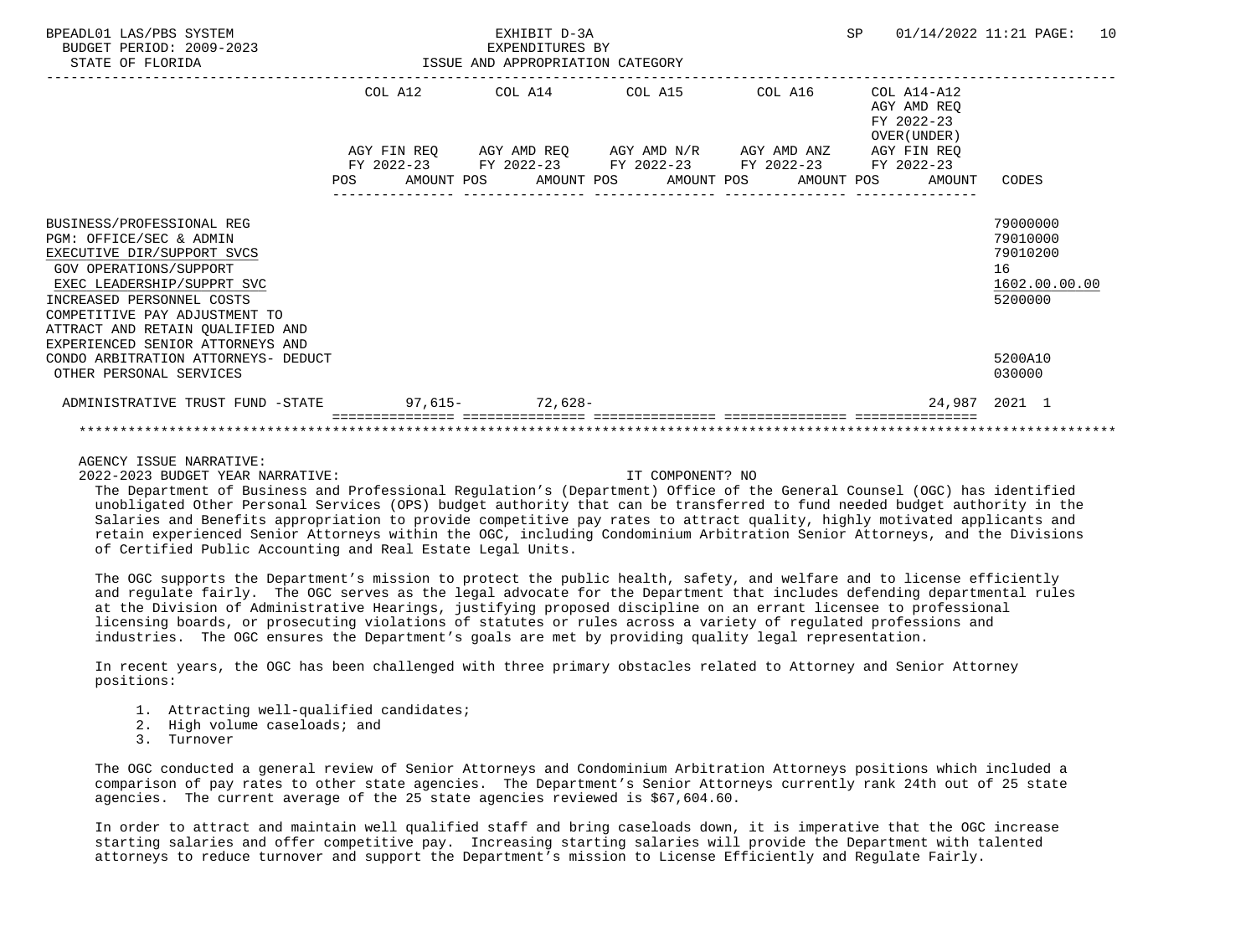| BPEADL01 LAS/PBS SYSTEM<br>BUDGET PERIOD: 2009-2023<br>STATE OF FLORIDA                                                                                                                                                                             | EXHIBIT D-3A<br>EXPENDITURES BY<br>EXPENDITURES BY<br>ISSUE AND APPROPRIATION CATEGORY |             |  |  |  |                                                                                                                                                   |  |  | <b>SP</b> |                                                          | 01/14/2022 11:21 PAGE:                                             | 10 |
|-----------------------------------------------------------------------------------------------------------------------------------------------------------------------------------------------------------------------------------------------------|----------------------------------------------------------------------------------------|-------------|--|--|--|---------------------------------------------------------------------------------------------------------------------------------------------------|--|--|-----------|----------------------------------------------------------|--------------------------------------------------------------------|----|
|                                                                                                                                                                                                                                                     |                                                                                        |             |  |  |  | COL A12 COL A14 COL A15 COL A16                                                                                                                   |  |  |           | COL A14-A12<br>AGY AMD REO<br>FY 2022-23<br>OVER (UNDER) |                                                                    |    |
|                                                                                                                                                                                                                                                     | POS                                                                                    | AGY FIN REO |  |  |  | AGY AMD REO AGY AMD N/R AGY AMD ANZ<br>FY 2022-23 FY 2022-23 FY 2022-23 FY 2022-23<br>AMOUNT POS       AMOUNT POS      AMOUNT POS      AMOUNT POS |  |  |           | AGY FIN REO<br>FY 2022-23<br>AMOUNT                      | CODES                                                              |    |
| BUSINESS/PROFESSIONAL REG<br>PGM: OFFICE/SEC & ADMIN<br>EXECUTIVE DIR/SUPPORT SVCS<br><b>GOV OPERATIONS/SUPPORT</b><br>EXEC LEADERSHIP/SUPPRT SVC<br>INCREASED PERSONNEL COSTS<br>COMPETITIVE PAY ADJUSTMENT TO<br>ATTRACT AND RETAIN OUALIFIED AND |                                                                                        |             |  |  |  |                                                                                                                                                   |  |  |           |                                                          | 79000000<br>79010000<br>79010200<br>16<br>1602.00.00.00<br>5200000 |    |
| EXPERIENCED SENIOR ATTORNEYS AND<br>CONDO ARBITRATION ATTORNEYS- DEDUCT<br>OTHER PERSONAL SERVICES                                                                                                                                                  |                                                                                        |             |  |  |  |                                                                                                                                                   |  |  |           |                                                          | 5200A10<br>030000                                                  |    |
| ADMINISTRATIVE TRUST FUND -STATE 97.615- 72.628-                                                                                                                                                                                                    |                                                                                        |             |  |  |  |                                                                                                                                                   |  |  |           |                                                          | 24,987 2021 1                                                      |    |
|                                                                                                                                                                                                                                                     |                                                                                        |             |  |  |  |                                                                                                                                                   |  |  |           |                                                          |                                                                    |    |

AGENCY ISSUE NARRATIVE:

2022-2023 BUDGET YEAR NARRATIVE: IT COMPONENT? NO

 The Department of Business and Professional Regulation's (Department) Office of the General Counsel (OGC) has identified unobligated Other Personal Services (OPS) budget authority that can be transferred to fund needed budget authority in the Salaries and Benefits appropriation to provide competitive pay rates to attract quality, highly motivated applicants and retain experienced Senior Attorneys within the OGC, including Condominium Arbitration Senior Attorneys, and the Divisions of Certified Public Accounting and Real Estate Legal Units.

 The OGC supports the Department's mission to protect the public health, safety, and welfare and to license efficiently and regulate fairly. The OGC serves as the legal advocate for the Department that includes defending departmental rules at the Division of Administrative Hearings, justifying proposed discipline on an errant licensee to professional licensing boards, or prosecuting violations of statutes or rules across a variety of regulated professions and industries. The OGC ensures the Department's goals are met by providing quality legal representation.

 In recent years, the OGC has been challenged with three primary obstacles related to Attorney and Senior Attorney positions:

- 1. Attracting well-qualified candidates;
- 2. High volume caseloads; and
- 3. Turnover

 The OGC conducted a general review of Senior Attorneys and Condominium Arbitration Attorneys positions which included a comparison of pay rates to other state agencies. The Department's Senior Attorneys currently rank 24th out of 25 state agencies. The current average of the 25 state agencies reviewed is \$67,604.60.

 In order to attract and maintain well qualified staff and bring caseloads down, it is imperative that the OGC increase starting salaries and offer competitive pay. Increasing starting salaries will provide the Department with talented attorneys to reduce turnover and support the Department's mission to License Efficiently and Regulate Fairly.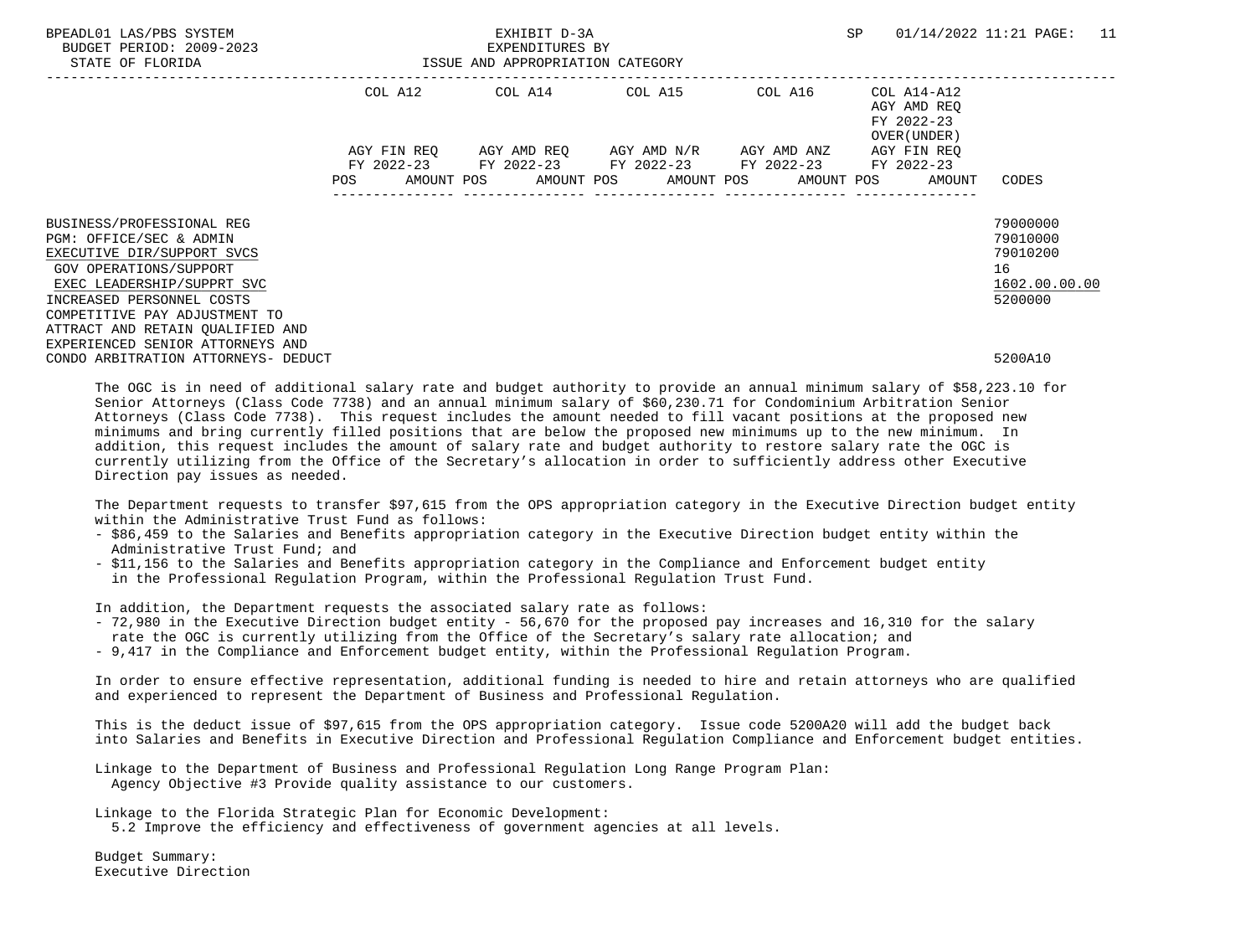| BPEADL01 LAS/PBS SYSTEM<br>BUDGET PERIOD: 2009-2023<br>STATE OF FLORIDA                                                                                                   | EXHIBIT D-3A<br>EXPENDITURES BY<br>ISSUE AND APPROPRIATION CATEGORY |             |  |  |  |                                                                                                                                   |  |         |                                                          |                                     | 01/14/2022 11:21 PAGE: 11                               |  |
|---------------------------------------------------------------------------------------------------------------------------------------------------------------------------|---------------------------------------------------------------------|-------------|--|--|--|-----------------------------------------------------------------------------------------------------------------------------------|--|---------|----------------------------------------------------------|-------------------------------------|---------------------------------------------------------|--|
|                                                                                                                                                                           |                                                                     | COL A12     |  |  |  | COL A14 COL A15                                                                                                                   |  | COL A16 | COL A14-A12<br>AGY AMD REO<br>FY 2022-23<br>OVER (UNDER) |                                     |                                                         |  |
|                                                                                                                                                                           | POS                                                                 | AGY FIN REO |  |  |  | AGY AMD REO AGY AMD N/R AGY AMD ANZ<br>FY 2022-23 FY 2022-23 FY 2022-23 FY 2022-23<br>AMOUNT POS AMOUNT POS AMOUNT POS AMOUNT POS |  |         |                                                          | AGY FIN REO<br>FY 2022-23<br>AMOUNT | CODES                                                   |  |
| BUSINESS/PROFESSIONAL REG<br>PGM: OFFICE/SEC & ADMIN<br>EXECUTIVE DIR/SUPPORT SVCS<br>GOV OPERATIONS/SUPPORT<br>EXEC LEADERSHIP/SUPPRT SVC                                |                                                                     |             |  |  |  |                                                                                                                                   |  |         |                                                          |                                     | 79000000<br>79010000<br>79010200<br>16<br>1602.00.00.00 |  |
| INCREASED PERSONNEL COSTS<br>COMPETITIVE PAY ADJUSTMENT TO<br>ATTRACT AND RETAIN QUALIFIED AND<br>EXPERIENCED SENIOR ATTORNEYS AND<br>CONDO ARBITRATION ATTORNEYS- DEDUCT |                                                                     |             |  |  |  |                                                                                                                                   |  |         |                                                          |                                     | 5200000<br>5200A10                                      |  |

 The OGC is in need of additional salary rate and budget authority to provide an annual minimum salary of \$58,223.10 for Senior Attorneys (Class Code 7738) and an annual minimum salary of \$60,230.71 for Condominium Arbitration Senior Attorneys (Class Code 7738). This request includes the amount needed to fill vacant positions at the proposed new minimums and bring currently filled positions that are below the proposed new minimums up to the new minimum. In addition, this request includes the amount of salary rate and budget authority to restore salary rate the OGC is currently utilizing from the Office of the Secretary's allocation in order to sufficiently address other Executive Direction pay issues as needed.

 The Department requests to transfer \$97,615 from the OPS appropriation category in the Executive Direction budget entity within the Administrative Trust Fund as follows:

- \$86,459 to the Salaries and Benefits appropriation category in the Executive Direction budget entity within the Administrative Trust Fund; and
- \$11,156 to the Salaries and Benefits appropriation category in the Compliance and Enforcement budget entity in the Professional Regulation Program, within the Professional Regulation Trust Fund.

In addition, the Department requests the associated salary rate as follows:

- 72,980 in the Executive Direction budget entity 56,670 for the proposed pay increases and 16,310 for the salary rate the OGC is currently utilizing from the Office of the Secretary's salary rate allocation; and
- 9,417 in the Compliance and Enforcement budget entity, within the Professional Regulation Program.

 In order to ensure effective representation, additional funding is needed to hire and retain attorneys who are qualified and experienced to represent the Department of Business and Professional Regulation.

 This is the deduct issue of \$97,615 from the OPS appropriation category. Issue code 5200A20 will add the budget back into Salaries and Benefits in Executive Direction and Professional Regulation Compliance and Enforcement budget entities.

 Linkage to the Department of Business and Professional Regulation Long Range Program Plan: Agency Objective #3 Provide quality assistance to our customers.

Linkage to the Florida Strategic Plan for Economic Development:

5.2 Improve the efficiency and effectiveness of government agencies at all levels.

 Budget Summary: Executive Direction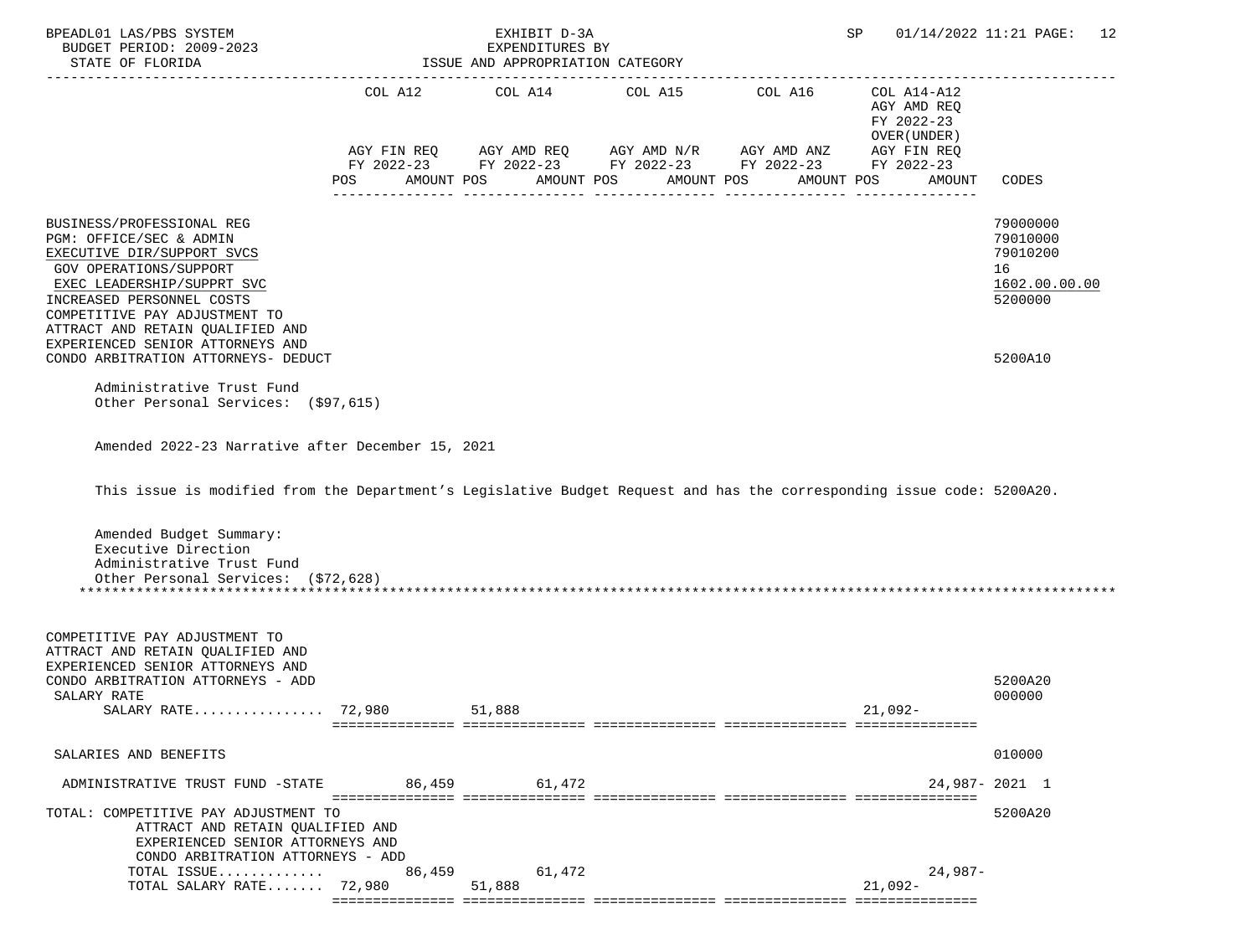| BPEADL01 LAS/PBS SYSTEM<br>BUDGET PERIOD: 2009-2023<br>STATE OF FLORIDA                                                                                                                                                                      |            | EXHIBIT D-3A<br>EXPENDITURES BY<br>ISSUE AND APPROPRIATION CATEGORY |            | SP                                                                     | 01/14/2022 11:21 PAGE: 12                                |                                                                    |
|----------------------------------------------------------------------------------------------------------------------------------------------------------------------------------------------------------------------------------------------|------------|---------------------------------------------------------------------|------------|------------------------------------------------------------------------|----------------------------------------------------------|--------------------------------------------------------------------|
|                                                                                                                                                                                                                                              |            | COL A12 COL A14 COL A15                                             |            | COL A16<br>AGY FIN REQ AGY AMD REQ AGY AMD N/R AGY AMD ANZ AGY FIN REQ | COL A14-A12<br>AGY AMD REQ<br>FY 2022-23<br>OVER (UNDER) |                                                                    |
|                                                                                                                                                                                                                                              | AMOUNT POS |                                                                     |            | FY 2022-23 FY 2022-23 FY 2022-23 FY 2022-23 FY 2022-23<br>AMOUNT POS   |                                                          |                                                                    |
|                                                                                                                                                                                                                                              | POS        |                                                                     | AMOUNT POS | AMOUNT POS                                                             | AMOUNT                                                   | CODES                                                              |
| BUSINESS/PROFESSIONAL REG<br>PGM: OFFICE/SEC & ADMIN<br>EXECUTIVE DIR/SUPPORT SVCS<br>GOV OPERATIONS/SUPPORT<br>EXEC LEADERSHIP/SUPPRT SVC<br>INCREASED PERSONNEL COSTS<br>COMPETITIVE PAY ADJUSTMENT TO<br>ATTRACT AND RETAIN QUALIFIED AND |            |                                                                     |            |                                                                        |                                                          | 79000000<br>79010000<br>79010200<br>16<br>1602.00.00.00<br>5200000 |
| EXPERIENCED SENIOR ATTORNEYS AND<br>CONDO ARBITRATION ATTORNEYS- DEDUCT                                                                                                                                                                      |            |                                                                     |            |                                                                        |                                                          | 5200A10                                                            |
| Administrative Trust Fund<br>Other Personal Services: (\$97,615)                                                                                                                                                                             |            |                                                                     |            |                                                                        |                                                          |                                                                    |
| Amended 2022-23 Narrative after December 15, 2021                                                                                                                                                                                            |            |                                                                     |            |                                                                        |                                                          |                                                                    |
| This issue is modified from the Department's Legislative Budget Request and has the corresponding issue code: 5200A20.                                                                                                                       |            |                                                                     |            |                                                                        |                                                          |                                                                    |
| Amended Budget Summary:<br>Executive Direction<br>Administrative Trust Fund<br>Other Personal Services: (\$72,628)                                                                                                                           |            |                                                                     |            |                                                                        |                                                          |                                                                    |
| COMPETITIVE PAY ADJUSTMENT TO<br>ATTRACT AND RETAIN QUALIFIED AND<br>EXPERIENCED SENIOR ATTORNEYS AND<br>CONDO ARBITRATION ATTORNEYS - ADD<br>SALARY RATE<br>SALARY RATE 72,980                                                              |            | 51,888                                                              |            |                                                                        | 21,092-                                                  | 5200A20<br>000000                                                  |
| SALARIES AND BENEFITS                                                                                                                                                                                                                        |            |                                                                     |            |                                                                        |                                                          | 010000                                                             |
| ADMINISTRATIVE TRUST FUND -STATE 86,459 61,472                                                                                                                                                                                               |            |                                                                     |            |                                                                        |                                                          | 24,987-2021 1                                                      |
| TOTAL: COMPETITIVE PAY ADJUSTMENT TO<br>ATTRACT AND RETAIN QUALIFIED AND<br>EXPERIENCED SENIOR ATTORNEYS AND<br>CONDO ARBITRATION ATTORNEYS - ADD                                                                                            |            |                                                                     |            |                                                                        |                                                          | 5200A20                                                            |
| TOTAL ISSUE<br>TOTAL SALARY RATE 72,980                                                                                                                                                                                                      | 86,459     | 61,472<br>51,888                                                    |            |                                                                        | $24,987-$<br>$21,092-$                                   |                                                                    |
|                                                                                                                                                                                                                                              |            |                                                                     |            |                                                                        |                                                          |                                                                    |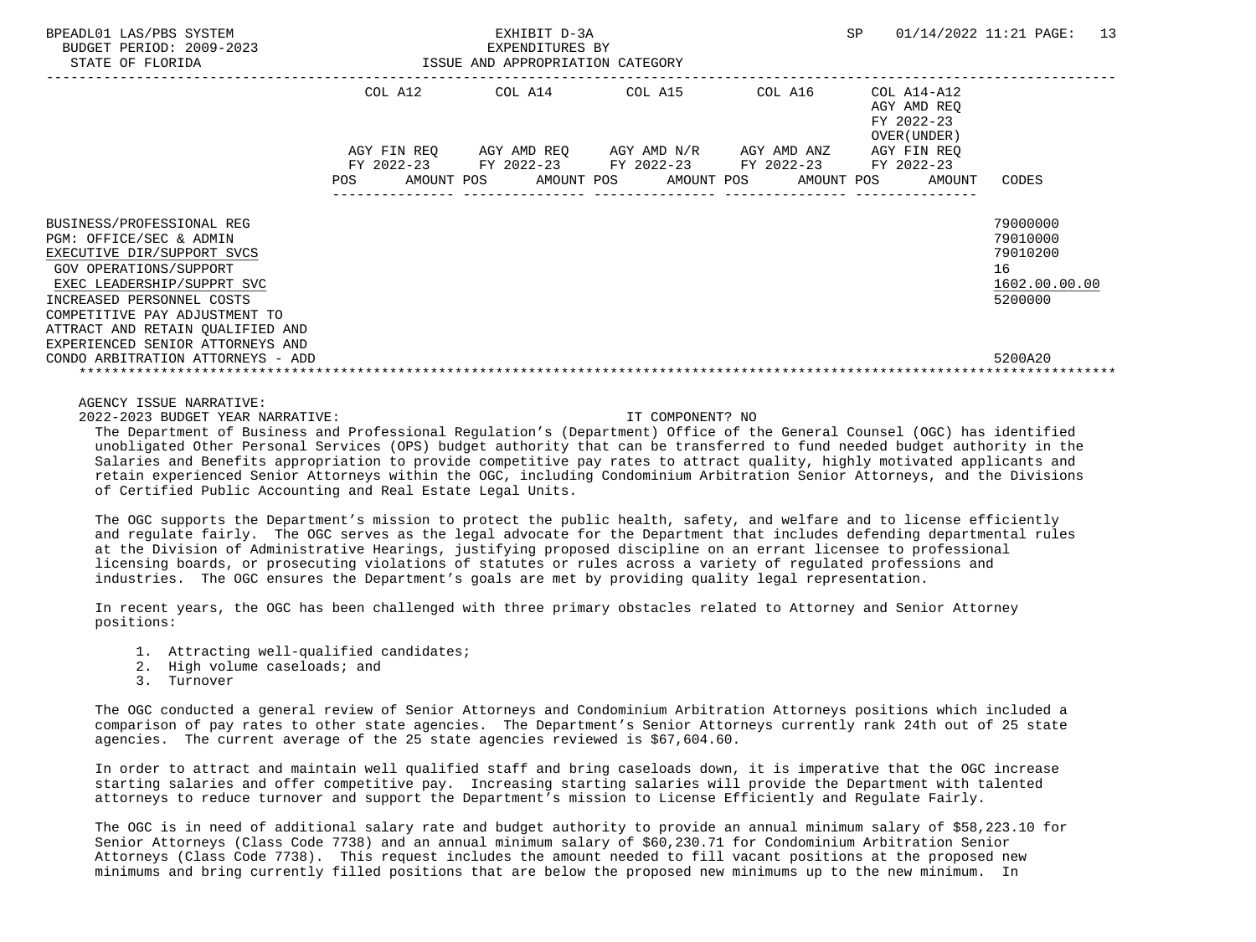| BPEADL01 LAS/PBS SYSTEM<br>BUDGET PERIOD: 2009-2023<br>STATE OF FLORIDA                                                                                                                                  | EXHIBIT D-3A<br>EXPENDITURES BY<br>ISSUE AND APPROPRIATION CATEGORY |                           |  |                                                                                                  |  |            | SP         | 01/14/2022 11:21 PAGE: 13 |                                                          |                                                                    |  |
|----------------------------------------------------------------------------------------------------------------------------------------------------------------------------------------------------------|---------------------------------------------------------------------|---------------------------|--|--------------------------------------------------------------------------------------------------|--|------------|------------|---------------------------|----------------------------------------------------------|--------------------------------------------------------------------|--|
|                                                                                                                                                                                                          | COL A12                                                             |                           |  | COL A14                                                                                          |  | COL A15    | COL A16    |                           | COL A14-A12<br>AGY AMD REO<br>FY 2022-23<br>OVER (UNDER) |                                                                    |  |
|                                                                                                                                                                                                          | <b>POS</b>                                                          | AGY FIN REO<br>AMOUNT POS |  | AGY AMD REO AGY AMD N/R AGY AMD ANZ<br>FY 2022-23 FY 2022-23 FY 2022-23 FY 2022-23<br>AMOUNT POS |  | AMOUNT POS | AMOUNT POS |                           | AGY FIN REO<br>FY 2022-23<br>AMOUNT                      | CODES                                                              |  |
| BUSINESS/PROFESSIONAL REG<br>PGM: OFFICE/SEC & ADMIN<br>EXECUTIVE DIR/SUPPORT SVCS<br>GOV OPERATIONS/SUPPORT<br>EXEC LEADERSHIP/SUPPRT SVC<br>INCREASED PERSONNEL COSTS<br>COMPETITIVE PAY ADJUSTMENT TO |                                                                     |                           |  |                                                                                                  |  |            |            |                           |                                                          | 79000000<br>79010000<br>79010200<br>16<br>1602.00.00.00<br>5200000 |  |
| ATTRACT AND RETAIN OUALIFIED AND<br>EXPERIENCED SENIOR ATTORNEYS AND<br>CONDO ARBITRATION ATTORNEYS - ADD                                                                                                |                                                                     |                           |  |                                                                                                  |  |            |            |                           |                                                          | 5200A20                                                            |  |

AGENCY ISSUE NARRATIVE:

2022-2023 BUDGET YEAR NARRATIVE: IT COMPONENT? NO

 The Department of Business and Professional Regulation's (Department) Office of the General Counsel (OGC) has identified unobligated Other Personal Services (OPS) budget authority that can be transferred to fund needed budget authority in the Salaries and Benefits appropriation to provide competitive pay rates to attract quality, highly motivated applicants and retain experienced Senior Attorneys within the OGC, including Condominium Arbitration Senior Attorneys, and the Divisions of Certified Public Accounting and Real Estate Legal Units.

 The OGC supports the Department's mission to protect the public health, safety, and welfare and to license efficiently and regulate fairly. The OGC serves as the legal advocate for the Department that includes defending departmental rules at the Division of Administrative Hearings, justifying proposed discipline on an errant licensee to professional licensing boards, or prosecuting violations of statutes or rules across a variety of regulated professions and industries. The OGC ensures the Department's goals are met by providing quality legal representation.

 In recent years, the OGC has been challenged with three primary obstacles related to Attorney and Senior Attorney positions:

- 1. Attracting well-qualified candidates;
- 2. High volume caseloads; and
- 3. Turnover

 The OGC conducted a general review of Senior Attorneys and Condominium Arbitration Attorneys positions which included a comparison of pay rates to other state agencies. The Department's Senior Attorneys currently rank 24th out of 25 state agencies. The current average of the 25 state agencies reviewed is \$67,604.60.

 In order to attract and maintain well qualified staff and bring caseloads down, it is imperative that the OGC increase starting salaries and offer competitive pay. Increasing starting salaries will provide the Department with talented attorneys to reduce turnover and support the Department's mission to License Efficiently and Regulate Fairly.

 The OGC is in need of additional salary rate and budget authority to provide an annual minimum salary of \$58,223.10 for Senior Attorneys (Class Code 7738) and an annual minimum salary of \$60,230.71 for Condominium Arbitration Senior Attorneys (Class Code 7738). This request includes the amount needed to fill vacant positions at the proposed new minimums and bring currently filled positions that are below the proposed new minimums up to the new minimum. In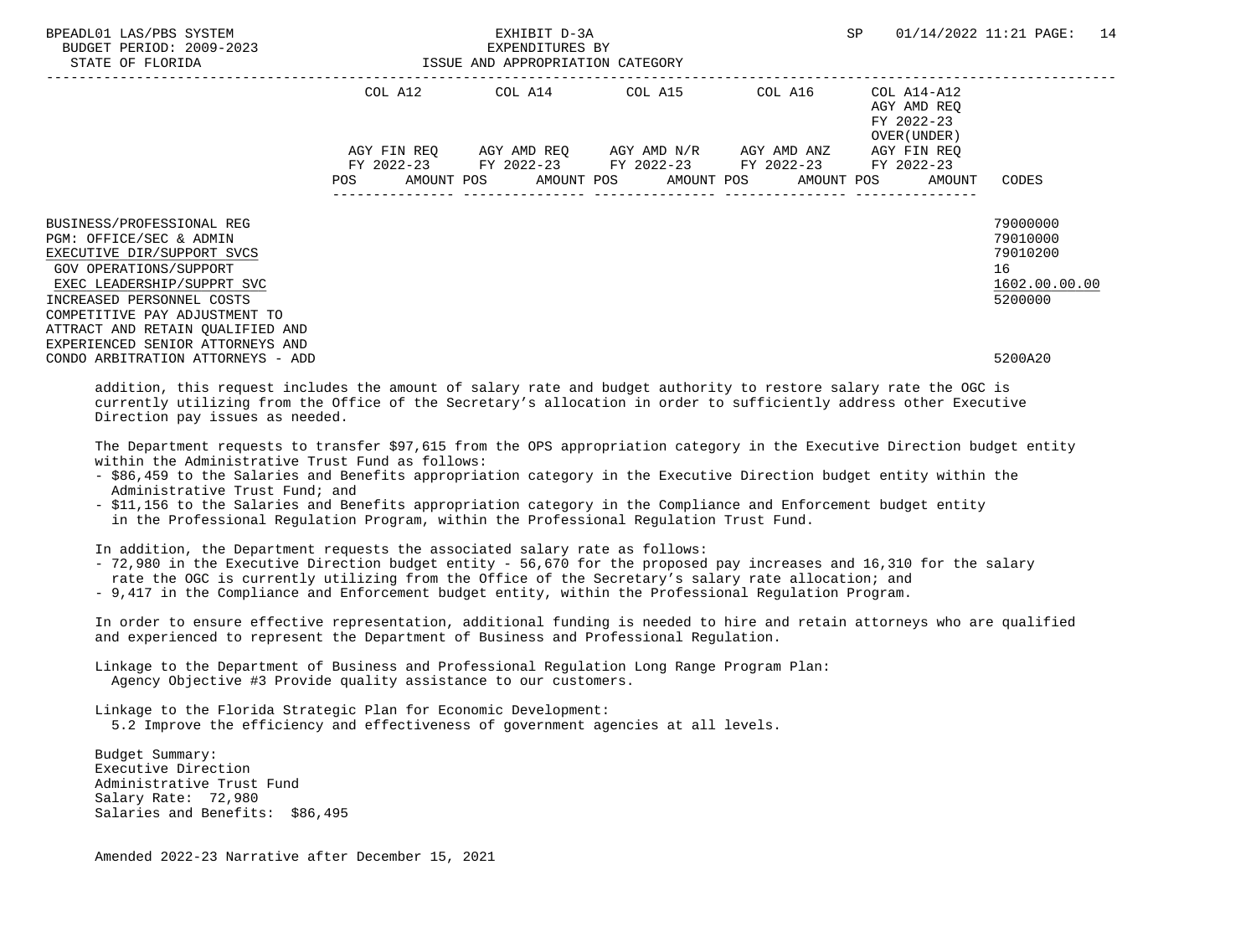| BPEADL01 LAS/PBS SYSTEM<br>BUDGET PERIOD: 2009-2023<br>STATE OF FLORIDA                                                                                                                                  | EXHIBIT D-3A<br>EXPENDITURES BY<br>ISSUE AND APPROPRIATION CATEGORY                                                                                                   | SP | 01/14/2022 11:21 PAGE: 14                                 |                                                                    |  |
|----------------------------------------------------------------------------------------------------------------------------------------------------------------------------------------------------------|-----------------------------------------------------------------------------------------------------------------------------------------------------------------------|----|-----------------------------------------------------------|--------------------------------------------------------------------|--|
|                                                                                                                                                                                                          | COL A12 COL A14 COL A15 COL A16                                                                                                                                       |    | COL A14-A12<br>AGY AMD REO<br>FY 2022-23<br>OVER (UNDER ) |                                                                    |  |
|                                                                                                                                                                                                          | AGY FIN REO AGY AMD REO AGY AMD N/R AGY AMD ANZ<br>FY 2022-23 FY 2022-23 FY 2022-23 FY 2022-23 FY 2022-23<br>AMOUNT POS AMOUNT POS AMOUNT POS AMOUNT POS AMOUNT CODES |    | AGY FIN REO                                               |                                                                    |  |
| BUSINESS/PROFESSIONAL REG<br>PGM: OFFICE/SEC & ADMIN<br>EXECUTIVE DIR/SUPPORT SVCS<br>GOV OPERATIONS/SUPPORT<br>EXEC LEADERSHIP/SUPPRT SVC<br>INCREASED PERSONNEL COSTS<br>COMPETITIVE PAY ADJUSTMENT TO |                                                                                                                                                                       |    |                                                           | 79000000<br>79010000<br>79010200<br>16<br>1602.00.00.00<br>5200000 |  |
| ATTRACT AND RETAIN OUALIFIED AND<br>EXPERIENCED SENIOR ATTORNEYS AND<br>CONDO ARBITRATION ATTORNEYS - ADD                                                                                                |                                                                                                                                                                       |    |                                                           | 5200A20                                                            |  |

 addition, this request includes the amount of salary rate and budget authority to restore salary rate the OGC is currently utilizing from the Office of the Secretary's allocation in order to sufficiently address other Executive Direction pay issues as needed.

 The Department requests to transfer \$97,615 from the OPS appropriation category in the Executive Direction budget entity within the Administrative Trust Fund as follows:

- \$86,459 to the Salaries and Benefits appropriation category in the Executive Direction budget entity within the Administrative Trust Fund; and
- \$11,156 to the Salaries and Benefits appropriation category in the Compliance and Enforcement budget entity in the Professional Regulation Program, within the Professional Regulation Trust Fund.

In addition, the Department requests the associated salary rate as follows:

- 72,980 in the Executive Direction budget entity 56,670 for the proposed pay increases and 16,310 for the salary
- rate the OGC is currently utilizing from the Office of the Secretary's salary rate allocation; and
- 9,417 in the Compliance and Enforcement budget entity, within the Professional Regulation Program.

 In order to ensure effective representation, additional funding is needed to hire and retain attorneys who are qualified and experienced to represent the Department of Business and Professional Regulation.

 Linkage to the Department of Business and Professional Regulation Long Range Program Plan: Agency Objective #3 Provide quality assistance to our customers.

 Linkage to the Florida Strategic Plan for Economic Development: 5.2 Improve the efficiency and effectiveness of government agencies at all levels.

 Budget Summary: Executive Direction Administrative Trust Fund Salary Rate: 72,980 Salaries and Benefits: \$86,495

Amended 2022-23 Narrative after December 15, 2021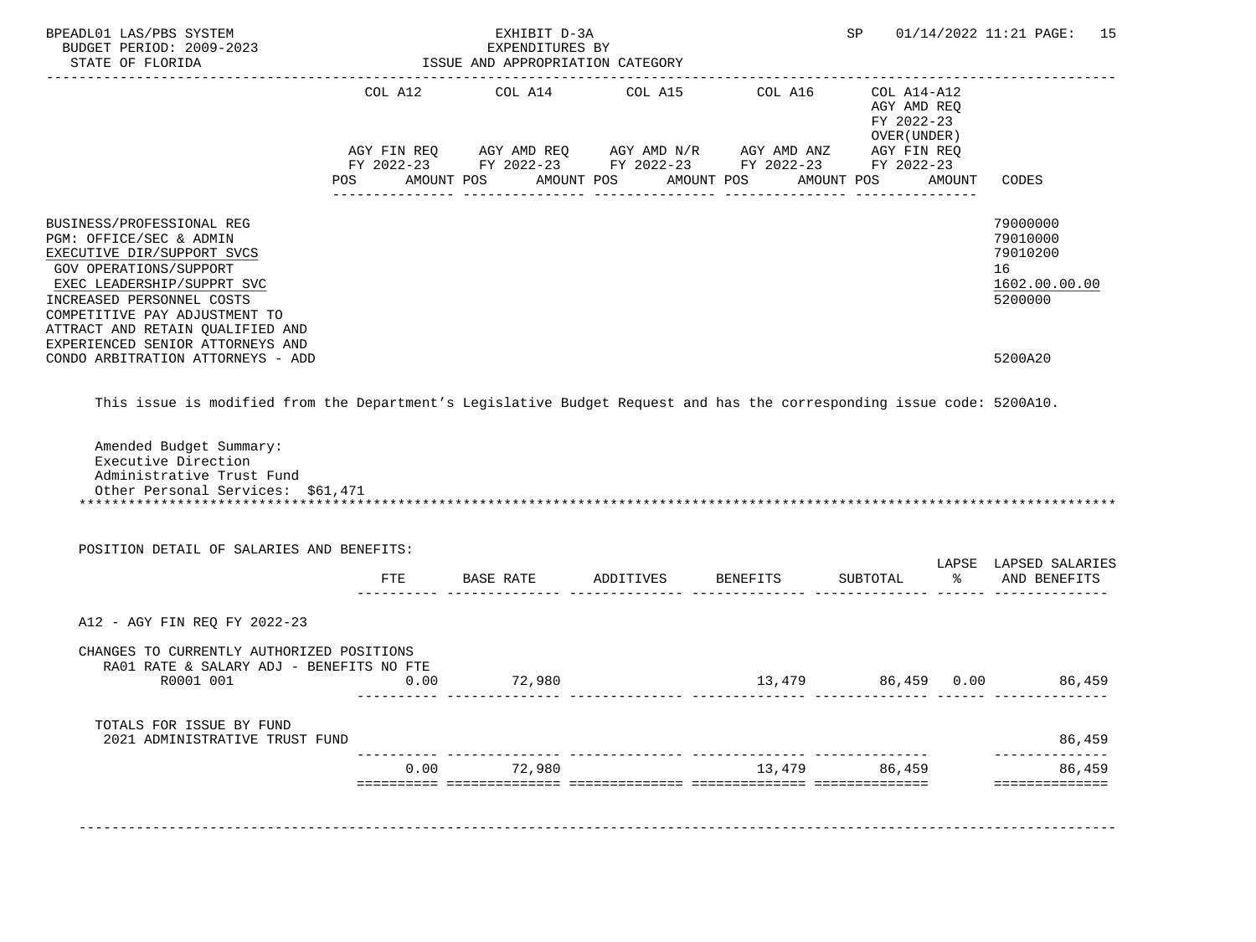| COL A12<br>COL A14<br>COL A15<br>COL A16<br>COL A14-A12<br>AGY AMD REQ<br>FY 2022-23<br>OVER (UNDER)<br>AGY FIN REQ AGY AMD REQ AGY AMD N/R AGY AMD ANZ AGY FIN REQ<br>FY 2022-23 FY 2022-23 FY 2022-23 FY 2022-23 FY 2022-23<br>AMOUNT POS AMOUNT POS<br>AMOUNT POS<br>AMOUNT POS AMOUNT<br>CODES<br>BUSINESS/PROFESSIONAL REG<br>79000000<br>79010000<br>PGM: OFFICE/SEC & ADMIN<br>79010200<br>EXECUTIVE DIR/SUPPORT SVCS<br><b>GOV OPERATIONS/SUPPORT</b><br>16<br>1602.00.00.00<br>EXEC LEADERSHIP/SUPPRT SVC<br>INCREASED PERSONNEL COSTS<br>5200000<br>COMPETITIVE PAY ADJUSTMENT TO<br>ATTRACT AND RETAIN QUALIFIED AND<br>EXPERIENCED SENIOR ATTORNEYS AND<br>CONDO ARBITRATION ATTORNEYS - ADD<br>5200A20<br>This issue is modified from the Department's Legislative Budget Request and has the corresponding issue code: 5200A10.<br>Amended Budget Summary:<br>Executive Direction<br>Administrative Trust Fund<br>Other Personal Services: \$61,471<br>POSITION DETAIL OF SALARIES AND BENEFITS:<br>LAPSE LAPSED SALARIES<br>FTE BASE RATE ADDITIVES BENEFITS<br>SUBTOTAL<br>8 AND BENEFITS<br>A12 - AGY FIN REQ FY 2022-23<br>CHANGES TO CURRENTLY AUTHORIZED POSITIONS<br>RA01 RATE & SALARY ADJ - BENEFITS NO FTE<br>13,479 86,459 0.00 86,459<br>R0001 001<br>$0.00$ $72,980$ $13,479$ $86,459$ $0.00$ $86,459$<br>TOTALS FOR ISSUE BY FUND<br>2021 ADMINISTRATIVE TRUST FUND<br>86,459<br>72,980<br>0.00<br>13,479<br>86,459<br>86.459<br>============== | BPEADL01 LAS/PBS SYSTEM<br>BUDGET PERIOD: 2009-2023<br>STATE OF FLORIDA | EXHIBIT D-3A<br>EXPENDITURES BY<br>ISSUE AND APPROPRIATION CATEGORY |  | SP 01/14/2022 11:21 PAGE: 15 |  |
|-----------------------------------------------------------------------------------------------------------------------------------------------------------------------------------------------------------------------------------------------------------------------------------------------------------------------------------------------------------------------------------------------------------------------------------------------------------------------------------------------------------------------------------------------------------------------------------------------------------------------------------------------------------------------------------------------------------------------------------------------------------------------------------------------------------------------------------------------------------------------------------------------------------------------------------------------------------------------------------------------------------------------------------------------------------------------------------------------------------------------------------------------------------------------------------------------------------------------------------------------------------------------------------------------------------------------------------------------------------------------------------------------------------------------------------------------------------------------------|-------------------------------------------------------------------------|---------------------------------------------------------------------|--|------------------------------|--|
|                                                                                                                                                                                                                                                                                                                                                                                                                                                                                                                                                                                                                                                                                                                                                                                                                                                                                                                                                                                                                                                                                                                                                                                                                                                                                                                                                                                                                                                                             |                                                                         |                                                                     |  |                              |  |
|                                                                                                                                                                                                                                                                                                                                                                                                                                                                                                                                                                                                                                                                                                                                                                                                                                                                                                                                                                                                                                                                                                                                                                                                                                                                                                                                                                                                                                                                             |                                                                         |                                                                     |  |                              |  |
|                                                                                                                                                                                                                                                                                                                                                                                                                                                                                                                                                                                                                                                                                                                                                                                                                                                                                                                                                                                                                                                                                                                                                                                                                                                                                                                                                                                                                                                                             |                                                                         |                                                                     |  |                              |  |
|                                                                                                                                                                                                                                                                                                                                                                                                                                                                                                                                                                                                                                                                                                                                                                                                                                                                                                                                                                                                                                                                                                                                                                                                                                                                                                                                                                                                                                                                             |                                                                         |                                                                     |  |                              |  |
|                                                                                                                                                                                                                                                                                                                                                                                                                                                                                                                                                                                                                                                                                                                                                                                                                                                                                                                                                                                                                                                                                                                                                                                                                                                                                                                                                                                                                                                                             |                                                                         |                                                                     |  |                              |  |
|                                                                                                                                                                                                                                                                                                                                                                                                                                                                                                                                                                                                                                                                                                                                                                                                                                                                                                                                                                                                                                                                                                                                                                                                                                                                                                                                                                                                                                                                             |                                                                         |                                                                     |  |                              |  |
|                                                                                                                                                                                                                                                                                                                                                                                                                                                                                                                                                                                                                                                                                                                                                                                                                                                                                                                                                                                                                                                                                                                                                                                                                                                                                                                                                                                                                                                                             |                                                                         |                                                                     |  |                              |  |
|                                                                                                                                                                                                                                                                                                                                                                                                                                                                                                                                                                                                                                                                                                                                                                                                                                                                                                                                                                                                                                                                                                                                                                                                                                                                                                                                                                                                                                                                             |                                                                         |                                                                     |  |                              |  |
|                                                                                                                                                                                                                                                                                                                                                                                                                                                                                                                                                                                                                                                                                                                                                                                                                                                                                                                                                                                                                                                                                                                                                                                                                                                                                                                                                                                                                                                                             |                                                                         |                                                                     |  |                              |  |
|                                                                                                                                                                                                                                                                                                                                                                                                                                                                                                                                                                                                                                                                                                                                                                                                                                                                                                                                                                                                                                                                                                                                                                                                                                                                                                                                                                                                                                                                             |                                                                         |                                                                     |  |                              |  |
|                                                                                                                                                                                                                                                                                                                                                                                                                                                                                                                                                                                                                                                                                                                                                                                                                                                                                                                                                                                                                                                                                                                                                                                                                                                                                                                                                                                                                                                                             |                                                                         |                                                                     |  |                              |  |
|                                                                                                                                                                                                                                                                                                                                                                                                                                                                                                                                                                                                                                                                                                                                                                                                                                                                                                                                                                                                                                                                                                                                                                                                                                                                                                                                                                                                                                                                             |                                                                         |                                                                     |  |                              |  |
|                                                                                                                                                                                                                                                                                                                                                                                                                                                                                                                                                                                                                                                                                                                                                                                                                                                                                                                                                                                                                                                                                                                                                                                                                                                                                                                                                                                                                                                                             |                                                                         |                                                                     |  |                              |  |
|                                                                                                                                                                                                                                                                                                                                                                                                                                                                                                                                                                                                                                                                                                                                                                                                                                                                                                                                                                                                                                                                                                                                                                                                                                                                                                                                                                                                                                                                             |                                                                         |                                                                     |  |                              |  |
|                                                                                                                                                                                                                                                                                                                                                                                                                                                                                                                                                                                                                                                                                                                                                                                                                                                                                                                                                                                                                                                                                                                                                                                                                                                                                                                                                                                                                                                                             |                                                                         |                                                                     |  |                              |  |
|                                                                                                                                                                                                                                                                                                                                                                                                                                                                                                                                                                                                                                                                                                                                                                                                                                                                                                                                                                                                                                                                                                                                                                                                                                                                                                                                                                                                                                                                             |                                                                         |                                                                     |  |                              |  |
|                                                                                                                                                                                                                                                                                                                                                                                                                                                                                                                                                                                                                                                                                                                                                                                                                                                                                                                                                                                                                                                                                                                                                                                                                                                                                                                                                                                                                                                                             |                                                                         |                                                                     |  |                              |  |
|                                                                                                                                                                                                                                                                                                                                                                                                                                                                                                                                                                                                                                                                                                                                                                                                                                                                                                                                                                                                                                                                                                                                                                                                                                                                                                                                                                                                                                                                             |                                                                         |                                                                     |  |                              |  |
|                                                                                                                                                                                                                                                                                                                                                                                                                                                                                                                                                                                                                                                                                                                                                                                                                                                                                                                                                                                                                                                                                                                                                                                                                                                                                                                                                                                                                                                                             |                                                                         |                                                                     |  |                              |  |
|                                                                                                                                                                                                                                                                                                                                                                                                                                                                                                                                                                                                                                                                                                                                                                                                                                                                                                                                                                                                                                                                                                                                                                                                                                                                                                                                                                                                                                                                             |                                                                         |                                                                     |  |                              |  |
|                                                                                                                                                                                                                                                                                                                                                                                                                                                                                                                                                                                                                                                                                                                                                                                                                                                                                                                                                                                                                                                                                                                                                                                                                                                                                                                                                                                                                                                                             |                                                                         |                                                                     |  |                              |  |
|                                                                                                                                                                                                                                                                                                                                                                                                                                                                                                                                                                                                                                                                                                                                                                                                                                                                                                                                                                                                                                                                                                                                                                                                                                                                                                                                                                                                                                                                             |                                                                         |                                                                     |  |                              |  |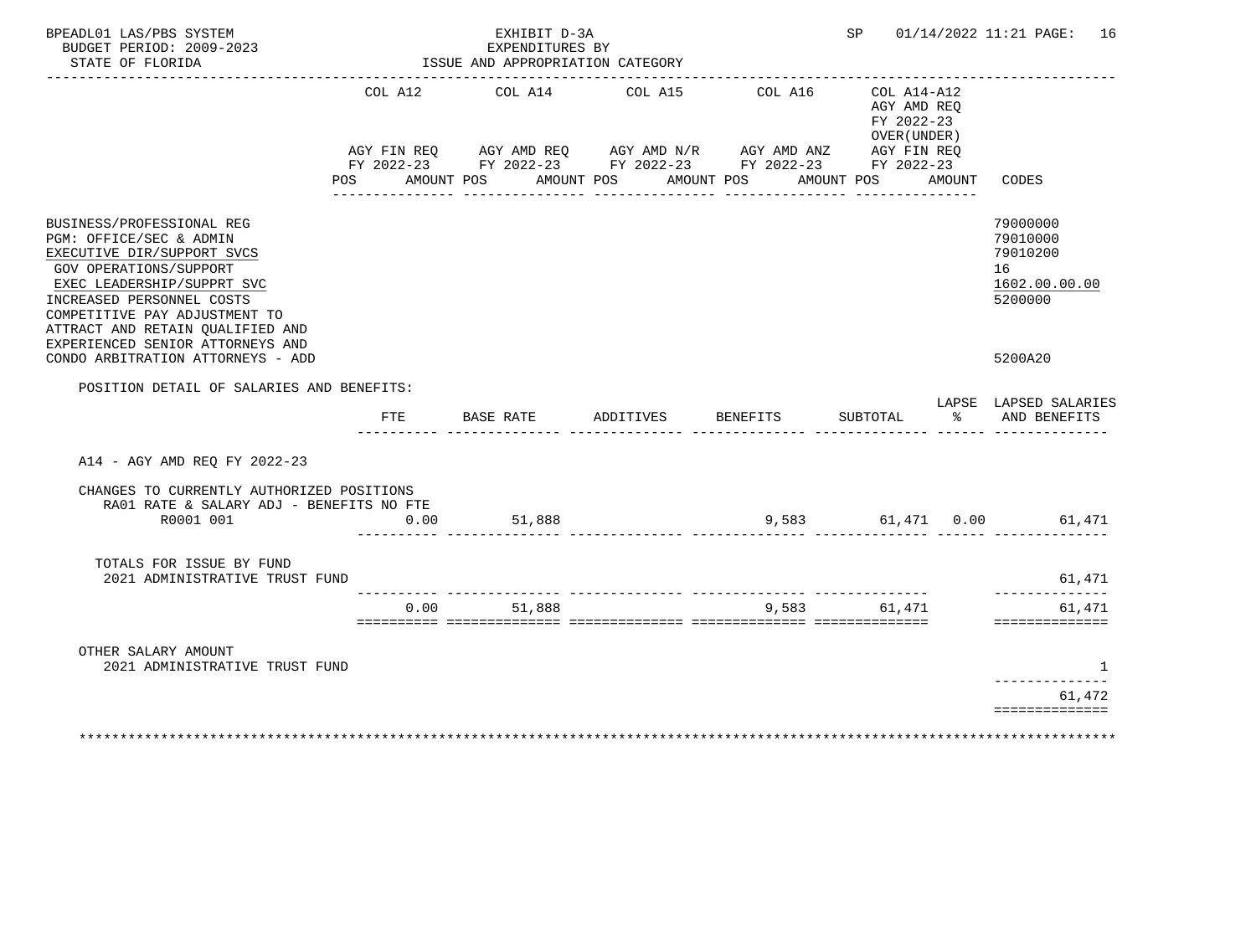| BPEADL01 LAS/PBS SYSTEM<br>BUDGET PERIOD: 2009-2023                                                                                                                                                                                          |                | EXHIBIT D-3A<br>EXPENDITURES BY                                                                                                                |           |                       | SP                                                                        |           | 01/14/2022 11:21 PAGE: 16                                          |
|----------------------------------------------------------------------------------------------------------------------------------------------------------------------------------------------------------------------------------------------|----------------|------------------------------------------------------------------------------------------------------------------------------------------------|-----------|-----------------------|---------------------------------------------------------------------------|-----------|--------------------------------------------------------------------|
| STATE OF FLORIDA                                                                                                                                                                                                                             |                | ISSUE AND APPROPRIATION CATEGORY                                                                                                               |           |                       |                                                                           |           |                                                                    |
|                                                                                                                                                                                                                                              | COL A12<br>POS | COL A14<br>AGY FIN REQ AGY AMD REQ AGY AMD N/R AGY AMD ANZ AGY FIN REQ FIN REQ AGY AMD N/R AGY AMD ANZ AGY FIN REQ<br>AMOUNT POS<br>AMOUNT POS | COL A15   | COL A16<br>AMOUNT POS | $COL A14- A12$<br>AGY AMD REQ<br>FY 2022-23<br>OVER (UNDER)<br>AMOUNT POS | AMOUNT    | CODES                                                              |
| BUSINESS/PROFESSIONAL REG<br>PGM: OFFICE/SEC & ADMIN<br>EXECUTIVE DIR/SUPPORT SVCS<br>GOV OPERATIONS/SUPPORT<br>EXEC LEADERSHIP/SUPPRT SVC<br>INCREASED PERSONNEL COSTS<br>COMPETITIVE PAY ADJUSTMENT TO<br>ATTRACT AND RETAIN OUALIFIED AND |                |                                                                                                                                                |           |                       |                                                                           |           | 79000000<br>79010000<br>79010200<br>16<br>1602.00.00.00<br>5200000 |
| EXPERIENCED SENIOR ATTORNEYS AND<br>CONDO ARBITRATION ATTORNEYS - ADD                                                                                                                                                                        |                |                                                                                                                                                |           |                       |                                                                           |           | 5200A20                                                            |
| POSITION DETAIL OF SALARIES AND BENEFITS:                                                                                                                                                                                                    |                |                                                                                                                                                |           |                       |                                                                           |           |                                                                    |
|                                                                                                                                                                                                                                              | <b>FTE</b>     | BASE RATE                                                                                                                                      | ADDITIVES | BENEFITS              | SUBTOTAL                                                                  | $\approx$ | LAPSE LAPSED SALARIES<br>AND BENEFITS                              |
| A14 - AGY AMD REO FY 2022-23                                                                                                                                                                                                                 |                |                                                                                                                                                |           |                       |                                                                           |           |                                                                    |
| CHANGES TO CURRENTLY AUTHORIZED POSITIONS<br>RA01 RATE & SALARY ADJ - BENEFITS NO FTE<br>R0001 001                                                                                                                                           | 0.00           | 51,888                                                                                                                                         |           |                       |                                                                           |           | 9,583 61,471 0.00 61,471                                           |
| TOTALS FOR ISSUE BY FUND<br>2021 ADMINISTRATIVE TRUST FUND                                                                                                                                                                                   |                |                                                                                                                                                |           |                       |                                                                           |           | 61,471                                                             |
|                                                                                                                                                                                                                                              | 0.00           | 51,888                                                                                                                                         |           |                       | 9,583 61,471                                                              |           | 61,471<br>==============                                           |
| OTHER SALARY AMOUNT<br>2021 ADMINISTRATIVE TRUST FUND                                                                                                                                                                                        |                |                                                                                                                                                |           |                       |                                                                           |           | -1                                                                 |
|                                                                                                                                                                                                                                              |                |                                                                                                                                                |           |                       |                                                                           |           | -------------<br>61,472                                            |
|                                                                                                                                                                                                                                              |                |                                                                                                                                                |           |                       |                                                                           |           | ==============                                                     |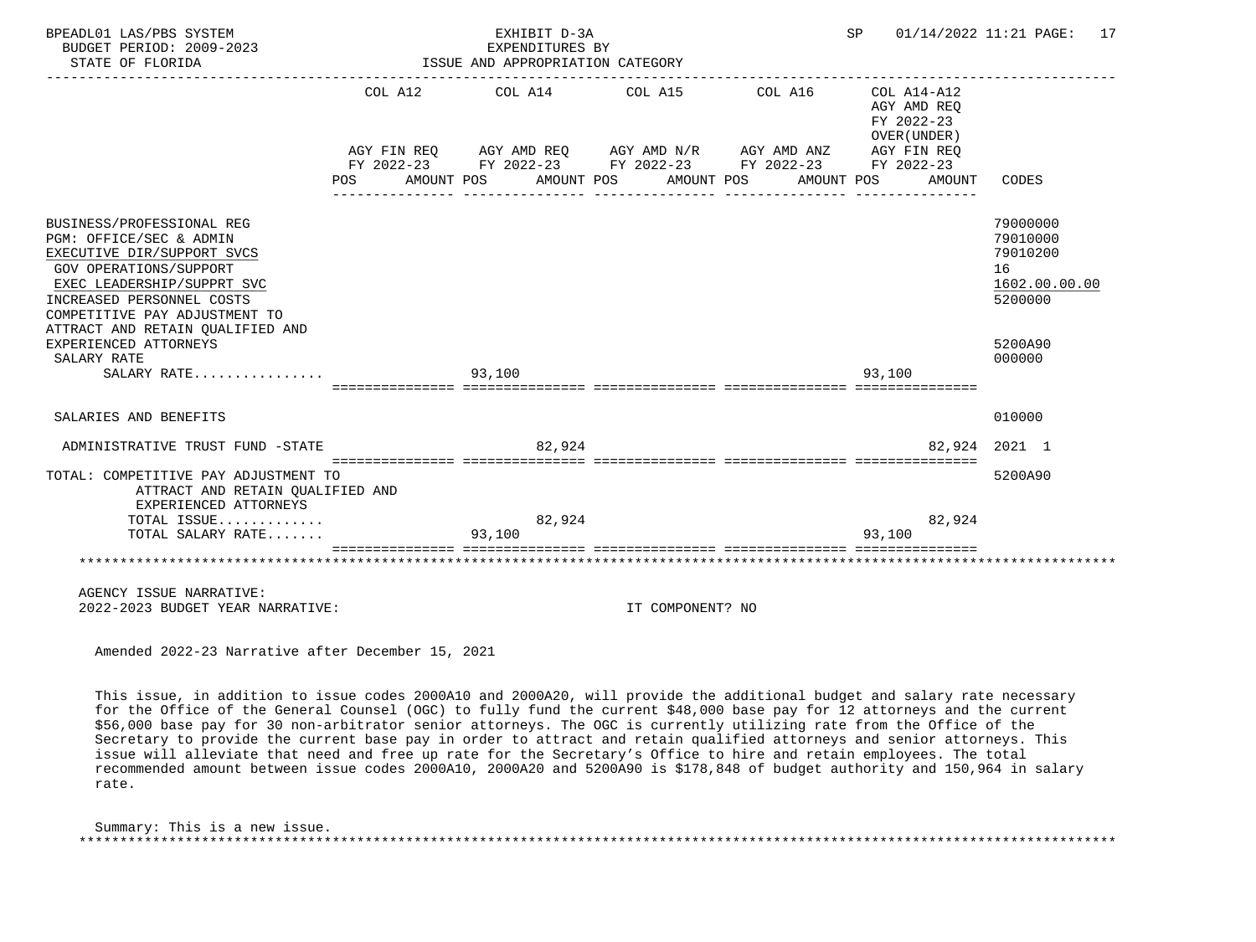| BPEADL01 LAS/PBS SYSTEM<br>BUDGET PERIOD: 2009-2023<br>STATE OF FLORIDA                                                                                                                                                                                                      |     | EXPENDITURES BY<br>ISSUE AND APPROPRIATION CATEGORY | EXHIBIT D-3A |                                                                                                                                  |                     | SP         |                                           | $01/14/2022$ 11:21 PAGE: 17                                                   |
|------------------------------------------------------------------------------------------------------------------------------------------------------------------------------------------------------------------------------------------------------------------------------|-----|-----------------------------------------------------|--------------|----------------------------------------------------------------------------------------------------------------------------------|---------------------|------------|-------------------------------------------|-------------------------------------------------------------------------------|
|                                                                                                                                                                                                                                                                              |     | COL A12 COL A14                                     |              | COL A15<br>AGY FIN REQ AGY AMD REQ AGY AMD N/R AGY AMD ANZ AGY FIN REQ<br>FY 2022-23 FY 2022-23 FY 2022-23 FY 2022-23 FY 2022-23 | COL A16 COL A14-A12 |            | AGY AMD REO<br>FY 2022-23<br>OVER (UNDER) |                                                                               |
|                                                                                                                                                                                                                                                                              | POS | AMOUNT POS                                          |              | AMOUNT POS AMOUNT POS                                                                                                            |                     | AMOUNT POS |                                           | AMOUNT CODES                                                                  |
| BUSINESS/PROFESSIONAL REG<br>PGM: OFFICE/SEC & ADMIN<br>EXECUTIVE DIR/SUPPORT SVCS<br><b>GOV OPERATIONS/SUPPORT</b><br>EXEC LEADERSHIP/SUPPRT SVC<br>INCREASED PERSONNEL COSTS<br>COMPETITIVE PAY ADJUSTMENT TO<br>ATTRACT AND RETAIN QUALIFIED AND<br>EXPERIENCED ATTORNEYS |     |                                                     |              |                                                                                                                                  |                     |            |                                           | 79000000<br>79010000<br>79010200<br>16<br>1602.00.00.00<br>5200000<br>5200A90 |
| SALARY RATE<br>SALARY RATE                                                                                                                                                                                                                                                   |     | 93,100                                              |              |                                                                                                                                  |                     | 93,100     |                                           | 000000                                                                        |
| SALARIES AND BENEFITS                                                                                                                                                                                                                                                        |     |                                                     |              |                                                                                                                                  |                     |            |                                           | 010000                                                                        |
| ADMINISTRATIVE TRUST FUND -STATE                                                                                                                                                                                                                                             |     |                                                     | 82,924       |                                                                                                                                  |                     |            |                                           | 82,924 2021 1                                                                 |
| TOTAL: COMPETITIVE PAY ADJUSTMENT TO<br>ATTRACT AND RETAIN OUALIFIED AND<br>EXPERIENCED ATTORNEYS                                                                                                                                                                            |     |                                                     |              |                                                                                                                                  |                     |            |                                           | 5200A90                                                                       |
| TOTAL ISSUE<br>TOTAL SALARY RATE                                                                                                                                                                                                                                             |     | 93,100                                              | 82,924       |                                                                                                                                  |                     | 93,100     | 82,924                                    |                                                                               |
|                                                                                                                                                                                                                                                                              |     |                                                     |              |                                                                                                                                  |                     |            |                                           |                                                                               |
| AGENCY ISSUE NARRATIVE:<br>2022-2023 BUDGET YEAR NARRATIVE:                                                                                                                                                                                                                  |     |                                                     |              | IT COMPONENT? NO                                                                                                                 |                     |            |                                           |                                                                               |

 This issue, in addition to issue codes 2000A10 and 2000A20, will provide the additional budget and salary rate necessary for the Office of the General Counsel (OGC) to fully fund the current \$48,000 base pay for 12 attorneys and the current \$56,000 base pay for 30 non-arbitrator senior attorneys. The OGC is currently utilizing rate from the Office of the Secretary to provide the current base pay in order to attract and retain qualified attorneys and senior attorneys. This issue will alleviate that need and free up rate for the Secretary's Office to hire and retain employees. The total recommended amount between issue codes 2000A10, 2000A20 and 5200A90 is \$178,848 of budget authority and 150,964 in salary rate.

 Summary: This is a new issue. \*\*\*\*\*\*\*\*\*\*\*\*\*\*\*\*\*\*\*\*\*\*\*\*\*\*\*\*\*\*\*\*\*\*\*\*\*\*\*\*\*\*\*\*\*\*\*\*\*\*\*\*\*\*\*\*\*\*\*\*\*\*\*\*\*\*\*\*\*\*\*\*\*\*\*\*\*\*\*\*\*\*\*\*\*\*\*\*\*\*\*\*\*\*\*\*\*\*\*\*\*\*\*\*\*\*\*\*\*\*\*\*\*\*\*\*\*\*\*\*\*\*\*\*\*\*\*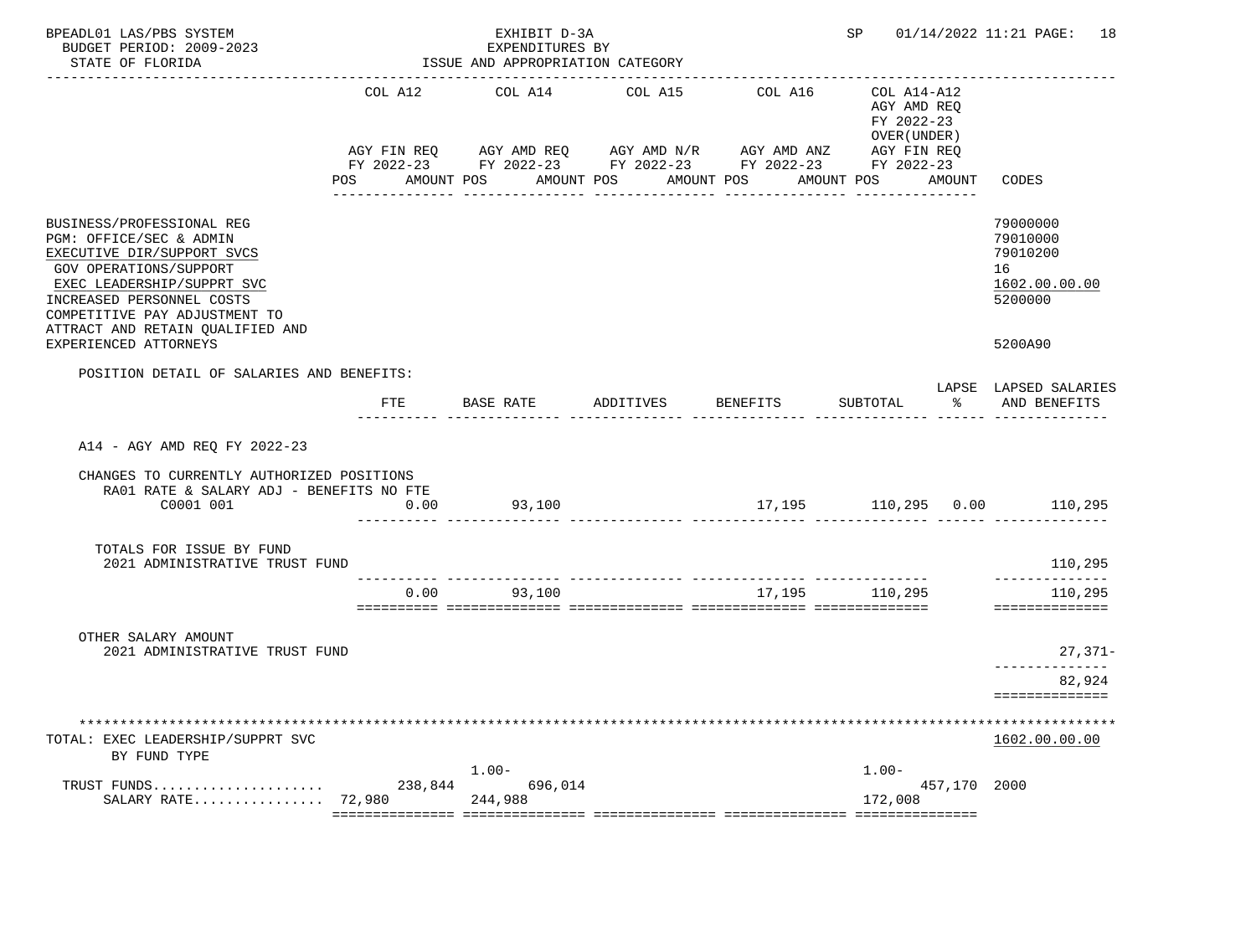| BPEADL01 LAS/PBS SYSTEM<br>BUDGET PERIOD: 2009-2023<br>STATE OF FLORIDA                                                                                                                                                                      |                   | EXHIBIT D-3A<br>EXPENDITURES BY<br>ISSUE AND APPROPRIATION CATEGORY                                                   |            |                 |                                                          |               | SP 01/14/2022 11:21 PAGE: 18                                       |
|----------------------------------------------------------------------------------------------------------------------------------------------------------------------------------------------------------------------------------------------|-------------------|-----------------------------------------------------------------------------------------------------------------------|------------|-----------------|----------------------------------------------------------|---------------|--------------------------------------------------------------------|
|                                                                                                                                                                                                                                              | COL A12           | COL A14                                                                                                               | COL A15    | COL A16         | COL A14-A12<br>AGY AMD REQ<br>FY 2022-23<br>OVER (UNDER) |               |                                                                    |
|                                                                                                                                                                                                                                              | POS<br>AMOUNT POS | AGY FIN REQ AGY AMD REQ AGY AMD N/R AGY AMD ANZ AGY FIN REQ<br>FY 2022-23 FY 2022-23 FY 2022-23 FY 2022-23 FY 2022-23 | AMOUNT POS | AMOUNT POS      | AMOUNT POS                                               | AMOUNT        | CODES                                                              |
| BUSINESS/PROFESSIONAL REG<br>PGM: OFFICE/SEC & ADMIN<br>EXECUTIVE DIR/SUPPORT SVCS<br>GOV OPERATIONS/SUPPORT<br>EXEC LEADERSHIP/SUPPRT SVC<br>INCREASED PERSONNEL COSTS<br>COMPETITIVE PAY ADJUSTMENT TO<br>ATTRACT AND RETAIN OUALIFIED AND |                   |                                                                                                                       |            |                 |                                                          |               | 79000000<br>79010000<br>79010200<br>16<br>1602.00.00.00<br>5200000 |
| EXPERIENCED ATTORNEYS                                                                                                                                                                                                                        |                   |                                                                                                                       |            |                 |                                                          |               | 5200A90                                                            |
| POSITION DETAIL OF SALARIES AND BENEFITS:                                                                                                                                                                                                    | FTE               | BASE RATE ADDITIVES                                                                                                   |            | <b>BENEFITS</b> | SUBTOTAL                                                 | $\frac{1}{6}$ | LAPSE LAPSED SALARIES<br>AND BENEFITS                              |
| A14 - AGY AMD REQ FY 2022-23<br>CHANGES TO CURRENTLY AUTHORIZED POSITIONS<br>RA01 RATE & SALARY ADJ - BENEFITS NO FTE<br>C0001 001                                                                                                           | 0.00              | 93,100                                                                                                                |            |                 |                                                          |               | 17,195    110,295    0.00    110,295                               |
| TOTALS FOR ISSUE BY FUND<br>2021 ADMINISTRATIVE TRUST FUND                                                                                                                                                                                   |                   |                                                                                                                       |            |                 |                                                          |               | 110,295                                                            |
|                                                                                                                                                                                                                                              | 0.00              | 93,100                                                                                                                |            |                 | 17,195 110,295                                           |               | --------------<br>110,295<br>==============                        |
| OTHER SALARY AMOUNT<br>2021 ADMINISTRATIVE TRUST FUND                                                                                                                                                                                        |                   |                                                                                                                       |            |                 |                                                          |               | $27,371-$                                                          |
|                                                                                                                                                                                                                                              |                   |                                                                                                                       |            |                 |                                                          |               | 82,924<br>==============                                           |
| TOTAL: EXEC LEADERSHIP/SUPPRT SVC                                                                                                                                                                                                            |                   |                                                                                                                       |            |                 |                                                          |               | 1602.00.00.00                                                      |
| BY FUND TYPE                                                                                                                                                                                                                                 |                   | $1.00 -$                                                                                                              |            |                 | $1.00-$                                                  |               |                                                                    |
| TRUST FUNDS<br>SALARY RATE                                                                                                                                                                                                                   | 238,844<br>72,980 | 696,014<br>244,988                                                                                                    |            |                 | 172,008                                                  | 457,170 2000  |                                                                    |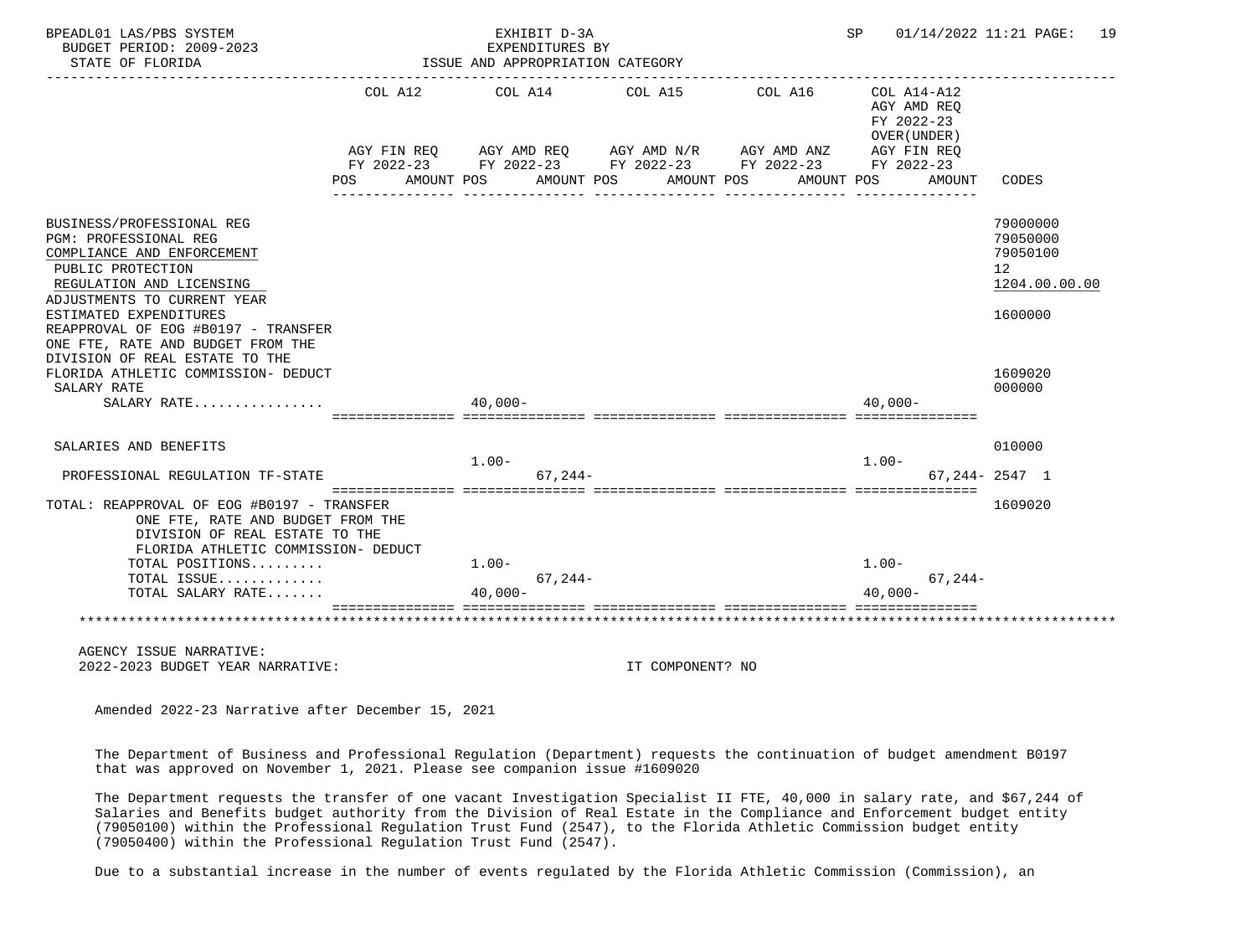| BPEADL01 LAS/PBS SYSTEM<br>BUDGET PERIOD: 2009-2023<br>STATE OF FLORIDA                                                                                          |            | EXHIBIT D-3A<br>EXPENDITURES BY<br>ISSUE AND APPROPRIATION CATEGORY |                                                                                                                                                      |                       | SP 01/14/2022 11:21 PAGE: 19                                                          |                                                                       |
|------------------------------------------------------------------------------------------------------------------------------------------------------------------|------------|---------------------------------------------------------------------|------------------------------------------------------------------------------------------------------------------------------------------------------|-----------------------|---------------------------------------------------------------------------------------|-----------------------------------------------------------------------|
|                                                                                                                                                                  | <b>POS</b> | AMOUNT POS                                                          | COL A12 COL A14 COL A15<br>AGY FIN REQ AGY AMD REQ AGY AMD $N/R$ AGY AMD ANZ<br>FY 2022-23 FY 2022-23 FY 2022-23 FY 2022-23 FY 2022-23<br>AMOUNT POS | COL A16<br>AMOUNT POS | COL A14-A12<br>AGY AMD REQ<br>FY 2022-23<br>OVER (UNDER)<br>AGY FIN REQ<br>AMOUNT POS | AMOUNT CODES                                                          |
| BUSINESS/PROFESSIONAL REG<br>PGM: PROFESSIONAL REG<br>COMPLIANCE AND ENFORCEMENT<br>PUBLIC PROTECTION<br>REGULATION AND LICENSING<br>ADJUSTMENTS TO CURRENT YEAR |            |                                                                     |                                                                                                                                                      |                       |                                                                                       | 79000000<br>79050000<br>79050100<br>12 <sup>12</sup><br>1204.00.00.00 |
| ESTIMATED EXPENDITURES<br>REAPPROVAL OF EOG #B0197 - TRANSFER<br>ONE FTE, RATE AND BUDGET FROM THE<br>DIVISION OF REAL ESTATE TO THE                             |            |                                                                     |                                                                                                                                                      |                       |                                                                                       | 1600000                                                               |
| FLORIDA ATHLETIC COMMISSION- DEDUCT<br>SALARY RATE<br>SALARY RATE                                                                                                | $40,000-$  |                                                                     |                                                                                                                                                      |                       | $40.000 -$                                                                            | 1609020<br>000000                                                     |
| SALARIES AND BENEFITS                                                                                                                                            |            | $1.00 -$                                                            |                                                                                                                                                      |                       | $1.00 -$                                                                              | 010000                                                                |
| PROFESSIONAL REGULATION TF-STATE                                                                                                                                 |            |                                                                     | $67.244-$                                                                                                                                            |                       |                                                                                       | $67.244 - 2547$ 1                                                     |
| TOTAL: REAPPROVAL OF EOG #B0197 - TRANSFER<br>ONE FTE, RATE AND BUDGET FROM THE<br>DIVISION OF REAL ESTATE TO THE<br>FLORIDA ATHLETIC COMMISSION- DEDUCT         |            |                                                                     |                                                                                                                                                      |                       |                                                                                       | 1609020                                                               |
| TOTAL POSITIONS<br>TOTAL ISSUE                                                                                                                                   |            | $1.00 -$                                                            |                                                                                                                                                      |                       | $1.00 -$<br>$67.244-$                                                                 |                                                                       |
| TOTAL SALARY RATE                                                                                                                                                |            | $67, 244-$<br>$40.000 -$                                            |                                                                                                                                                      |                       | $40.000 -$                                                                            |                                                                       |
|                                                                                                                                                                  |            |                                                                     |                                                                                                                                                      |                       |                                                                                       |                                                                       |
| AGENCY ISSUE NARRATIVE:<br>2022-2023 BUDGET YEAR NARRATIVE:                                                                                                      |            |                                                                     | IT COMPONENT? NO                                                                                                                                     |                       |                                                                                       |                                                                       |
| Amended 2022-23 Narrative after December 15, 2021                                                                                                                |            |                                                                     |                                                                                                                                                      |                       |                                                                                       |                                                                       |

 The Department of Business and Professional Regulation (Department) requests the continuation of budget amendment B0197 that was approved on November 1, 2021. Please see companion issue #1609020

 The Department requests the transfer of one vacant Investigation Specialist II FTE, 40,000 in salary rate, and \$67,244 of Salaries and Benefits budget authority from the Division of Real Estate in the Compliance and Enforcement budget entity (79050100) within the Professional Regulation Trust Fund (2547), to the Florida Athletic Commission budget entity (79050400) within the Professional Regulation Trust Fund (2547).

Due to a substantial increase in the number of events regulated by the Florida Athletic Commission (Commission), an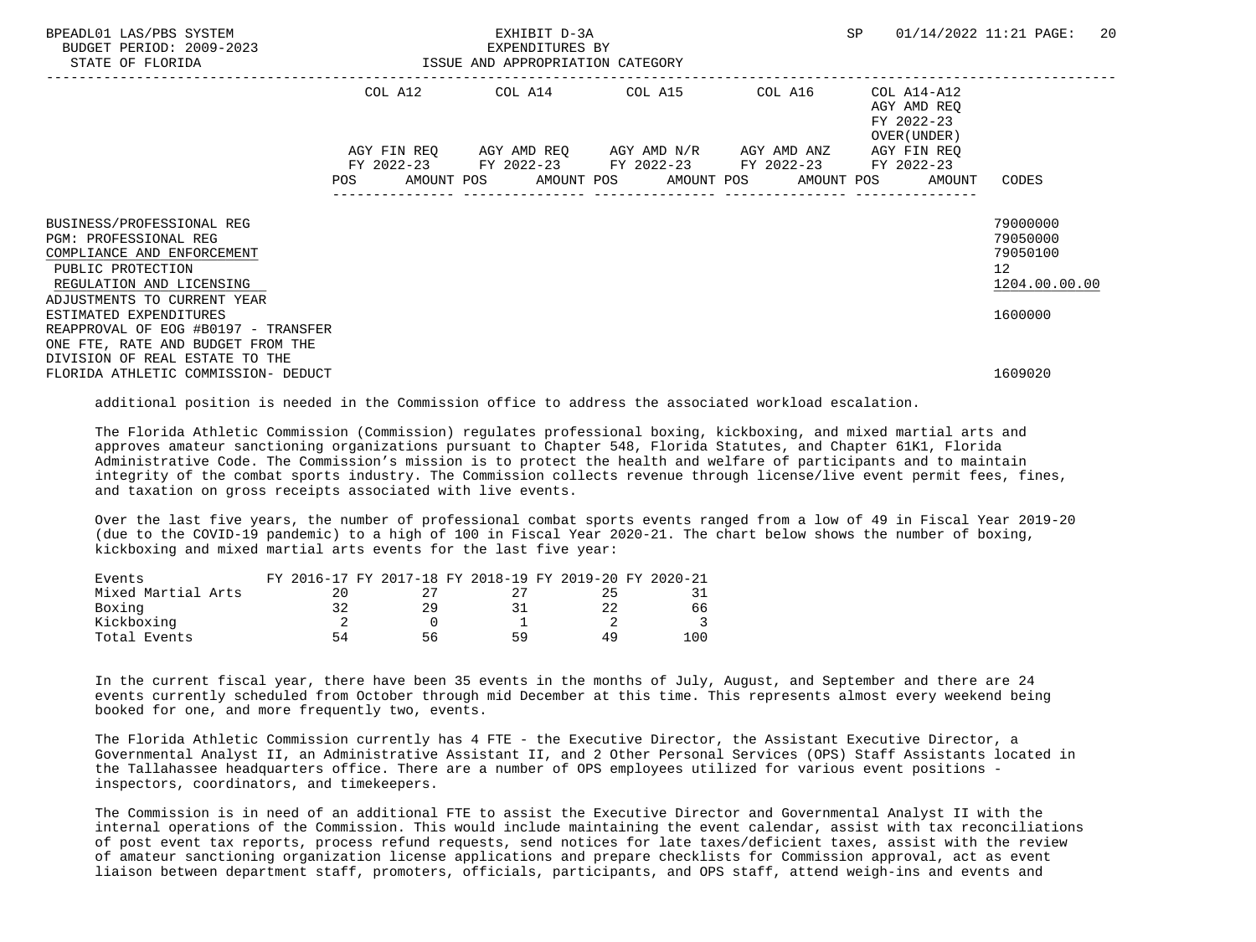| BPEADL01 LAS/PBS SYSTEM<br>BUDGET PERIOD: 2009-2023<br>STATE OF FLORIDA                                    | EXHIBIT D-3A<br>EXPENDITURES BY<br>ISSUE AND APPROPRIATION CATEGORY |             |  |  |  |                                                                                    | SP      |  | 01/14/2022 11:21 PAGE:                                    | -20                              |  |
|------------------------------------------------------------------------------------------------------------|---------------------------------------------------------------------|-------------|--|--|--|------------------------------------------------------------------------------------|---------|--|-----------------------------------------------------------|----------------------------------|--|
|                                                                                                            |                                                                     | COL A12     |  |  |  | COL A14 COL A15                                                                    | COL A16 |  | COL A14-A12<br>AGY AMD REO<br>FY 2022-23<br>OVER (UNDER ) |                                  |  |
|                                                                                                            |                                                                     | AGY FIN REO |  |  |  | AGY AMD REQ AGY AMD N/R AGY AMD ANZ<br>FY 2022-23 FY 2022-23 FY 2022-23 FY 2022-23 |         |  | AGY FIN REO<br>FY 2022-23                                 |                                  |  |
|                                                                                                            | POS                                                                 |             |  |  |  | AMOUNT POS AMOUNT POS AMOUNT POS AMOUNT POS                                        |         |  | AMOUNT                                                    | CODES                            |  |
| BUSINESS/PROFESSIONAL REG<br><b>PGM: PROFESSIONAL REG</b><br>COMPLIANCE AND ENFORCEMENT                    |                                                                     |             |  |  |  |                                                                                    |         |  |                                                           | 79000000<br>79050000<br>79050100 |  |
| PUBLIC PROTECTION<br>REGULATION AND LICENSING<br>ADJUSTMENTS TO CURRENT YEAR                               |                                                                     |             |  |  |  |                                                                                    |         |  |                                                           | 12 <sup>°</sup><br>1204.00.00.00 |  |
| ESTIMATED EXPENDITURES<br>REAPPROVAL OF EOG #B0197 - TRANSFER                                              |                                                                     |             |  |  |  |                                                                                    |         |  |                                                           | 1600000                          |  |
| ONE FTE, RATE AND BUDGET FROM THE<br>DIVISION OF REAL ESTATE TO THE<br>FLORIDA ATHLETIC COMMISSION- DEDUCT |                                                                     |             |  |  |  |                                                                                    |         |  |                                                           | 1609020                          |  |

additional position is needed in the Commission office to address the associated workload escalation.

 The Florida Athletic Commission (Commission) regulates professional boxing, kickboxing, and mixed martial arts and approves amateur sanctioning organizations pursuant to Chapter 548, Florida Statutes, and Chapter 61K1, Florida Administrative Code. The Commission's mission is to protect the health and welfare of participants and to maintain integrity of the combat sports industry. The Commission collects revenue through license/live event permit fees, fines, and taxation on gross receipts associated with live events.

 Over the last five years, the number of professional combat sports events ranged from a low of 49 in Fiscal Year 2019-20 (due to the COVID-19 pandemic) to a high of 100 in Fiscal Year 2020-21. The chart below shows the number of boxing, kickboxing and mixed martial arts events for the last five year:

| Events             | FY 2016-17 FY 2017-18 FY 2018-19 FY 2019-20 FY 2020-21 |    |    |    |    |
|--------------------|--------------------------------------------------------|----|----|----|----|
| Mixed Martial Arts |                                                        |    |    |    |    |
| Boxing             | 32                                                     |    |    |    | 66 |
| Kickboxing         |                                                        |    |    |    |    |
| Total Events       | 54                                                     | 56 | 59 | 49 |    |

 In the current fiscal year, there have been 35 events in the months of July, August, and September and there are 24 events currently scheduled from October through mid December at this time. This represents almost every weekend being booked for one, and more frequently two, events.

 The Florida Athletic Commission currently has 4 FTE - the Executive Director, the Assistant Executive Director, a Governmental Analyst II, an Administrative Assistant II, and 2 Other Personal Services (OPS) Staff Assistants located in the Tallahassee headquarters office. There are a number of OPS employees utilized for various event positions inspectors, coordinators, and timekeepers.

 The Commission is in need of an additional FTE to assist the Executive Director and Governmental Analyst II with the internal operations of the Commission. This would include maintaining the event calendar, assist with tax reconciliations of post event tax reports, process refund requests, send notices for late taxes/deficient taxes, assist with the review of amateur sanctioning organization license applications and prepare checklists for Commission approval, act as event liaison between department staff, promoters, officials, participants, and OPS staff, attend weigh-ins and events and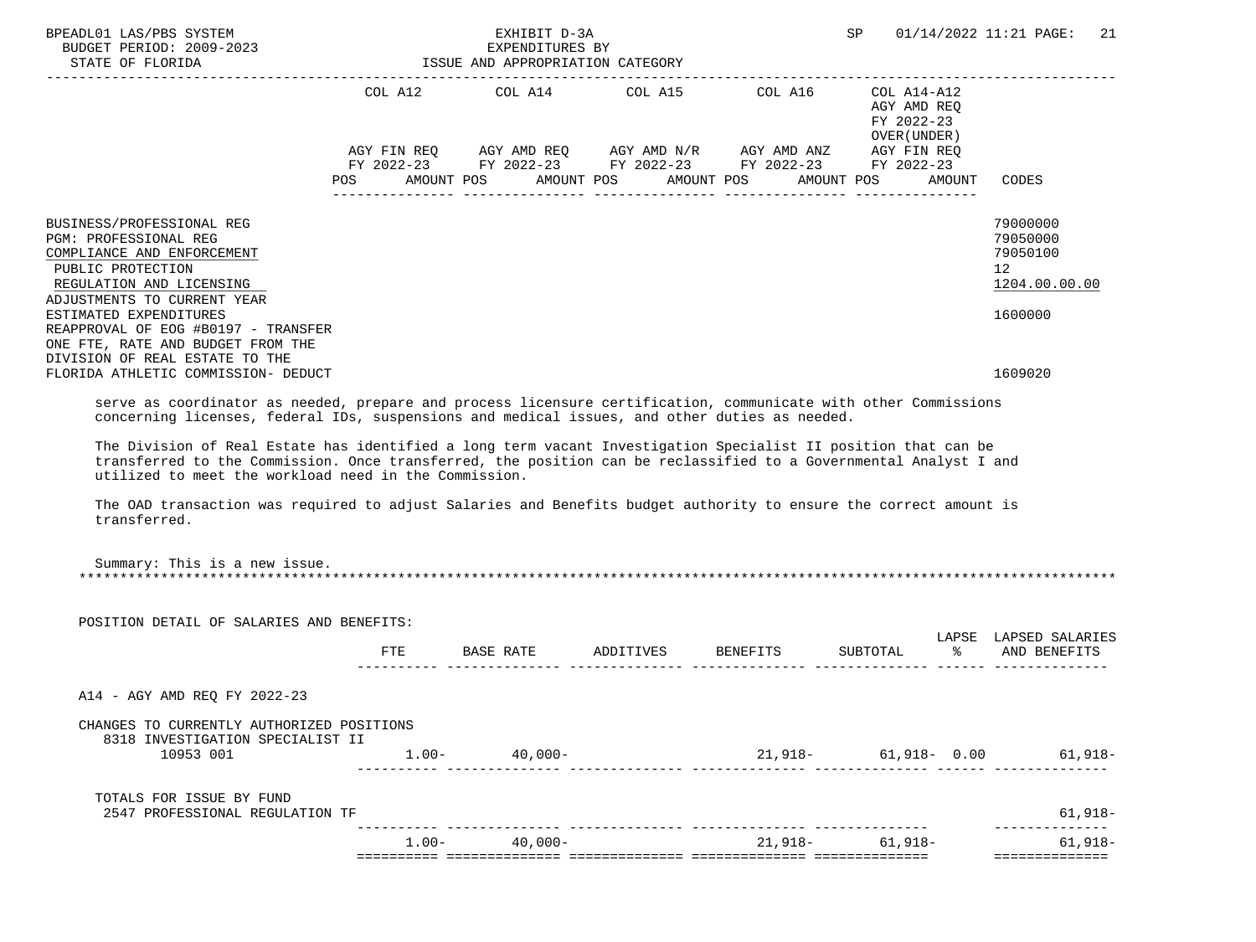| BPEADL01 LAS/PBS SYSTEM<br>BUDGET PERIOD: 2009-2023<br>STATE OF FLORIDA                                                                                                                                                                                                                                                                                                                                                                                                                                                                                                                                                               |         | EXHIBIT D-3A<br>EXPENDITURES BY<br>ISSUE AND APPROPRIATION CATEGORY | SP                                                     | 01/14/2022 11:21 PAGE:<br>21                                                                                                                                                    |                                                                      |
|---------------------------------------------------------------------------------------------------------------------------------------------------------------------------------------------------------------------------------------------------------------------------------------------------------------------------------------------------------------------------------------------------------------------------------------------------------------------------------------------------------------------------------------------------------------------------------------------------------------------------------------|---------|---------------------------------------------------------------------|--------------------------------------------------------|---------------------------------------------------------------------------------------------------------------------------------------------------------------------------------|----------------------------------------------------------------------|
|                                                                                                                                                                                                                                                                                                                                                                                                                                                                                                                                                                                                                                       |         | AMOUNT POS AMOUNT POS AMOUNT POS                                    | FY 2022-23 FY 2022-23 FY 2022-23 FY 2022-23 FY 2022-23 | COL A12 COL A14 COL A15 COL A16 COL A14-A12<br>AGY AMD REO<br>FY 2022-23<br>OVER (UNDER)<br>AGY FIN REQ AGY AMD REQ AGY AMD N/R AGY AMD ANZ AGY FIN REQ<br>AMOUNT POS<br>AMOUNT | CODES                                                                |
| BUSINESS/PROFESSIONAL REG<br><b>PGM: PROFESSIONAL REG</b><br>COMPLIANCE AND ENFORCEMENT<br>PUBLIC PROTECTION<br>REGULATION AND LICENSING<br>ADJUSTMENTS TO CURRENT YEAR                                                                                                                                                                                                                                                                                                                                                                                                                                                               |         |                                                                     |                                                        |                                                                                                                                                                                 | 79000000<br>79050000<br>79050100<br>12 <sup>°</sup><br>1204.00.00.00 |
| ESTIMATED EXPENDITURES<br>REAPPROVAL OF EOG #B0197 - TRANSFER<br>ONE FTE, RATE AND BUDGET FROM THE<br>DIVISION OF REAL ESTATE TO THE<br>FLORIDA ATHLETIC COMMISSION- DEDUCT                                                                                                                                                                                                                                                                                                                                                                                                                                                           |         |                                                                     |                                                        |                                                                                                                                                                                 | 1600000<br>1609020                                                   |
| serve as coordinator as needed, prepare and process licensure certification, communicate with other Commissions<br>concerning licenses, federal IDs, suspensions and medical issues, and other duties as needed.<br>The Division of Real Estate has identified a long term vacant Investigation Specialist II position that can be<br>transferred to the Commission. Once transferred, the position can be reclassified to a Governmental Analyst I and<br>utilized to meet the workload need in the Commission.<br>The OAD transaction was required to adjust Salaries and Benefits budget authority to ensure the correct amount is |         |                                                                     |                                                        |                                                                                                                                                                                 |                                                                      |
| transferred.<br>Summary: This is a new issue.                                                                                                                                                                                                                                                                                                                                                                                                                                                                                                                                                                                         |         |                                                                     |                                                        |                                                                                                                                                                                 |                                                                      |
| POSITION DETAIL OF SALARIES AND BENEFITS:                                                                                                                                                                                                                                                                                                                                                                                                                                                                                                                                                                                             | FTE     | BASE RATE                                                           | ADDITIVES BENEFITS                                     | SUBTOTAL<br>ႜႂ                                                                                                                                                                  | LAPSE LAPSED SALARIES<br>AND BENEFITS                                |
|                                                                                                                                                                                                                                                                                                                                                                                                                                                                                                                                                                                                                                       |         |                                                                     |                                                        |                                                                                                                                                                                 |                                                                      |
| A14 - AGY AMD REO FY 2022-23                                                                                                                                                                                                                                                                                                                                                                                                                                                                                                                                                                                                          |         |                                                                     |                                                        |                                                                                                                                                                                 |                                                                      |
| CHANGES TO CURRENTLY AUTHORIZED POSITIONS<br>8318 INVESTIGATION SPECIALIST II                                                                                                                                                                                                                                                                                                                                                                                                                                                                                                                                                         |         |                                                                     |                                                        |                                                                                                                                                                                 |                                                                      |
| 10953 001                                                                                                                                                                                                                                                                                                                                                                                                                                                                                                                                                                                                                             |         | $1.00 - 40,000 -$                                                   |                                                        |                                                                                                                                                                                 | 21,918- 61,918- 0.00 61,918-                                         |
| TOTALS FOR ISSUE BY FUND<br>2547 PROFESSIONAL REGULATION TF                                                                                                                                                                                                                                                                                                                                                                                                                                                                                                                                                                           |         |                                                                     |                                                        |                                                                                                                                                                                 | $61,918-$                                                            |
|                                                                                                                                                                                                                                                                                                                                                                                                                                                                                                                                                                                                                                       | $1.00-$ | $40.000-$                                                           |                                                        | . <del>.</del> .<br>$21.918 - 61.918 -$                                                                                                                                         | $61, 918 -$                                                          |
|                                                                                                                                                                                                                                                                                                                                                                                                                                                                                                                                                                                                                                       |         |                                                                     |                                                        |                                                                                                                                                                                 | ==============                                                       |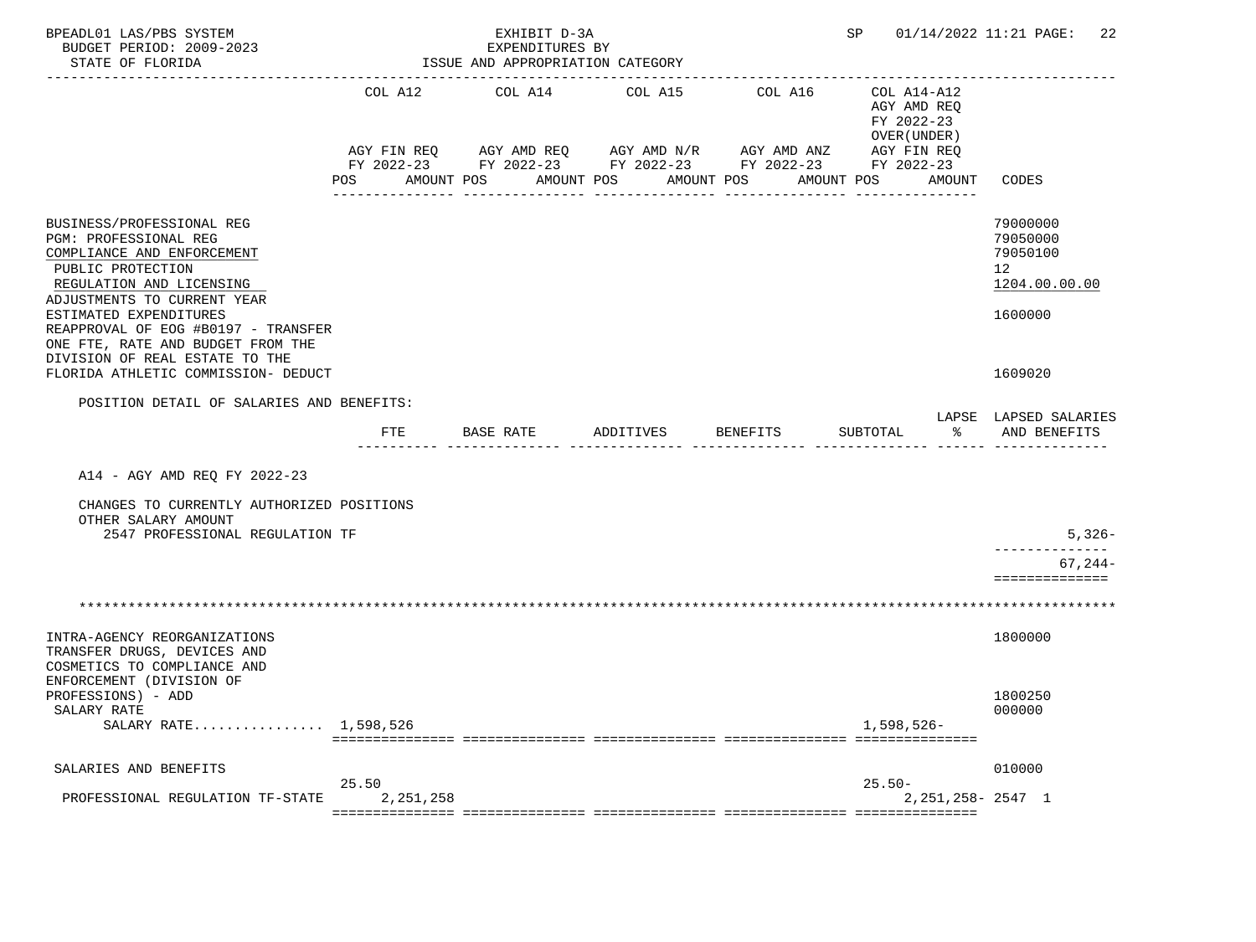| BPEADL01 LAS/PBS SYSTEM<br>BUDGET PERIOD: 2009-2023<br>STATE OF FLORIDA                                                                                                                                    |                    | EXHIBIT D-3A<br>EXPENDITURES BY<br>ISSUE AND APPROPRIATION CATEGORY       |            |                                                                        | SP and the set of the set of the set of the set of the set of the set of the set of the set of the set of the set of the set of the set of the set of the set of the set of the set of the set of the set of the set of the se | 01/14/2022 11:21 PAGE:<br>22                                         |
|------------------------------------------------------------------------------------------------------------------------------------------------------------------------------------------------------------|--------------------|---------------------------------------------------------------------------|------------|------------------------------------------------------------------------|--------------------------------------------------------------------------------------------------------------------------------------------------------------------------------------------------------------------------------|----------------------------------------------------------------------|
|                                                                                                                                                                                                            | COL A12            | COL A14                                                                   | COL A15    | COL A16                                                                | COL A14-A12<br>AGY AMD REQ<br>FY 2022-23<br>OVER (UNDER)                                                                                                                                                                       |                                                                      |
|                                                                                                                                                                                                            | AGY FIN REQ<br>POS | AGY AMD REQ      AGY AMD N/R      AGY AMD ANZ<br>AMOUNT POS<br>AMOUNT POS | ---------- | FY 2022-23 FY 2022-23 FY 2022-23 FY 2022-23<br>AMOUNT POS<br>--------- | AGY FIN REQ<br>FY 2022-23<br>AMOUNT POS<br>AMOUNT                                                                                                                                                                              | CODES                                                                |
| BUSINESS/PROFESSIONAL REG<br>PGM: PROFESSIONAL REG<br>COMPLIANCE AND ENFORCEMENT<br>PUBLIC PROTECTION<br>REGULATION AND LICENSING                                                                          |                    |                                                                           |            |                                                                        |                                                                                                                                                                                                                                | 79000000<br>79050000<br>79050100<br>12 <sup>°</sup><br>1204.00.00.00 |
| ADJUSTMENTS TO CURRENT YEAR<br>ESTIMATED EXPENDITURES<br>REAPPROVAL OF EOG #B0197 - TRANSFER<br>ONE FTE, RATE AND BUDGET FROM THE<br>DIVISION OF REAL ESTATE TO THE<br>FLORIDA ATHLETIC COMMISSION- DEDUCT |                    |                                                                           |            |                                                                        |                                                                                                                                                                                                                                | 1600000<br>1609020                                                   |
| POSITION DETAIL OF SALARIES AND BENEFITS:                                                                                                                                                                  |                    |                                                                           |            |                                                                        |                                                                                                                                                                                                                                |                                                                      |
|                                                                                                                                                                                                            | FTE                | BASE RATE                                                                 | ADDITIVES  | BENEFITS                                                               | SUBTOTAL<br>ႜ                                                                                                                                                                                                                  | LAPSE LAPSED SALARIES<br>AND BENEFITS                                |
| A14 - AGY AMD REQ FY 2022-23                                                                                                                                                                               |                    |                                                                           |            |                                                                        |                                                                                                                                                                                                                                |                                                                      |
| CHANGES TO CURRENTLY AUTHORIZED POSITIONS<br>OTHER SALARY AMOUNT<br>2547 PROFESSIONAL REGULATION TF                                                                                                        |                    |                                                                           |            |                                                                        |                                                                                                                                                                                                                                | $5,326-$                                                             |
|                                                                                                                                                                                                            |                    |                                                                           |            |                                                                        |                                                                                                                                                                                                                                | $67, 244-$<br>==============                                         |
|                                                                                                                                                                                                            |                    |                                                                           |            |                                                                        |                                                                                                                                                                                                                                |                                                                      |
| INTRA-AGENCY REORGANIZATIONS<br>TRANSFER DRUGS, DEVICES AND<br>COSMETICS TO COMPLIANCE AND                                                                                                                 |                    |                                                                           |            |                                                                        |                                                                                                                                                                                                                                | 1800000                                                              |
| ENFORCEMENT (DIVISION OF<br>PROFESSIONS) - ADD<br>SALARY RATE<br>SALARY RATE 1,598,526                                                                                                                     |                    |                                                                           |            |                                                                        | $1,598,526-$                                                                                                                                                                                                                   | 1800250<br>000000                                                    |
|                                                                                                                                                                                                            |                    |                                                                           |            |                                                                        |                                                                                                                                                                                                                                |                                                                      |
| SALARIES AND BENEFITS                                                                                                                                                                                      | 25.50              |                                                                           |            |                                                                        | $25.50-$                                                                                                                                                                                                                       | 010000                                                               |
| PROFESSIONAL REGULATION TF-STATE                                                                                                                                                                           | 2,251,258          |                                                                           |            |                                                                        | $2,251,258 - 2547$ 1                                                                                                                                                                                                           |                                                                      |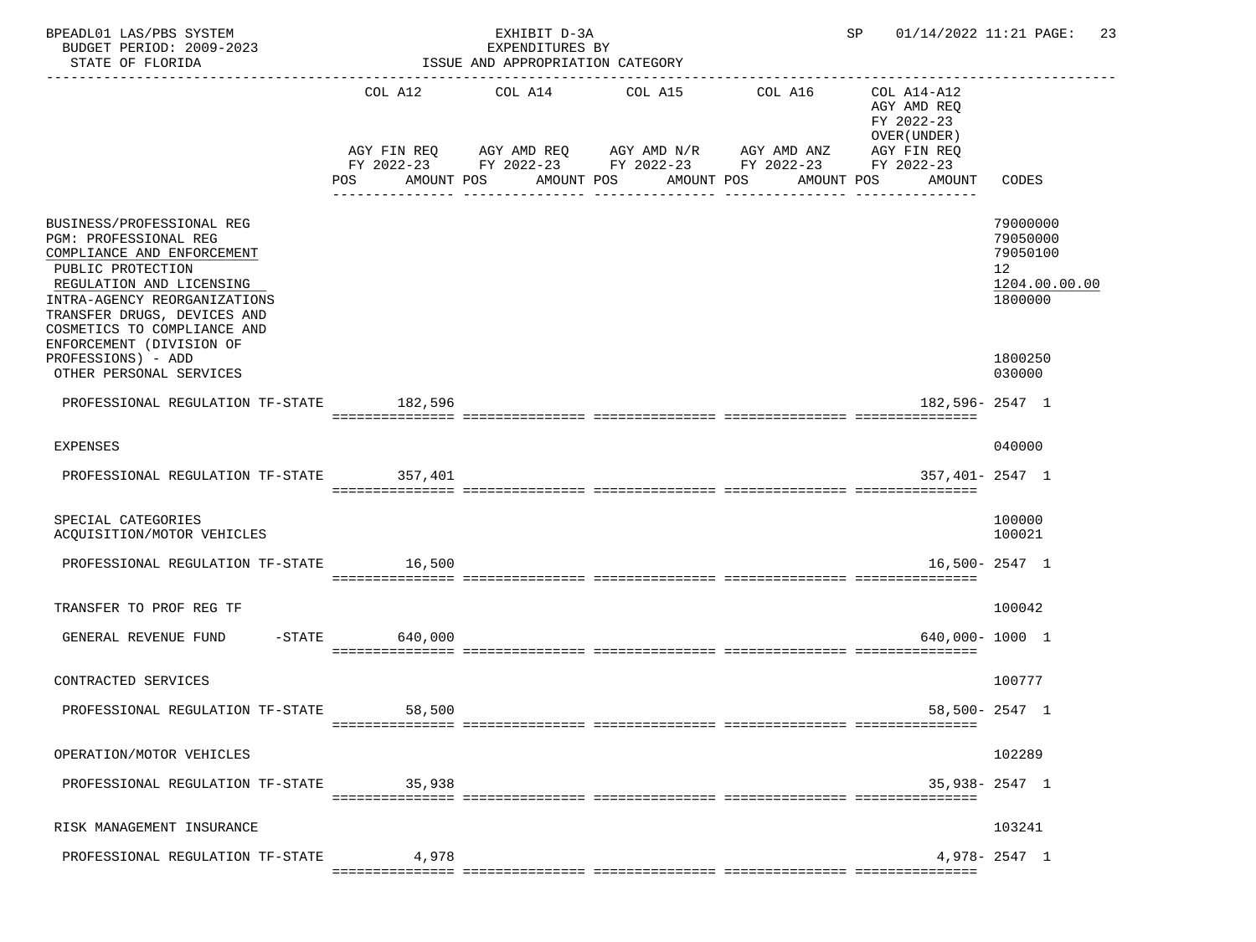| BPEADL01 LAS/PBS SYSTEM<br>BUDGET PERIOD: 2009-2023<br>STATE OF FLORIDA<br>-------------------------                                                                                                                                                                              |                      | EXHIBIT D-3A<br>EXPENDITURES BY<br>ISSUE AND APPROPRIATION CATEGORY                                                                     |                          |                                          | SP and the set of the set of the set of the set of the set of the set of the set of the set of the set of the s | 01/14/2022 11:21 PAGE:<br>-23                                                 |
|-----------------------------------------------------------------------------------------------------------------------------------------------------------------------------------------------------------------------------------------------------------------------------------|----------------------|-----------------------------------------------------------------------------------------------------------------------------------------|--------------------------|------------------------------------------|-----------------------------------------------------------------------------------------------------------------|-------------------------------------------------------------------------------|
|                                                                                                                                                                                                                                                                                   | POS                  | COL A12 COL A14 COL A15<br>AGY FIN REQ AGY AMD REQ AGY AMD N/R AGY AMD ANZ<br>FY 2022-23 FY 2022-23 FY 2022-23 FY 2022-23<br>AMOUNT POS | AMOUNT POS<br>AMOUNT POS | COL A16<br>AMOUNT POS<br>--------------- | COL A14-A12<br>AGY AMD REO<br>FY 2022-23<br>OVER (UNDER)<br>AGY FIN REQ<br>FY 2022-23<br>AMOUNT                 | CODES                                                                         |
| BUSINESS/PROFESSIONAL REG<br>PGM: PROFESSIONAL REG<br>COMPLIANCE AND ENFORCEMENT<br>PUBLIC PROTECTION<br>REGULATION AND LICENSING<br>INTRA-AGENCY REORGANIZATIONS<br>TRANSFER DRUGS, DEVICES AND<br>COSMETICS TO COMPLIANCE AND<br>ENFORCEMENT (DIVISION OF<br>PROFESSIONS) - ADD |                      |                                                                                                                                         |                          |                                          |                                                                                                                 | 79000000<br>79050000<br>79050100<br>12<br>1204.00.00.00<br>1800000<br>1800250 |
| OTHER PERSONAL SERVICES<br>PROFESSIONAL REGULATION TF-STATE 182,596                                                                                                                                                                                                               |                      |                                                                                                                                         |                          |                                          | $182,596 - 2547$ 1                                                                                              | 030000                                                                        |
| <b>EXPENSES</b>                                                                                                                                                                                                                                                                   |                      |                                                                                                                                         |                          |                                          |                                                                                                                 | 040000                                                                        |
| PROFESSIONAL REGULATION TF-STATE                                                                                                                                                                                                                                                  | 357,401              |                                                                                                                                         |                          |                                          | $357,401 - 2547$ 1                                                                                              |                                                                               |
| SPECIAL CATEGORIES<br>ACQUISITION/MOTOR VEHICLES                                                                                                                                                                                                                                  |                      |                                                                                                                                         |                          |                                          |                                                                                                                 | 100000<br>100021                                                              |
| PROFESSIONAL REGULATION TF-STATE                                                                                                                                                                                                                                                  | 16,500               |                                                                                                                                         |                          |                                          |                                                                                                                 | $16,500 - 2547$ 1                                                             |
| TRANSFER TO PROF REG TF                                                                                                                                                                                                                                                           |                      |                                                                                                                                         |                          |                                          |                                                                                                                 | 100042                                                                        |
| GENERAL REVENUE FUND                                                                                                                                                                                                                                                              | $-$ STATE<br>640,000 |                                                                                                                                         |                          |                                          | 640,000-1000 1                                                                                                  |                                                                               |
| CONTRACTED SERVICES                                                                                                                                                                                                                                                               |                      |                                                                                                                                         |                          |                                          |                                                                                                                 | 100777                                                                        |
| PROFESSIONAL REGULATION TF-STATE                                                                                                                                                                                                                                                  | 58,500               |                                                                                                                                         |                          |                                          |                                                                                                                 | 58,500- 2547 1                                                                |
| OPERATION/MOTOR VEHICLES                                                                                                                                                                                                                                                          |                      |                                                                                                                                         |                          |                                          |                                                                                                                 | 102289                                                                        |
| PROFESSIONAL REGULATION TF-STATE                                                                                                                                                                                                                                                  | 35,938               |                                                                                                                                         |                          |                                          |                                                                                                                 | 35,938-2547 1                                                                 |
| RISK MANAGEMENT INSURANCE                                                                                                                                                                                                                                                         |                      |                                                                                                                                         |                          |                                          |                                                                                                                 | 103241                                                                        |
| PROFESSIONAL REGULATION TF-STATE                                                                                                                                                                                                                                                  | 4,978                |                                                                                                                                         |                          |                                          |                                                                                                                 | $4,978 - 2547$ 1                                                              |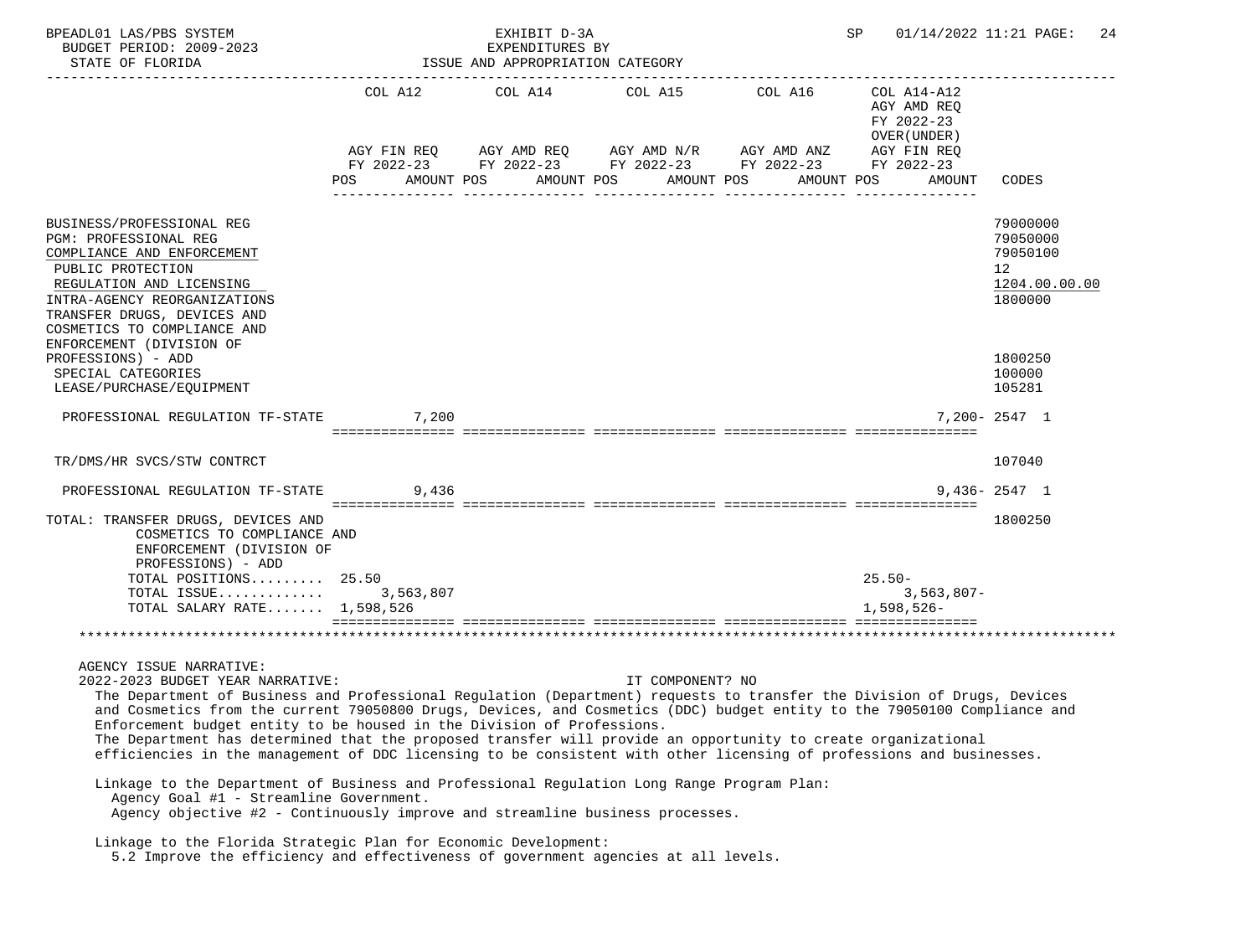| BPEADL01 LAS/PBS SYSTEM                                                                                                                                                                                                                                                                                                                                                                                                                                                                                                                                                                                                               |       | EXHIBIT D-3A                                        |                                                                                                                                        |                        | SP                                       | 01/14/2022 11:21 PAGE:<br>-24                                                   |
|---------------------------------------------------------------------------------------------------------------------------------------------------------------------------------------------------------------------------------------------------------------------------------------------------------------------------------------------------------------------------------------------------------------------------------------------------------------------------------------------------------------------------------------------------------------------------------------------------------------------------------------|-------|-----------------------------------------------------|----------------------------------------------------------------------------------------------------------------------------------------|------------------------|------------------------------------------|---------------------------------------------------------------------------------|
| BUDGET PERIOD: 2009-2023<br>STATE OF FLORIDA                                                                                                                                                                                                                                                                                                                                                                                                                                                                                                                                                                                          |       | EXPENDITURES BY<br>ISSUE AND APPROPRIATION CATEGORY |                                                                                                                                        |                        |                                          |                                                                                 |
|                                                                                                                                                                                                                                                                                                                                                                                                                                                                                                                                                                                                                                       |       | COL A12 COL A14                                     | COL A15                                                                                                                                | -----------<br>COL A16 | COL A14-A12<br>AGY AMD REQ<br>FY 2022-23 |                                                                                 |
|                                                                                                                                                                                                                                                                                                                                                                                                                                                                                                                                                                                                                                       | POS   | AMOUNT POS                                          | AGY FIN REQ AGY AMD REQ AGY AMD N/R AGY AMD ANZ AGY FIN REQ<br>FY 2022-23 FY 2022-23 FY 2022-23 FY 2022-23<br>AMOUNT POS<br>AMOUNT POS | AMOUNT POS             | OVER (UNDER)<br>FY 2022-23<br>AMOUNT     | CODES                                                                           |
| BUSINESS/PROFESSIONAL REG<br>PGM: PROFESSIONAL REG<br>COMPLIANCE AND ENFORCEMENT<br>PUBLIC PROTECTION<br>REGULATION AND LICENSING<br>INTRA-AGENCY REORGANIZATIONS<br>TRANSFER DRUGS, DEVICES AND<br>COSMETICS TO COMPLIANCE AND                                                                                                                                                                                                                                                                                                                                                                                                       |       |                                                     |                                                                                                                                        |                        |                                          | 79000000<br>79050000<br>79050100<br>12 <sup>°</sup><br>1204.00.00.00<br>1800000 |
| ENFORCEMENT (DIVISION OF<br>PROFESSIONS) - ADD<br>SPECIAL CATEGORIES<br>LEASE/PURCHASE/EQUIPMENT                                                                                                                                                                                                                                                                                                                                                                                                                                                                                                                                      |       |                                                     |                                                                                                                                        |                        |                                          | 1800250<br>100000<br>105281                                                     |
| PROFESSIONAL REGULATION TF-STATE                                                                                                                                                                                                                                                                                                                                                                                                                                                                                                                                                                                                      | 7,200 |                                                     |                                                                                                                                        |                        |                                          | 7,200-2547 1                                                                    |
| TR/DMS/HR SVCS/STW CONTRCT                                                                                                                                                                                                                                                                                                                                                                                                                                                                                                                                                                                                            |       |                                                     |                                                                                                                                        |                        |                                          | 107040                                                                          |
| PROFESSIONAL REGULATION TF-STATE                                                                                                                                                                                                                                                                                                                                                                                                                                                                                                                                                                                                      | 9,436 |                                                     |                                                                                                                                        |                        |                                          | $9.436 - 2547$ 1                                                                |
| TOTAL: TRANSFER DRUGS, DEVICES AND<br>COSMETICS TO COMPLIANCE AND<br>ENFORCEMENT (DIVISION OF<br>PROFESSIONS) - ADD                                                                                                                                                                                                                                                                                                                                                                                                                                                                                                                   |       |                                                     |                                                                                                                                        |                        |                                          | 1800250                                                                         |
| TOTAL POSITIONS 25.50                                                                                                                                                                                                                                                                                                                                                                                                                                                                                                                                                                                                                 |       |                                                     |                                                                                                                                        |                        | $25.50-$                                 |                                                                                 |
| TOTAL ISSUE 3,563,807<br>TOTAL SALARY RATE $1,598,526$                                                                                                                                                                                                                                                                                                                                                                                                                                                                                                                                                                                |       |                                                     |                                                                                                                                        |                        | $3,563,807-$<br>1,598,526-               |                                                                                 |
|                                                                                                                                                                                                                                                                                                                                                                                                                                                                                                                                                                                                                                       |       |                                                     |                                                                                                                                        |                        |                                          |                                                                                 |
| AGENCY ISSUE NARRATIVE:<br>2022-2023 BUDGET YEAR NARRATIVE:<br>The Department of Business and Professional Regulation (Department) requests to transfer the Division of Drugs, Devices<br>and Cosmetics from the current 79050800 Drugs, Devices, and Cosmetics (DDC) budget entity to the 79050100 Compliance and<br>Enforcement budget entity to be housed in the Division of Professions.<br>The Department has determined that the proposed transfer will provide an opportunity to create organizational<br>efficiencies in the management of DDC licensing to be consistent with other licensing of professions and businesses. |       |                                                     | IT COMPONENT? NO                                                                                                                       |                        |                                          |                                                                                 |
| Linkage to the Department of Business and Professional Regulation Long Range Program Plan:<br>Agency Goal #1 - Streamline Government.<br>Agency objective #2 - Continuously improve and streamline business processes.                                                                                                                                                                                                                                                                                                                                                                                                                |       |                                                     |                                                                                                                                        |                        |                                          |                                                                                 |
| Linkage to the Florida Strategic Plan for Economic Development:<br>5.2 Improve the efficiency and effectiveness of government agencies at all levels.                                                                                                                                                                                                                                                                                                                                                                                                                                                                                 |       |                                                     |                                                                                                                                        |                        |                                          |                                                                                 |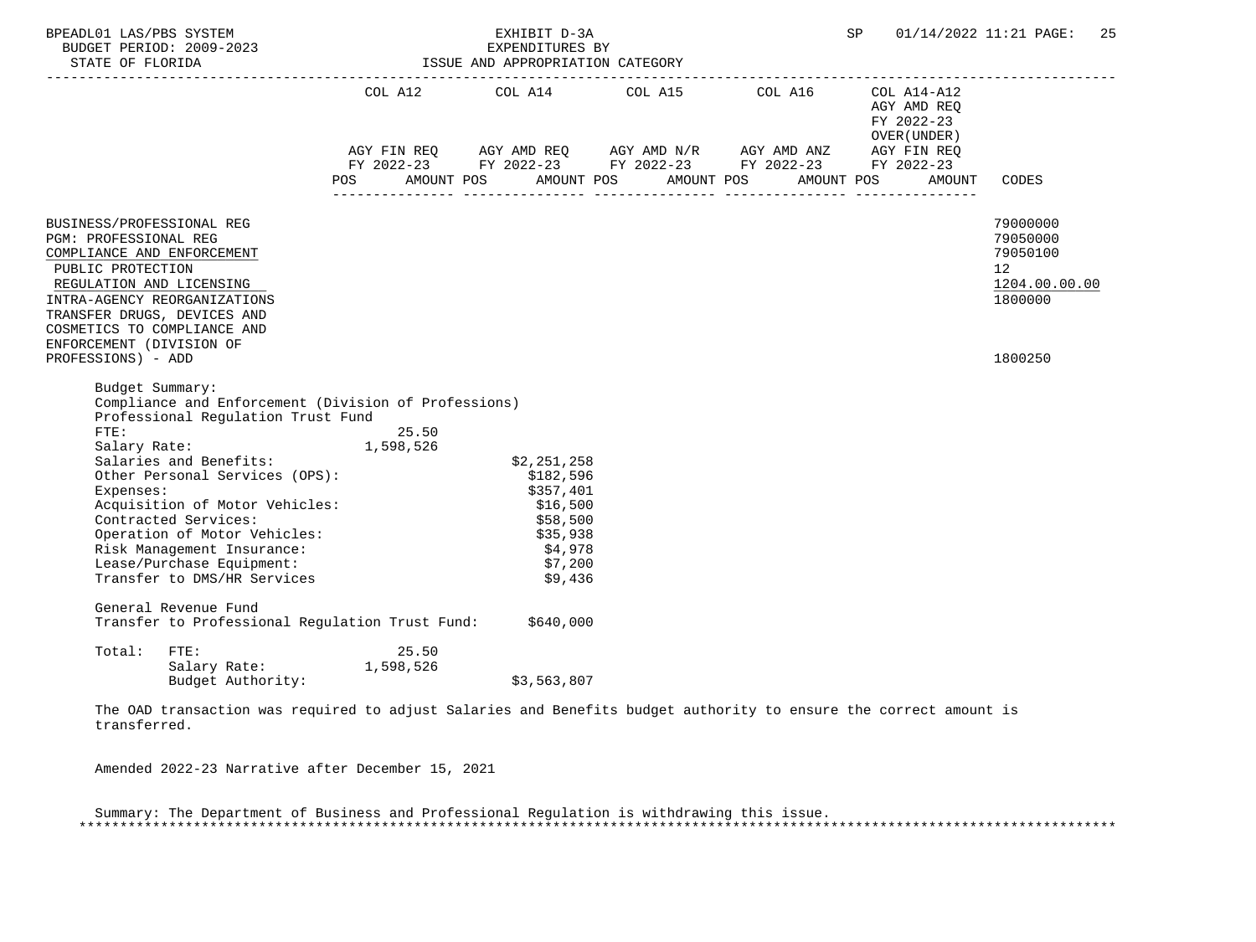| BPEADL01 LAS/PBS SYSTEM<br>BUDGET PERIOD: 2009-2023                                                                                                                                                                                                         |                                                                                                               |            | EXHIBIT D-3A<br>EXPENDITURES BY<br>ISSUE AND APPROPRIATION CATEGORY                                        |  | SP.                                       | 01/14/2022 11:21 PAGE:<br>25                                                    |
|-------------------------------------------------------------------------------------------------------------------------------------------------------------------------------------------------------------------------------------------------------------|---------------------------------------------------------------------------------------------------------------|------------|------------------------------------------------------------------------------------------------------------|--|-------------------------------------------|---------------------------------------------------------------------------------|
|                                                                                                                                                                                                                                                             |                                                                                                               |            |                                                                                                            |  | AGY AMD REO<br>FY 2022-23<br>OVER (UNDER) |                                                                                 |
|                                                                                                                                                                                                                                                             |                                                                                                               |            | AGY FIN REQ AGY AMD REQ AGY AMD N/R AGY AMD ANZ AGY FIN REQ                                                |  |                                           |                                                                                 |
|                                                                                                                                                                                                                                                             |                                                                                                               | <b>POS</b> | FY 2022-23 FY 2022-23 FY 2022-23 FY 2022-23 FY 2022-23<br>AMOUNT POS AMOUNT POS AMOUNT POS AMOUNT POS      |  | AMOUNT                                    | CODES                                                                           |
|                                                                                                                                                                                                                                                             |                                                                                                               |            |                                                                                                            |  |                                           |                                                                                 |
| BUSINESS/PROFESSIONAL REG<br>PGM: PROFESSIONAL REG<br>COMPLIANCE AND ENFORCEMENT<br>PUBLIC PROTECTION<br>REGULATION AND LICENSING<br>INTRA-AGENCY REORGANIZATIONS<br>TRANSFER DRUGS, DEVICES AND<br>COSMETICS TO COMPLIANCE AND<br>ENFORCEMENT (DIVISION OF |                                                                                                               |            |                                                                                                            |  |                                           | 79000000<br>79050000<br>79050100<br>12 <sup>°</sup><br>1204.00.00.00<br>1800000 |
| PROFESSIONS) - ADD                                                                                                                                                                                                                                          |                                                                                                               |            |                                                                                                            |  |                                           | 1800250                                                                         |
| Budget Summary:                                                                                                                                                                                                                                             | Compliance and Enforcement (Division of Professions)<br>Professional Regulation Trust Fund                    |            |                                                                                                            |  |                                           |                                                                                 |
| FTE:                                                                                                                                                                                                                                                        |                                                                                                               | 25.50      |                                                                                                            |  |                                           |                                                                                 |
| Salary Rate:<br>Salaries and Benefits:<br>Expenses:<br>Contracted Services:<br>Risk Management Insurance:<br>Lease/Purchase Equipment:<br>Transfer to DMS/HR Services<br>General Revenue Fund                                                               | 1,598,526<br>Other Personal Services (OPS):<br>Acquisition of Motor Vehicles:<br>Operation of Motor Vehicles: |            | \$2,251,258<br>\$182,596<br>\$357,401<br>\$16,500<br>\$58,500<br>\$35,938<br>\$4,978<br>\$7,200<br>\$9,436 |  |                                           |                                                                                 |
|                                                                                                                                                                                                                                                             |                                                                                                               |            | Transfer to Professional Regulation Trust Fund: \$640,000                                                  |  |                                           |                                                                                 |
| Total:<br>FTE:                                                                                                                                                                                                                                              | Salary Rate: 1,598,526<br>Budget Authority:                                                                   | 25.50      | \$3,563,807                                                                                                |  |                                           |                                                                                 |

 The OAD transaction was required to adjust Salaries and Benefits budget authority to ensure the correct amount is transferred.

Amended 2022-23 Narrative after December 15, 2021

 Summary: The Department of Business and Professional Regulation is withdrawing this issue. \*\*\*\*\*\*\*\*\*\*\*\*\*\*\*\*\*\*\*\*\*\*\*\*\*\*\*\*\*\*\*\*\*\*\*\*\*\*\*\*\*\*\*\*\*\*\*\*\*\*\*\*\*\*\*\*\*\*\*\*\*\*\*\*\*\*\*\*\*\*\*\*\*\*\*\*\*\*\*\*\*\*\*\*\*\*\*\*\*\*\*\*\*\*\*\*\*\*\*\*\*\*\*\*\*\*\*\*\*\*\*\*\*\*\*\*\*\*\*\*\*\*\*\*\*\*\*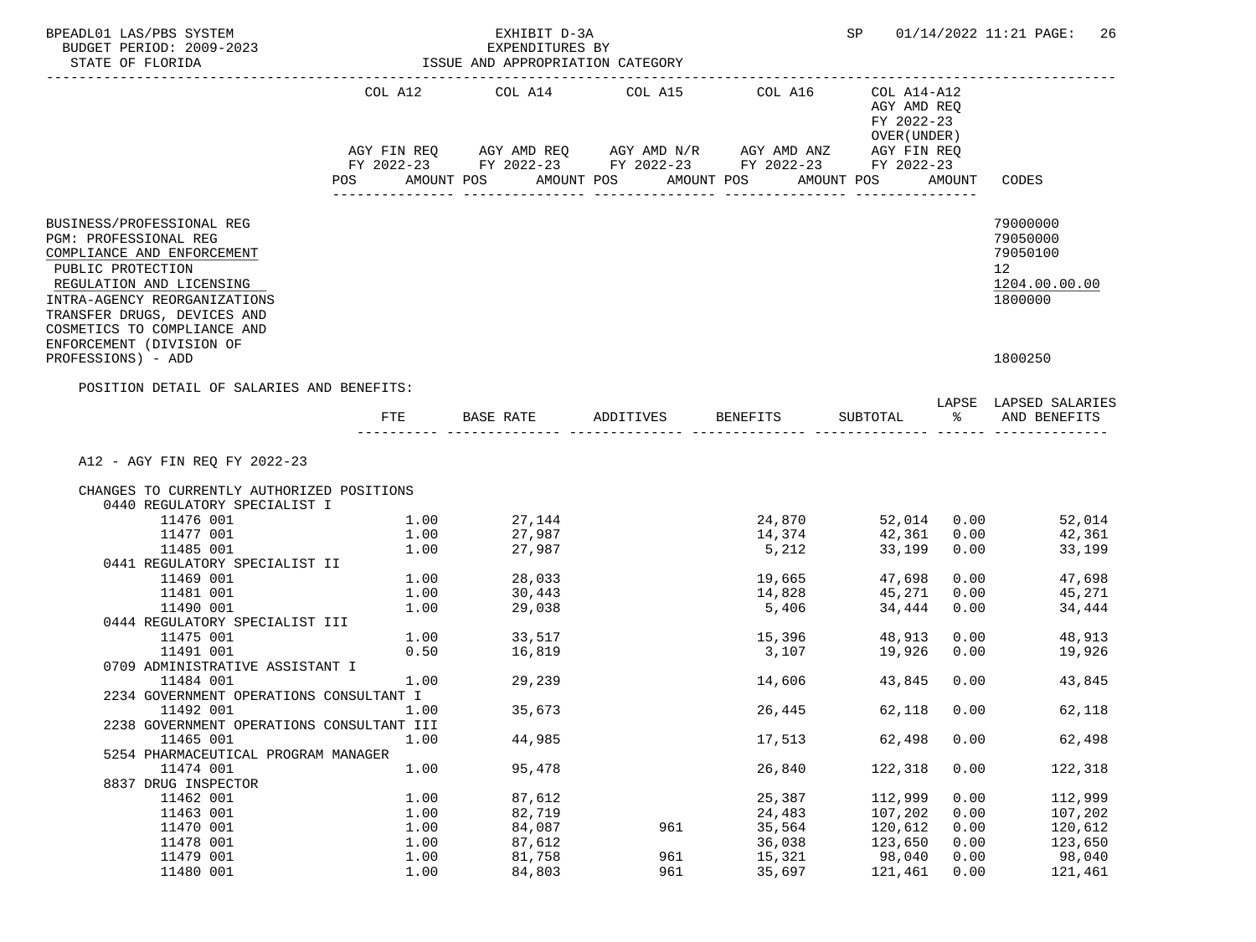| BPEADL01 LAS/PBS SYSTEM<br>BUDGET PERIOD: 2009-2023<br>STATE OF FLORIDA                                                                                                                                                         |      | EXHIBIT D-3A<br>EXPENDITURES BY<br>ISSUE AND APPROPRIATION CATEGORY |            |                                                                                                                                     | SP                                            |             | 01/14/2022 11:21 PAGE: 26                                                       |
|---------------------------------------------------------------------------------------------------------------------------------------------------------------------------------------------------------------------------------|------|---------------------------------------------------------------------|------------|-------------------------------------------------------------------------------------------------------------------------------------|-----------------------------------------------|-------------|---------------------------------------------------------------------------------|
|                                                                                                                                                                                                                                 |      | COL A12 COL A14 COL A15 COL A16                                     |            |                                                                                                                                     | COL A14-A12<br>AGY AMD REO<br>FY 2022-23      |             |                                                                                 |
|                                                                                                                                                                                                                                 | POS  | AMOUNT POS                                                          | AMOUNT POS | AGY FIN REQ AGY AMD REQ AGY AMD N/R AGY AMD ANZ AGY FIN REQ<br>FY 2022-23 FY 2022-23 FY 2022-23 FY 2022-23 FY 2022-23<br>AMOUNT POS | OVER (UNDER)<br>AMOUNT POS<br>_______________ | AMOUNT      | CODES                                                                           |
| BUSINESS/PROFESSIONAL REG<br>PGM: PROFESSIONAL REG<br>COMPLIANCE AND ENFORCEMENT<br>PUBLIC PROTECTION<br>REGULATION AND LICENSING<br>INTRA-AGENCY REORGANIZATIONS<br>TRANSFER DRUGS, DEVICES AND<br>COSMETICS TO COMPLIANCE AND |      |                                                                     |            |                                                                                                                                     |                                               |             | 79000000<br>79050000<br>79050100<br>12 <sup>°</sup><br>1204.00.00.00<br>1800000 |
| ENFORCEMENT (DIVISION OF<br>PROFESSIONS) - ADD<br>POSITION DETAIL OF SALARIES AND BENEFITS:                                                                                                                                     |      |                                                                     |            |                                                                                                                                     |                                               |             | 1800250                                                                         |
|                                                                                                                                                                                                                                 | FTE  | BASE RATE ADDITIVES                                                 |            | BENEFITS SUBTOTAL                                                                                                                   |                                               | ွေ          | LAPSE LAPSED SALARIES<br>AND BENEFITS                                           |
| A12 - AGY FIN REQ FY 2022-23<br>CHANGES TO CURRENTLY AUTHORIZED POSITIONS<br>0440 REGULATORY SPECIALIST I                                                                                                                       |      |                                                                     |            |                                                                                                                                     |                                               |             |                                                                                 |
| 11476 001                                                                                                                                                                                                                       | 1.00 | 27,144                                                              |            | 24,870                                                                                                                              | 52,014 0.00                                   |             | 52,014                                                                          |
| 11477 001                                                                                                                                                                                                                       | 1.00 | 27,987                                                              |            | 14,374                                                                                                                              |                                               | 42,361 0.00 | 42,361                                                                          |
| 11485 001                                                                                                                                                                                                                       | 1.00 | 27,987                                                              |            | 5,212                                                                                                                               | 33,199                                        | 0.00        | 33,199                                                                          |
| 0441 REGULATORY SPECIALIST II                                                                                                                                                                                                   |      |                                                                     |            |                                                                                                                                     |                                               |             |                                                                                 |
| 11469 001                                                                                                                                                                                                                       |      | $1.00$ 28,033                                                       |            |                                                                                                                                     | 47,698                                        |             | 0.00<br>47,698                                                                  |
| 11481 001                                                                                                                                                                                                                       | 1.00 | 30,443                                                              |            | 14,828                                                                                                                              | 45,271                                        | 0.00        | 45,271                                                                          |
| 11490 001                                                                                                                                                                                                                       | 1.00 | 29,038                                                              |            | 5,406                                                                                                                               | 34,444                                        | 0.00        | 34,444                                                                          |
| 0444 REGULATORY SPECIALIST III                                                                                                                                                                                                  |      |                                                                     |            |                                                                                                                                     |                                               |             |                                                                                 |
| 11475 001                                                                                                                                                                                                                       | 1.00 | 33,517<br>16,819                                                    |            | 15,396                                                                                                                              | 48,913                                        | 0.00        | 48,913                                                                          |
| 11491 001                                                                                                                                                                                                                       | 0.50 |                                                                     |            | 3,107                                                                                                                               | 19,926                                        | 0.00        | 19,926                                                                          |
| 0709 ADMINISTRATIVE ASSISTANT I                                                                                                                                                                                                 |      |                                                                     |            |                                                                                                                                     |                                               |             |                                                                                 |
| 11484 001                                                                                                                                                                                                                       | 1.00 | 29,239                                                              |            | 14,606                                                                                                                              | 43,845                                        | 0.00        | 43,845                                                                          |
| 2234 GOVERNMENT OPERATIONS CONSULTANT I                                                                                                                                                                                         |      |                                                                     |            |                                                                                                                                     |                                               |             |                                                                                 |
| 11492 001<br>2238 GOVERNMENT OPERATIONS CONSULTANT III                                                                                                                                                                          | 1.00 | 35,673                                                              |            | 26,445                                                                                                                              | 62,118                                        | 0.00        | 62,118                                                                          |
| 11465 001                                                                                                                                                                                                                       | 1.00 | 44,985                                                              |            | 17,513                                                                                                                              | 62,498                                        | 0.00        | 62,498                                                                          |
| 5254 PHARMACEUTICAL PROGRAM MANAGER                                                                                                                                                                                             |      |                                                                     |            |                                                                                                                                     |                                               |             |                                                                                 |
| 11474 001                                                                                                                                                                                                                       | 1.00 | 95,478                                                              |            | 26,840                                                                                                                              | 122,318                                       | 0.00        | 122,318                                                                         |
| 8837 DRUG INSPECTOR                                                                                                                                                                                                             |      |                                                                     |            |                                                                                                                                     |                                               |             |                                                                                 |
| 11462 001                                                                                                                                                                                                                       | 1.00 | 87,612                                                              |            | 25,387                                                                                                                              | 112,999                                       | 0.00        | 112,999                                                                         |
| 11463 001                                                                                                                                                                                                                       | 1.00 | 82,719                                                              |            | 24,483                                                                                                                              | 107,202                                       | 0.00        | 107,202                                                                         |
| 11470 001                                                                                                                                                                                                                       | 1.00 | 84,087                                                              | 961        | 35,564                                                                                                                              | 120,612                                       | 0.00        | 120,612                                                                         |
| 11478 001                                                                                                                                                                                                                       | 1.00 | 87,612                                                              |            | 36,038                                                                                                                              | 123,650                                       | 0.00        | 123,650                                                                         |
| 11479 001                                                                                                                                                                                                                       | 1.00 | 81,758                                                              | 961        | 15,321                                                                                                                              | 98,040                                        | 0.00        | 98,040                                                                          |
| 11480 001                                                                                                                                                                                                                       | 1.00 | 84,803                                                              | 961        | 35,697                                                                                                                              | 121,461                                       | 0.00        | 121,461                                                                         |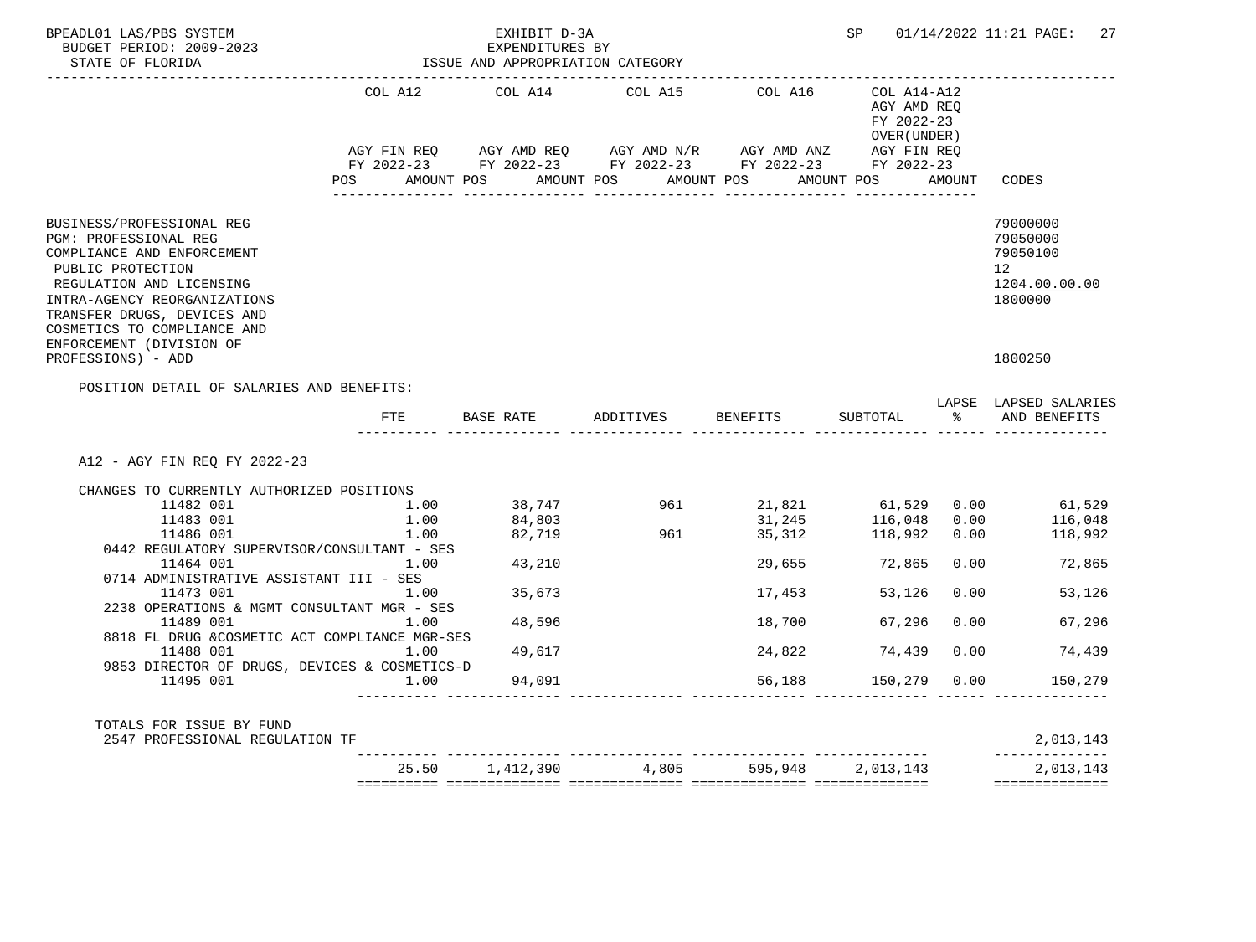| BPEADL01 LAS/PBS SYSTEM<br>BUDGET PERIOD: 2009-2023<br>STATE OF FLORIDA                                                                                                                                 |      | EXHIBIT D-3A<br>EXPENDITURES BY<br>ISSUE AND APPROPRIATION CATEGORY<br>_________________________________ |                                                                                                                                                                                                   |                     |                                             |      | SP 01/14/2022 11:21 PAGE: 27                                       |
|---------------------------------------------------------------------------------------------------------------------------------------------------------------------------------------------------------|------|----------------------------------------------------------------------------------------------------------|---------------------------------------------------------------------------------------------------------------------------------------------------------------------------------------------------|---------------------|---------------------------------------------|------|--------------------------------------------------------------------|
|                                                                                                                                                                                                         |      | COL A12 COL A14                                                                                          | COL A15                                                                                                                                                                                           | COL A16 COL A14-A12 | AGY AMD REO<br>FY 2022-23<br>OVER ( UNDER ) |      |                                                                    |
|                                                                                                                                                                                                         |      |                                                                                                          | AGY FIN REQ       AGY AMD REQ       AGY AMD N/R       AGY AMD ANZ        AGY FIN REQ<br>FY 2022-23        FY 2022-23       FY 2022-23        FY 2022-23        FY 2022-23                         |                     |                                             |      |                                                                    |
|                                                                                                                                                                                                         |      |                                                                                                          | POS AMOUNT POS AMOUNT POS AMOUNT POS AMOUNT POS AMOUNT CODES                                                                                                                                      |                     |                                             |      |                                                                    |
|                                                                                                                                                                                                         |      |                                                                                                          |                                                                                                                                                                                                   |                     |                                             |      |                                                                    |
| BUSINESS/PROFESSIONAL REG<br><b>PGM: PROFESSIONAL REG</b><br>COMPLIANCE AND ENFORCEMENT<br>PUBLIC PROTECTION<br>REGULATION AND LICENSING<br>INTRA-AGENCY REORGANIZATIONS<br>TRANSFER DRUGS, DEVICES AND |      |                                                                                                          |                                                                                                                                                                                                   |                     |                                             |      | 79000000<br>79050000<br>79050100<br>12<br>1204.00.00.00<br>1800000 |
| COSMETICS TO COMPLIANCE AND<br>ENFORCEMENT (DIVISION OF<br>PROFESSIONS) - ADD                                                                                                                           |      |                                                                                                          |                                                                                                                                                                                                   |                     |                                             |      | 1800250                                                            |
| POSITION DETAIL OF SALARIES AND BENEFITS:                                                                                                                                                               |      |                                                                                                          |                                                                                                                                                                                                   |                     |                                             |      |                                                                    |
|                                                                                                                                                                                                         | FTE  |                                                                                                          |                                                                                                                                                                                                   |                     |                                             |      | LAPSE LAPSED SALARIES<br>SUBTOTAL % AND BENEFITS                   |
| A12 - AGY FIN REO FY 2022-23                                                                                                                                                                            |      |                                                                                                          |                                                                                                                                                                                                   |                     |                                             |      |                                                                    |
| CHANGES TO CURRENTLY AUTHORIZED POSITIONS                                                                                                                                                               |      |                                                                                                          |                                                                                                                                                                                                   |                     |                                             |      |                                                                    |
| 11482 001                                                                                                                                                                                               |      |                                                                                                          | $1.00$ $38,747$ $961$ $21,821$ $61,529$ $0.00$ $61,529$<br>$1.00$ $84,803$ $1.00$ $82,719$ $961$ $31,245$ $116,048$ $0.00$ $116,048$<br>$1.00$ $82,719$ $961$ $35,312$ $118,992$ $0.00$ $118,992$ |                     |                                             |      |                                                                    |
| 11483 001                                                                                                                                                                                               |      |                                                                                                          |                                                                                                                                                                                                   |                     |                                             |      |                                                                    |
| 11486 001                                                                                                                                                                                               |      |                                                                                                          |                                                                                                                                                                                                   |                     |                                             |      |                                                                    |
| 0442 REGULATORY SUPERVISOR/CONSULTANT - SES<br>11464 001 1.00 43,210                                                                                                                                    |      |                                                                                                          |                                                                                                                                                                                                   |                     |                                             |      | 29,655 72,865 0.00 72,865                                          |
| 0714 ADMINISTRATIVE ASSISTANT III - SES                                                                                                                                                                 |      |                                                                                                          |                                                                                                                                                                                                   |                     |                                             |      |                                                                    |
| 11473 001                                                                                                                                                                                               | 1.00 | 35,673                                                                                                   |                                                                                                                                                                                                   | 17,453              | 53,126                                      | 0.00 | 53,126                                                             |
| 2238 OPERATIONS & MGMT CONSULTANT MGR - SES                                                                                                                                                             |      |                                                                                                          |                                                                                                                                                                                                   |                     |                                             |      |                                                                    |
| 11489 001<br>8818 FL DRUG &COSMETIC ACT COMPLIANCE MGR-SES                                                                                                                                              | 1.00 | 48,596                                                                                                   |                                                                                                                                                                                                   | 18,700              | 67,296                                      | 0.00 | 67,296                                                             |
| 11488 001                                                                                                                                                                                               | 1.00 | 49,617                                                                                                   |                                                                                                                                                                                                   | 24,822              | 74,439 0.00                                 |      | 74,439                                                             |
| 9853 DIRECTOR OF DRUGS, DEVICES & COSMETICS-D<br>11495 001                                                                                                                                              |      | $1.00$ 94,091                                                                                            |                                                                                                                                                                                                   | 56,188              | 150,279 0.00                                |      | 150,279                                                            |
| TOTALS FOR ISSUE BY FUND<br>2547 PROFESSIONAL REGULATION TF                                                                                                                                             |      |                                                                                                          |                                                                                                                                                                                                   |                     |                                             |      | 2,013,143                                                          |
|                                                                                                                                                                                                         |      |                                                                                                          | 25.50 1,412,390 4,805 595,948 2,013,143                                                                                                                                                           |                     |                                             |      | 2,013,143                                                          |
|                                                                                                                                                                                                         |      |                                                                                                          |                                                                                                                                                                                                   |                     |                                             |      | ==============                                                     |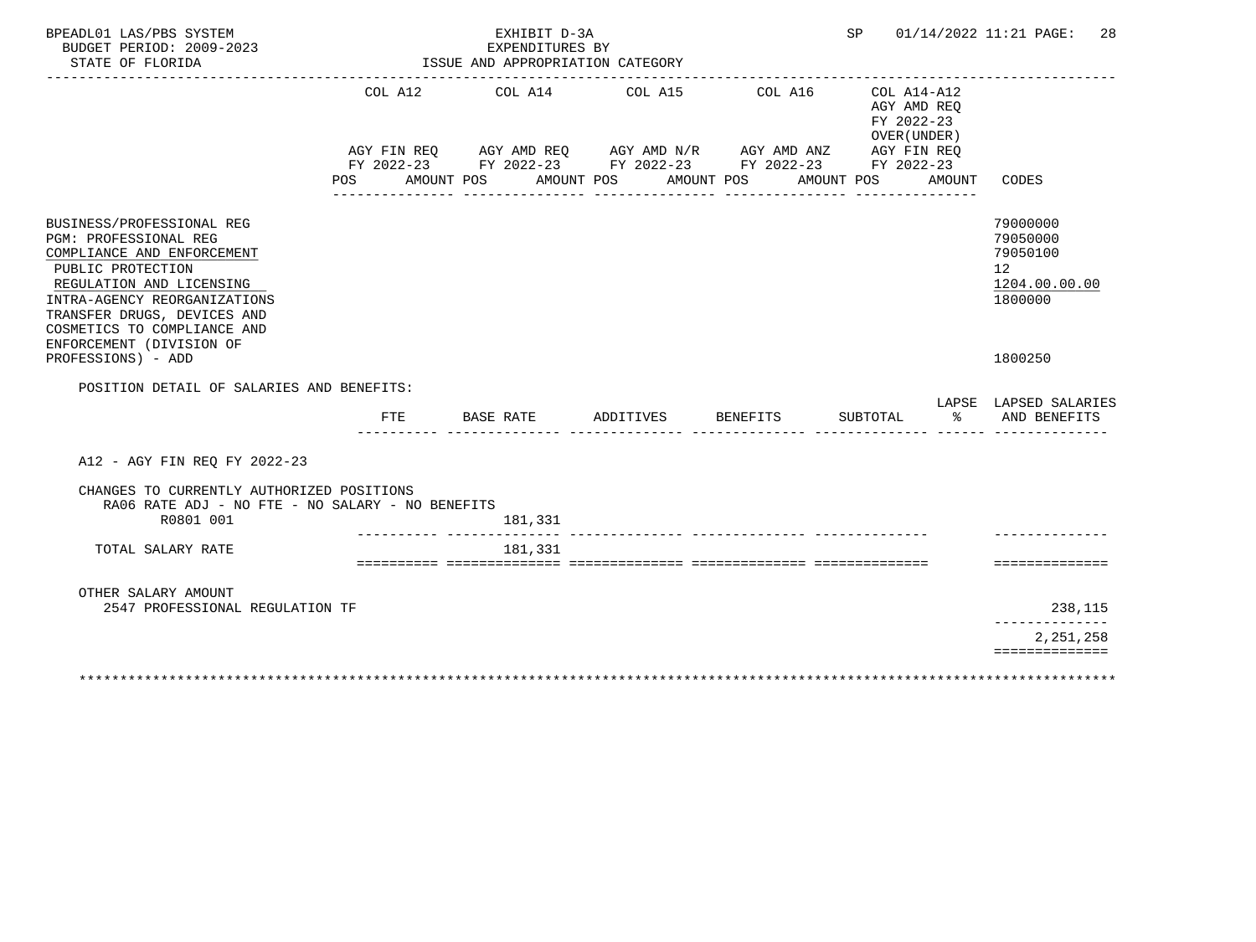| COL A12 COL A14 COL A15<br>COL A16<br>COL A14-A12<br>AGY AMD REO<br>FY 2022-23<br>OVER (UNDER)<br>AGY FIN REQ AGY AMD REQ AGY AMD N/R AGY AMD ANZ AGY FIN REQ<br>FY 2022-23 FY 2022-23 FY 2022-23 FY 2022-23 FY 2022-23<br>AMOUNT POS<br>AMOUNT POS<br>AMOUNT POS<br>AMOUNT POS<br><b>POS</b><br>AMOUNT<br>CODES<br>79000000<br>BUSINESS/PROFESSIONAL REG<br>79050000<br>PGM: PROFESSIONAL REG<br>79050100<br>COMPLIANCE AND ENFORCEMENT<br>PUBLIC PROTECTION<br>12 <sup>°</sup><br>REGULATION AND LICENSING<br>INTRA-AGENCY REORGANIZATIONS<br>1800000<br>TRANSFER DRUGS, DEVICES AND<br>COSMETICS TO COMPLIANCE AND<br>ENFORCEMENT (DIVISION OF<br>PROFESSIONS) - ADD<br>1800250<br>POSITION DETAIL OF SALARIES AND BENEFITS:<br>LAPSE LAPSED SALARIES<br>BASE RATE<br>ADDITIVES<br><b>BENEFITS</b><br>SUBTOTAL<br>ႜೢ<br><b>FTE</b><br>A12 - AGY FIN REQ FY 2022-23<br>CHANGES TO CURRENTLY AUTHORIZED POSITIONS<br>RA06 RATE ADJ - NO FTE - NO SALARY - NO BENEFITS<br>R0801 001<br>181,331<br>TOTAL SALARY RATE<br>181,331<br>OTHER SALARY AMOUNT<br>2547 PROFESSIONAL REGULATION TF | BPEADL01 LAS/PBS SYSTEM<br>BUDGET PERIOD: 2009-2023<br>STATE OF FLORIDA | EXHIBIT D-3A<br>EXPENDITURES BY<br>ISSUE AND APPROPRIATION CATEGORY |  | SP | 01/14/2022 11:21 PAGE:<br>28  |
|------------------------------------------------------------------------------------------------------------------------------------------------------------------------------------------------------------------------------------------------------------------------------------------------------------------------------------------------------------------------------------------------------------------------------------------------------------------------------------------------------------------------------------------------------------------------------------------------------------------------------------------------------------------------------------------------------------------------------------------------------------------------------------------------------------------------------------------------------------------------------------------------------------------------------------------------------------------------------------------------------------------------------------------------------------------------------------------|-------------------------------------------------------------------------|---------------------------------------------------------------------|--|----|-------------------------------|
|                                                                                                                                                                                                                                                                                                                                                                                                                                                                                                                                                                                                                                                                                                                                                                                                                                                                                                                                                                                                                                                                                          |                                                                         |                                                                     |  |    |                               |
|                                                                                                                                                                                                                                                                                                                                                                                                                                                                                                                                                                                                                                                                                                                                                                                                                                                                                                                                                                                                                                                                                          |                                                                         |                                                                     |  |    | 1204.00.00.00                 |
|                                                                                                                                                                                                                                                                                                                                                                                                                                                                                                                                                                                                                                                                                                                                                                                                                                                                                                                                                                                                                                                                                          |                                                                         |                                                                     |  |    |                               |
|                                                                                                                                                                                                                                                                                                                                                                                                                                                                                                                                                                                                                                                                                                                                                                                                                                                                                                                                                                                                                                                                                          |                                                                         |                                                                     |  |    |                               |
|                                                                                                                                                                                                                                                                                                                                                                                                                                                                                                                                                                                                                                                                                                                                                                                                                                                                                                                                                                                                                                                                                          |                                                                         |                                                                     |  |    | AND BENEFITS                  |
|                                                                                                                                                                                                                                                                                                                                                                                                                                                                                                                                                                                                                                                                                                                                                                                                                                                                                                                                                                                                                                                                                          |                                                                         |                                                                     |  |    |                               |
|                                                                                                                                                                                                                                                                                                                                                                                                                                                                                                                                                                                                                                                                                                                                                                                                                                                                                                                                                                                                                                                                                          |                                                                         |                                                                     |  |    |                               |
|                                                                                                                                                                                                                                                                                                                                                                                                                                                                                                                                                                                                                                                                                                                                                                                                                                                                                                                                                                                                                                                                                          |                                                                         |                                                                     |  |    |                               |
|                                                                                                                                                                                                                                                                                                                                                                                                                                                                                                                                                                                                                                                                                                                                                                                                                                                                                                                                                                                                                                                                                          |                                                                         |                                                                     |  |    | ==============                |
|                                                                                                                                                                                                                                                                                                                                                                                                                                                                                                                                                                                                                                                                                                                                                                                                                                                                                                                                                                                                                                                                                          |                                                                         |                                                                     |  |    | 238,115                       |
|                                                                                                                                                                                                                                                                                                                                                                                                                                                                                                                                                                                                                                                                                                                                                                                                                                                                                                                                                                                                                                                                                          |                                                                         |                                                                     |  |    | ______________<br>2, 251, 258 |
|                                                                                                                                                                                                                                                                                                                                                                                                                                                                                                                                                                                                                                                                                                                                                                                                                                                                                                                                                                                                                                                                                          |                                                                         |                                                                     |  |    | ==============                |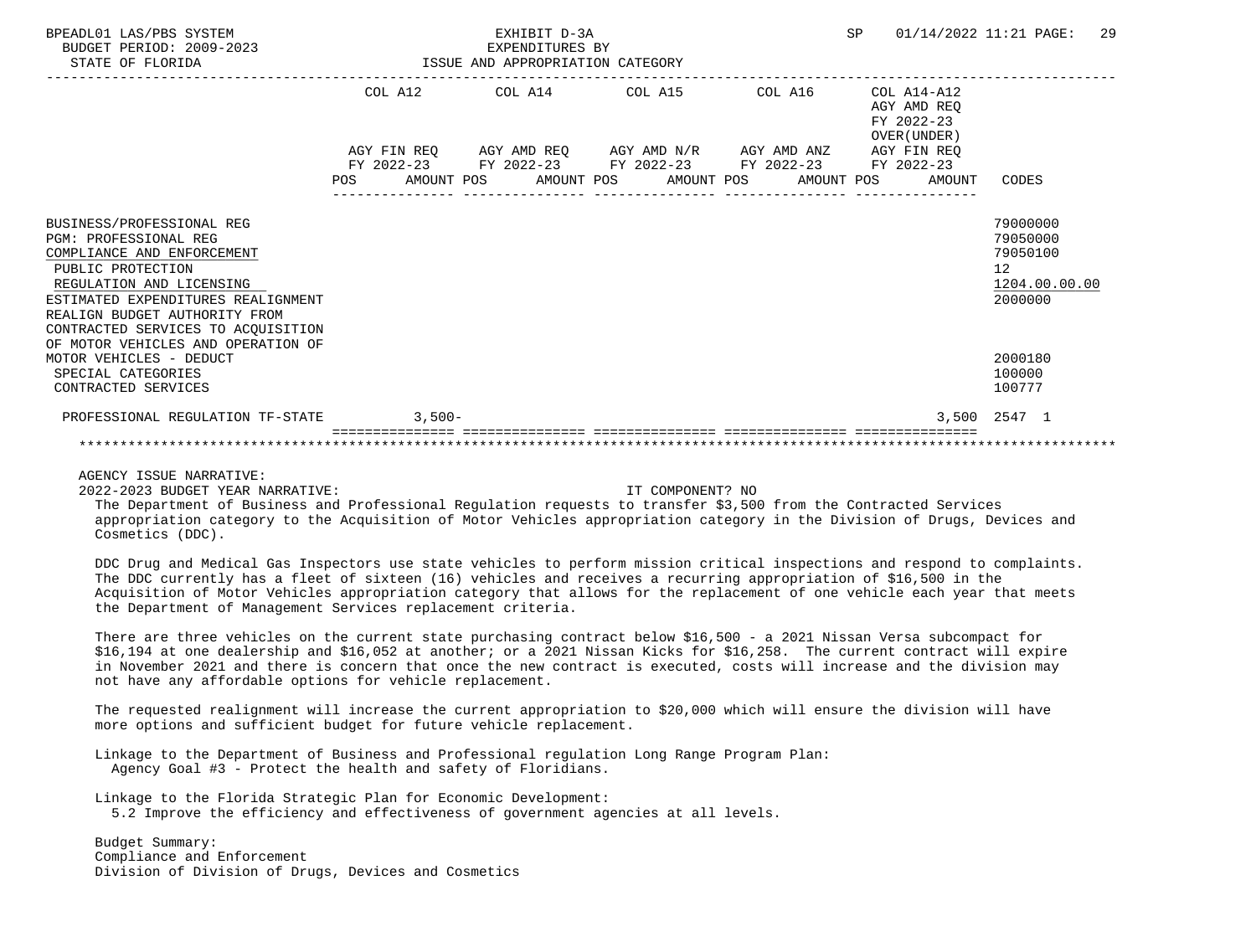| BPEADL01 LAS/PBS SYSTEM<br>BUDGET PERIOD: 2009-2023<br>STATE OF FLORIDA                                                                                                                                                                                                                     |  | EXPENDITURES BY<br>ISSUE AND APPROPRIATION CATEGORY                                            | EXHIBIT D-3A |  | SP |  | 01/14/2022 11:21 PAGE:                                       | 29                                                                 |  |
|---------------------------------------------------------------------------------------------------------------------------------------------------------------------------------------------------------------------------------------------------------------------------------------------|--|------------------------------------------------------------------------------------------------|--------------|--|----|--|--------------------------------------------------------------|--------------------------------------------------------------------|--|
|                                                                                                                                                                                                                                                                                             |  | COL A12 COL A14 COL A15 COL A16<br>AGY FIN REQ AGY AMD REQ AGY AMD N/R AGY AMD ANZ AGY FIN REQ |              |  |    |  | COL A14-A12<br>AGY AMD REO<br>FY 2022-23<br>OVER (UNDER)     |                                                                    |  |
|                                                                                                                                                                                                                                                                                             |  | FY 2022-23 FY 2022-23 FY 2022-23 FY 2022-23 FY 2022-23                                         |              |  |    |  |                                                              |                                                                    |  |
|                                                                                                                                                                                                                                                                                             |  |                                                                                                |              |  |    |  | POS AMOUNT POS AMOUNT POS AMOUNT POS AMOUNT POS AMOUNT CODES |                                                                    |  |
| BUSINESS/PROFESSIONAL REG<br><b>PGM: PROFESSIONAL REG</b><br>COMPLIANCE AND ENFORCEMENT<br>PUBLIC PROTECTION<br>REGULATION AND LICENSING<br>ESTIMATED EXPENDITURES REALIGNMENT<br>REALIGN BUDGET AUTHORITY FROM<br>CONTRACTED SERVICES TO ACOUISITION<br>OF MOTOR VEHICLES AND OPERATION OF |  |                                                                                                |              |  |    |  |                                                              | 79000000<br>79050000<br>79050100<br>12<br>1204.00.00.00<br>2000000 |  |
| MOTOR VEHICLES - DEDUCT<br>SPECIAL CATEGORIES<br>CONTRACTED SERVICES                                                                                                                                                                                                                        |  |                                                                                                |              |  |    |  |                                                              | 2000180<br>100000<br>100777                                        |  |
| PROFESSIONAL REGULATION TF-STATE 3,500-                                                                                                                                                                                                                                                     |  |                                                                                                |              |  |    |  |                                                              | 3,500 2547 1                                                       |  |
|                                                                                                                                                                                                                                                                                             |  |                                                                                                |              |  |    |  |                                                              |                                                                    |  |

## AGENCY ISSUE NARRATIVE:

2022-2023 BUDGET YEAR NARRATIVE: IT COMPONENT? NO

 The Department of Business and Professional Regulation requests to transfer \$3,500 from the Contracted Services appropriation category to the Acquisition of Motor Vehicles appropriation category in the Division of Drugs, Devices and Cosmetics (DDC).

 DDC Drug and Medical Gas Inspectors use state vehicles to perform mission critical inspections and respond to complaints. The DDC currently has a fleet of sixteen (16) vehicles and receives a recurring appropriation of \$16,500 in the Acquisition of Motor Vehicles appropriation category that allows for the replacement of one vehicle each year that meets the Department of Management Services replacement criteria.

 There are three vehicles on the current state purchasing contract below \$16,500 - a 2021 Nissan Versa subcompact for \$16,194 at one dealership and \$16,052 at another; or a 2021 Nissan Kicks for \$16,258. The current contract will expire in November 2021 and there is concern that once the new contract is executed, costs will increase and the division may not have any affordable options for vehicle replacement.

 The requested realignment will increase the current appropriation to \$20,000 which will ensure the division will have more options and sufficient budget for future vehicle replacement.

 Linkage to the Department of Business and Professional regulation Long Range Program Plan: Agency Goal #3 - Protect the health and safety of Floridians.

Linkage to the Florida Strategic Plan for Economic Development:

5.2 Improve the efficiency and effectiveness of government agencies at all levels.

 Budget Summary: Compliance and Enforcement Division of Division of Drugs, Devices and Cosmetics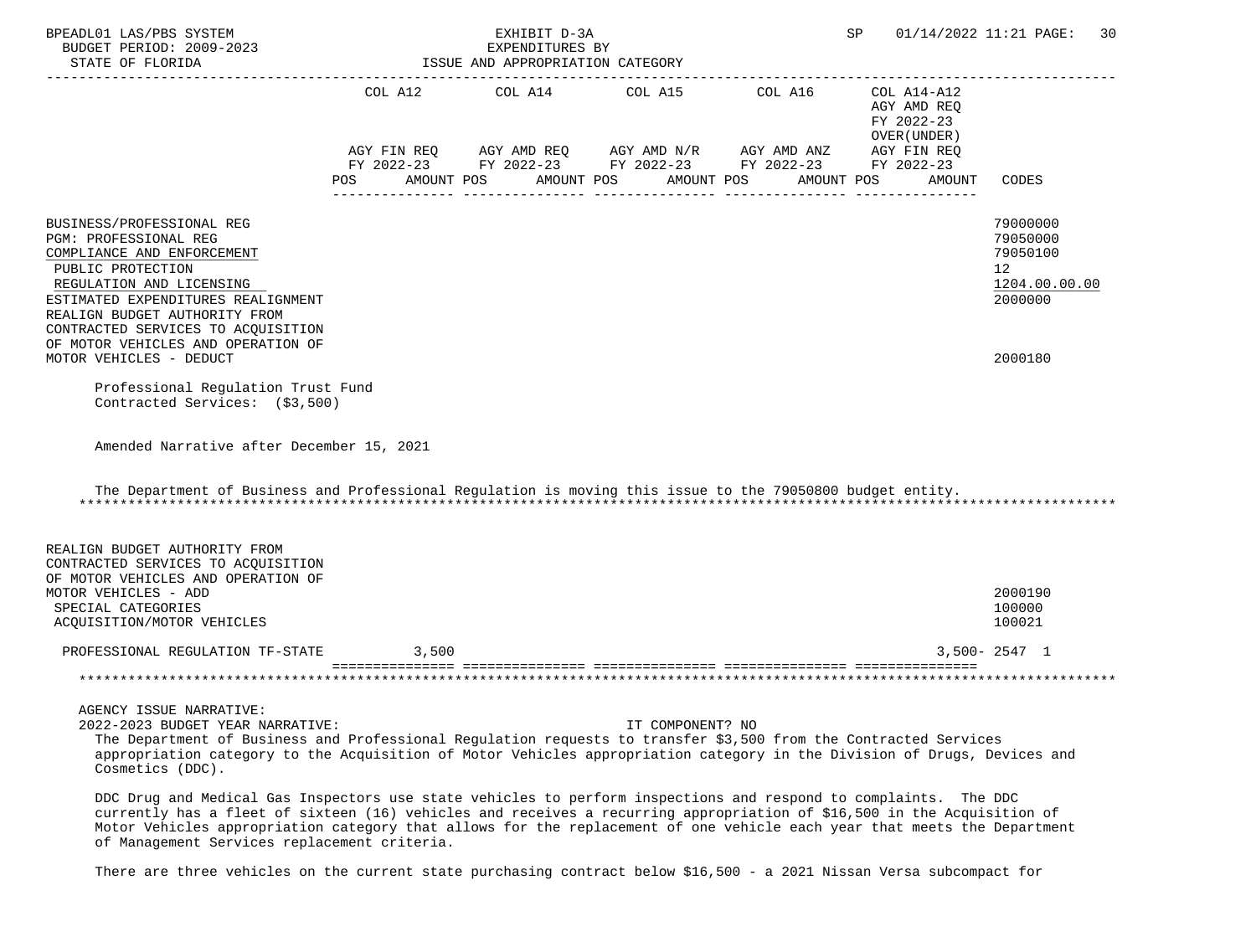| BPEADL01 LAS/PBS SYSTEM<br>BUDGET PERIOD: 2009-2023<br>STATE OF FLORIDA                                                                                                                                                                                                                                                         |                                | EXHIBIT D-3A<br>EXPENDITURES BY<br>ISSUE AND APPROPRIATION CATEGORY |                  |                                                                                                            | SP.                                                      | 01/14/2022 11:21 PAGE:<br>30                                       |
|---------------------------------------------------------------------------------------------------------------------------------------------------------------------------------------------------------------------------------------------------------------------------------------------------------------------------------|--------------------------------|---------------------------------------------------------------------|------------------|------------------------------------------------------------------------------------------------------------|----------------------------------------------------------|--------------------------------------------------------------------|
|                                                                                                                                                                                                                                                                                                                                 | COL A12                        |                                                                     |                  | COL A14 COL A15 COL A16                                                                                    | COL A14-A12<br>AGY AMD REQ<br>FY 2022-23<br>OVER (UNDER) |                                                                    |
|                                                                                                                                                                                                                                                                                                                                 | POS FOR THE POST OF THE STREET | AMOUNT POS AMOUNT POS                                               |                  | AGY FIN REQ AGY AMD REQ AGY AMD N/R AGY AMD ANZ AGY FIN REQ FY 2022-23 FY 2022-23 FY 2022-23<br>AMOUNT POS | AMOUNT POS<br>AMOUNT                                     | CODES                                                              |
| BUSINESS/PROFESSIONAL REG<br><b>PGM: PROFESSIONAL REG</b><br>COMPLIANCE AND ENFORCEMENT<br>PUBLIC PROTECTION<br>REGULATION AND LICENSING<br>ESTIMATED EXPENDITURES REALIGNMENT<br>REALIGN BUDGET AUTHORITY FROM<br>CONTRACTED SERVICES TO ACQUISITION<br>OF MOTOR VEHICLES AND OPERATION OF                                     |                                |                                                                     |                  |                                                                                                            |                                                          | 79000000<br>79050000<br>79050100<br>12<br>1204.00.00.00<br>2000000 |
| MOTOR VEHICLES - DEDUCT                                                                                                                                                                                                                                                                                                         |                                |                                                                     |                  |                                                                                                            |                                                          | 2000180                                                            |
| Professional Requlation Trust Fund<br>Contracted Services: (\$3,500)                                                                                                                                                                                                                                                            |                                |                                                                     |                  |                                                                                                            |                                                          |                                                                    |
| Amended Narrative after December 15, 2021                                                                                                                                                                                                                                                                                       |                                |                                                                     |                  |                                                                                                            |                                                          |                                                                    |
| The Department of Business and Professional Regulation is moving this issue to the 79050800 budget entity.                                                                                                                                                                                                                      |                                |                                                                     |                  |                                                                                                            |                                                          |                                                                    |
| REALIGN BUDGET AUTHORITY FROM<br>CONTRACTED SERVICES TO ACQUISITION<br>OF MOTOR VEHICLES AND OPERATION OF<br>MOTOR VEHICLES - ADD<br>SPECIAL CATEGORIES                                                                                                                                                                         |                                |                                                                     |                  |                                                                                                            |                                                          | 2000190<br>100000                                                  |
| ACQUISITION/MOTOR VEHICLES                                                                                                                                                                                                                                                                                                      |                                |                                                                     |                  |                                                                                                            |                                                          | 100021                                                             |
| PROFESSIONAL REGULATION TF-STATE                                                                                                                                                                                                                                                                                                | 3,500                          |                                                                     |                  |                                                                                                            |                                                          | $3,500 - 2547$ 1                                                   |
|                                                                                                                                                                                                                                                                                                                                 |                                |                                                                     |                  |                                                                                                            |                                                          |                                                                    |
| AGENCY ISSUE NARRATIVE:<br>2022-2023 BUDGET YEAR NARRATIVE:<br>The Department of Business and Professional Regulation requests to transfer \$3,500 from the Contracted Services<br>appropriation category to the Acquisition of Motor Vehicles appropriation category in the Division of Drugs, Devices and<br>Cosmetics (DDC). |                                |                                                                     | IT COMPONENT? NO |                                                                                                            |                                                          |                                                                    |
| DDC Drug and Medical Gas Inspectors use state vehicles to perform inspections and respond to complaints. The DDC<br>currently has a fleet of sixteen (16) vehicles and receives a recurring appropriation of \$16,500 in the Acquisition of                                                                                     |                                |                                                                     |                  |                                                                                                            |                                                          |                                                                    |

 Motor Vehicles appropriation category that allows for the replacement of one vehicle each year that meets the Department of Management Services replacement criteria.

There are three vehicles on the current state purchasing contract below \$16,500 - a 2021 Nissan Versa subcompact for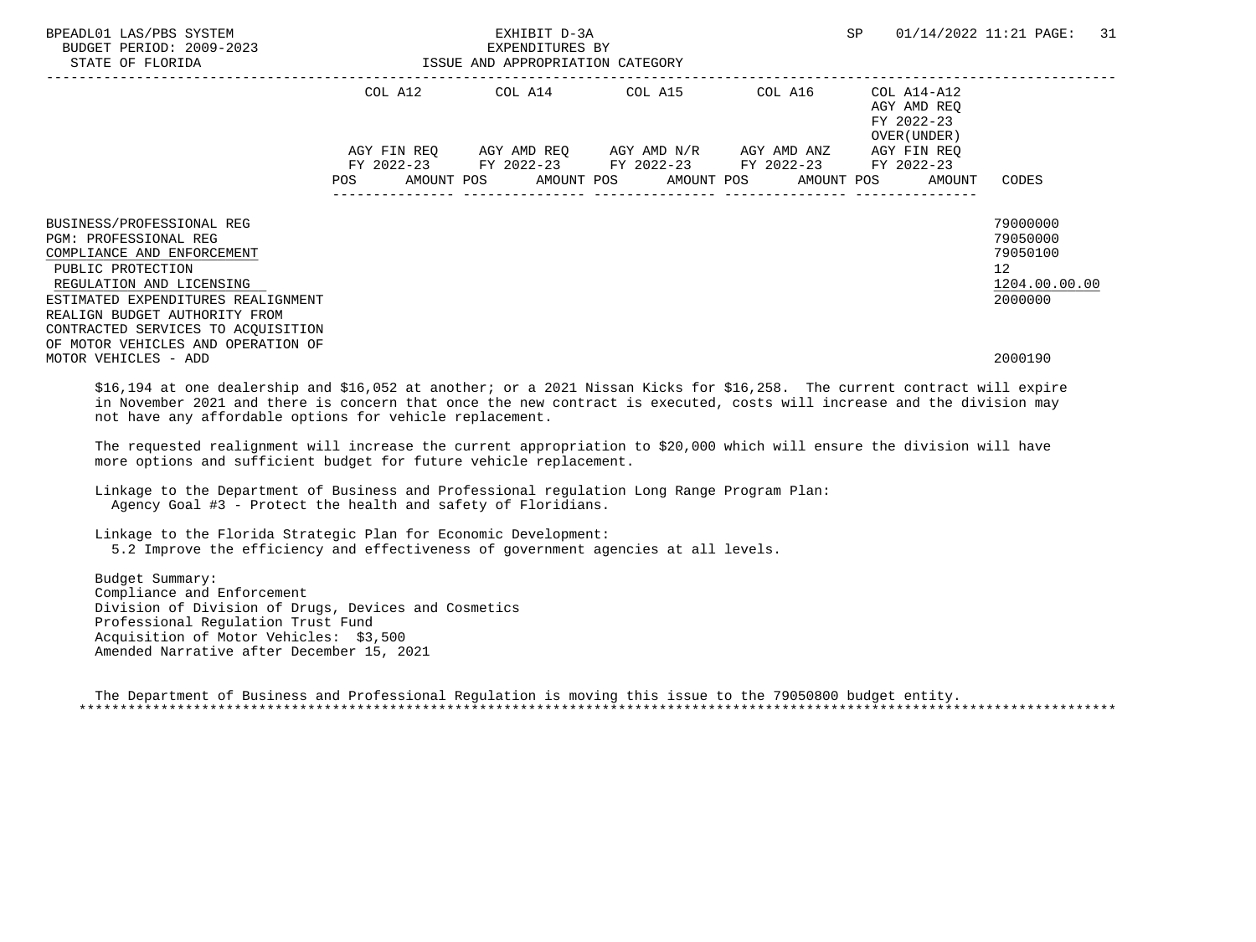| BPEADL01 LAS/PBS SYSTEM<br>BUDGET PERIOD: 2009-2023<br>STATE OF FLORIDA                                                               | SP<br>EXHIBIT D-3A<br>EXPENDITURES BY<br>ISSUE AND APPROPRIATION CATEGORY |             |  |                                                                        |  |  |  |             |  |                                                           | 01/14/2022 11:21 PAGE: 31                           |               |  |
|---------------------------------------------------------------------------------------------------------------------------------------|---------------------------------------------------------------------------|-------------|--|------------------------------------------------------------------------|--|--|--|-------------|--|-----------------------------------------------------------|-----------------------------------------------------|---------------|--|
|                                                                                                                                       |                                                                           |             |  | COL A12 COL A14 COL A15                                                |  |  |  | COL A16     |  | COL A14-A12<br>AGY AMD REO<br>FY 2022-23<br>OVER (UNDER ) |                                                     |               |  |
|                                                                                                                                       |                                                                           | AGY FIN REO |  | AGY AMD REO AGY AMD N/R<br>FY 2022-23 FY 2022-23 FY 2022-23 FY 2022-23 |  |  |  | AGY AMD ANZ |  | AGY FIN REO<br>FY 2022-23                                 |                                                     |               |  |
|                                                                                                                                       | POS                                                                       |             |  |                                                                        |  |  |  |             |  | AMOUNT POS AMOUNT POS AMOUNT POS AMOUNT POS AMOUNT CODES  |                                                     |               |  |
| BUSINESS/PROFESSIONAL REG<br><b>PGM: PROFESSIONAL REG</b><br>COMPLIANCE AND ENFORCEMENT<br>PUBLIC PROTECTION                          |                                                                           |             |  |                                                                        |  |  |  |             |  |                                                           | 79000000<br>79050000<br>79050100<br>12 <sup>°</sup> |               |  |
| REGULATION AND LICENSING<br>ESTIMATED EXPENDITURES REALIGNMENT<br>REALIGN BUDGET AUTHORITY FROM<br>CONTRACTED SERVICES TO ACOUISITION |                                                                           |             |  |                                                                        |  |  |  |             |  |                                                           | 2000000                                             | 1204.00.00.00 |  |
| OF MOTOR VEHICLES AND OPERATION OF<br>MOTOR VEHICLES - ADD                                                                            |                                                                           |             |  |                                                                        |  |  |  |             |  |                                                           | 2000190                                             |               |  |

 \$16,194 at one dealership and \$16,052 at another; or a 2021 Nissan Kicks for \$16,258. The current contract will expire in November 2021 and there is concern that once the new contract is executed, costs will increase and the division may not have any affordable options for vehicle replacement.

 The requested realignment will increase the current appropriation to \$20,000 which will ensure the division will have more options and sufficient budget for future vehicle replacement.

 Linkage to the Department of Business and Professional regulation Long Range Program Plan: Agency Goal #3 - Protect the health and safety of Floridians.

 Linkage to the Florida Strategic Plan for Economic Development: 5.2 Improve the efficiency and effectiveness of government agencies at all levels.

 Budget Summary: Compliance and Enforcement Division of Division of Drugs, Devices and Cosmetics Professional Regulation Trust Fund Acquisition of Motor Vehicles: \$3,500 Amended Narrative after December 15, 2021

 The Department of Business and Professional Regulation is moving this issue to the 79050800 budget entity. \*\*\*\*\*\*\*\*\*\*\*\*\*\*\*\*\*\*\*\*\*\*\*\*\*\*\*\*\*\*\*\*\*\*\*\*\*\*\*\*\*\*\*\*\*\*\*\*\*\*\*\*\*\*\*\*\*\*\*\*\*\*\*\*\*\*\*\*\*\*\*\*\*\*\*\*\*\*\*\*\*\*\*\*\*\*\*\*\*\*\*\*\*\*\*\*\*\*\*\*\*\*\*\*\*\*\*\*\*\*\*\*\*\*\*\*\*\*\*\*\*\*\*\*\*\*\*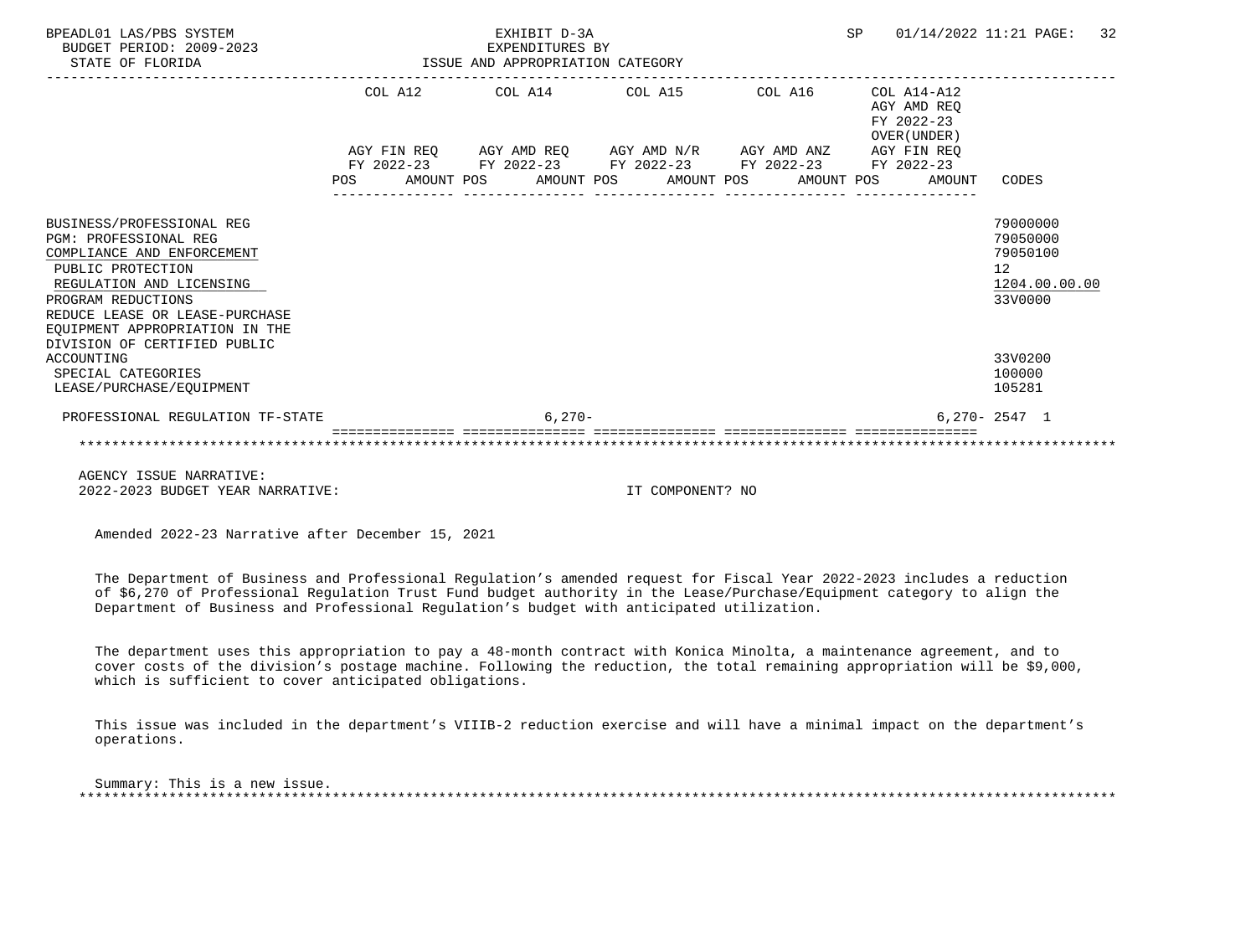| BPEADL01 LAS/PBS SYSTEM<br>BUDGET PERIOD: 2009-2023<br>STATE OF FLORIDA                                                                                                                                                                                            | ISSUE AND APPROPRIATION CATEGORY |  | EXHIBIT D-3A<br>EXPENDITURES BY |                                                                                                         | SP                                                                                                                                                                                          | 01/14/2022 11:21 PAGE: |  |        | 32                                                |               |  |
|--------------------------------------------------------------------------------------------------------------------------------------------------------------------------------------------------------------------------------------------------------------------|----------------------------------|--|---------------------------------|---------------------------------------------------------------------------------------------------------|---------------------------------------------------------------------------------------------------------------------------------------------------------------------------------------------|------------------------|--|--------|---------------------------------------------------|---------------|--|
|                                                                                                                                                                                                                                                                    |                                  |  | COL A12 COL A14 COL A15 COL A16 |                                                                                                         | $COL A14- A12$<br>AGY AMD REO<br>FY 2022-23<br>OVER (UNDER)<br>$\verb AGY FIN REQ  \qquad \verb AGY AMD REQ  \qquad \verb AGY AMD N/R  \qquad \verb AGY AMD ANZ  \qquad \verb AGY FIN REQ $ |                        |  |        |                                                   |               |  |
|                                                                                                                                                                                                                                                                    | FY 2022-23<br><b>POS</b>         |  |                                 | FY 2022-23 FY 2022-23 FY 2022-23 FY 2022-23<br>AMOUNT POS      AMOUNT POS     AMOUNT POS     AMOUNT POS |                                                                                                                                                                                             |                        |  | AMOUNT | CODES                                             |               |  |
| BUSINESS/PROFESSIONAL REG<br><b>PGM: PROFESSIONAL REG</b><br>COMPLIANCE AND ENFORCEMENT<br>PUBLIC PROTECTION<br>REGULATION AND LICENSING<br>PROGRAM REDUCTIONS<br>REDUCE LEASE OR LEASE-PURCHASE<br>EQUIPMENT APPROPRIATION IN THE<br>DIVISION OF CERTIFIED PUBLIC |                                  |  |                                 |                                                                                                         |                                                                                                                                                                                             |                        |  |        | 79000000<br>79050000<br>79050100<br>12<br>33V0000 | 1204.00.00.00 |  |
| ACCOUNTING<br>SPECIAL CATEGORIES<br>LEASE/PURCHASE/EOUIPMENT                                                                                                                                                                                                       |                                  |  |                                 |                                                                                                         |                                                                                                                                                                                             |                        |  |        | 33V0200<br>100000<br>105281                       |               |  |
| PROFESSIONAL REGULATION TF-STATE                                                                                                                                                                                                                                   |                                  |  | $6.270-$                        |                                                                                                         |                                                                                                                                                                                             |                        |  |        | $6.270 - 2547$ 1                                  |               |  |
|                                                                                                                                                                                                                                                                    |                                  |  |                                 |                                                                                                         |                                                                                                                                                                                             |                        |  |        |                                                   |               |  |

 AGENCY ISSUE NARRATIVE: 2022-2023 BUDGET YEAR NARRATIVE: IT COMPONENT? NO

Amended 2022-23 Narrative after December 15, 2021

 The Department of Business and Professional Regulation's amended request for Fiscal Year 2022-2023 includes a reduction of \$6,270 of Professional Regulation Trust Fund budget authority in the Lease/Purchase/Equipment category to align the Department of Business and Professional Regulation's budget with anticipated utilization.

 The department uses this appropriation to pay a 48-month contract with Konica Minolta, a maintenance agreement, and to cover costs of the division's postage machine. Following the reduction, the total remaining appropriation will be \$9,000, which is sufficient to cover anticipated obligations.

 This issue was included in the department's VIIIB-2 reduction exercise and will have a minimal impact on the department's operations.

 Summary: This is a new issue. \*\*\*\*\*\*\*\*\*\*\*\*\*\*\*\*\*\*\*\*\*\*\*\*\*\*\*\*\*\*\*\*\*\*\*\*\*\*\*\*\*\*\*\*\*\*\*\*\*\*\*\*\*\*\*\*\*\*\*\*\*\*\*\*\*\*\*\*\*\*\*\*\*\*\*\*\*\*\*\*\*\*\*\*\*\*\*\*\*\*\*\*\*\*\*\*\*\*\*\*\*\*\*\*\*\*\*\*\*\*\*\*\*\*\*\*\*\*\*\*\*\*\*\*\*\*\*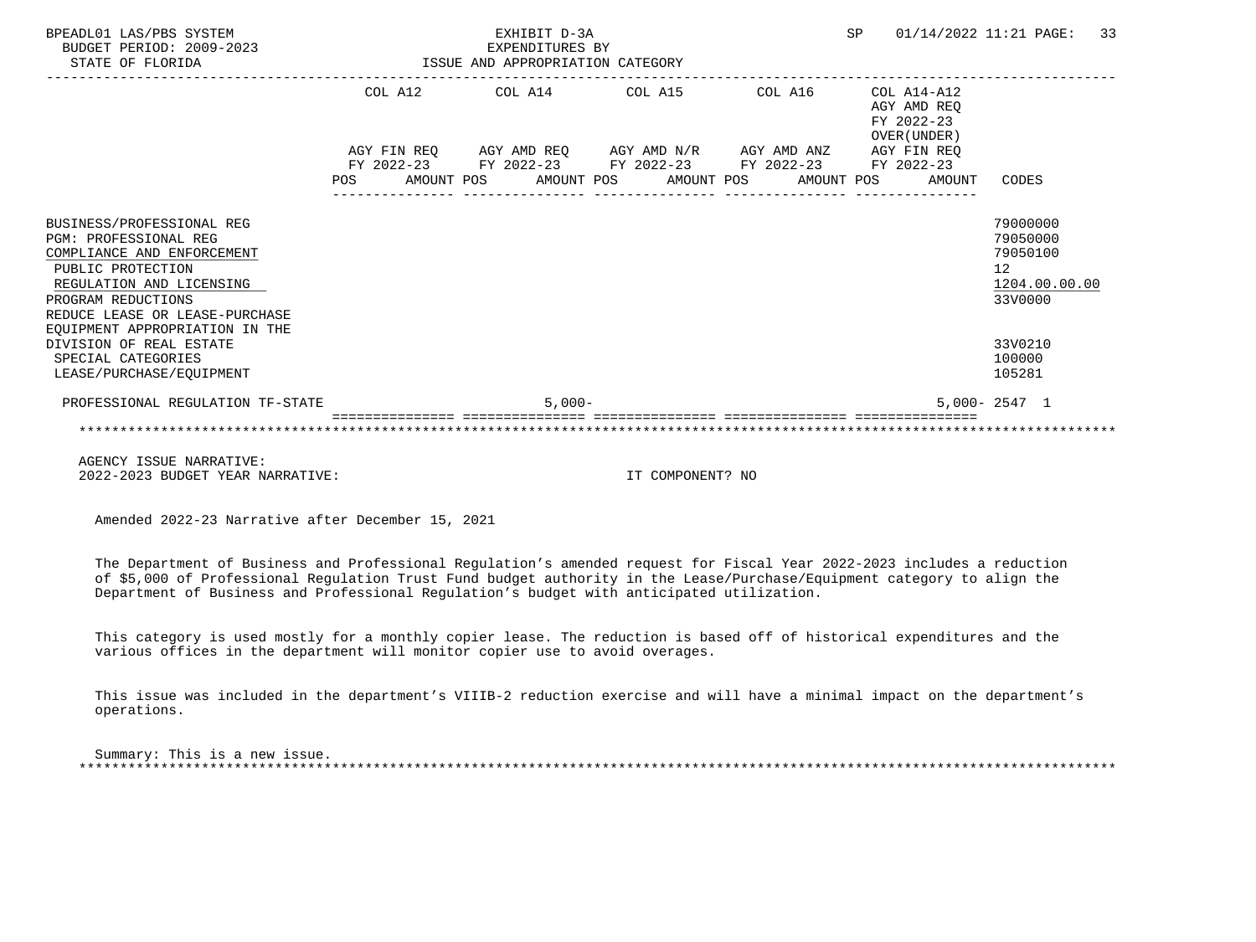| BPEADL01 LAS/PBS SYSTEM<br>BUDGET PERIOD: 2009-2023<br>STATE OF FLORIDA                                                                                        | EXHIBIT D-3A<br>SP<br>EXPENDITURES BY<br>EXPENDITURES BY<br>ISSUE AND APPROPRIATION CATEGORY |                                                                           |  |          |  |                  |                                                             |  |             | 01/14/2022 11:21 PAGE: 33 |                                                                    |  |
|----------------------------------------------------------------------------------------------------------------------------------------------------------------|----------------------------------------------------------------------------------------------|---------------------------------------------------------------------------|--|----------|--|------------------|-------------------------------------------------------------|--|-------------|---------------------------|--------------------------------------------------------------------|--|
|                                                                                                                                                                |                                                                                              | COL A12 COL A14 COL A15 COL A16 COL A14-A12<br>FY 2022-23<br>OVER (UNDER) |  |          |  |                  |                                                             |  | AGY AMD REO |                           |                                                                    |  |
|                                                                                                                                                                |                                                                                              |                                                                           |  |          |  |                  | AGY FIN REQ AGY AMD REQ AGY AMD N/R AGY AMD ANZ AGY FIN REQ |  |             |                           |                                                                    |  |
|                                                                                                                                                                |                                                                                              | FY 2022-23 FY 2022-23 FY 2022-23 FY 2022-23 FY 2022-23                    |  |          |  |                  |                                                             |  |             |                           |                                                                    |  |
|                                                                                                                                                                |                                                                                              | POS AMOUNT POS AMOUNT POS AMOUNT POS AMOUNT POS                           |  |          |  |                  |                                                             |  |             | AMOUNT                    | CODES                                                              |  |
| BUSINESS/PROFESSIONAL REG<br><b>PGM: PROFESSIONAL REG</b><br>COMPLIANCE AND ENFORCEMENT<br>PUBLIC PROTECTION<br>REGULATION AND LICENSING<br>PROGRAM REDUCTIONS |                                                                                              |                                                                           |  |          |  |                  |                                                             |  |             |                           | 79000000<br>79050000<br>79050100<br>12<br>1204.00.00.00<br>33V0000 |  |
| REDUCE LEASE OR LEASE-PURCHASE<br>EQUIPMENT APPROPRIATION IN THE                                                                                               |                                                                                              |                                                                           |  |          |  |                  |                                                             |  |             |                           |                                                                    |  |
| DIVISION OF REAL ESTATE<br>SPECIAL CATEGORIES<br>LEASE/PURCHASE/EOUIPMENT                                                                                      |                                                                                              |                                                                           |  |          |  |                  |                                                             |  |             |                           | 33V0210<br>100000<br>105281                                        |  |
| PROFESSIONAL REGULATION TF-STATE                                                                                                                               |                                                                                              |                                                                           |  | $5,000-$ |  |                  |                                                             |  |             |                           | $5,000 - 2547$ 1                                                   |  |
|                                                                                                                                                                |                                                                                              |                                                                           |  |          |  |                  |                                                             |  |             |                           |                                                                    |  |
| AGENCY ISSUE NARRATIVE:<br>2022-2023 BUDGET YEAR NARRATIVE:                                                                                                    |                                                                                              |                                                                           |  |          |  | IT COMPONENT? NO |                                                             |  |             |                           |                                                                    |  |

 The Department of Business and Professional Regulation's amended request for Fiscal Year 2022-2023 includes a reduction of \$5,000 of Professional Regulation Trust Fund budget authority in the Lease/Purchase/Equipment category to align the Department of Business and Professional Regulation's budget with anticipated utilization.

 This category is used mostly for a monthly copier lease. The reduction is based off of historical expenditures and the various offices in the department will monitor copier use to avoid overages.

 This issue was included in the department's VIIIB-2 reduction exercise and will have a minimal impact on the department's operations.

 Summary: This is a new issue. \*\*\*\*\*\*\*\*\*\*\*\*\*\*\*\*\*\*\*\*\*\*\*\*\*\*\*\*\*\*\*\*\*\*\*\*\*\*\*\*\*\*\*\*\*\*\*\*\*\*\*\*\*\*\*\*\*\*\*\*\*\*\*\*\*\*\*\*\*\*\*\*\*\*\*\*\*\*\*\*\*\*\*\*\*\*\*\*\*\*\*\*\*\*\*\*\*\*\*\*\*\*\*\*\*\*\*\*\*\*\*\*\*\*\*\*\*\*\*\*\*\*\*\*\*\*\*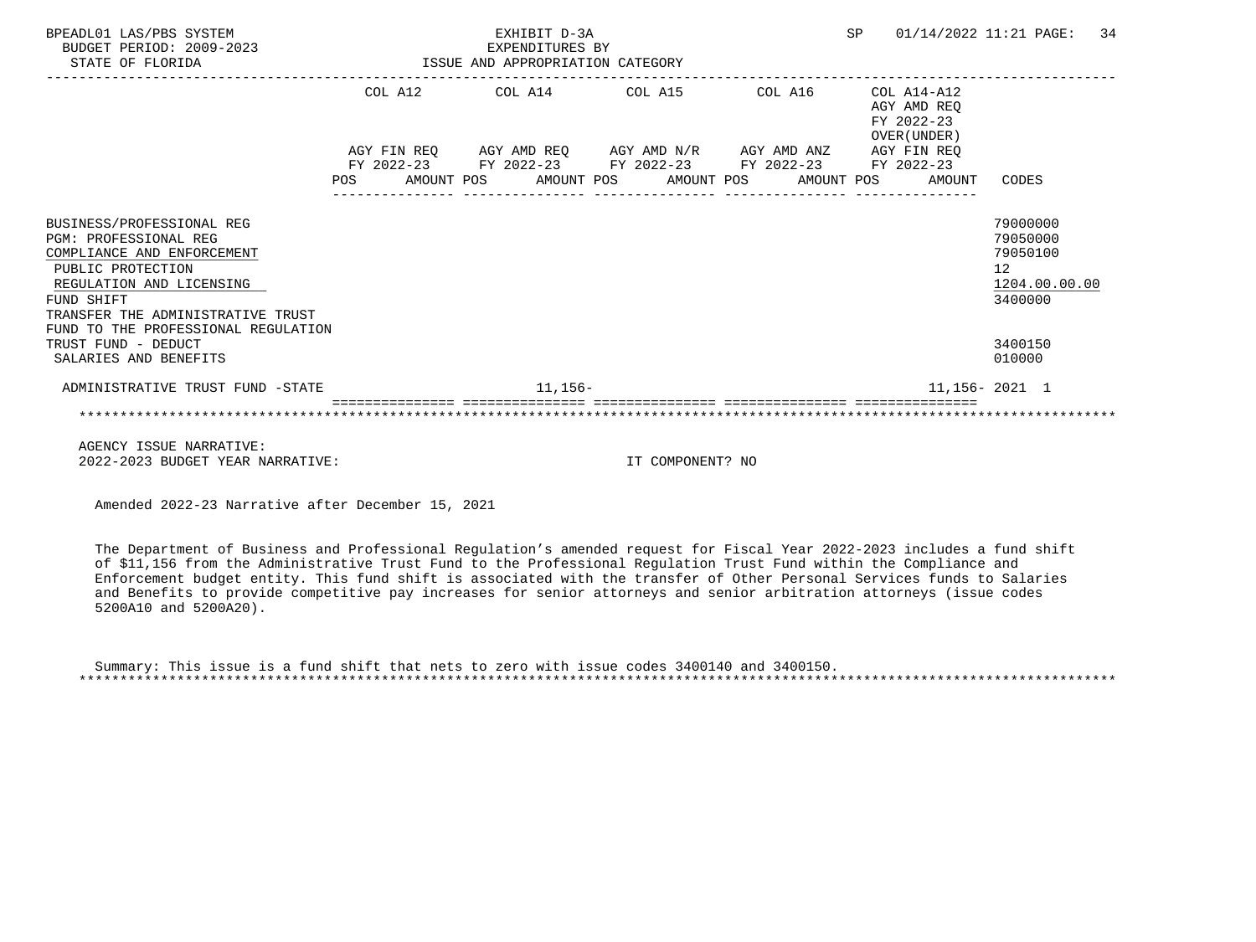| BPEADL01 LAS/PBS SYSTEM<br>BUDGET PERIOD: 2009-2023<br>STATE OF FLORIDA                                                                                                                                                            |     | EXHIBIT D-3A<br>EXPENDITURES BY<br>ISSUE AND APPROPRIATION CATEGORY                                                                                       |                                                              | SP | $01/14/2022$ 11:21 PAGE: 34 |                                                                                 |
|------------------------------------------------------------------------------------------------------------------------------------------------------------------------------------------------------------------------------------|-----|-----------------------------------------------------------------------------------------------------------------------------------------------------------|--------------------------------------------------------------|----|-----------------------------|---------------------------------------------------------------------------------|
|                                                                                                                                                                                                                                    |     | COL A12 COL A14 COL A15 COL A16                                                                                                                           | $COL A14 - A12$<br>AGY AMD REO<br>FY 2022-23<br>OVER (UNDER) |    |                             |                                                                                 |
|                                                                                                                                                                                                                                    | POS | AGY FIN REO AGY AMD REO AGY AMD N/R AGY AMD ANZ AGY FIN REO<br>FY 2022-23 FY 2022-23 FY 2022-23 FY 2022-23 FY 2022-23<br>AMOUNT POS AMOUNT POS AMOUNT POS |                                                              |    | AMOUNT POS<br>AMOUNT        | CODES                                                                           |
| BUSINESS/PROFESSIONAL REG<br><b>PGM: PROFESSIONAL REG</b><br>COMPLIANCE AND ENFORCEMENT<br>PUBLIC PROTECTION<br>REGULATION AND LICENSING<br>FUND SHIFT<br>TRANSFER THE ADMINISTRATIVE TRUST<br>FUND TO THE PROFESSIONAL REGULATION |     |                                                                                                                                                           |                                                              |    |                             | 79000000<br>79050000<br>79050100<br>12 <sup>°</sup><br>1204.00.00.00<br>3400000 |
| TRUST FUND - DEDUCT<br>SALARIES AND BENEFITS                                                                                                                                                                                       |     |                                                                                                                                                           |                                                              |    |                             | 3400150<br>010000                                                               |
| ADMINISTRATIVE TRUST FUND -STATE                                                                                                                                                                                                   |     | 11,156-                                                                                                                                                   |                                                              |    |                             | 11,156-2021 1                                                                   |
|                                                                                                                                                                                                                                    |     |                                                                                                                                                           |                                                              |    |                             |                                                                                 |
| ACUMOU TOOUT MADDATIUM                                                                                                                                                                                                             |     |                                                                                                                                                           |                                                              |    |                             |                                                                                 |

 AGENCY ISSUE NARRATIVE: 2022-2023 BUDGET YEAR NARRATIVE: IT COMPONENT? NO

Amended 2022-23 Narrative after December 15, 2021

 The Department of Business and Professional Regulation's amended request for Fiscal Year 2022-2023 includes a fund shift of \$11,156 from the Administrative Trust Fund to the Professional Regulation Trust Fund within the Compliance and Enforcement budget entity. This fund shift is associated with the transfer of Other Personal Services funds to Salaries and Benefits to provide competitive pay increases for senior attorneys and senior arbitration attorneys (issue codes 5200A10 and 5200A20).

| Summary: This issue is a fund shift that nets to zero with issue codes 3400140 and 3400150. |  |  |  |  |  |  |  |  |  |  |  |
|---------------------------------------------------------------------------------------------|--|--|--|--|--|--|--|--|--|--|--|
|                                                                                             |  |  |  |  |  |  |  |  |  |  |  |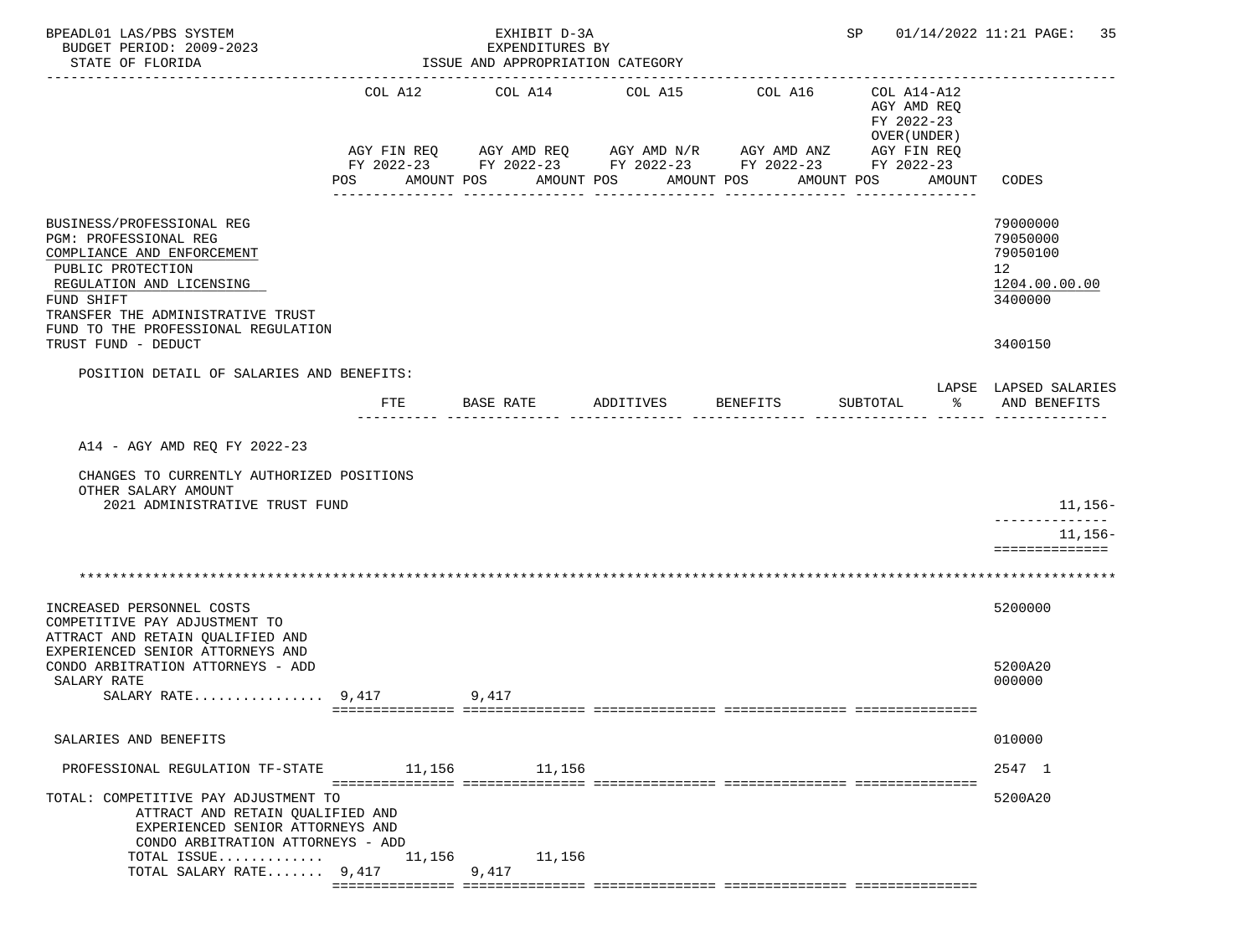| BPEADL01 LAS/PBS SYSTEM<br>BUDGET PERIOD: 2009-2023<br>STATE OF FLORIDA                                                                                                                                                                            |                | EXHIBIT D-3A<br>EXPENDITURES BY<br>ISSUE AND APPROPRIATION CATEGORY | SP                    | 01/14/2022 11:21 PAGE: 35                                                                                                                      |                                                                                  |                                                                               |
|----------------------------------------------------------------------------------------------------------------------------------------------------------------------------------------------------------------------------------------------------|----------------|---------------------------------------------------------------------|-----------------------|------------------------------------------------------------------------------------------------------------------------------------------------|----------------------------------------------------------------------------------|-------------------------------------------------------------------------------|
|                                                                                                                                                                                                                                                    | COL A12<br>POS | COL A14<br>AMOUNT POS                                               | COL A15<br>AMOUNT POS | COL A16<br>AGY FIN REQ AGY AMD REQ AGY AMD N/R AGY AMD ANZ AGY FIN REQ<br>FY 2022-23 FY 2022-23 FY 2022-23 FY 2022-23 FY 2022-23<br>AMOUNT POS | COL A14-A12<br>AGY AMD REQ<br>FY 2022-23<br>OVER (UNDER)<br>AMOUNT POS<br>AMOUNT | CODES                                                                         |
| BUSINESS/PROFESSIONAL REG<br>PGM: PROFESSIONAL REG<br>COMPLIANCE AND ENFORCEMENT<br>PUBLIC PROTECTION<br>REGULATION AND LICENSING<br>FUND SHIFT<br>TRANSFER THE ADMINISTRATIVE TRUST<br>FUND TO THE PROFESSIONAL REGULATION<br>TRUST FUND - DEDUCT |                |                                                                     |                       |                                                                                                                                                |                                                                                  | 79000000<br>79050000<br>79050100<br>12<br>1204.00.00.00<br>3400000<br>3400150 |
| POSITION DETAIL OF SALARIES AND BENEFITS:                                                                                                                                                                                                          |                |                                                                     |                       |                                                                                                                                                |                                                                                  | LAPSE LAPSED SALARIES                                                         |
|                                                                                                                                                                                                                                                    | FTE            | BASE RATE                                                           | ADDITIVES             | BENEFITS                                                                                                                                       | SUBTOTAL<br>$\frac{1}{6}$                                                        | AND BENEFITS                                                                  |
| A14 - AGY AMD REQ FY 2022-23<br>CHANGES TO CURRENTLY AUTHORIZED POSITIONS<br>OTHER SALARY AMOUNT<br>2021 ADMINISTRATIVE TRUST FUND                                                                                                                 |                |                                                                     |                       |                                                                                                                                                |                                                                                  | 11,156–<br>-------------<br>11,156–<br>==============                         |
|                                                                                                                                                                                                                                                    |                |                                                                     |                       |                                                                                                                                                |                                                                                  |                                                                               |
| INCREASED PERSONNEL COSTS<br>COMPETITIVE PAY ADJUSTMENT TO<br>ATTRACT AND RETAIN QUALIFIED AND<br>EXPERIENCED SENIOR ATTORNEYS AND<br>CONDO ARBITRATION ATTORNEYS - ADD                                                                            |                |                                                                     |                       |                                                                                                                                                |                                                                                  | 5200000<br>5200A20                                                            |
| SALARY RATE<br>$SALARY RATE$ 9,417                                                                                                                                                                                                                 |                | 9,417                                                               |                       |                                                                                                                                                |                                                                                  | 000000                                                                        |
| SALARIES AND BENEFITS                                                                                                                                                                                                                              |                |                                                                     |                       |                                                                                                                                                |                                                                                  | 010000                                                                        |
| PROFESSIONAL REGULATION TF-STATE                                                                                                                                                                                                                   |                | 11,156 11,156                                                       |                       |                                                                                                                                                |                                                                                  | 2547 1                                                                        |
| TOTAL: COMPETITIVE PAY ADJUSTMENT TO<br>ATTRACT AND RETAIN QUALIFIED AND<br>EXPERIENCED SENIOR ATTORNEYS AND<br>CONDO ARBITRATION ATTORNEYS - ADD<br>TOTAL ISSUE $11,156$                                                                          |                | 11,156                                                              |                       |                                                                                                                                                |                                                                                  | 5200A20                                                                       |
| TOTAL SALARY RATE 9,417                                                                                                                                                                                                                            |                | 9,417                                                               |                       |                                                                                                                                                |                                                                                  |                                                                               |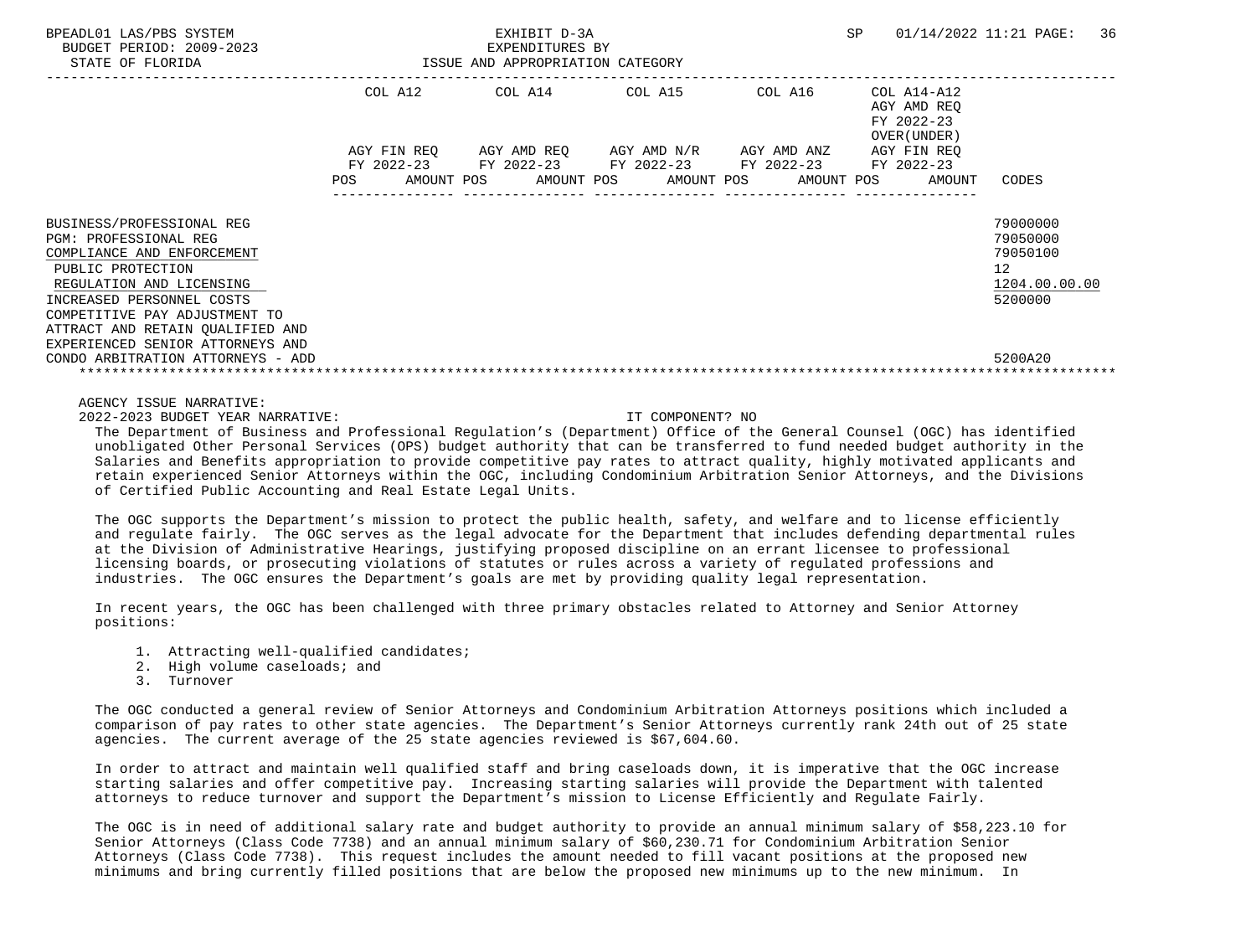| BPEADL01 LAS/PBS SYSTEM<br>BUDGET PERIOD: 2009-2023<br>STATE OF FLORIDA                                                                                                                                                                                                        | EXHIBIT D-3A<br>EXPENDITURES BY<br>ISSUE AND APPROPRIATION CATEGORY |                           |  |                                                                                    |  |                       | SP         | 01/14/2022 11:21 PAGE: |                                                          |                                                                | 36            |  |
|--------------------------------------------------------------------------------------------------------------------------------------------------------------------------------------------------------------------------------------------------------------------------------|---------------------------------------------------------------------|---------------------------|--|------------------------------------------------------------------------------------|--|-----------------------|------------|------------------------|----------------------------------------------------------|----------------------------------------------------------------|---------------|--|
|                                                                                                                                                                                                                                                                                | COL A12                                                             |                           |  | COL A14 COL A15                                                                    |  |                       | COL A16    |                        | COL A14-A12<br>AGY AMD REO<br>FY 2022-23<br>OVER (UNDER) |                                                                |               |  |
|                                                                                                                                                                                                                                                                                | POS                                                                 | AGY FIN REO<br>AMOUNT POS |  | AGY AMD REO AGY AMD N/R AGY AMD ANZ<br>FY 2022-23 FY 2022-23 FY 2022-23 FY 2022-23 |  | AMOUNT POS AMOUNT POS | AMOUNT POS |                        | AGY FIN REO<br>FY 2022-23<br>AMOUNT                      | CODES                                                          |               |  |
| BUSINESS/PROFESSIONAL REG<br><b>PGM: PROFESSIONAL REG</b><br>COMPLIANCE AND ENFORCEMENT<br>PUBLIC PROTECTION<br>REGULATION AND LICENSING<br>INCREASED PERSONNEL COSTS<br>COMPETITIVE PAY ADJUSTMENT TO<br>ATTRACT AND RETAIN QUALIFIED AND<br>EXPERIENCED SENIOR ATTORNEYS AND |                                                                     |                           |  |                                                                                    |  |                       |            |                        |                                                          | 79000000<br>79050000<br>79050100<br>12 <sup>°</sup><br>5200000 | 1204.00.00.00 |  |
| CONDO ARBITRATION ATTORNEYS - ADD                                                                                                                                                                                                                                              |                                                                     |                           |  |                                                                                    |  |                       |            |                        |                                                          | 5200A20                                                        |               |  |

AGENCY ISSUE NARRATIVE:

2022-2023 BUDGET YEAR NARRATIVE: IT COMPONENT? NO

 The Department of Business and Professional Regulation's (Department) Office of the General Counsel (OGC) has identified unobligated Other Personal Services (OPS) budget authority that can be transferred to fund needed budget authority in the Salaries and Benefits appropriation to provide competitive pay rates to attract quality, highly motivated applicants and retain experienced Senior Attorneys within the OGC, including Condominium Arbitration Senior Attorneys, and the Divisions of Certified Public Accounting and Real Estate Legal Units.

 The OGC supports the Department's mission to protect the public health, safety, and welfare and to license efficiently and regulate fairly. The OGC serves as the legal advocate for the Department that includes defending departmental rules at the Division of Administrative Hearings, justifying proposed discipline on an errant licensee to professional licensing boards, or prosecuting violations of statutes or rules across a variety of regulated professions and industries. The OGC ensures the Department's goals are met by providing quality legal representation.

 In recent years, the OGC has been challenged with three primary obstacles related to Attorney and Senior Attorney positions:

- 1. Attracting well-qualified candidates;
- 2. High volume caseloads; and
- 3. Turnover

 The OGC conducted a general review of Senior Attorneys and Condominium Arbitration Attorneys positions which included a comparison of pay rates to other state agencies. The Department's Senior Attorneys currently rank 24th out of 25 state agencies. The current average of the 25 state agencies reviewed is \$67,604.60.

 In order to attract and maintain well qualified staff and bring caseloads down, it is imperative that the OGC increase starting salaries and offer competitive pay. Increasing starting salaries will provide the Department with talented attorneys to reduce turnover and support the Department's mission to License Efficiently and Regulate Fairly.

 The OGC is in need of additional salary rate and budget authority to provide an annual minimum salary of \$58,223.10 for Senior Attorneys (Class Code 7738) and an annual minimum salary of \$60,230.71 for Condominium Arbitration Senior Attorneys (Class Code 7738). This request includes the amount needed to fill vacant positions at the proposed new minimums and bring currently filled positions that are below the proposed new minimums up to the new minimum. In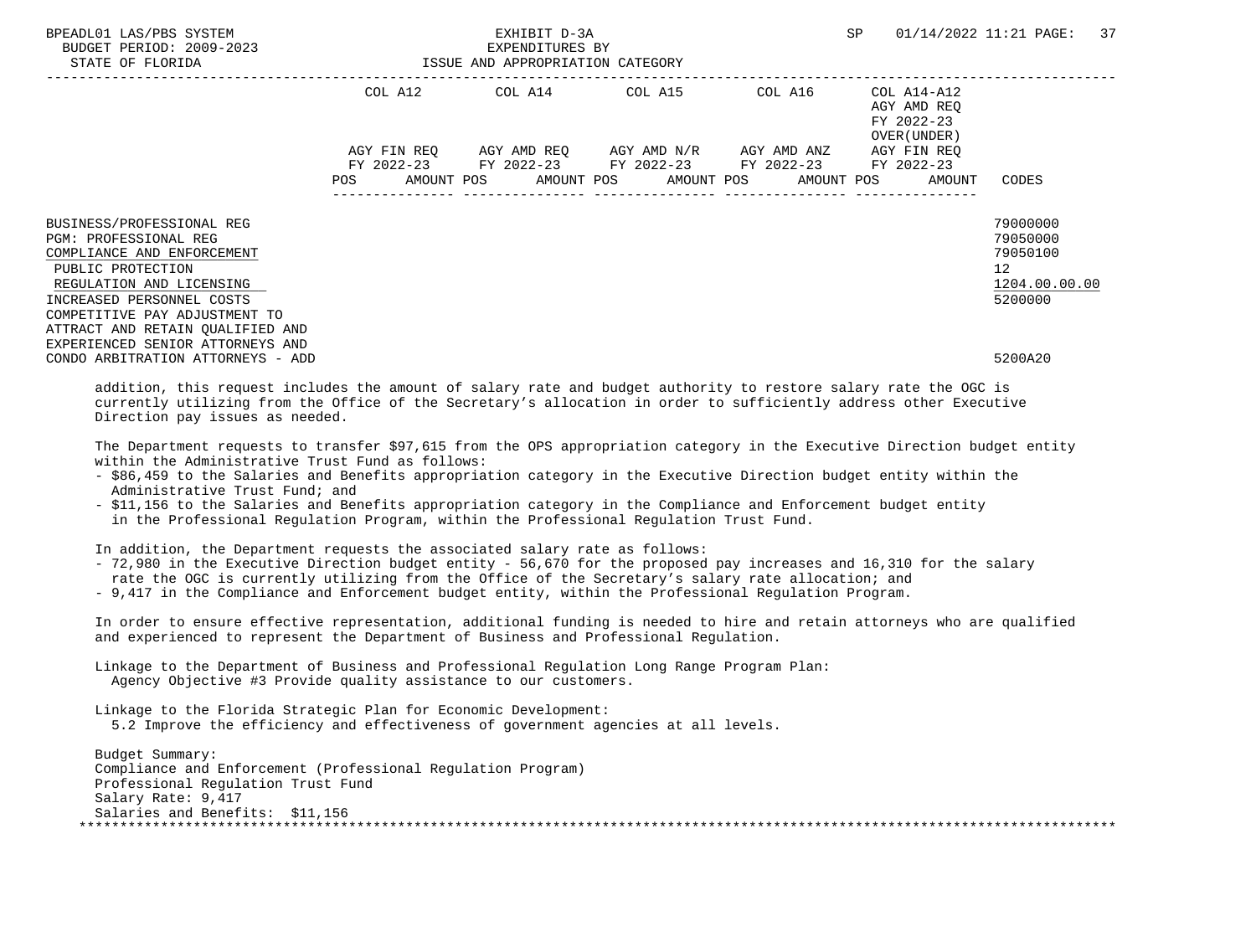| BPEADL01 LAS/PBS SYSTEM<br>BUDGET PERIOD: 2009-2023<br>STATE OF FLORIDA                                                                                                                                                                                                 | ISSUE AND APPROPRIATION CATEGORY | EXHIBIT D-3A<br>EXPENDITURES BY | SP                                                                                                                                                                        | 01/14/2022 11:21 PAGE: 37                                |                                                                                 |
|-------------------------------------------------------------------------------------------------------------------------------------------------------------------------------------------------------------------------------------------------------------------------|----------------------------------|---------------------------------|---------------------------------------------------------------------------------------------------------------------------------------------------------------------------|----------------------------------------------------------|---------------------------------------------------------------------------------|
|                                                                                                                                                                                                                                                                         |                                  |                                 | COL A12 COL A14 COL A15 COL A16                                                                                                                                           | COL A14-A12<br>AGY AMD REO<br>FY 2022-23<br>OVER (UNDER) |                                                                                 |
|                                                                                                                                                                                                                                                                         |                                  |                                 | AGY FIN REQ 6GY AMD REQ 6GY AMD N/R 6GY AMD ANZ<br>FY 2022-23 FY 2022-23 FY 2022-23 FY 2022-23 FY 2022-23<br>POS AMOUNT POS AMOUNT POS AMOUNT POS AMOUNT POS AMOUNT CODES | AGY FIN REO                                              |                                                                                 |
| BUSINESS/PROFESSIONAL REG<br>PGM: PROFESSIONAL REG<br>COMPLIANCE AND ENFORCEMENT<br>PUBLIC PROTECTION<br>REGULATION AND LICENSING<br>INCREASED PERSONNEL COSTS<br>COMPETITIVE PAY ADJUSTMENT TO<br>ATTRACT AND RETAIN QUALIFIED AND<br>EXPERIENCED SENIOR ATTORNEYS AND |                                  |                                 |                                                                                                                                                                           |                                                          | 79000000<br>79050000<br>79050100<br>12 <sup>°</sup><br>1204.00.00.00<br>5200000 |
| CONDO ARBITRATION ATTORNEYS - ADD                                                                                                                                                                                                                                       |                                  |                                 |                                                                                                                                                                           |                                                          | 5200A20                                                                         |

 addition, this request includes the amount of salary rate and budget authority to restore salary rate the OGC is currently utilizing from the Office of the Secretary's allocation in order to sufficiently address other Executive Direction pay issues as needed.

 The Department requests to transfer \$97,615 from the OPS appropriation category in the Executive Direction budget entity within the Administrative Trust Fund as follows:

- \$86,459 to the Salaries and Benefits appropriation category in the Executive Direction budget entity within the Administrative Trust Fund; and
- \$11,156 to the Salaries and Benefits appropriation category in the Compliance and Enforcement budget entity in the Professional Regulation Program, within the Professional Regulation Trust Fund.

In addition, the Department requests the associated salary rate as follows:

- 72,980 in the Executive Direction budget entity 56,670 for the proposed pay increases and 16,310 for the salary
- rate the OGC is currently utilizing from the Office of the Secretary's salary rate allocation; and
- 9,417 in the Compliance and Enforcement budget entity, within the Professional Regulation Program.

 In order to ensure effective representation, additional funding is needed to hire and retain attorneys who are qualified and experienced to represent the Department of Business and Professional Regulation.

 Linkage to the Department of Business and Professional Regulation Long Range Program Plan: Agency Objective #3 Provide quality assistance to our customers.

 Linkage to the Florida Strategic Plan for Economic Development: 5.2 Improve the efficiency and effectiveness of government agencies at all levels.

 Budget Summary: Compliance and Enforcement (Professional Regulation Program) Professional Regulation Trust Fund Salary Rate: 9,417 Salaries and Benefits: \$11,156 \*\*\*\*\*\*\*\*\*\*\*\*\*\*\*\*\*\*\*\*\*\*\*\*\*\*\*\*\*\*\*\*\*\*\*\*\*\*\*\*\*\*\*\*\*\*\*\*\*\*\*\*\*\*\*\*\*\*\*\*\*\*\*\*\*\*\*\*\*\*\*\*\*\*\*\*\*\*\*\*\*\*\*\*\*\*\*\*\*\*\*\*\*\*\*\*\*\*\*\*\*\*\*\*\*\*\*\*\*\*\*\*\*\*\*\*\*\*\*\*\*\*\*\*\*\*\*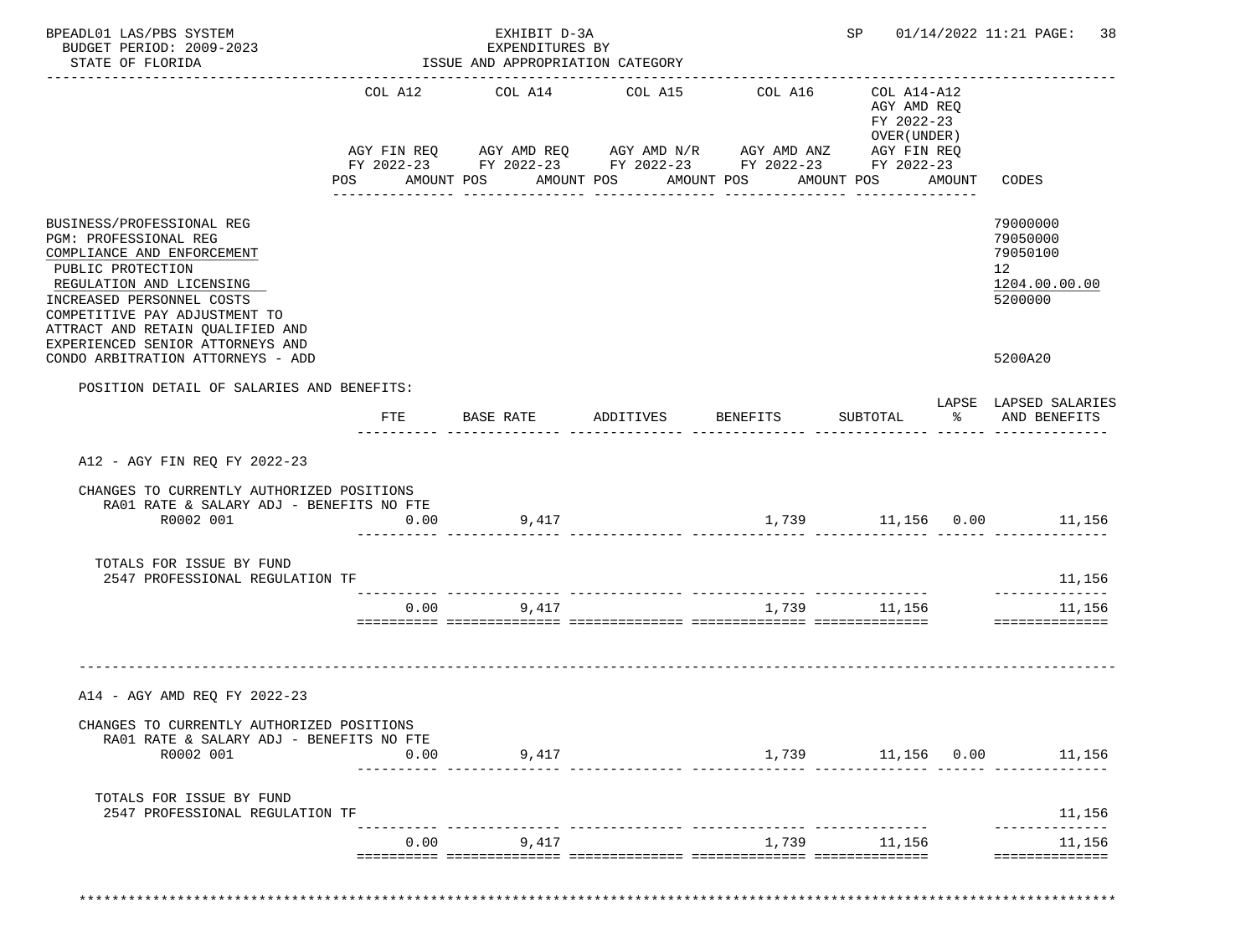| BPEADL01 LAS/PBS SYSTEM<br>BUDGET PERIOD: 2009-2023<br>STATE OF FLORIDA                                                                                                                                                                                                 |                | EXHIBIT D-3A<br>EXPENDITURES BY<br>ISSUE AND APPROPRIATION CATEGORY                                                                                          | SP                 |                       | 01/14/2022 11:21 PAGE: 38                                              |               |                                                                    |
|-------------------------------------------------------------------------------------------------------------------------------------------------------------------------------------------------------------------------------------------------------------------------|----------------|--------------------------------------------------------------------------------------------------------------------------------------------------------------|--------------------|-----------------------|------------------------------------------------------------------------|---------------|--------------------------------------------------------------------|
|                                                                                                                                                                                                                                                                         | COL A12<br>POS | COL A14<br>AGY FIN REQ AGY AMD REQ AGY AMD N/R AGY AMD ANZ AGY FIN REQ<br>FY 2022-23 FY 2022-23 FY 2022-23 FY 2022-23 FY 2022-23<br>AMOUNT POS<br>AMOUNT POS |                    | COL A16<br>AMOUNT POS | COL A14-A12<br>AGY AMD REO<br>FY 2022-23<br>OVER (UNDER)<br>AMOUNT POS | AMOUNT        | CODES                                                              |
| BUSINESS/PROFESSIONAL REG<br>PGM: PROFESSIONAL REG<br>COMPLIANCE AND ENFORCEMENT<br>PUBLIC PROTECTION<br>REGULATION AND LICENSING<br>INCREASED PERSONNEL COSTS<br>COMPETITIVE PAY ADJUSTMENT TO<br>ATTRACT AND RETAIN QUALIFIED AND<br>EXPERIENCED SENIOR ATTORNEYS AND |                |                                                                                                                                                              |                    |                       |                                                                        |               | 79000000<br>79050000<br>79050100<br>12<br>1204.00.00.00<br>5200000 |
| CONDO ARBITRATION ATTORNEYS - ADD<br>POSITION DETAIL OF SALARIES AND BENEFITS:                                                                                                                                                                                          |                |                                                                                                                                                              |                    |                       |                                                                        |               | 5200A20                                                            |
|                                                                                                                                                                                                                                                                         | FTE            | BASE RATE                                                                                                                                                    | ADDITIVES BENEFITS |                       | SUBTOTAL                                                               | $\frac{1}{6}$ | LAPSE LAPSED SALARIES<br>AND BENEFITS                              |
| A12 - AGY FIN REO FY 2022-23                                                                                                                                                                                                                                            |                |                                                                                                                                                              |                    |                       |                                                                        |               |                                                                    |
| CHANGES TO CURRENTLY AUTHORIZED POSITIONS<br>RA01 RATE & SALARY ADJ - BENEFITS NO FTE<br>R0002 001                                                                                                                                                                      | 0.00           | 9,417                                                                                                                                                        |                    |                       |                                                                        |               | 1,739 11,156 0.00 11,156                                           |
| TOTALS FOR ISSUE BY FUND<br>2547 PROFESSIONAL REGULATION TF                                                                                                                                                                                                             |                |                                                                                                                                                              |                    |                       |                                                                        |               | 11,156                                                             |
|                                                                                                                                                                                                                                                                         | 0.00           | 9,417                                                                                                                                                        |                    |                       | 1,739 11,156                                                           |               | 11,156<br>==============                                           |
| A14 - AGY AMD REQ FY 2022-23                                                                                                                                                                                                                                            |                |                                                                                                                                                              |                    |                       |                                                                        |               |                                                                    |
| CHANGES TO CURRENTLY AUTHORIZED POSITIONS<br>RA01 RATE & SALARY ADJ - BENEFITS NO FTE<br>R0002 001                                                                                                                                                                      | 0.00           | 9,417                                                                                                                                                        |                    |                       |                                                                        |               | 1,739 11,156 0.00 11,156                                           |
| TOTALS FOR ISSUE BY FUND<br>2547 PROFESSIONAL REGULATION TF                                                                                                                                                                                                             |                |                                                                                                                                                              |                    |                       |                                                                        |               | 11,156                                                             |
|                                                                                                                                                                                                                                                                         | 0.00           | 9,417                                                                                                                                                        |                    |                       | _______________________<br>1,739 11,156                                |               | _____________<br>11,156                                            |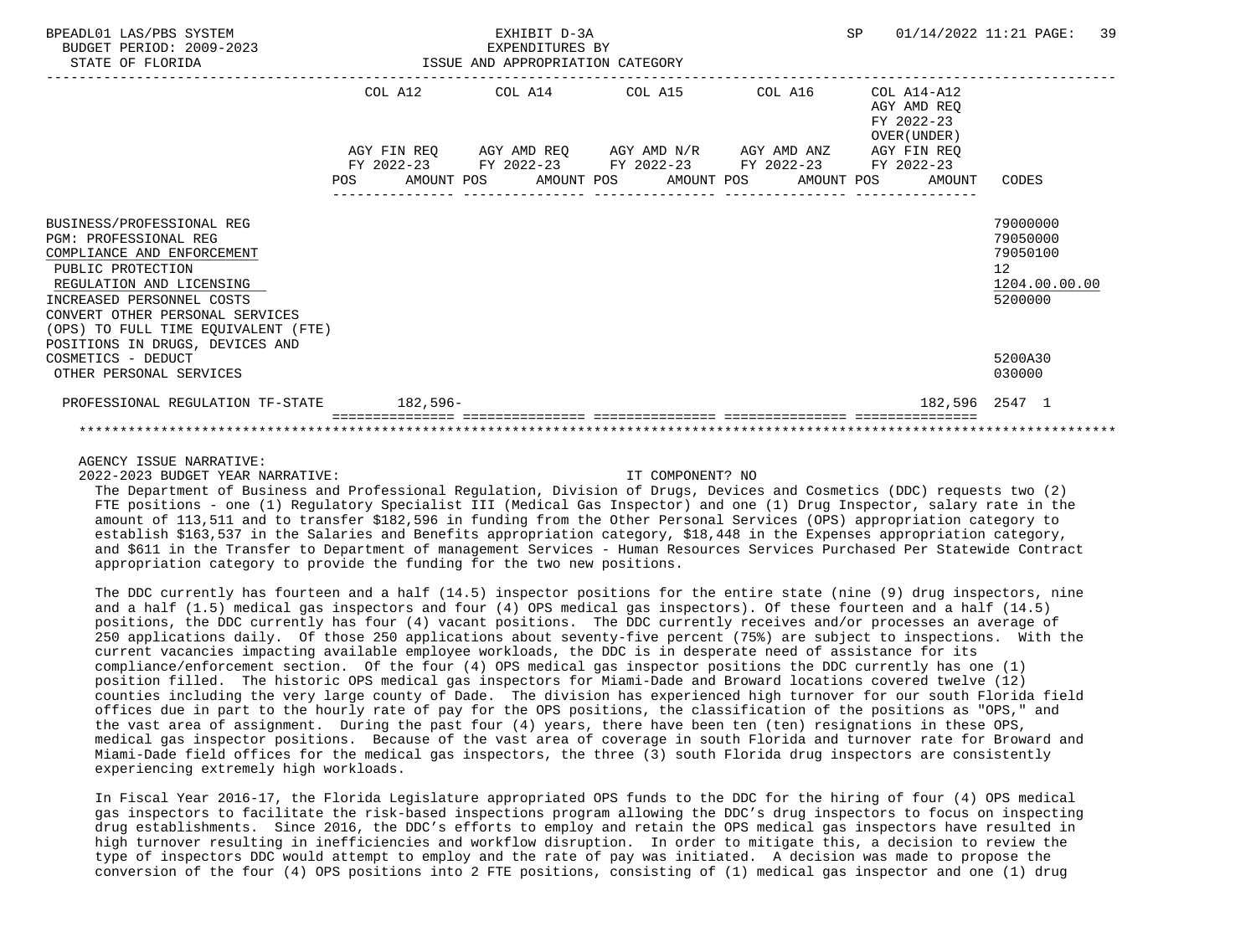| BPEADL01 LAS/PBS SYSTEM<br>BUDGET PERIOD: 2009-2023<br>STATE OF FLORIDA                                                                                               |     | EXHIBIT D-3A<br>EXPENDITURES BY<br>ISSUE AND APPROPRIATION CATEGORY                                                                                                      |  | <b>SP</b>                                                | 01/14/2022 11:21 PAGE:<br>39                                       |  |
|-----------------------------------------------------------------------------------------------------------------------------------------------------------------------|-----|--------------------------------------------------------------------------------------------------------------------------------------------------------------------------|--|----------------------------------------------------------|--------------------------------------------------------------------|--|
|                                                                                                                                                                       |     | COL A12 COL A14 COL A15 COL A16                                                                                                                                          |  | COL A14-A12<br>AGY AMD REO<br>FY 2022-23<br>OVER (UNDER) |                                                                    |  |
|                                                                                                                                                                       | POS | AGY FIN REQ AGY AMD REQ AGY AMD N/R AGY AMD ANZ<br>FY 2022-23 FY 2022-23 FY 2022-23 FY 2022-23 FY 2022-23<br>AMOUNT POS       AMOUNT POS      AMOUNT POS      AMOUNT POS |  | AGY FIN REO<br>AMOUNT                                    | CODES                                                              |  |
|                                                                                                                                                                       |     |                                                                                                                                                                          |  |                                                          |                                                                    |  |
| BUSINESS/PROFESSIONAL REG<br><b>PGM: PROFESSIONAL REG</b><br>COMPLIANCE AND ENFORCEMENT<br>PUBLIC PROTECTION<br>REGULATION AND LICENSING<br>INCREASED PERSONNEL COSTS |     |                                                                                                                                                                          |  |                                                          | 79000000<br>79050000<br>79050100<br>12<br>1204.00.00.00<br>5200000 |  |
| CONVERT OTHER PERSONAL SERVICES<br>(OPS) TO FULL TIME EQUIVALENT (FTE)<br>POSITIONS IN DRUGS, DEVICES AND<br>COSMETICS - DEDUCT                                       |     |                                                                                                                                                                          |  |                                                          | 5200A30                                                            |  |
| OTHER PERSONAL SERVICES<br>PROFESSIONAL REGULATION TF-STATE 182.596-                                                                                                  |     |                                                                                                                                                                          |  |                                                          | 030000<br>182,596 2547 1                                           |  |
|                                                                                                                                                                       |     |                                                                                                                                                                          |  |                                                          |                                                                    |  |

AGENCY ISSUE NARRATIVE:

2022-2023 BUDGET YEAR NARRATIVE: IT COMPONENT? NO

 The Department of Business and Professional Regulation, Division of Drugs, Devices and Cosmetics (DDC) requests two (2) FTE positions - one (1) Regulatory Specialist III (Medical Gas Inspector) and one (1) Drug Inspector, salary rate in the amount of 113,511 and to transfer \$182,596 in funding from the Other Personal Services (OPS) appropriation category to establish \$163,537 in the Salaries and Benefits appropriation category, \$18,448 in the Expenses appropriation category, and \$611 in the Transfer to Department of management Services - Human Resources Services Purchased Per Statewide Contract appropriation category to provide the funding for the two new positions.

 The DDC currently has fourteen and a half (14.5) inspector positions for the entire state (nine (9) drug inspectors, nine and a half (1.5) medical gas inspectors and four (4) OPS medical gas inspectors). Of these fourteen and a half (14.5) positions, the DDC currently has four (4) vacant positions. The DDC currently receives and/or processes an average of 250 applications daily. Of those 250 applications about seventy-five percent (75%) are subject to inspections. With the current vacancies impacting available employee workloads, the DDC is in desperate need of assistance for its compliance/enforcement section. Of the four (4) OPS medical gas inspector positions the DDC currently has one (1) position filled. The historic OPS medical gas inspectors for Miami-Dade and Broward locations covered twelve (12) counties including the very large county of Dade. The division has experienced high turnover for our south Florida field offices due in part to the hourly rate of pay for the OPS positions, the classification of the positions as "OPS," and the vast area of assignment. During the past four (4) years, there have been ten (ten) resignations in these OPS, medical gas inspector positions. Because of the vast area of coverage in south Florida and turnover rate for Broward and Miami-Dade field offices for the medical gas inspectors, the three (3) south Florida drug inspectors are consistently experiencing extremely high workloads.

 In Fiscal Year 2016-17, the Florida Legislature appropriated OPS funds to the DDC for the hiring of four (4) OPS medical gas inspectors to facilitate the risk-based inspections program allowing the DDC's drug inspectors to focus on inspecting drug establishments. Since 2016, the DDC's efforts to employ and retain the OPS medical gas inspectors have resulted in high turnover resulting in inefficiencies and workflow disruption. In order to mitigate this, a decision to review the type of inspectors DDC would attempt to employ and the rate of pay was initiated. A decision was made to propose the conversion of the four (4) OPS positions into 2 FTE positions, consisting of (1) medical gas inspector and one (1) drug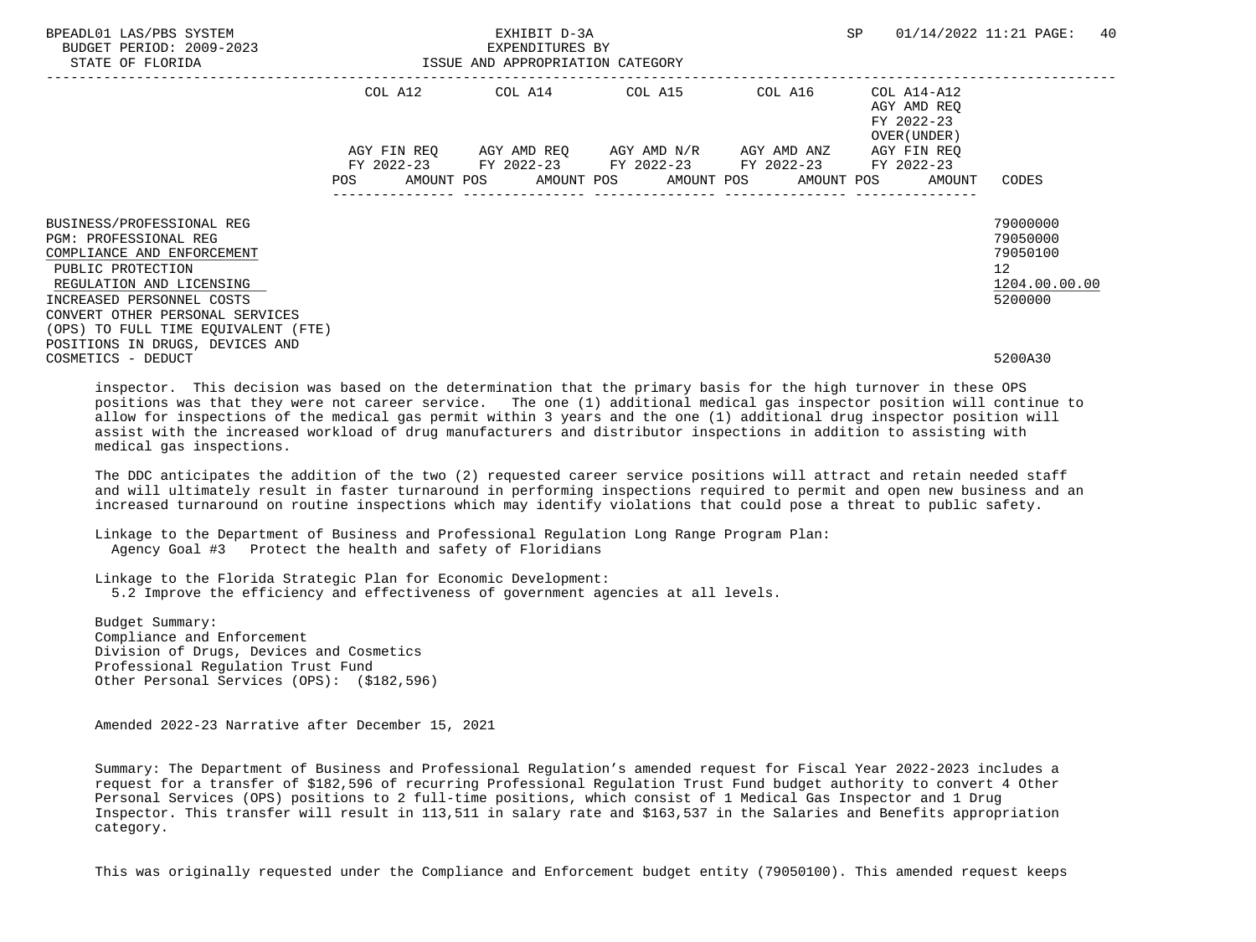| BPEADL01 LAS/PBS SYSTEM<br>BUDGET PERIOD: 2009-2023<br>STATE OF FLORIDA | ISSUE AND APPROPRIATION CATEGORY |  |  |  | EXHIBIT D-3A<br>EXPENDITURES BY |                                                                                                                                                          |  | SP |                                                          | 01/14/2022 11:21 PAGE: | 40            |  |
|-------------------------------------------------------------------------|----------------------------------|--|--|--|---------------------------------|----------------------------------------------------------------------------------------------------------------------------------------------------------|--|----|----------------------------------------------------------|------------------------|---------------|--|
|                                                                         |                                  |  |  |  |                                 | COL A12 COL A14 COL A15 COL A16                                                                                                                          |  |    | COL A14-A12<br>AGY AMD REO<br>FY 2022-23<br>OVER (UNDER) |                        |               |  |
|                                                                         | <b>POS</b>                       |  |  |  |                                 | AGY FIN REQ 6GY AMD REQ 6GY AMD N/R 6GY AMD ANZ<br>FY 2022-23 FY 2022-23 FY 2022-23 FY 2022-23 FY 2022-23<br>AMOUNT POS AMOUNT POS AMOUNT POS AMOUNT POS |  |    | AGY FIN REO<br>AMOUNT                                    | CODES                  |               |  |
|                                                                         |                                  |  |  |  |                                 |                                                                                                                                                          |  |    |                                                          |                        |               |  |
| BUSINESS/PROFESSIONAL REG                                               |                                  |  |  |  |                                 |                                                                                                                                                          |  |    |                                                          | 79000000               |               |  |
| PGM: PROFESSIONAL REG                                                   |                                  |  |  |  |                                 |                                                                                                                                                          |  |    |                                                          | 79050000               |               |  |
| COMPLIANCE AND ENFORCEMENT                                              |                                  |  |  |  |                                 |                                                                                                                                                          |  |    |                                                          | 79050100               |               |  |
| PUBLIC PROTECTION                                                       |                                  |  |  |  |                                 |                                                                                                                                                          |  |    |                                                          | 12 <sup>°</sup>        |               |  |
| REGULATION AND LICENSING                                                |                                  |  |  |  |                                 |                                                                                                                                                          |  |    |                                                          |                        | 1204.00.00.00 |  |
| INCREASED PERSONNEL COSTS                                               |                                  |  |  |  |                                 |                                                                                                                                                          |  |    |                                                          | 5200000                |               |  |
| CONVERT OTHER PERSONAL SERVICES                                         |                                  |  |  |  |                                 |                                                                                                                                                          |  |    |                                                          |                        |               |  |
| (OPS) TO FULL TIME EQUIVALENT (FTE)                                     |                                  |  |  |  |                                 |                                                                                                                                                          |  |    |                                                          |                        |               |  |
| POSITIONS IN DRUGS, DEVICES AND                                         |                                  |  |  |  |                                 |                                                                                                                                                          |  |    |                                                          |                        |               |  |
| COSMETICS - DEDUCT                                                      |                                  |  |  |  |                                 |                                                                                                                                                          |  |    |                                                          | 5200A30                |               |  |

 inspector. This decision was based on the determination that the primary basis for the high turnover in these OPS positions was that they were not career service. The one (1) additional medical gas inspector position will continue to allow for inspections of the medical gas permit within 3 years and the one (1) additional drug inspector position will assist with the increased workload of drug manufacturers and distributor inspections in addition to assisting with medical gas inspections.

 The DDC anticipates the addition of the two (2) requested career service positions will attract and retain needed staff and will ultimately result in faster turnaround in performing inspections required to permit and open new business and an increased turnaround on routine inspections which may identify violations that could pose a threat to public safety.

 Linkage to the Department of Business and Professional Regulation Long Range Program Plan: Agency Goal #3 Protect the health and safety of Floridians

 Linkage to the Florida Strategic Plan for Economic Development: 5.2 Improve the efficiency and effectiveness of government agencies at all levels.

 Budget Summary: Compliance and Enforcement Division of Drugs, Devices and Cosmetics Professional Regulation Trust Fund Other Personal Services (OPS): (\$182,596)

Amended 2022-23 Narrative after December 15, 2021

 Summary: The Department of Business and Professional Regulation's amended request for Fiscal Year 2022-2023 includes a request for a transfer of \$182,596 of recurring Professional Regulation Trust Fund budget authority to convert 4 Other Personal Services (OPS) positions to 2 full-time positions, which consist of 1 Medical Gas Inspector and 1 Drug Inspector. This transfer will result in 113,511 in salary rate and \$163,537 in the Salaries and Benefits appropriation category.

This was originally requested under the Compliance and Enforcement budget entity (79050100). This amended request keeps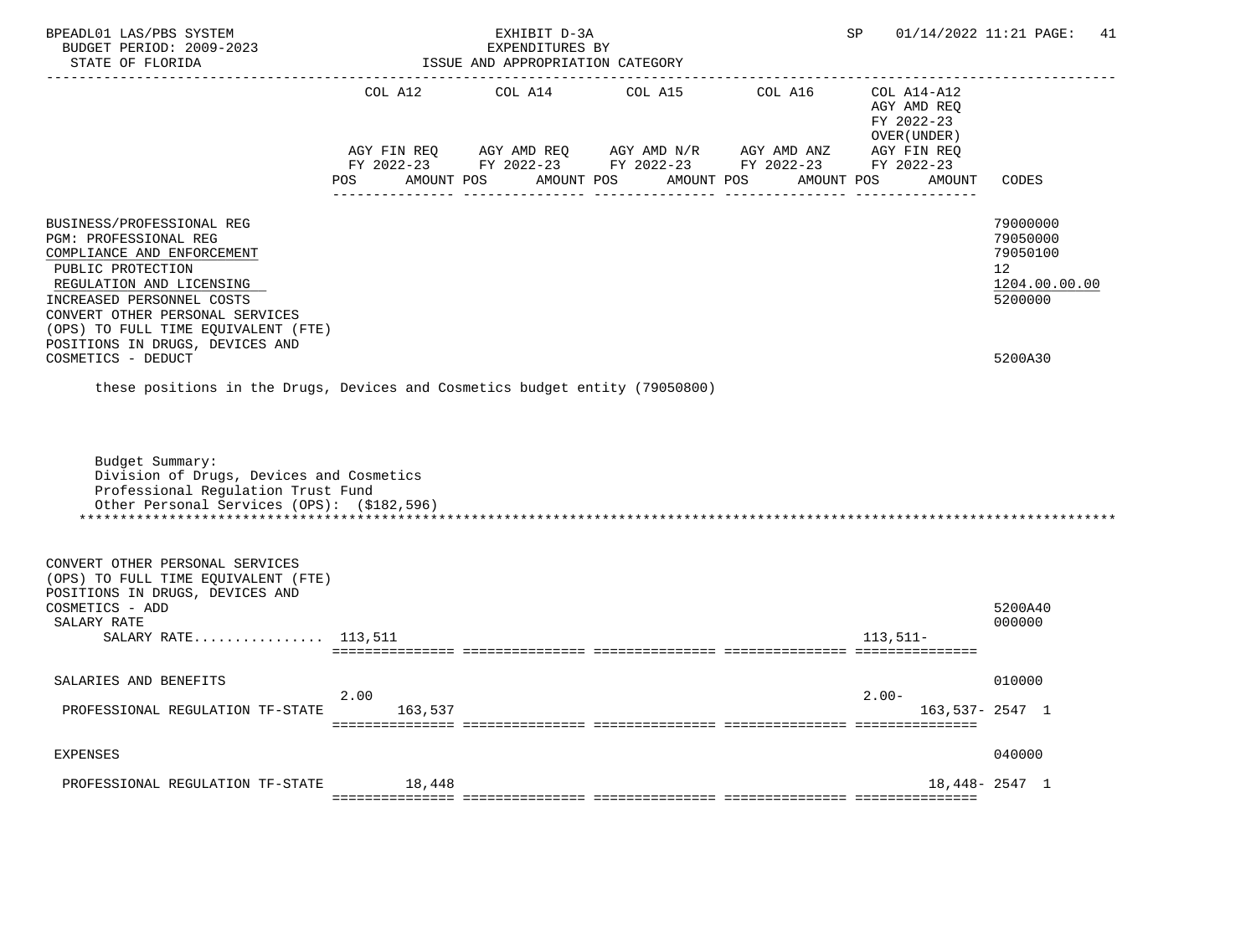| BPEADL01 LAS/PBS SYSTEM<br>BUDGET PERIOD: 2009-2023<br>STATE OF FLORIDA<br>------------------                                                                                                                                                                               |                                         | EXHIBIT D-3A<br>EXPENDITURES BY<br>ISSUE AND APPROPRIATION CATEGORY<br>___________________________________ | SP                                                | 01/14/2022 11:21 PAGE: 41                                                          |                                                          |                                                                                 |
|-----------------------------------------------------------------------------------------------------------------------------------------------------------------------------------------------------------------------------------------------------------------------------|-----------------------------------------|------------------------------------------------------------------------------------------------------------|---------------------------------------------------|------------------------------------------------------------------------------------|----------------------------------------------------------|---------------------------------------------------------------------------------|
|                                                                                                                                                                                                                                                                             | COL A12                                 | COL A14                                                                                                    | COL A15                                           | COL A16                                                                            | COL A14-A12<br>AGY AMD REQ<br>FY 2022-23<br>OVER (UNDER) |                                                                                 |
|                                                                                                                                                                                                                                                                             | AGY FIN REQ<br><b>POS</b><br>AMOUNT POS |                                                                                                            | AGY AMD REQ AGY AMD N/R AGY AMD ANZ<br>AMOUNT POS | FY 2022-23 FY 2022-23 FY 2022-23 FY 2022-23 FY 2022-23<br>AMOUNT POS<br>AMOUNT POS | AGY FIN REQ<br>AMOUNT                                    | CODES                                                                           |
| BUSINESS/PROFESSIONAL REG<br>PGM: PROFESSIONAL REG<br>COMPLIANCE AND ENFORCEMENT<br>PUBLIC PROTECTION<br>REGULATION AND LICENSING<br>INCREASED PERSONNEL COSTS<br>CONVERT OTHER PERSONAL SERVICES<br>(OPS) TO FULL TIME EQUIVALENT (FTE)<br>POSITIONS IN DRUGS, DEVICES AND |                                         |                                                                                                            |                                                   |                                                                                    |                                                          | 79000000<br>79050000<br>79050100<br>12 <sup>°</sup><br>1204.00.00.00<br>5200000 |
| COSMETICS - DEDUCT<br>these positions in the Drugs, Devices and Cosmetics budget entity (79050800)                                                                                                                                                                          |                                         |                                                                                                            |                                                   |                                                                                    |                                                          | 5200A30                                                                         |
| Budget Summary:<br>Division of Drugs, Devices and Cosmetics<br>Professional Regulation Trust Fund<br>Other Personal Services (OPS): (\$182,596)                                                                                                                             |                                         |                                                                                                            |                                                   |                                                                                    |                                                          |                                                                                 |
| CONVERT OTHER PERSONAL SERVICES<br>(OPS) TO FULL TIME EQUIVALENT (FTE)<br>POSITIONS IN DRUGS, DEVICES AND<br>COSMETICS - ADD<br>SALARY RATE<br>SALARY RATE 113,511                                                                                                          |                                         |                                                                                                            |                                                   |                                                                                    | $113,511-$                                               | 5200A40<br>000000                                                               |
| SALARIES AND BENEFITS<br>PROFESSIONAL REGULATION TF-STATE                                                                                                                                                                                                                   | 2.00<br>163,537                         |                                                                                                            |                                                   |                                                                                    | $2.00 -$                                                 | 010000<br>$163,537 - 2547$ 1                                                    |
| <b>EXPENSES</b>                                                                                                                                                                                                                                                             |                                         |                                                                                                            |                                                   |                                                                                    |                                                          | 040000                                                                          |
| PROFESSIONAL REGULATION TF-STATE                                                                                                                                                                                                                                            | 18,448                                  |                                                                                                            |                                                   |                                                                                    |                                                          | $18,448 - 2547$ 1                                                               |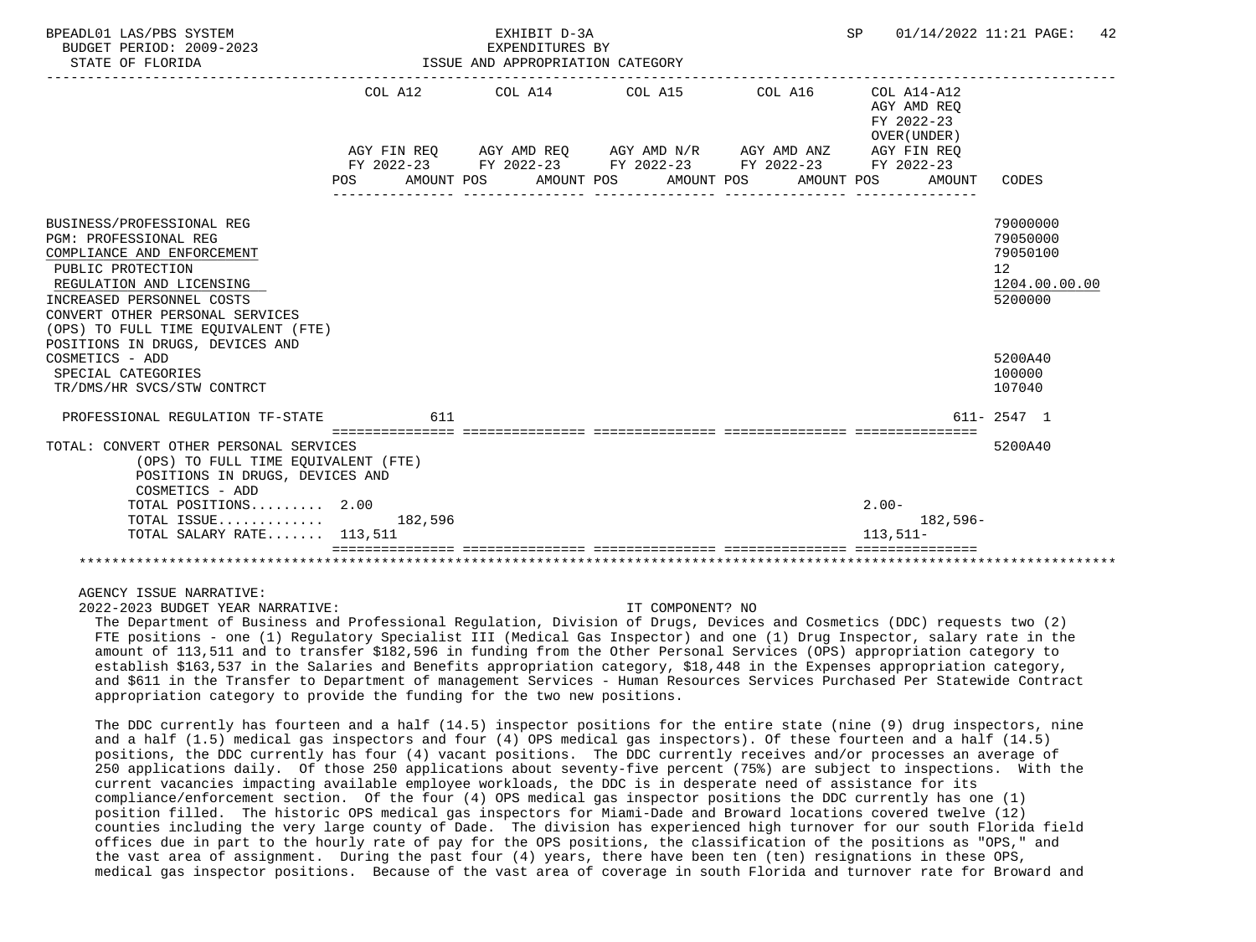| BPEADL01 LAS/PBS SYSTEM<br>BUDGET PERIOD: 2009-2023                                                                                                                                                                                                                                                                                                       |                   | EXHIBIT D-3A<br>EXPENDITURES BY  |                                                                                                                         |            | SP                                                               | 01/14/2022 11:21 PAGE:<br>42                                                                                   |
|-----------------------------------------------------------------------------------------------------------------------------------------------------------------------------------------------------------------------------------------------------------------------------------------------------------------------------------------------------------|-------------------|----------------------------------|-------------------------------------------------------------------------------------------------------------------------|------------|------------------------------------------------------------------|----------------------------------------------------------------------------------------------------------------|
| STATE OF FLORIDA                                                                                                                                                                                                                                                                                                                                          |                   | ISSUE AND APPROPRIATION CATEGORY |                                                                                                                         |            |                                                                  |                                                                                                                |
|                                                                                                                                                                                                                                                                                                                                                           |                   |                                  | COL A12 COL A14 COL A15                                                                                                 |            | COL A16 COL A14-A12<br>AGY AMD REO<br>FY 2022-23<br>OVER (UNDER) |                                                                                                                |
|                                                                                                                                                                                                                                                                                                                                                           | POS<br>AMOUNT POS |                                  | AGY FIN REQ AGY AMD REQ AGY AMD N/R AGY AMD ANZ<br>FY 2022-23 FY 2022-23 FY 2022-23 FY 2022-23 FY 2022-23<br>AMOUNT POS | AMOUNT POS | AGY FIN REQ<br>AMOUNT POS<br>AMOUNT                              | CODES                                                                                                          |
| BUSINESS/PROFESSIONAL REG<br><b>PGM: PROFESSIONAL REG</b><br>COMPLIANCE AND ENFORCEMENT<br>PUBLIC PROTECTION<br>REGULATION AND LICENSING<br>INCREASED PERSONNEL COSTS<br>CONVERT OTHER PERSONAL SERVICES<br>(OPS) TO FULL TIME EOUIVALENT (FTE)<br>POSITIONS IN DRUGS, DEVICES AND<br>COSMETICS - ADD<br>SPECIAL CATEGORIES<br>TR/DMS/HR SVCS/STW CONTRCT |                   |                                  |                                                                                                                         |            |                                                                  | 79000000<br>79050000<br>79050100<br>12 <sup>°</sup><br>1204.00.00.00<br>5200000<br>5200A40<br>100000<br>107040 |
| PROFESSIONAL REGULATION TF-STATE                                                                                                                                                                                                                                                                                                                          | 611               |                                  |                                                                                                                         |            |                                                                  | $611 - 2547$ 1                                                                                                 |
| TOTAL: CONVERT OTHER PERSONAL SERVICES<br>(OPS) TO FULL TIME EQUIVALENT (FTE)<br>POSITIONS IN DRUGS, DEVICES AND<br>COSMETICS - ADD                                                                                                                                                                                                                       |                   |                                  |                                                                                                                         |            |                                                                  | 5200A40                                                                                                        |
| TOTAL POSITIONS 2.00                                                                                                                                                                                                                                                                                                                                      |                   |                                  |                                                                                                                         |            | $2.00 -$                                                         |                                                                                                                |
| TOTAL ISSUE<br>TOTAL SALARY RATE 113,511                                                                                                                                                                                                                                                                                                                  | 182,596           |                                  |                                                                                                                         |            | $182,596-$<br>$113.511-$                                         |                                                                                                                |
|                                                                                                                                                                                                                                                                                                                                                           |                   |                                  |                                                                                                                         |            |                                                                  |                                                                                                                |

AGENCY ISSUE NARRATIVE:

2022-2023 BUDGET YEAR NARRATIVE: IT COMPONENT? NO

 The Department of Business and Professional Regulation, Division of Drugs, Devices and Cosmetics (DDC) requests two (2) FTE positions - one (1) Regulatory Specialist III (Medical Gas Inspector) and one (1) Drug Inspector, salary rate in the amount of 113,511 and to transfer \$182,596 in funding from the Other Personal Services (OPS) appropriation category to establish \$163,537 in the Salaries and Benefits appropriation category, \$18,448 in the Expenses appropriation category, and \$611 in the Transfer to Department of management Services - Human Resources Services Purchased Per Statewide Contract appropriation category to provide the funding for the two new positions.

 The DDC currently has fourteen and a half (14.5) inspector positions for the entire state (nine (9) drug inspectors, nine and a half (1.5) medical gas inspectors and four (4) OPS medical gas inspectors). Of these fourteen and a half (14.5) positions, the DDC currently has four (4) vacant positions. The DDC currently receives and/or processes an average of 250 applications daily. Of those 250 applications about seventy-five percent (75%) are subject to inspections. With the current vacancies impacting available employee workloads, the DDC is in desperate need of assistance for its compliance/enforcement section. Of the four (4) OPS medical gas inspector positions the DDC currently has one (1) position filled. The historic OPS medical gas inspectors for Miami-Dade and Broward locations covered twelve (12) counties including the very large county of Dade. The division has experienced high turnover for our south Florida field offices due in part to the hourly rate of pay for the OPS positions, the classification of the positions as "OPS," and the vast area of assignment. During the past four (4) years, there have been ten (ten) resignations in these OPS, medical gas inspector positions. Because of the vast area of coverage in south Florida and turnover rate for Broward and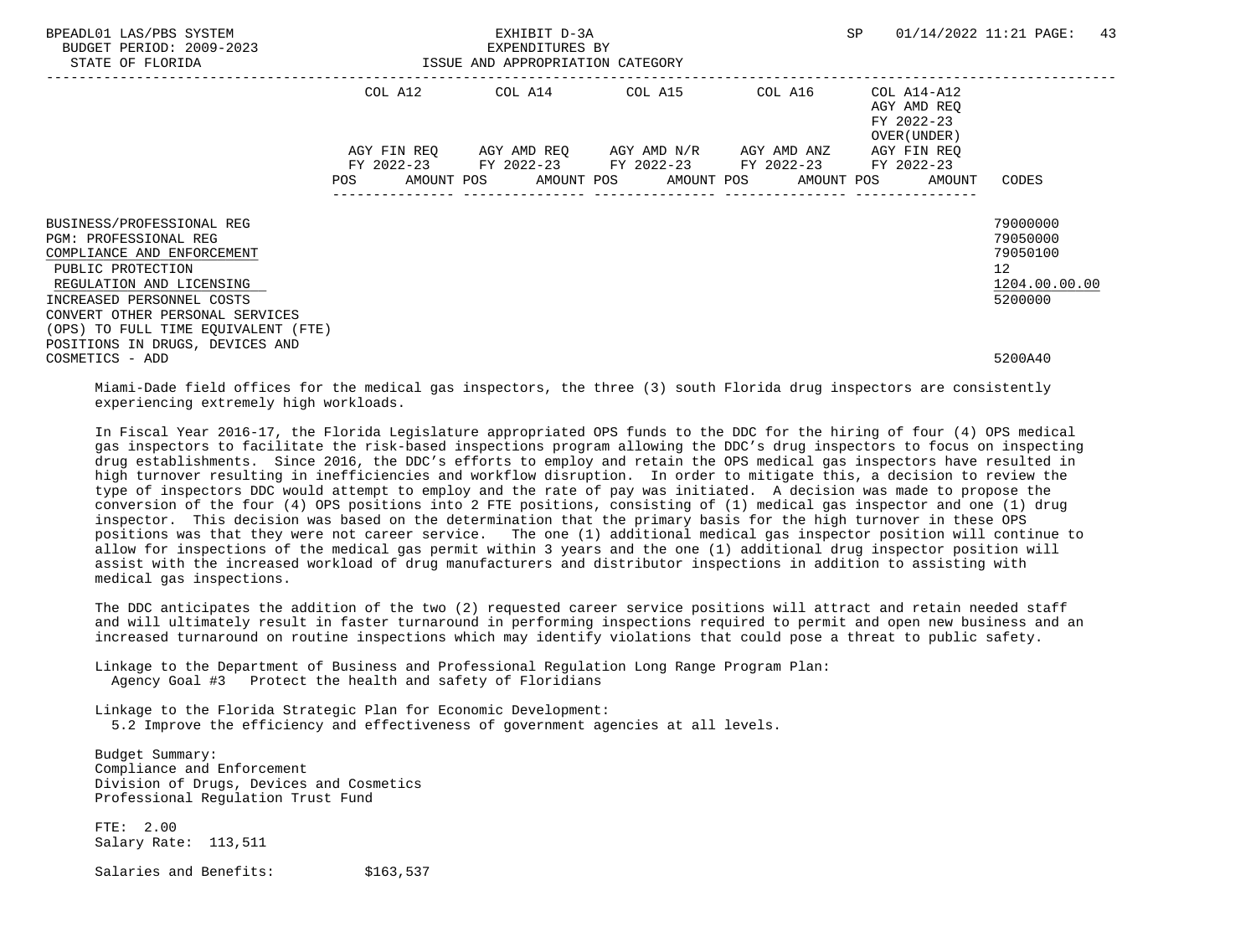| BPEADL01 LAS/PBS SYSTEM<br>BUDGET PERIOD: 2009-2023<br>STATE OF FLORIDA | EXHIBIT D-3A<br>EXPENDITURES BY<br>ISSUE AND APPROPRIATION CATEGORY |  |  |  |                                                                                                           |  | SP |  | 01/14/2022 11:21 PAGE:                                   | 43       |               |  |
|-------------------------------------------------------------------------|---------------------------------------------------------------------|--|--|--|-----------------------------------------------------------------------------------------------------------|--|----|--|----------------------------------------------------------|----------|---------------|--|
|                                                                         |                                                                     |  |  |  | COL A12 COL A14 COL A15 COL A16                                                                           |  |    |  | COL A14-A12<br>AGY AMD REO<br>FY 2022-23<br>OVER (UNDER) |          |               |  |
|                                                                         |                                                                     |  |  |  | AGY FIN REQ 6GY AMD REQ 6GY AMD N/R 6GY AMD ANZ<br>FY 2022-23 FY 2022-23 FY 2022-23 FY 2022-23 FY 2022-23 |  |    |  | AGY FIN REO                                              |          |               |  |
|                                                                         | <b>POS</b>                                                          |  |  |  | AMOUNT POS      AMOUNT POS     AMOUNT POS     AMOUNT POS                                                  |  |    |  | AMOUNT                                                   | CODES    |               |  |
| BUSINESS/PROFESSIONAL REG                                               |                                                                     |  |  |  |                                                                                                           |  |    |  |                                                          | 79000000 |               |  |
| <b>PGM: PROFESSIONAL REG</b>                                            |                                                                     |  |  |  |                                                                                                           |  |    |  |                                                          | 79050000 |               |  |
| COMPLIANCE AND ENFORCEMENT                                              |                                                                     |  |  |  |                                                                                                           |  |    |  |                                                          | 79050100 |               |  |
| PUBLIC PROTECTION                                                       |                                                                     |  |  |  |                                                                                                           |  |    |  |                                                          | 12       |               |  |
| REGULATION AND LICENSING                                                |                                                                     |  |  |  |                                                                                                           |  |    |  |                                                          |          | 1204.00.00.00 |  |
| INCREASED PERSONNEL COSTS                                               |                                                                     |  |  |  |                                                                                                           |  |    |  |                                                          | 5200000  |               |  |
| CONVERT OTHER PERSONAL SERVICES                                         |                                                                     |  |  |  |                                                                                                           |  |    |  |                                                          |          |               |  |
| (OPS) TO FULL TIME EQUIVALENT (FTE)                                     |                                                                     |  |  |  |                                                                                                           |  |    |  |                                                          |          |               |  |
| POSITIONS IN DRUGS, DEVICES AND                                         |                                                                     |  |  |  |                                                                                                           |  |    |  |                                                          |          |               |  |
| COSMETICS - ADD                                                         |                                                                     |  |  |  |                                                                                                           |  |    |  |                                                          | 5200A40  |               |  |

 Miami-Dade field offices for the medical gas inspectors, the three (3) south Florida drug inspectors are consistently experiencing extremely high workloads.

 In Fiscal Year 2016-17, the Florida Legislature appropriated OPS funds to the DDC for the hiring of four (4) OPS medical gas inspectors to facilitate the risk-based inspections program allowing the DDC's drug inspectors to focus on inspecting drug establishments. Since 2016, the DDC's efforts to employ and retain the OPS medical gas inspectors have resulted in high turnover resulting in inefficiencies and workflow disruption. In order to mitigate this, a decision to review the type of inspectors DDC would attempt to employ and the rate of pay was initiated. A decision was made to propose the conversion of the four (4) OPS positions into 2 FTE positions, consisting of (1) medical gas inspector and one (1) drug inspector. This decision was based on the determination that the primary basis for the high turnover in these OPS positions was that they were not career service. The one (1) additional medical gas inspector position will continue to allow for inspections of the medical gas permit within 3 years and the one (1) additional drug inspector position will assist with the increased workload of drug manufacturers and distributor inspections in addition to assisting with medical gas inspections.

 The DDC anticipates the addition of the two (2) requested career service positions will attract and retain needed staff and will ultimately result in faster turnaround in performing inspections required to permit and open new business and an increased turnaround on routine inspections which may identify violations that could pose a threat to public safety.

 Linkage to the Department of Business and Professional Regulation Long Range Program Plan: Agency Goal #3 Protect the health and safety of Floridians

 Linkage to the Florida Strategic Plan for Economic Development: 5.2 Improve the efficiency and effectiveness of government agencies at all levels.

 Budget Summary: Compliance and Enforcement Division of Drugs, Devices and Cosmetics Professional Regulation Trust Fund

 FTE: 2.00 Salary Rate: 113,511

Salaries and Benefits: \$163,537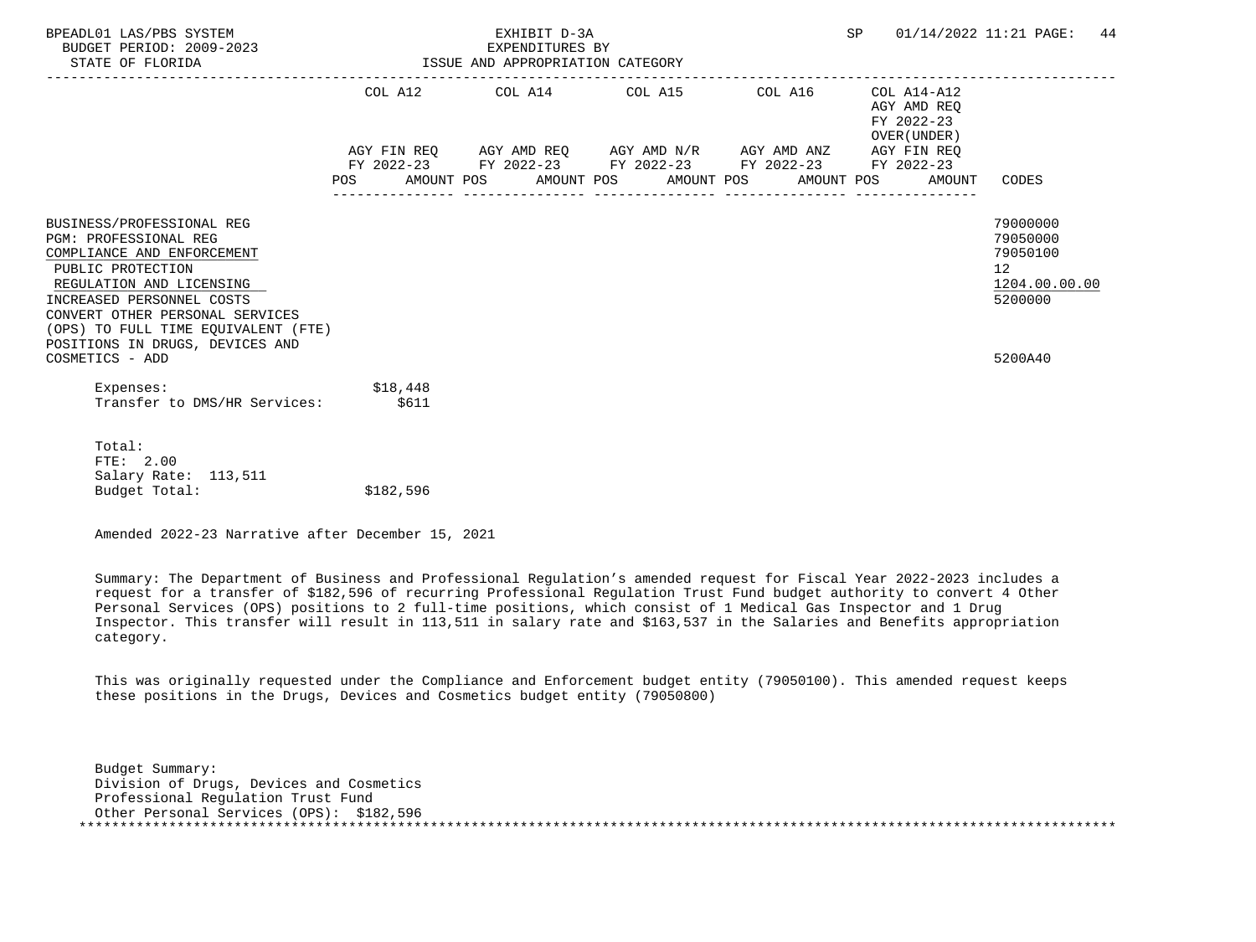| BPEADL01 LAS/PBS SYSTEM<br>BUDGET PERIOD: 2009-2023<br>STATE OF FLORIDA                                                                                                                                                                                                     |           | EXHIBIT D-3A<br>EXPENDITURES BY<br>EXPENDITURES BY<br>ISSUE AND APPROPRIATION CATEGORY                                | <b>SP</b> | 01/14/2022 11:21 PAGE:<br>44                                 |                                                                                 |
|-----------------------------------------------------------------------------------------------------------------------------------------------------------------------------------------------------------------------------------------------------------------------------|-----------|-----------------------------------------------------------------------------------------------------------------------|-----------|--------------------------------------------------------------|---------------------------------------------------------------------------------|
|                                                                                                                                                                                                                                                                             |           | COL A12 COL A14 COL A15 COL A16 COL A14-A12                                                                           |           | AGY AMD REO<br>FY 2022-23<br>OVER (UNDER)                    |                                                                                 |
|                                                                                                                                                                                                                                                                             |           | AGY FIN REQ AGY AMD REQ AGY AMD N/R AGY AMD ANZ AGY FIN REQ<br>FY 2022-23 FY 2022-23 FY 2022-23 FY 2022-23 FY 2022-23 |           | POS AMOUNT POS AMOUNT POS AMOUNT POS AMOUNT POS AMOUNT CODES |                                                                                 |
| BUSINESS/PROFESSIONAL REG<br>PGM: PROFESSIONAL REG<br>COMPLIANCE AND ENFORCEMENT<br>PUBLIC PROTECTION<br>REGULATION AND LICENSING<br>INCREASED PERSONNEL COSTS<br>CONVERT OTHER PERSONAL SERVICES<br>(OPS) TO FULL TIME EQUIVALENT (FTE)<br>POSITIONS IN DRUGS, DEVICES AND |           |                                                                                                                       |           |                                                              | 79000000<br>79050000<br>79050100<br>12 <sup>7</sup><br>1204.00.00.00<br>5200000 |
| COSMETICS - ADD<br>Expenses: $$18,448$<br>Transfer to DMS/HR Services: \$611                                                                                                                                                                                                |           |                                                                                                                       |           |                                                              | 5200A40                                                                         |
| Total:<br>FTE: 2.00<br>Salary Rate: 113,511<br>Budget Total:                                                                                                                                                                                                                | \$182,596 |                                                                                                                       |           |                                                              |                                                                                 |

 Summary: The Department of Business and Professional Regulation's amended request for Fiscal Year 2022-2023 includes a request for a transfer of \$182,596 of recurring Professional Regulation Trust Fund budget authority to convert 4 Other Personal Services (OPS) positions to 2 full-time positions, which consist of 1 Medical Gas Inspector and 1 Drug Inspector. This transfer will result in 113,511 in salary rate and \$163,537 in the Salaries and Benefits appropriation category.

 This was originally requested under the Compliance and Enforcement budget entity (79050100). This amended request keeps these positions in the Drugs, Devices and Cosmetics budget entity (79050800)

 Budget Summary: Division of Drugs, Devices and Cosmetics Professional Regulation Trust Fund Other Personal Services (OPS): \$182,596 \*\*\*\*\*\*\*\*\*\*\*\*\*\*\*\*\*\*\*\*\*\*\*\*\*\*\*\*\*\*\*\*\*\*\*\*\*\*\*\*\*\*\*\*\*\*\*\*\*\*\*\*\*\*\*\*\*\*\*\*\*\*\*\*\*\*\*\*\*\*\*\*\*\*\*\*\*\*\*\*\*\*\*\*\*\*\*\*\*\*\*\*\*\*\*\*\*\*\*\*\*\*\*\*\*\*\*\*\*\*\*\*\*\*\*\*\*\*\*\*\*\*\*\*\*\*\*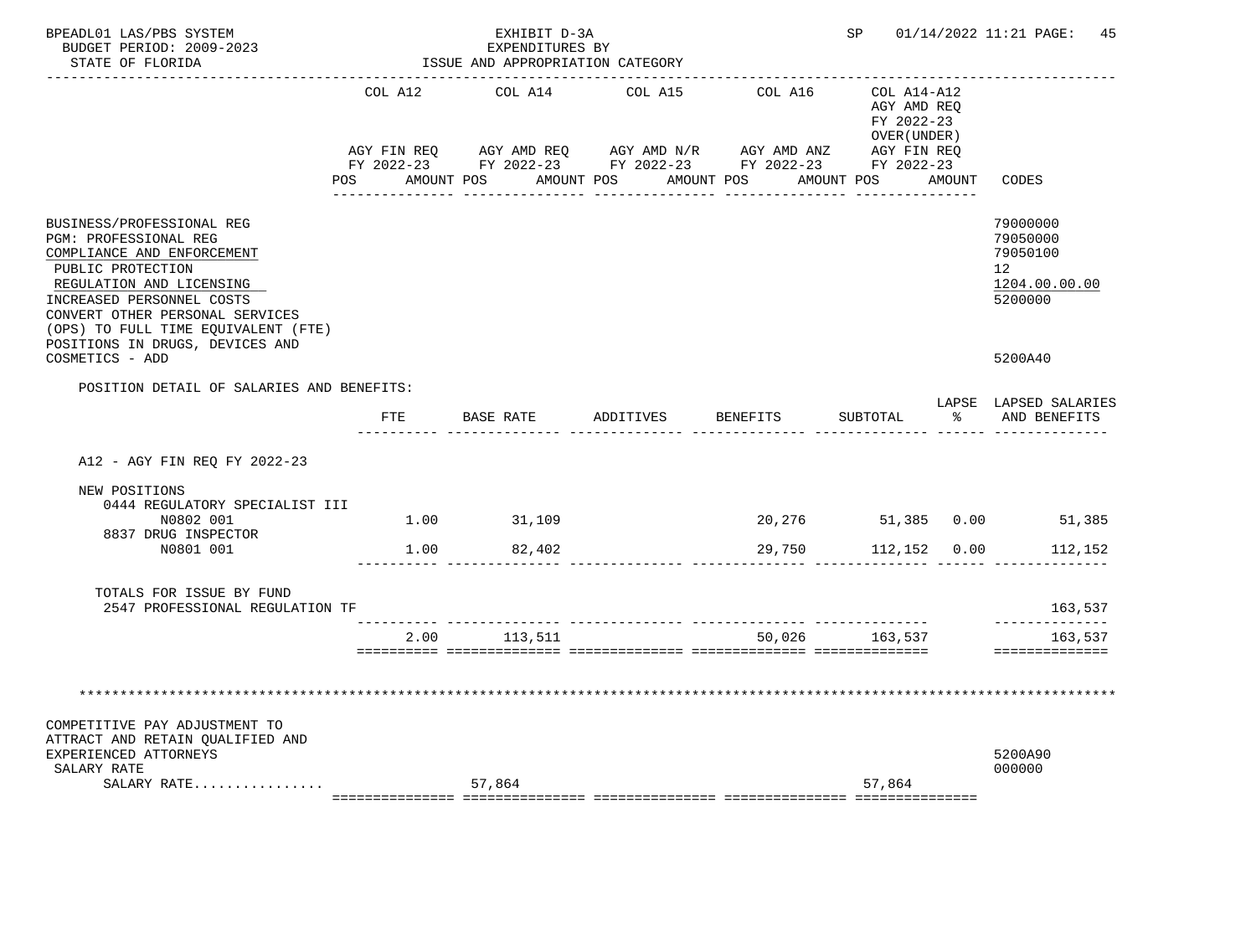| BPEADL01 LAS/PBS SYSTEM<br>BUDGET PERIOD: 2009-2023<br>STATE OF FLORIDA                                                                                                                                                                                                                               |         | EXHIBIT D-3A<br>EXPENDITURES BY<br>ISSUE AND APPROPRIATION CATEGORY                                                                                           | SP        |          | 01/14/2022 11:21 PAGE: 45                                 |                      |                                                                                             |
|-------------------------------------------------------------------------------------------------------------------------------------------------------------------------------------------------------------------------------------------------------------------------------------------------------|---------|---------------------------------------------------------------------------------------------------------------------------------------------------------------|-----------|----------|-----------------------------------------------------------|----------------------|---------------------------------------------------------------------------------------------|
|                                                                                                                                                                                                                                                                                                       | COL A12 | COL A14                                                                                                                                                       | COL A15   | COL A16  | COL A14-A12<br>AGY AMD REO<br>FY 2022-23<br>OVER (UNDER ) |                      |                                                                                             |
|                                                                                                                                                                                                                                                                                                       |         | AGY FIN REQ AGY AMD REQ AGY AMD N/R AGY AMD ANZ AGY FIN REQ<br>FY 2022-23 FY 2022-23 FY 2022-23 FY 2022-23 FY 2022-23<br>POS AMOUNT POS AMOUNT POS AMOUNT POS |           |          | AMOUNT POS AMOUNT                                         |                      | CODES                                                                                       |
| BUSINESS/PROFESSIONAL REG<br><b>PGM: PROFESSIONAL REG</b><br>COMPLIANCE AND ENFORCEMENT<br>PUBLIC PROTECTION<br>REGULATION AND LICENSING<br>INCREASED PERSONNEL COSTS<br>CONVERT OTHER PERSONAL SERVICES<br>(OPS) TO FULL TIME EQUIVALENT (FTE)<br>POSITIONS IN DRUGS, DEVICES AND<br>COSMETICS - ADD |         |                                                                                                                                                               |           |          |                                                           |                      | 79000000<br>79050000<br>79050100<br>12 <sup>12</sup><br>1204.00.00.00<br>5200000<br>5200A40 |
| POSITION DETAIL OF SALARIES AND BENEFITS:                                                                                                                                                                                                                                                             |         |                                                                                                                                                               |           |          |                                                           |                      |                                                                                             |
|                                                                                                                                                                                                                                                                                                       | FTE     | BASE RATE                                                                                                                                                     | ADDITIVES | BENEFITS | SUBTOTAL                                                  | $\sim$ $\sim$ $\sim$ | LAPSE LAPSED SALARIES<br>AND BENEFITS                                                       |
| A12 - AGY FIN REO FY 2022-23                                                                                                                                                                                                                                                                          |         |                                                                                                                                                               |           |          |                                                           |                      |                                                                                             |
| NEW POSITIONS<br>0444 REGULATORY SPECIALIST III<br>N0802 001                                                                                                                                                                                                                                          |         | 1.00 31,109                                                                                                                                                   |           |          |                                                           |                      | 20,276 51,385 0.00 51,385                                                                   |
| 8837 DRUG INSPECTOR<br>N0801 001                                                                                                                                                                                                                                                                      | 1.00    | 82,402                                                                                                                                                        |           |          | 29,750 112,152 0.00                                       |                      | 112,152                                                                                     |
| TOTALS FOR ISSUE BY FUND<br>2547 PROFESSIONAL REGULATION TF                                                                                                                                                                                                                                           |         |                                                                                                                                                               |           |          |                                                           |                      | 163,537                                                                                     |
|                                                                                                                                                                                                                                                                                                       | 2.00    | 113,511                                                                                                                                                       |           | 50,026   | 163,537                                                   |                      | ______________<br>163,537                                                                   |
| COMPETITIVE PAY ADJUSTMENT TO<br>ATTRACT AND RETAIN OUALIFIED AND<br>EXPERIENCED ATTORNEYS<br>SALARY RATE<br>SALARY RATE                                                                                                                                                                              |         | 57,864                                                                                                                                                        |           |          | 57,864                                                    |                      | ==============<br>5200A90<br>000000                                                         |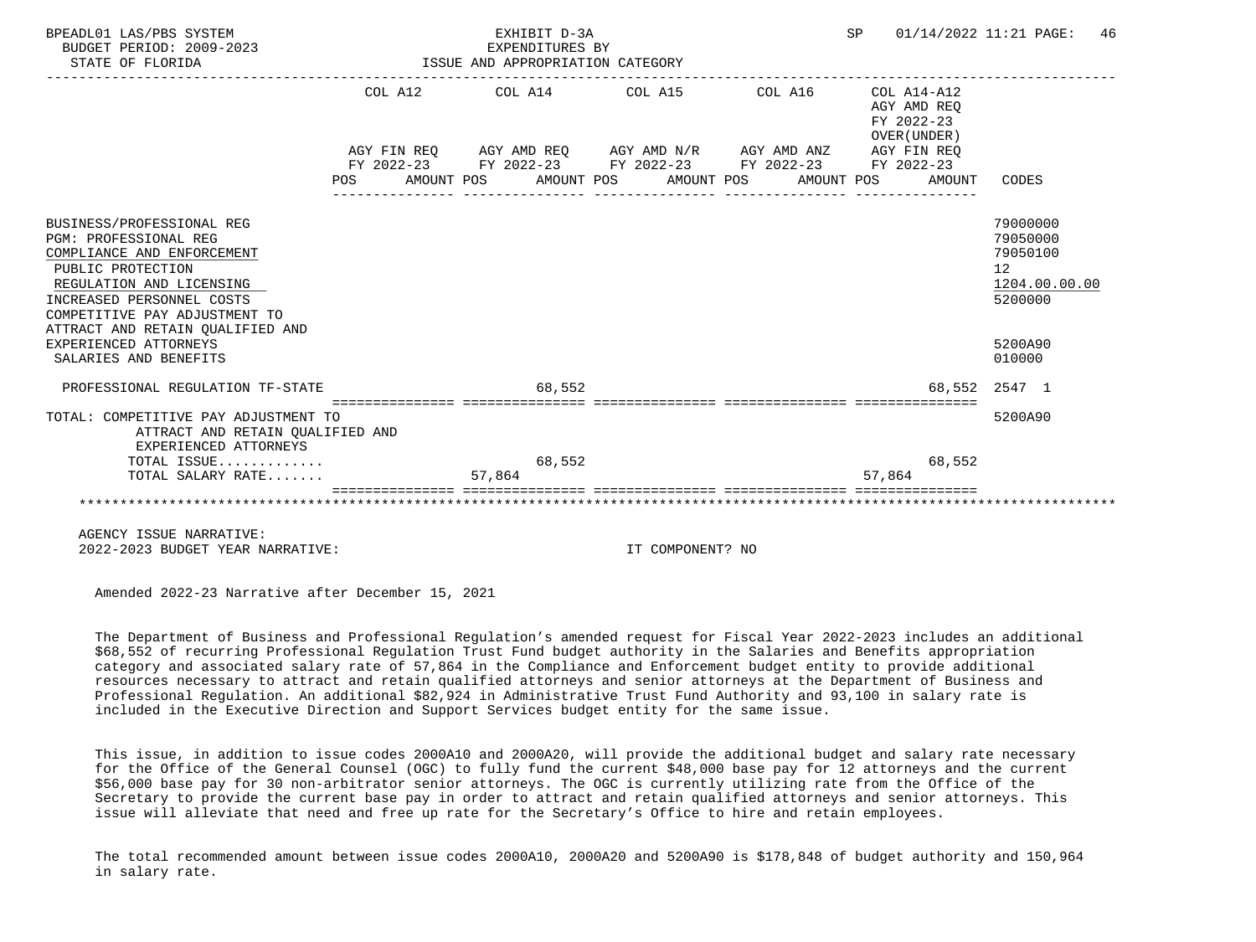| BPEADL01 LAS/PBS SYSTEM<br>BUDGET PERIOD: 2009-2023<br>STATE OF FLORIDA                                                                                                                                                                                             | EXHIBIT D-3A<br>EXPENDITURES BY<br>ISSUE AND APPROPRIATION CATEGORY                                                    | SP 01/14/2022 11:21 PAGE:                                                      | 46               |                                                                                            |
|---------------------------------------------------------------------------------------------------------------------------------------------------------------------------------------------------------------------------------------------------------------------|------------------------------------------------------------------------------------------------------------------------|--------------------------------------------------------------------------------|------------------|--------------------------------------------------------------------------------------------|
|                                                                                                                                                                                                                                                                     | COL A12 COL A14 COL A15 COL A16                                                                                        | ------------------<br>COL A14-A12<br>AGY AMD REO<br>FY 2022-23<br>OVER (UNDER) |                  |                                                                                            |
|                                                                                                                                                                                                                                                                     | AGY FIN REQ AGY AMD REQ AGY AMD N/R AGY AMD ANZ AGY FIN REQ                                                            |                                                                                |                  |                                                                                            |
|                                                                                                                                                                                                                                                                     | FY 2022-23 FY 2022-23 FY 2022-23 FY 2022-23 FY 2022-23<br>POS AMOUNT POS AMOUNT POS AMOUNT POS AMOUNT POS AMOUNT CODES |                                                                                |                  |                                                                                            |
| BUSINESS/PROFESSIONAL REG<br><b>PGM: PROFESSIONAL REG</b><br>COMPLIANCE AND ENFORCEMENT<br>PUBLIC PROTECTION<br>REGULATION AND LICENSING<br>INCREASED PERSONNEL COSTS<br>COMPETITIVE PAY ADJUSTMENT TO<br>ATTRACT AND RETAIN OUALIFIED AND<br>EXPERIENCED ATTORNEYS |                                                                                                                        |                                                                                |                  | 79000000<br>79050000<br>79050100<br>12 <sup>°</sup><br>1204.00.00.00<br>5200000<br>5200A90 |
| SALARIES AND BENEFITS                                                                                                                                                                                                                                               |                                                                                                                        |                                                                                |                  | 010000                                                                                     |
| PROFESSIONAL REGULATION TF-STATE                                                                                                                                                                                                                                    | 68,552                                                                                                                 |                                                                                |                  | 68,552 2547 1                                                                              |
| TOTAL: COMPETITIVE PAY ADJUSTMENT TO<br>ATTRACT AND RETAIN OUALIFIED AND<br>EXPERIENCED ATTORNEYS                                                                                                                                                                   |                                                                                                                        |                                                                                |                  | 5200A90                                                                                    |
| TOTAL ISSUE<br>TOTAL SALARY RATE                                                                                                                                                                                                                                    | 68,552<br>57,864                                                                                                       |                                                                                | 68,552<br>57,864 |                                                                                            |
|                                                                                                                                                                                                                                                                     |                                                                                                                        |                                                                                |                  |                                                                                            |

 AGENCY ISSUE NARRATIVE: 2022-2023 BUDGET YEAR NARRATIVE: IT COMPONENT? NO

Amended 2022-23 Narrative after December 15, 2021

 The Department of Business and Professional Regulation's amended request for Fiscal Year 2022-2023 includes an additional \$68,552 of recurring Professional Regulation Trust Fund budget authority in the Salaries and Benefits appropriation category and associated salary rate of 57,864 in the Compliance and Enforcement budget entity to provide additional resources necessary to attract and retain qualified attorneys and senior attorneys at the Department of Business and Professional Regulation. An additional \$82,924 in Administrative Trust Fund Authority and 93,100 in salary rate is included in the Executive Direction and Support Services budget entity for the same issue.

 This issue, in addition to issue codes 2000A10 and 2000A20, will provide the additional budget and salary rate necessary for the Office of the General Counsel (OGC) to fully fund the current \$48,000 base pay for 12 attorneys and the current \$56,000 base pay for 30 non-arbitrator senior attorneys. The OGC is currently utilizing rate from the Office of the Secretary to provide the current base pay in order to attract and retain qualified attorneys and senior attorneys. This issue will alleviate that need and free up rate for the Secretary's Office to hire and retain employees.

 The total recommended amount between issue codes 2000A10, 2000A20 and 5200A90 is \$178,848 of budget authority and 150,964 in salary rate.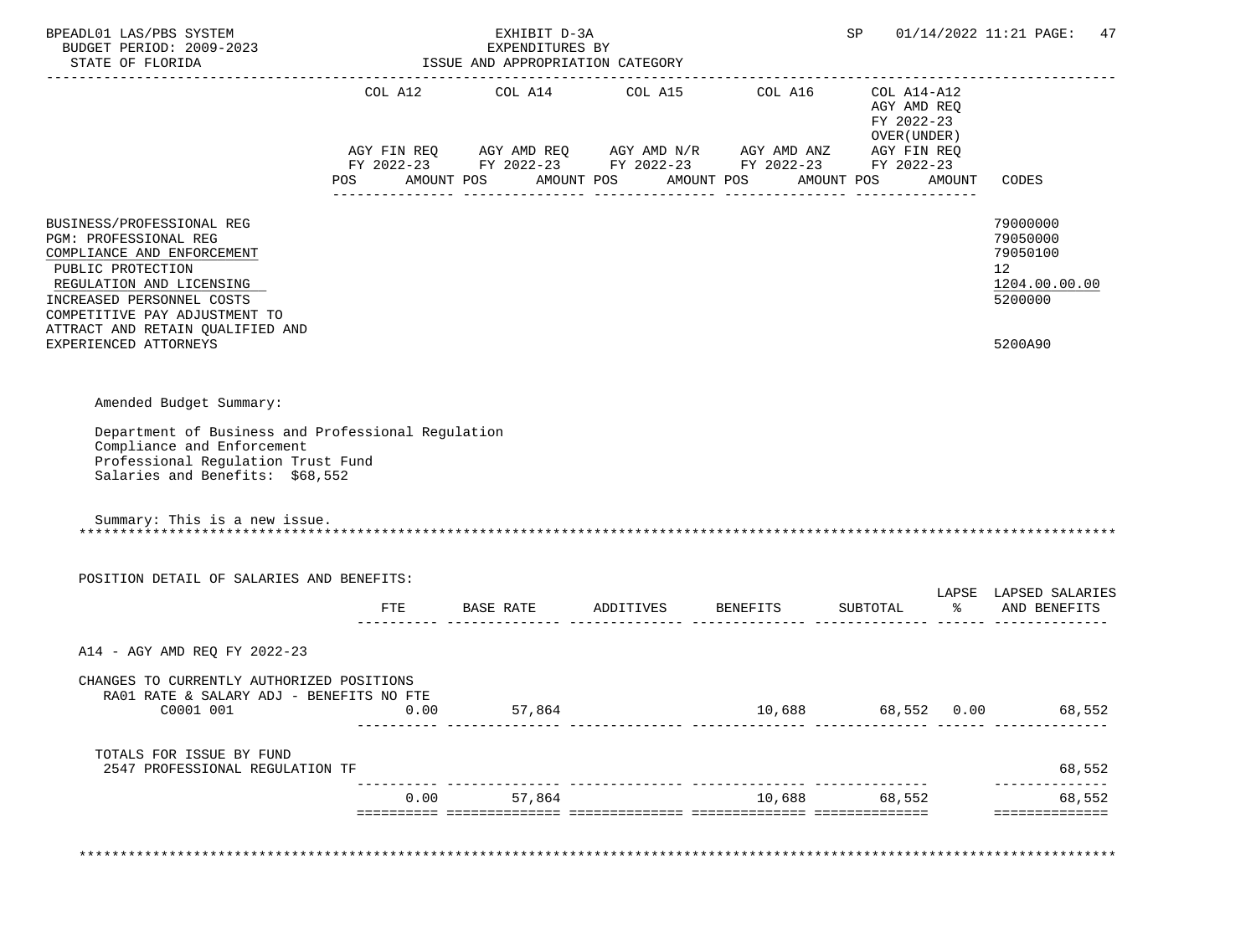| STATE OF FLORIDA                                                                                                                                                                                                                                             |         | EXHIBIT D-3A<br>EXPENDITURES BY<br>ISSUE AND APPROPRIATION CATEGORY |                                                                                                                                                                                                                                              |        | SP                                                      |        | 01/14/2022 11:21 PAGE: 47                                                                  |
|--------------------------------------------------------------------------------------------------------------------------------------------------------------------------------------------------------------------------------------------------------------|---------|---------------------------------------------------------------------|----------------------------------------------------------------------------------------------------------------------------------------------------------------------------------------------------------------------------------------------|--------|---------------------------------------------------------|--------|--------------------------------------------------------------------------------------------|
|                                                                                                                                                                                                                                                              | POS FOR |                                                                     | COL A12 $\qquad$ COL A14 $\qquad$ COL A15 $\qquad$ COL A16 $\qquad$ COL A14-A12<br>AGY FIN REQ AGY AMD REQ AGY AMD N/R AGY AMD ANZ AGY FIN REQ<br>FY 2022-23 FY 2022-23 FY 2022-23 FY 2022-23 FY 2022-23<br>AMOUNT POS AMOUNT POS AMOUNT POS |        | AGY AMD REQ<br>FY 2022-23<br>OVER (UNDER)<br>AMOUNT POS | AMOUNT | CODES                                                                                      |
| BUSINESS/PROFESSIONAL REG<br>PGM: PROFESSIONAL REG<br>COMPLIANCE AND ENFORCEMENT<br>PUBLIC PROTECTION<br>REGULATION AND LICENSING<br>INCREASED PERSONNEL COSTS<br>COMPETITIVE PAY ADJUSTMENT TO<br>ATTRACT AND RETAIN QUALIFIED AND<br>EXPERIENCED ATTORNEYS |         |                                                                     |                                                                                                                                                                                                                                              |        |                                                         |        | 79000000<br>79050000<br>79050100<br>12 <sup>°</sup><br>1204.00.00.00<br>5200000<br>5200A90 |
| Amended Budget Summary:<br>Department of Business and Professional Regulation<br>Compliance and Enforcement<br>Professional Regulation Trust Fund<br>Salaries and Benefits: \$68,552<br>Summary: This is a new issue.                                        |         |                                                                     |                                                                                                                                                                                                                                              |        |                                                         |        |                                                                                            |
|                                                                                                                                                                                                                                                              |         |                                                                     |                                                                                                                                                                                                                                              |        |                                                         |        |                                                                                            |
| POSITION DETAIL OF SALARIES AND BENEFITS:                                                                                                                                                                                                                    |         |                                                                     | FTE BASE RATE ADDITIVES BENEFITS                                                                                                                                                                                                             |        |                                                         |        | LAPSE LAPSED SALARIES<br>SUBTOTAL % AND BENEFITS                                           |
|                                                                                                                                                                                                                                                              |         |                                                                     |                                                                                                                                                                                                                                              |        |                                                         |        |                                                                                            |
| A14 - AGY AMD REQ FY 2022-23                                                                                                                                                                                                                                 |         |                                                                     |                                                                                                                                                                                                                                              |        |                                                         |        |                                                                                            |
| CHANGES TO CURRENTLY AUTHORIZED POSITIONS<br>RA01 RATE & SALARY ADJ - BENEFITS NO FTE<br>C0001 001                                                                                                                                                           | 0.00    | 57,864                                                              |                                                                                                                                                                                                                                              | 10,688 | 68,552                                                  | 0.00   | 68,552                                                                                     |
| TOTALS FOR ISSUE BY FUND<br>2547 PROFESSIONAL REGULATION TF                                                                                                                                                                                                  |         |                                                                     |                                                                                                                                                                                                                                              |        |                                                         |        | 68,552                                                                                     |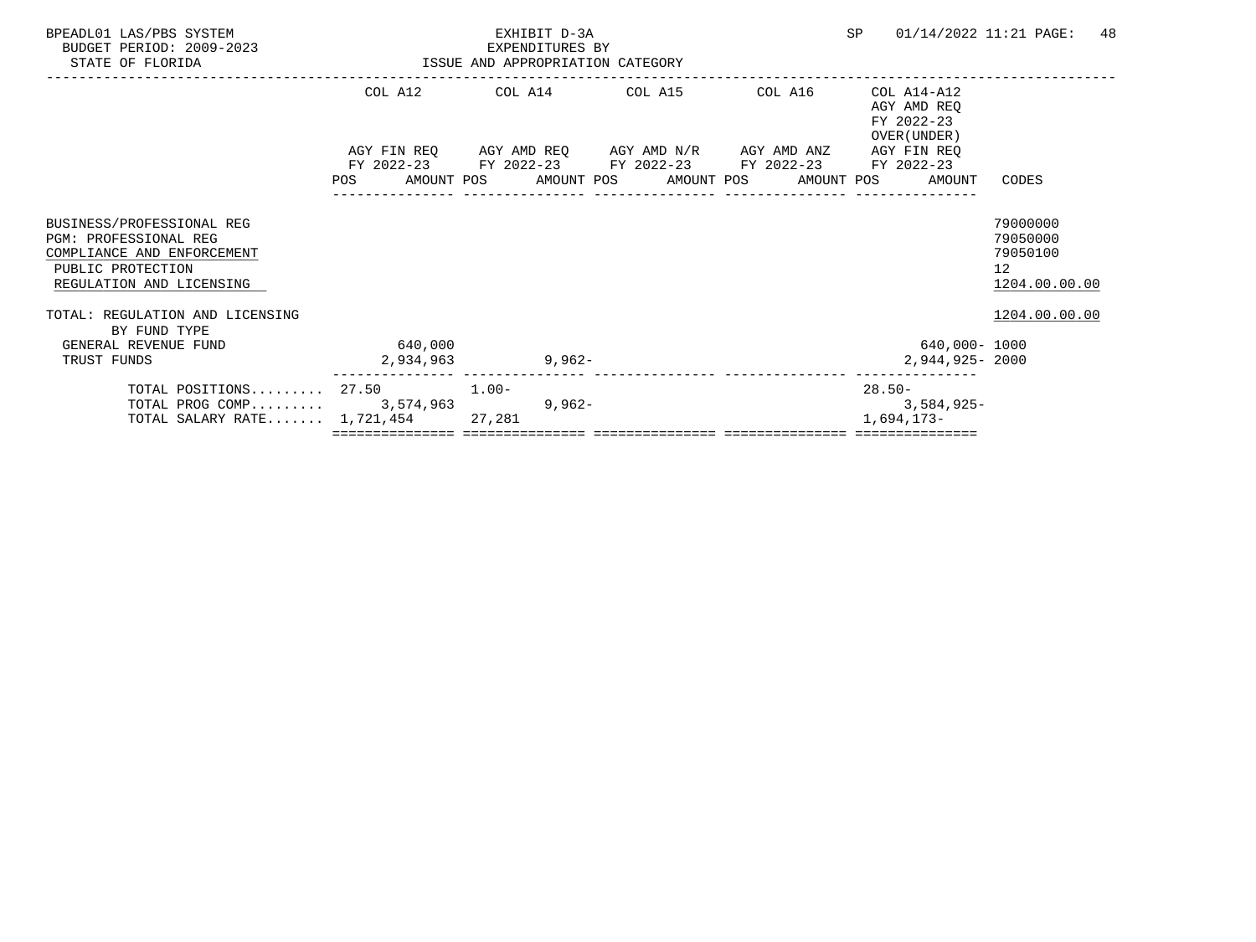| BPEADL01 LAS/PBS SYSTEM<br>BUDGET PERIOD: 2009-2023<br>STATE OF FLORIDA                                                                  |                      | EXHIBIT D-3A<br>EXPENDITURES BY<br>ISSUE AND APPROPRIATION CATEGORY                                                                           |  | <b>SP</b><br>01/14/2022 11:21 PAGE:                      | 48                                                      |
|------------------------------------------------------------------------------------------------------------------------------------------|----------------------|-----------------------------------------------------------------------------------------------------------------------------------------------|--|----------------------------------------------------------|---------------------------------------------------------|
|                                                                                                                                          |                      | COL A12 COL A14 COL A15 COL A16                                                                                                               |  | COL A14-A12<br>AGY AMD REO<br>FY 2022-23<br>OVER (UNDER) |                                                         |
|                                                                                                                                          | POS                  | AGY FIN REQ AGY AMD REQ AGY AMD N/R AGY AMD ANZ<br>FY 2022-23 FY 2022-23 FY 2022-23 FY 2022-23<br>AMOUNT POS AMOUNT POS AMOUNT POS AMOUNT POS |  | AGY FIN REO<br>FY 2022-23<br>AMOUNT                      | CODES                                                   |
| BUSINESS/PROFESSIONAL REG<br><b>PGM: PROFESSIONAL REG</b><br>COMPLIANCE AND ENFORCEMENT<br>PUBLIC PROTECTION<br>REGULATION AND LICENSING |                      |                                                                                                                                               |  |                                                          | 79000000<br>79050000<br>79050100<br>12<br>1204.00.00.00 |
| TOTAL: REGULATION AND LICENSING<br>BY FUND TYPE<br>GENERAL REVENUE FUND<br>TRUST FUNDS                                                   | 640,000<br>2,934,963 | 9,962-                                                                                                                                        |  | 640,000- 1000<br>2,944,925-2000                          | 1204.00.00.00                                           |
| TOTAL POSITIONS $27.50$ 1.00-<br>TOTAL PROG COMP $3,574,963$<br>TOTAL SALARY RATE $1,721,454$                                            |                      | $9,962-$<br>27,281<br>=================================                                                                                       |  | 28.50-<br>3,584,925-<br>1,694,173-                       |                                                         |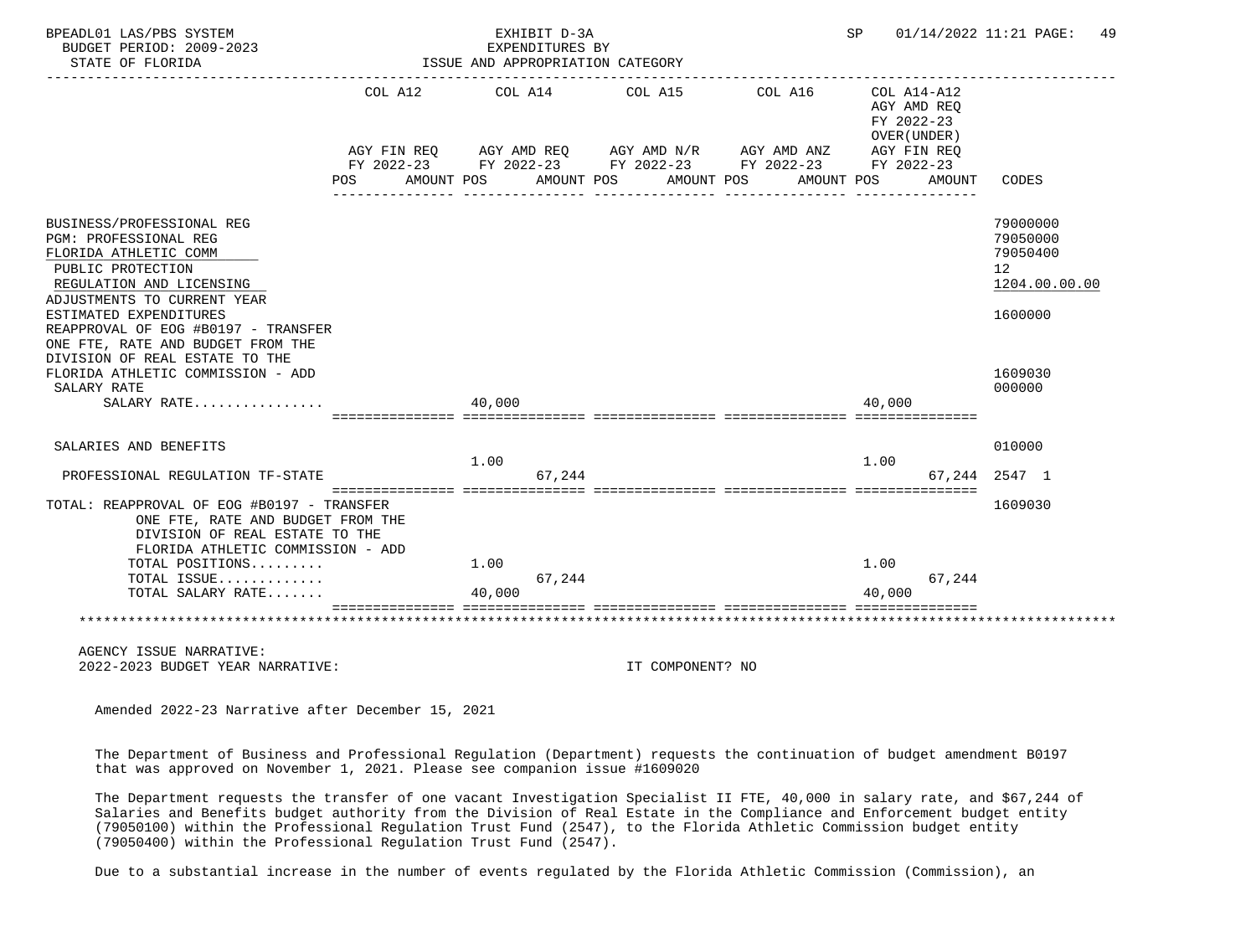| BPEADL01 LAS/PBS SYSTEM                                                                                                                                                   |                 | EXHIBIT D-3A                                                                                                                     |                       |         | SP                                                       | 01/14/2022 11:21 PAGE:<br>49                                         |
|---------------------------------------------------------------------------------------------------------------------------------------------------------------------------|-----------------|----------------------------------------------------------------------------------------------------------------------------------|-----------------------|---------|----------------------------------------------------------|----------------------------------------------------------------------|
| BUDGET PERIOD: 2009-2023<br>STATE OF FLORIDA                                                                                                                              |                 | EXPENDITURES BY<br>ISSUE AND APPROPRIATION CATEGORY                                                                              |                       |         |                                                          |                                                                      |
|                                                                                                                                                                           | COL A12         | COL A14<br>AGY FIN REQ AGY AMD REQ AGY AMD N/R AGY AMD ANZ AGY FIN REQ<br>FY 2022-23 FY 2022-23 FY 2022-23 FY 2022-23 FY 2022-23 | COL A15               | COL A16 | COL A14-A12<br>AGY AMD REQ<br>FY 2022-23<br>OVER (UNDER) |                                                                      |
|                                                                                                                                                                           | <b>POS</b>      | AMOUNT POS                                                                                                                       | AMOUNT POS AMOUNT POS |         | AMOUNT POS<br>AMOUNT                                     | CODES                                                                |
| BUSINESS/PROFESSIONAL REG<br>PGM: PROFESSIONAL REG<br>FLORIDA ATHLETIC COMM<br>PUBLIC PROTECTION<br>REGULATION AND LICENSING<br>ADJUSTMENTS TO CURRENT YEAR               |                 |                                                                                                                                  |                       |         |                                                          | 79000000<br>79050000<br>79050400<br>12 <sup>°</sup><br>1204.00.00.00 |
| ESTIMATED EXPENDITURES<br>REAPPROVAL OF EOG #B0197 - TRANSFER<br>ONE FTE, RATE AND BUDGET FROM THE<br>DIVISION OF REAL ESTATE TO THE<br>FLORIDA ATHLETIC COMMISSION - ADD |                 |                                                                                                                                  |                       |         |                                                          | 1600000<br>1609030                                                   |
| SALARY RATE<br>$SALARY$ RATE                                                                                                                                              | 40,000          |                                                                                                                                  |                       |         | 40,000                                                   | 000000                                                               |
| SALARIES AND BENEFITS                                                                                                                                                     |                 | 1.00                                                                                                                             |                       |         | 1.00                                                     | 010000                                                               |
| PROFESSIONAL REGULATION TF-STATE                                                                                                                                          | =============== | 67.244                                                                                                                           |                       |         |                                                          | 67.244 2547 1                                                        |
| TOTAL: REAPPROVAL OF EOG #B0197 - TRANSFER<br>ONE FTE, RATE AND BUDGET FROM THE<br>DIVISION OF REAL ESTATE TO THE<br>FLORIDA ATHLETIC COMMISSION - ADD                    |                 |                                                                                                                                  |                       |         |                                                          | 1609030                                                              |
| TOTAL POSITIONS<br>TOTAL ISSUE                                                                                                                                            |                 | 1.00<br>67,244                                                                                                                   |                       |         | 1.00<br>67,244                                           |                                                                      |
| TOTAL SALARY RATE                                                                                                                                                         |                 | 40,000                                                                                                                           |                       |         | 40,000                                                   |                                                                      |
|                                                                                                                                                                           |                 |                                                                                                                                  |                       |         |                                                          |                                                                      |
| AGENCY ISSUE NARRATIVE:<br>2022-2023 BUDGET YEAR NARRATIVE:                                                                                                               |                 |                                                                                                                                  | IT COMPONENT? NO      |         |                                                          |                                                                      |

 The Department of Business and Professional Regulation (Department) requests the continuation of budget amendment B0197 that was approved on November 1, 2021. Please see companion issue #1609020

 The Department requests the transfer of one vacant Investigation Specialist II FTE, 40,000 in salary rate, and \$67,244 of Salaries and Benefits budget authority from the Division of Real Estate in the Compliance and Enforcement budget entity (79050100) within the Professional Regulation Trust Fund (2547), to the Florida Athletic Commission budget entity (79050400) within the Professional Regulation Trust Fund (2547).

Due to a substantial increase in the number of events regulated by the Florida Athletic Commission (Commission), an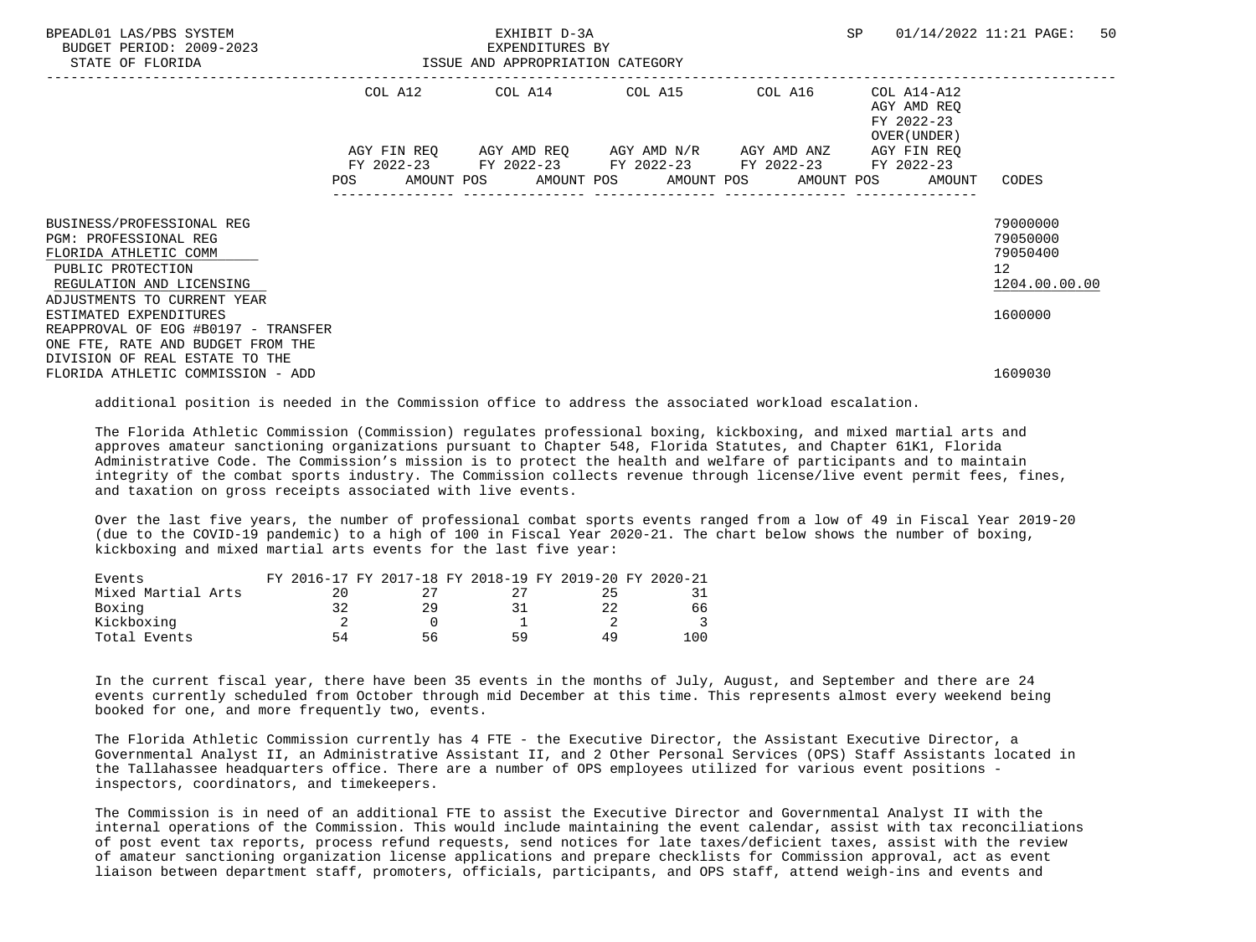| BPEADL01 LAS/PBS SYSTEM<br>BUDGET PERIOD: 2009-2023<br>STATE OF FLORIDA                                                           |         |             | EXHIBIT D-3A<br>EXPENDITURES BY<br>ISSUE AND APPROPRIATION CATEGORY |                                                                                    |         | SP |                                                           | 01/14/2022 11:21 PAGE:                              | 50 |
|-----------------------------------------------------------------------------------------------------------------------------------|---------|-------------|---------------------------------------------------------------------|------------------------------------------------------------------------------------|---------|----|-----------------------------------------------------------|-----------------------------------------------------|----|
|                                                                                                                                   | COL A12 |             |                                                                     | COL A14 COL A15                                                                    | COL A16 |    | COL A14-A12<br>AGY AMD REO<br>FY 2022-23<br>OVER (UNDER ) |                                                     |    |
|                                                                                                                                   |         | AGY FIN REO |                                                                     | AGY AMD REQ AGY AMD N/R AGY AMD ANZ<br>FY 2022-23 FY 2022-23 FY 2022-23 FY 2022-23 |         |    | AGY FIN REO<br>FY 2022-23                                 |                                                     |    |
|                                                                                                                                   | POS     |             |                                                                     | AMOUNT POS AMOUNT POS AMOUNT POS AMOUNT POS                                        |         |    | AMOUNT                                                    | CODES                                               |    |
| BUSINESS/PROFESSIONAL REG<br><b>PGM: PROFESSIONAL REG</b><br>FLORIDA ATHLETIC COMM<br>PUBLIC PROTECTION                           |         |             |                                                                     |                                                                                    |         |    |                                                           | 79000000<br>79050000<br>79050400<br>12 <sup>°</sup> |    |
| REGULATION AND LICENSING                                                                                                          |         |             |                                                                     |                                                                                    |         |    |                                                           | 1204.00.00.00                                       |    |
| ADJUSTMENTS TO CURRENT YEAR<br>ESTIMATED EXPENDITURES<br>REAPPROVAL OF EOG #B0197 - TRANSFER<br>ONE FTE, RATE AND BUDGET FROM THE |         |             |                                                                     |                                                                                    |         |    |                                                           | 1600000                                             |    |
| DIVISION OF REAL ESTATE TO THE<br>FLORIDA ATHLETIC COMMISSION - ADD                                                               |         |             |                                                                     |                                                                                    |         |    |                                                           | 1609030                                             |    |

additional position is needed in the Commission office to address the associated workload escalation.

 The Florida Athletic Commission (Commission) regulates professional boxing, kickboxing, and mixed martial arts and approves amateur sanctioning organizations pursuant to Chapter 548, Florida Statutes, and Chapter 61K1, Florida Administrative Code. The Commission's mission is to protect the health and welfare of participants and to maintain integrity of the combat sports industry. The Commission collects revenue through license/live event permit fees, fines, and taxation on gross receipts associated with live events.

 Over the last five years, the number of professional combat sports events ranged from a low of 49 in Fiscal Year 2019-20 (due to the COVID-19 pandemic) to a high of 100 in Fiscal Year 2020-21. The chart below shows the number of boxing, kickboxing and mixed martial arts events for the last five year:

| Events             |    | FY 2016-17 FY 2017-18 FY 2018-19 FY 2019-20 FY 2020-21 |    |    |      |
|--------------------|----|--------------------------------------------------------|----|----|------|
| Mixed Martial Arts |    |                                                        |    |    |      |
| Boxing             |    |                                                        |    |    | 66   |
| Kickboxing         |    |                                                        |    |    |      |
| Total Events       | 54 | 56                                                     | 50 | 49 | 10 C |

 In the current fiscal year, there have been 35 events in the months of July, August, and September and there are 24 events currently scheduled from October through mid December at this time. This represents almost every weekend being booked for one, and more frequently two, events.

 The Florida Athletic Commission currently has 4 FTE - the Executive Director, the Assistant Executive Director, a Governmental Analyst II, an Administrative Assistant II, and 2 Other Personal Services (OPS) Staff Assistants located in the Tallahassee headquarters office. There are a number of OPS employees utilized for various event positions inspectors, coordinators, and timekeepers.

 The Commission is in need of an additional FTE to assist the Executive Director and Governmental Analyst II with the internal operations of the Commission. This would include maintaining the event calendar, assist with tax reconciliations of post event tax reports, process refund requests, send notices for late taxes/deficient taxes, assist with the review of amateur sanctioning organization license applications and prepare checklists for Commission approval, act as event liaison between department staff, promoters, officials, participants, and OPS staff, attend weigh-ins and events and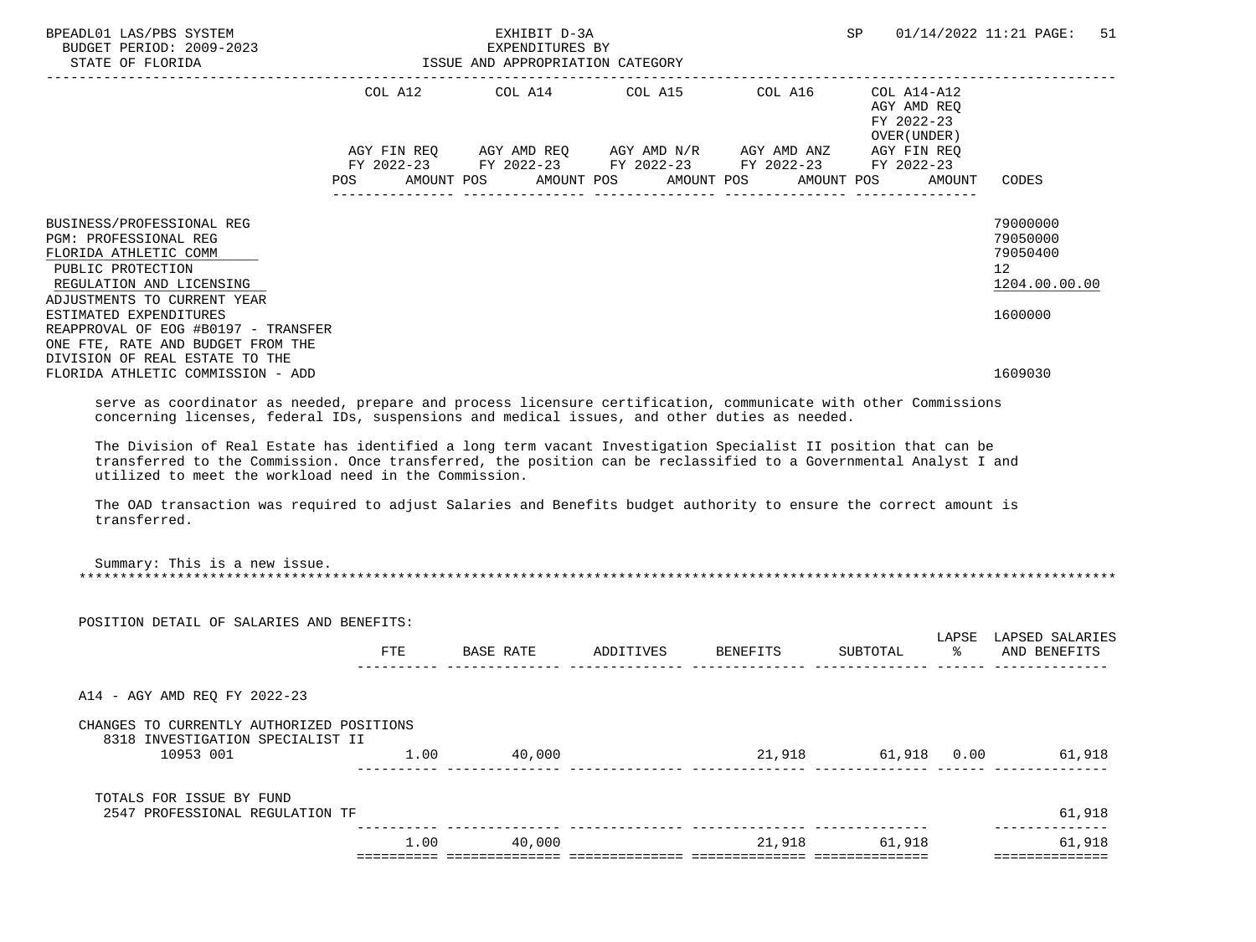| BPEADL01 LAS/PBS SYSTEM<br>BUDGET PERIOD: 2009-2023<br>STATE OF FLORIDA                                                                                                                                                                                                                                                                                                                                                                                                                                                                                                                                                                                                                |            | EXHIBIT D-3A<br>EXPENDITURES BY<br>ISSUE AND APPROPRIATION CATEGORY                                                                                                    |                       |                    | SP                                                                     |                  | 01/14/2022 11:21 PAGE:<br>51                                                    |
|----------------------------------------------------------------------------------------------------------------------------------------------------------------------------------------------------------------------------------------------------------------------------------------------------------------------------------------------------------------------------------------------------------------------------------------------------------------------------------------------------------------------------------------------------------------------------------------------------------------------------------------------------------------------------------------|------------|------------------------------------------------------------------------------------------------------------------------------------------------------------------------|-----------------------|--------------------|------------------------------------------------------------------------|------------------|---------------------------------------------------------------------------------|
|                                                                                                                                                                                                                                                                                                                                                                                                                                                                                                                                                                                                                                                                                        | <b>POS</b> | COL A12 COL A14 COL A15 COL A16<br>AGY FIN REQ AGY AMD REQ AGY AMD N/R AGY AMD ANZ AGY FIN REQ<br>FY 2022-23 FY 2022-23 FY 2022-23 FY 2022-23 FY 2022-23<br>AMOUNT POS | AMOUNT POS AMOUNT POS |                    | COL A14-A12<br>AGY AMD REQ<br>FY 2022-23<br>OVER (UNDER)<br>AMOUNT POS | AMOUNT           | CODES                                                                           |
| BUSINESS/PROFESSIONAL REG<br>PGM: PROFESSIONAL REG<br>FLORIDA ATHLETIC COMM<br>PUBLIC PROTECTION<br>REGULATION AND LICENSING<br>ADJUSTMENTS TO CURRENT YEAR<br>ESTIMATED EXPENDITURES<br>REAPPROVAL OF EOG #B0197 - TRANSFER<br>ONE FTE, RATE AND BUDGET FROM THE<br>DIVISION OF REAL ESTATE TO THE                                                                                                                                                                                                                                                                                                                                                                                    |            |                                                                                                                                                                        |                       |                    |                                                                        |                  | 79000000<br>79050000<br>79050400<br>12 <sup>°</sup><br>1204.00.00.00<br>1600000 |
| FLORIDA ATHLETIC COMMISSION - ADD                                                                                                                                                                                                                                                                                                                                                                                                                                                                                                                                                                                                                                                      |            |                                                                                                                                                                        |                       |                    |                                                                        |                  | 1609030                                                                         |
| serve as coordinator as needed, prepare and process licensure certification, communicate with other Commissions<br>concerning licenses, federal IDs, suspensions and medical issues, and other duties as needed.<br>The Division of Real Estate has identified a long term vacant Investigation Specialist II position that can be<br>transferred to the Commission. Once transferred, the position can be reclassified to a Governmental Analyst I and<br>utilized to meet the workload need in the Commission.<br>The OAD transaction was required to adjust Salaries and Benefits budget authority to ensure the correct amount is<br>transferred.<br>Summary: This is a new issue. |            |                                                                                                                                                                        |                       |                    |                                                                        |                  |                                                                                 |
|                                                                                                                                                                                                                                                                                                                                                                                                                                                                                                                                                                                                                                                                                        |            |                                                                                                                                                                        |                       |                    |                                                                        |                  |                                                                                 |
| POSITION DETAIL OF SALARIES AND BENEFITS:                                                                                                                                                                                                                                                                                                                                                                                                                                                                                                                                                                                                                                              | FTE        | BASE RATE                                                                                                                                                              |                       | ADDITIVES BENEFITS | SUBTOTAL                                                               | $\sim$ $\approx$ | LAPSE LAPSED SALARIES<br>AND BENEFITS                                           |
| A14 - AGY AMD REQ FY 2022-23                                                                                                                                                                                                                                                                                                                                                                                                                                                                                                                                                                                                                                                           |            |                                                                                                                                                                        |                       |                    |                                                                        |                  |                                                                                 |
|                                                                                                                                                                                                                                                                                                                                                                                                                                                                                                                                                                                                                                                                                        |            |                                                                                                                                                                        |                       |                    |                                                                        |                  |                                                                                 |
| CHANGES TO CURRENTLY AUTHORIZED POSITIONS<br>8318 INVESTIGATION SPECIALIST II<br>10953 001                                                                                                                                                                                                                                                                                                                                                                                                                                                                                                                                                                                             |            | $1.00$ 40,000                                                                                                                                                          |                       |                    |                                                                        |                  | 21,918 61,918 0.00 61,918                                                       |
| TOTALS FOR ISSUE BY FUND<br>2547 PROFESSIONAL REGULATION TF                                                                                                                                                                                                                                                                                                                                                                                                                                                                                                                                                                                                                            |            |                                                                                                                                                                        |                       |                    |                                                                        |                  | 61,918                                                                          |
|                                                                                                                                                                                                                                                                                                                                                                                                                                                                                                                                                                                                                                                                                        | 1.00       | 40,000                                                                                                                                                                 |                       |                    | 21,918 61,918                                                          |                  | 61,918<br>==============                                                        |
|                                                                                                                                                                                                                                                                                                                                                                                                                                                                                                                                                                                                                                                                                        |            |                                                                                                                                                                        |                       |                    |                                                                        |                  |                                                                                 |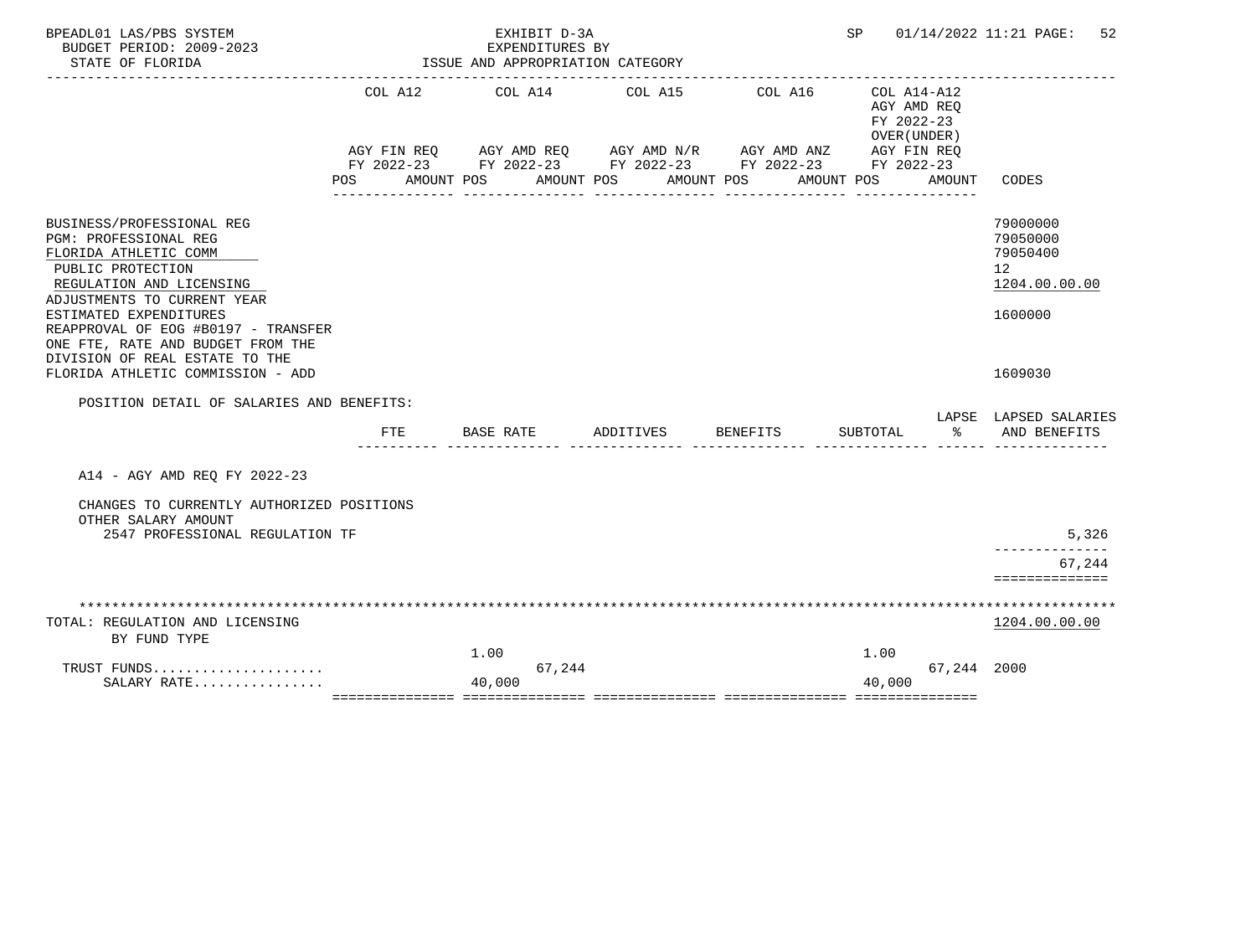| BPEADL01 LAS/PBS SYSTEM<br>BUDGET PERIOD: 2009-2023                                                                                                                                                                                                                      |                   | EXHIBIT D-3A<br>EXPENDITURES BY                                                                                                                |                       |                       | SP                                                                     |             | 01/14/2022 11:21 PAGE:<br>52                                                    |
|--------------------------------------------------------------------------------------------------------------------------------------------------------------------------------------------------------------------------------------------------------------------------|-------------------|------------------------------------------------------------------------------------------------------------------------------------------------|-----------------------|-----------------------|------------------------------------------------------------------------|-------------|---------------------------------------------------------------------------------|
| STATE OF FLORIDA                                                                                                                                                                                                                                                         |                   | ISSUE AND APPROPRIATION CATEGORY                                                                                                               |                       |                       |                                                                        |             |                                                                                 |
|                                                                                                                                                                                                                                                                          | COL A12<br>POS DO | COL A14<br>AGY FIN REQ AGY AMD REQ AGY AMD N/R AGY AMD ANZ AGY FIN REQ<br>FY 2022-23 FY 2022-23 FY 2022-23 FY 2022-23 FY 2022-23<br>AMOUNT POS | COL A15<br>AMOUNT POS | COL A16<br>AMOUNT POS | COL A14-A12<br>AGY AMD REO<br>FY 2022-23<br>OVER (UNDER)<br>AMOUNT POS | AMOUNT      | CODES                                                                           |
|                                                                                                                                                                                                                                                                          |                   |                                                                                                                                                |                       |                       |                                                                        |             |                                                                                 |
| BUSINESS/PROFESSIONAL REG<br><b>PGM: PROFESSIONAL REG</b><br>FLORIDA ATHLETIC COMM<br>PUBLIC PROTECTION<br>REGULATION AND LICENSING<br>ADJUSTMENTS TO CURRENT YEAR<br>ESTIMATED EXPENDITURES<br>REAPPROVAL OF EOG #B0197 - TRANSFER<br>ONE FTE, RATE AND BUDGET FROM THE |                   |                                                                                                                                                |                       |                       |                                                                        |             | 79000000<br>79050000<br>79050400<br>12 <sup>°</sup><br>1204.00.00.00<br>1600000 |
| DIVISION OF REAL ESTATE TO THE<br>FLORIDA ATHLETIC COMMISSION - ADD                                                                                                                                                                                                      |                   |                                                                                                                                                |                       |                       |                                                                        |             | 1609030                                                                         |
| POSITION DETAIL OF SALARIES AND BENEFITS:                                                                                                                                                                                                                                | FTE               | BASE RATE                                                                                                                                      | ADDITIVES             | BENEFITS              | SUBTOTAL                                                               | ిన          | LAPSE LAPSED SALARIES<br>AND BENEFITS                                           |
| A14 - AGY AMD REO FY 2022-23                                                                                                                                                                                                                                             |                   |                                                                                                                                                |                       |                       |                                                                        |             |                                                                                 |
| CHANGES TO CURRENTLY AUTHORIZED POSITIONS<br>OTHER SALARY AMOUNT<br>2547 PROFESSIONAL REGULATION TF                                                                                                                                                                      |                   |                                                                                                                                                |                       |                       |                                                                        |             | 5,326<br>-------------                                                          |
|                                                                                                                                                                                                                                                                          |                   |                                                                                                                                                |                       |                       |                                                                        |             | 67,244<br>==============                                                        |
|                                                                                                                                                                                                                                                                          |                   |                                                                                                                                                |                       |                       |                                                                        |             |                                                                                 |
| TOTAL: REGULATION AND LICENSING<br>BY FUND TYPE                                                                                                                                                                                                                          |                   |                                                                                                                                                |                       |                       |                                                                        |             | 1204.00.00.00                                                                   |
| TRUST FUNDS                                                                                                                                                                                                                                                              |                   | 1.00<br>67,244                                                                                                                                 |                       |                       | 1.00                                                                   | 67,244 2000 |                                                                                 |
| SALARY RATE                                                                                                                                                                                                                                                              |                   | 40,000                                                                                                                                         |                       |                       | 40,000                                                                 |             |                                                                                 |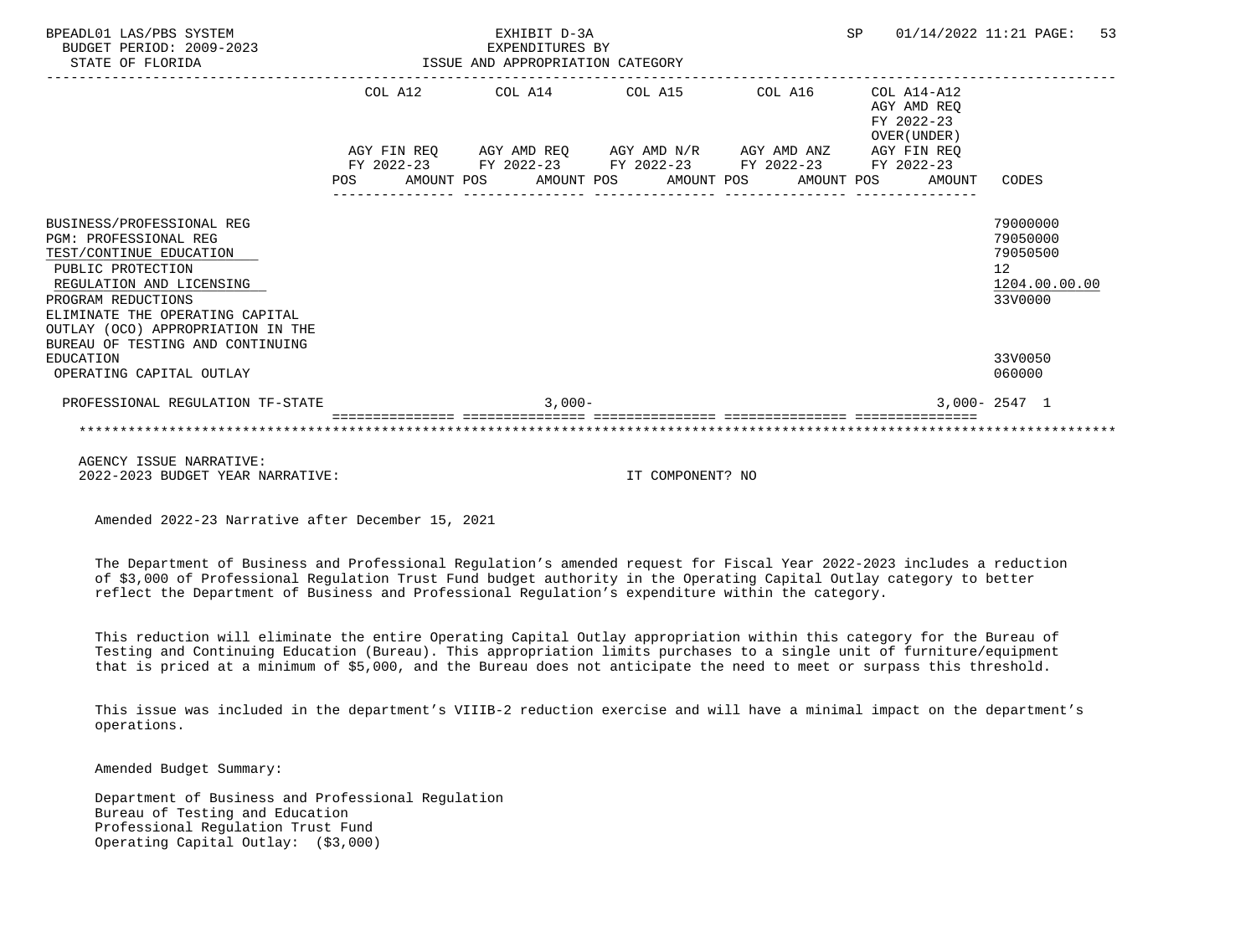| BPEADL01 LAS/PBS SYSTEM<br>BUDGET PERIOD: 2009-2023<br>STATE OF FLORIDA                                                                                                                                                                                          | EXHIBIT D-3A<br>EXPENDITURES BY<br>EXPENDITURES BY<br>ISSUE AND APPROPRIATION CATEGORY |  |  |           |  |                                                        |  | SP |                                                                             | 01/14/2022 11:21 PAGE: 53                                                       |  |
|------------------------------------------------------------------------------------------------------------------------------------------------------------------------------------------------------------------------------------------------------------------|----------------------------------------------------------------------------------------|--|--|-----------|--|--------------------------------------------------------|--|----|-----------------------------------------------------------------------------|---------------------------------------------------------------------------------|--|
|                                                                                                                                                                                                                                                                  |                                                                                        |  |  |           |  | COL A12 COL A14 COL A15 COL A16                        |  |    | COL A14-A12<br>AGY AMD REO<br>FY 2022-23                                    |                                                                                 |  |
|                                                                                                                                                                                                                                                                  |                                                                                        |  |  |           |  |                                                        |  |    | OVER (UNDER)<br>AGY FIN REQ AGY AMD REQ AGY AMD N/R AGY AMD ANZ AGY FIN REQ |                                                                                 |  |
|                                                                                                                                                                                                                                                                  |                                                                                        |  |  |           |  | FY 2022-23 FY 2022-23 FY 2022-23 FY 2022-23 FY 2022-23 |  |    |                                                                             |                                                                                 |  |
|                                                                                                                                                                                                                                                                  |                                                                                        |  |  |           |  |                                                        |  |    | POS AMOUNT POS AMOUNT POS AMOUNT POS AMOUNT POS AMOUNT                      | CODES                                                                           |  |
| BUSINESS/PROFESSIONAL REG<br>PGM: PROFESSIONAL REG<br>TEST/CONTINUE EDUCATION<br>PUBLIC PROTECTION<br>REGULATION AND LICENSING<br>PROGRAM REDUCTIONS<br>ELIMINATE THE OPERATING CAPITAL<br>OUTLAY (OCO) APPROPRIATION IN THE<br>BUREAU OF TESTING AND CONTINUING |                                                                                        |  |  |           |  |                                                        |  |    |                                                                             | 79000000<br>79050000<br>79050500<br>12 <sup>°</sup><br>1204.00.00.00<br>33V0000 |  |
| EDUCATION                                                                                                                                                                                                                                                        |                                                                                        |  |  |           |  |                                                        |  |    |                                                                             | 33V0050                                                                         |  |
| OPERATING CAPITAL OUTLAY                                                                                                                                                                                                                                         |                                                                                        |  |  |           |  |                                                        |  |    |                                                                             | 060000                                                                          |  |
| PROFESSIONAL REGULATION TF-STATE                                                                                                                                                                                                                                 |                                                                                        |  |  | $3.000 -$ |  |                                                        |  |    |                                                                             | $3.000 - 2547$ 1                                                                |  |
|                                                                                                                                                                                                                                                                  |                                                                                        |  |  |           |  |                                                        |  |    |                                                                             |                                                                                 |  |
| AGENCY ISSUE NARRATIVE:                                                                                                                                                                                                                                          |                                                                                        |  |  |           |  |                                                        |  |    |                                                                             |                                                                                 |  |
| 2022-2023 BUDGET YEAR NARRATIVE:                                                                                                                                                                                                                                 |                                                                                        |  |  |           |  | TT COMPONENT? NO                                       |  |    |                                                                             |                                                                                 |  |

 The Department of Business and Professional Regulation's amended request for Fiscal Year 2022-2023 includes a reduction of \$3,000 of Professional Regulation Trust Fund budget authority in the Operating Capital Outlay category to better reflect the Department of Business and Professional Regulation's expenditure within the category.

 This reduction will eliminate the entire Operating Capital Outlay appropriation within this category for the Bureau of Testing and Continuing Education (Bureau). This appropriation limits purchases to a single unit of furniture/equipment that is priced at a minimum of \$5,000, and the Bureau does not anticipate the need to meet or surpass this threshold.

 This issue was included in the department's VIIIB-2 reduction exercise and will have a minimal impact on the department's operations.

Amended Budget Summary:

 Department of Business and Professional Regulation Bureau of Testing and Education Professional Regulation Trust Fund Operating Capital Outlay: (\$3,000)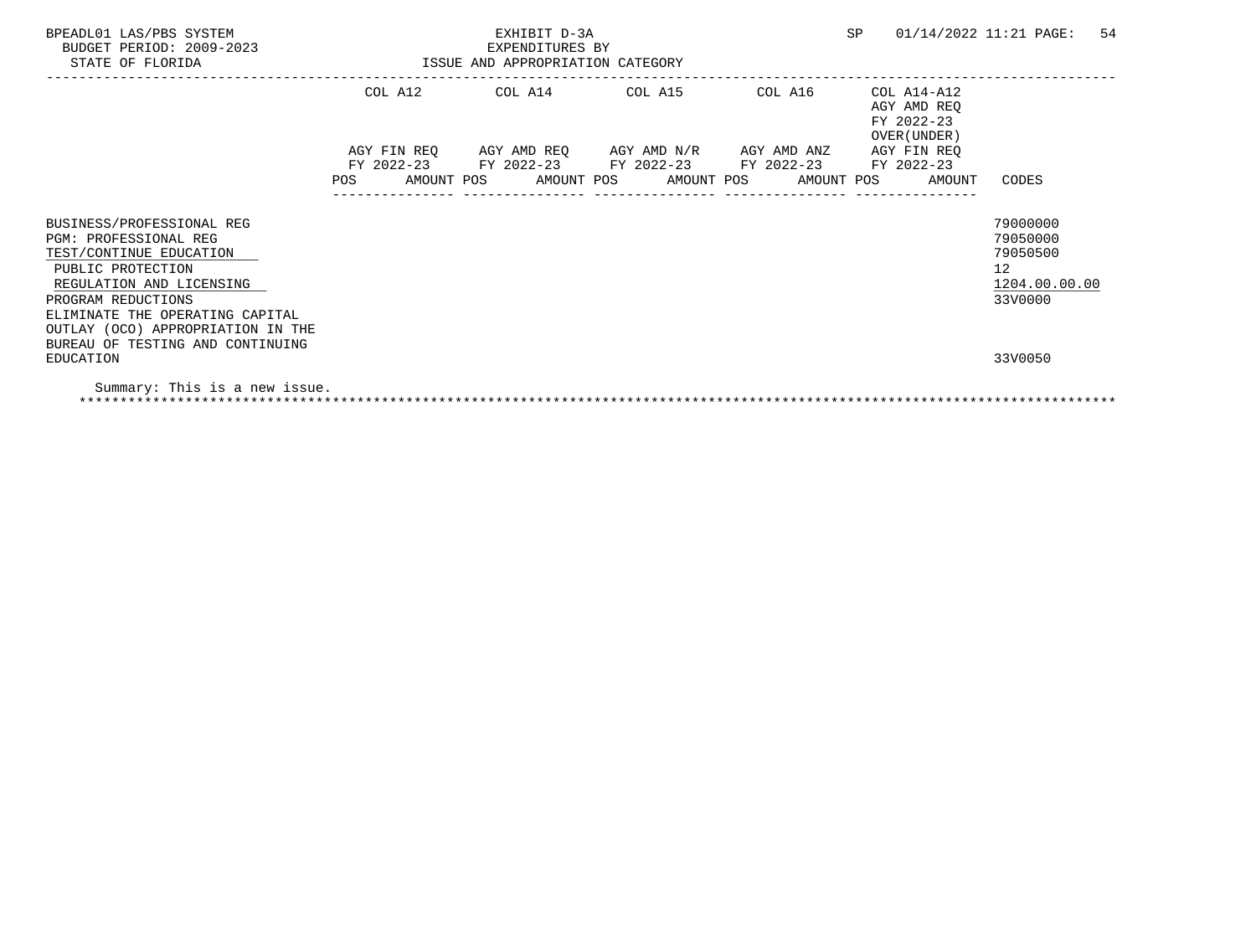| BPEADL01 LAS/PBS SYSTEM<br>BUDGET PERIOD: 2009-2023<br>STATE OF FLORIDA |  | SP<br>EXHIBIT D-3A<br>EXPENDITURES BY<br>ISSUE AND APPROPRIATION CATEGORY |  |  |  |                                                                                             |  |  | 54<br>01/14/2022 11:21 PAGE:                       |                      |  |
|-------------------------------------------------------------------------|--|---------------------------------------------------------------------------|--|--|--|---------------------------------------------------------------------------------------------|--|--|----------------------------------------------------|----------------------|--|
|                                                                         |  |                                                                           |  |  |  | COL A12 COL A14 COL A15 COL A16<br>COL A14-A12<br>AGY AMD REQ<br>FY 2022-23<br>OVER (UNDER) |  |  |                                                    |                      |  |
|                                                                         |  |                                                                           |  |  |  | AGY FIN REQ AGY AMD REQ AGY AMD N/R AGY AMD ANZ                                             |  |  | AGY FIN REO                                        |                      |  |
|                                                                         |  |                                                                           |  |  |  | FY 2022-23 FY 2022-23 FY 2022-23 FY 2022-23 FY 2022-23                                      |  |  | AMOUNT POS AMOUNT POS AMOUNT POS AMOUNT POS AMOUNT | CODES                |  |
| BUSINESS/PROFESSIONAL REG                                               |  |                                                                           |  |  |  |                                                                                             |  |  |                                                    | 79000000             |  |
| <b>PGM: PROFESSIONAL REG</b><br>TEST/CONTINUE EDUCATION                 |  |                                                                           |  |  |  |                                                                                             |  |  |                                                    | 79050000<br>79050500 |  |
| PUBLIC PROTECTION                                                       |  |                                                                           |  |  |  |                                                                                             |  |  |                                                    | 12                   |  |
| REGULATION AND LICENSING                                                |  |                                                                           |  |  |  |                                                                                             |  |  |                                                    | 1204.00.00.00        |  |
| PROGRAM REDUCTIONS<br>ELIMINATE THE OPERATING CAPITAL                   |  |                                                                           |  |  |  |                                                                                             |  |  |                                                    | 33V0000              |  |
| OUTLAY (OCO) APPROPRIATION IN THE                                       |  |                                                                           |  |  |  |                                                                                             |  |  |                                                    |                      |  |
| BUREAU OF TESTING AND CONTINUING                                        |  |                                                                           |  |  |  |                                                                                             |  |  |                                                    |                      |  |
| EDUCATION                                                               |  |                                                                           |  |  |  |                                                                                             |  |  |                                                    | 33V0050              |  |
| Summary: This is a new issue.                                           |  |                                                                           |  |  |  |                                                                                             |  |  |                                                    |                      |  |

\*\*\*\*\*\*\*\*\*\*\*\*\*\*\*\*\*\*\*\*\*\*\*\*\*\*\*\*\*\*\*\*\*\*\*\*\*\*\*\*\*\*\*\*\*\*\*\*\*\*\*\*\*\*\*\*\*\*\*\*\*\*\*\*\*\*\*\*\*\*\*\*\*\*\*\*\*\*\*\*\*\*\*\*\*\*\*\*\*\*\*\*\*\*\*\*\*\*\*\*\*\*\*\*\*\*\*\*\*\*\*\*\*\*\*\*\*\*\*\*\*\*\*\*\*\*\*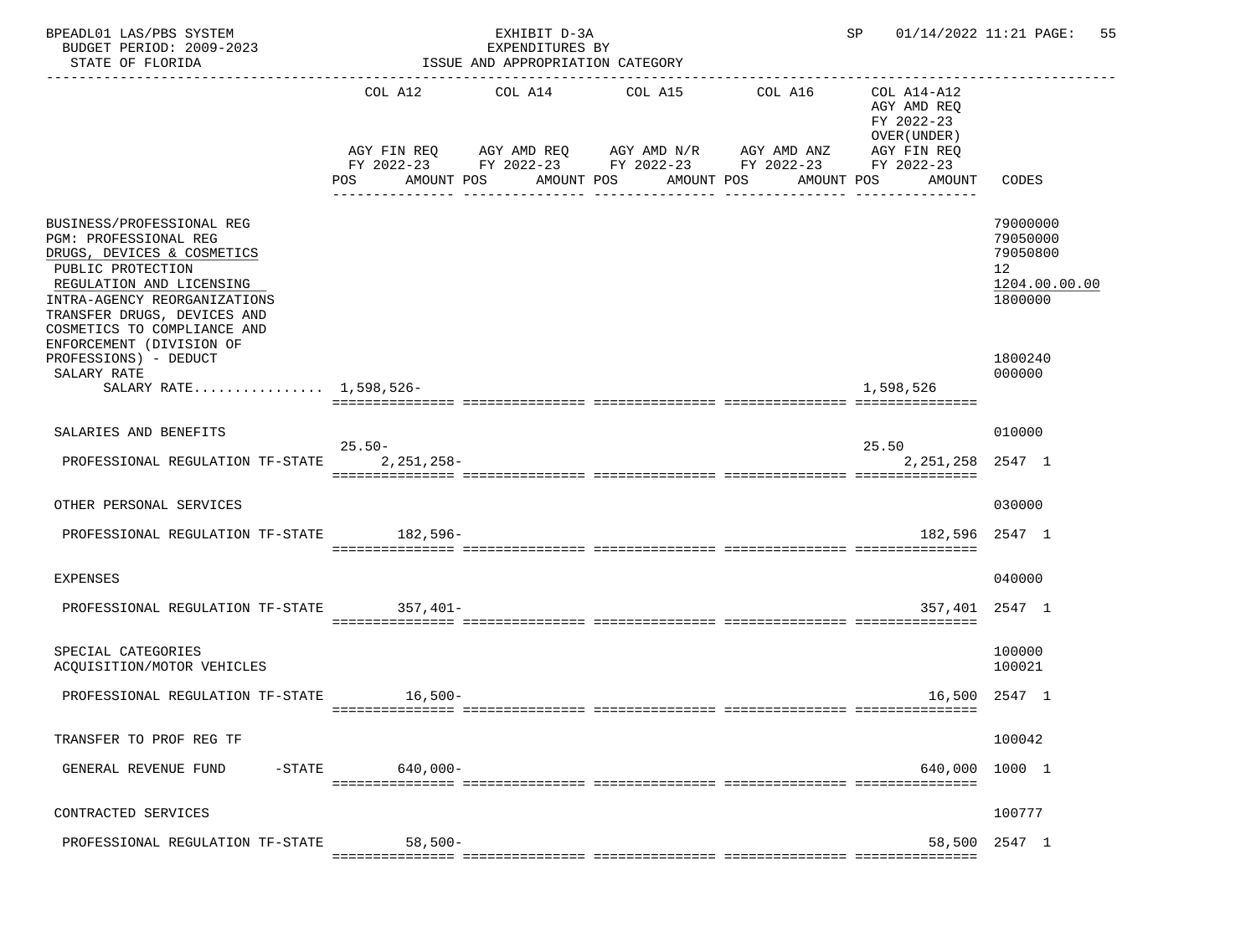| BPEADL01 LAS/PBS SYSTEM<br>BUDGET PERIOD: 2009-2023<br>STATE OF FLORIDA                                                                                                                                                                                     |            | EXHIBIT D-3A<br>EXPENDITURES BY<br>ISSUE AND APPROPRIATION CATEGORY |                                                                                                                                                               |            | SP                                                                                              | 01/14/2022 11:21 PAGE: 55                                                       |
|-------------------------------------------------------------------------------------------------------------------------------------------------------------------------------------------------------------------------------------------------------------|------------|---------------------------------------------------------------------|---------------------------------------------------------------------------------------------------------------------------------------------------------------|------------|-------------------------------------------------------------------------------------------------|---------------------------------------------------------------------------------|
|                                                                                                                                                                                                                                                             | POS        | AMOUNT POS                                                          | COL A12 COL A14 COL A15 COL A16<br>AGY FIN REQ 6GY AMD REQ 6GY AMD N/R 6GY AMD ANZ<br>FY 2022-23 FY 2022-23 FY 2022-23 FY 2022-23<br>AMOUNT POS<br>AMOUNT POS | AMOUNT POS | COL A14-A12<br>AGY AMD REO<br>FY 2022-23<br>OVER (UNDER)<br>AGY FIN REQ<br>FY 2022-23<br>AMOUNT | CODES                                                                           |
| BUSINESS/PROFESSIONAL REG<br>PGM: PROFESSIONAL REG<br>DRUGS, DEVICES & COSMETICS<br>PUBLIC PROTECTION<br>REGULATION AND LICENSING<br>INTRA-AGENCY REORGANIZATIONS<br>TRANSFER DRUGS, DEVICES AND<br>COSMETICS TO COMPLIANCE AND<br>ENFORCEMENT (DIVISION OF |            |                                                                     |                                                                                                                                                               |            |                                                                                                 | 79000000<br>79050000<br>79050800<br>12 <sup>°</sup><br>1204.00.00.00<br>1800000 |
| PROFESSIONS) - DEDUCT<br>SALARY RATE<br>SALARY RATE 1,598,526-                                                                                                                                                                                              |            |                                                                     |                                                                                                                                                               |            | 1,598,526                                                                                       | 1800240<br>000000                                                               |
| SALARIES AND BENEFITS                                                                                                                                                                                                                                       | $25.50 -$  |                                                                     |                                                                                                                                                               |            | 25.50                                                                                           | 010000                                                                          |
| PROFESSIONAL REGULATION TF-STATE                                                                                                                                                                                                                            | 2,251,258- |                                                                     |                                                                                                                                                               |            | 2, 251, 258 2547 1                                                                              |                                                                                 |
| OTHER PERSONAL SERVICES                                                                                                                                                                                                                                     |            |                                                                     |                                                                                                                                                               |            |                                                                                                 | 030000                                                                          |
| PROFESSIONAL REGULATION TF-STATE 182,596-                                                                                                                                                                                                                   |            |                                                                     |                                                                                                                                                               |            | 182,596 2547 1                                                                                  |                                                                                 |
| <b>EXPENSES</b>                                                                                                                                                                                                                                             |            |                                                                     |                                                                                                                                                               |            |                                                                                                 | 040000                                                                          |
| PROFESSIONAL REGULATION TF-STATE 357,401-                                                                                                                                                                                                                   |            |                                                                     |                                                                                                                                                               |            |                                                                                                 | 357,401 2547 1                                                                  |
| SPECIAL CATEGORIES<br>ACQUISITION/MOTOR VEHICLES                                                                                                                                                                                                            |            |                                                                     |                                                                                                                                                               |            |                                                                                                 | 100000<br>100021                                                                |
| PROFESSIONAL REGULATION TF-STATE 16,500-                                                                                                                                                                                                                    |            |                                                                     |                                                                                                                                                               |            |                                                                                                 | 16,500 2547 1                                                                   |
| TRANSFER TO PROF REG TF                                                                                                                                                                                                                                     |            |                                                                     |                                                                                                                                                               |            |                                                                                                 | 100042                                                                          |
| $-$ STATE<br>GENERAL REVENUE FUND                                                                                                                                                                                                                           | 640,000-   |                                                                     |                                                                                                                                                               |            |                                                                                                 | 640,000 1000 1                                                                  |
| CONTRACTED SERVICES                                                                                                                                                                                                                                         |            |                                                                     |                                                                                                                                                               |            |                                                                                                 | 100777                                                                          |
| PROFESSIONAL REGULATION TF-STATE                                                                                                                                                                                                                            | $58,500-$  |                                                                     |                                                                                                                                                               |            |                                                                                                 | 58,500 2547 1                                                                   |
|                                                                                                                                                                                                                                                             |            |                                                                     |                                                                                                                                                               |            |                                                                                                 |                                                                                 |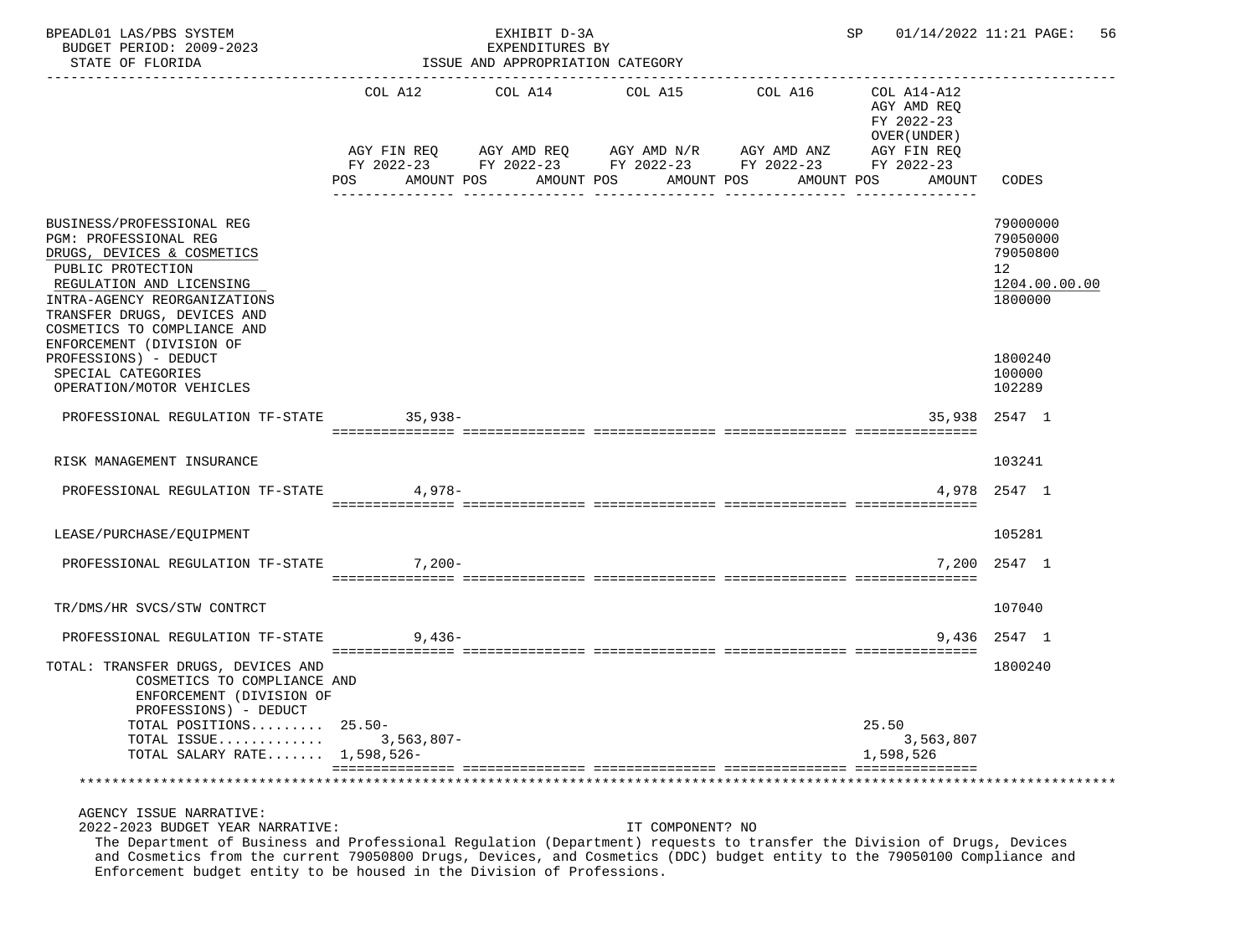| BPEADL01 LAS/PBS SYSTEM<br>BUDGET PERIOD: 2009-2023<br>STATE OF FLORIDA                                                                                                                                                                                                                                                                                                                      |                   | EXHIBIT D-3A<br>EXPENDITURES BY<br>ISSUE AND APPROPRIATION CATEGORY |                  |                                                                                                                          | SP                                                       | 01/14/2022 11:21 PAGE: 56                                          |
|----------------------------------------------------------------------------------------------------------------------------------------------------------------------------------------------------------------------------------------------------------------------------------------------------------------------------------------------------------------------------------------------|-------------------|---------------------------------------------------------------------|------------------|--------------------------------------------------------------------------------------------------------------------------|----------------------------------------------------------|--------------------------------------------------------------------|
|                                                                                                                                                                                                                                                                                                                                                                                              |                   | COL A12 COL A14 COL A15                                             |                  | COL A16                                                                                                                  | COL A14-A12<br>AGY AMD REO<br>FY 2022-23<br>OVER (UNDER) |                                                                    |
|                                                                                                                                                                                                                                                                                                                                                                                              | POS<br>AMOUNT POS | AMOUNT POS                                                          | AMOUNT POS       | AGY FIN REQ AGY AMD REQ AGY AMD N/R AGY AMD ANZ AGY FIN REQ<br>FY 2022-23 FY 2022-23 FY 2022-23 FY 2022-23<br>AMOUNT POS | FY 2022-23<br>AMOUNT                                     | CODES                                                              |
| BUSINESS/PROFESSIONAL REG<br>PGM: PROFESSIONAL REG<br>DRUGS, DEVICES & COSMETICS<br>PUBLIC PROTECTION<br>REGULATION AND LICENSING<br>INTRA-AGENCY REORGANIZATIONS<br>TRANSFER DRUGS, DEVICES AND<br>COSMETICS TO COMPLIANCE AND<br>ENFORCEMENT (DIVISION OF                                                                                                                                  |                   |                                                                     |                  |                                                                                                                          |                                                          | 79000000<br>79050000<br>79050800<br>12<br>1204.00.00.00<br>1800000 |
| PROFESSIONS) - DEDUCT<br>SPECIAL CATEGORIES<br>OPERATION/MOTOR VEHICLES                                                                                                                                                                                                                                                                                                                      |                   |                                                                     |                  |                                                                                                                          |                                                          | 1800240<br>100000<br>102289                                        |
| PROFESSIONAL REGULATION TF-STATE                                                                                                                                                                                                                                                                                                                                                             | $35,938-$         |                                                                     |                  |                                                                                                                          |                                                          | 35,938 2547 1                                                      |
| RISK MANAGEMENT INSURANCE                                                                                                                                                                                                                                                                                                                                                                    |                   |                                                                     |                  |                                                                                                                          |                                                          | 103241                                                             |
| PROFESSIONAL REGULATION TF-STATE                                                                                                                                                                                                                                                                                                                                                             | 4,978-            |                                                                     |                  |                                                                                                                          |                                                          | 4,978 2547 1                                                       |
| LEASE/PURCHASE/EQUIPMENT                                                                                                                                                                                                                                                                                                                                                                     |                   |                                                                     |                  |                                                                                                                          |                                                          | 105281                                                             |
| PROFESSIONAL REGULATION TF-STATE                                                                                                                                                                                                                                                                                                                                                             | $7,200-$          |                                                                     |                  |                                                                                                                          |                                                          | 7.200 2547 1                                                       |
| TR/DMS/HR SVCS/STW CONTRCT                                                                                                                                                                                                                                                                                                                                                                   |                   |                                                                     |                  |                                                                                                                          |                                                          | 107040                                                             |
| PROFESSIONAL REGULATION TF-STATE                                                                                                                                                                                                                                                                                                                                                             | $9.436 -$         |                                                                     |                  |                                                                                                                          |                                                          | 9,436 2547 1                                                       |
| TOTAL: TRANSFER DRUGS, DEVICES AND<br>COSMETICS TO COMPLIANCE AND<br>ENFORCEMENT (DIVISION OF<br>PROFESSIONS) - DEDUCT                                                                                                                                                                                                                                                                       |                   |                                                                     |                  |                                                                                                                          |                                                          | 1800240                                                            |
| TOTAL POSITIONS $25.50-$<br>TOTAL ISSUE<br>TOTAL SALARY RATE 1,598,526-                                                                                                                                                                                                                                                                                                                      | $3,563,807-$      |                                                                     |                  |                                                                                                                          | 25.50<br>3,563,807<br>1,598,526                          |                                                                    |
|                                                                                                                                                                                                                                                                                                                                                                                              |                   |                                                                     |                  |                                                                                                                          |                                                          |                                                                    |
| AGENCY ISSUE NARRATIVE:<br>2022-2023 BUDGET YEAR NARRATIVE:<br>The Department of Business and Professional Regulation (Department) requests to transfer the Division of Drugs, Devices<br>and Cosmetics from the current 79050800 Drugs, Devices, and Cosmetics (DDC) budget entity to the 79050100 Compliance and<br>Enforcement budget entity to be housed in the Division of Professions. |                   |                                                                     | IT COMPONENT? NO |                                                                                                                          |                                                          |                                                                    |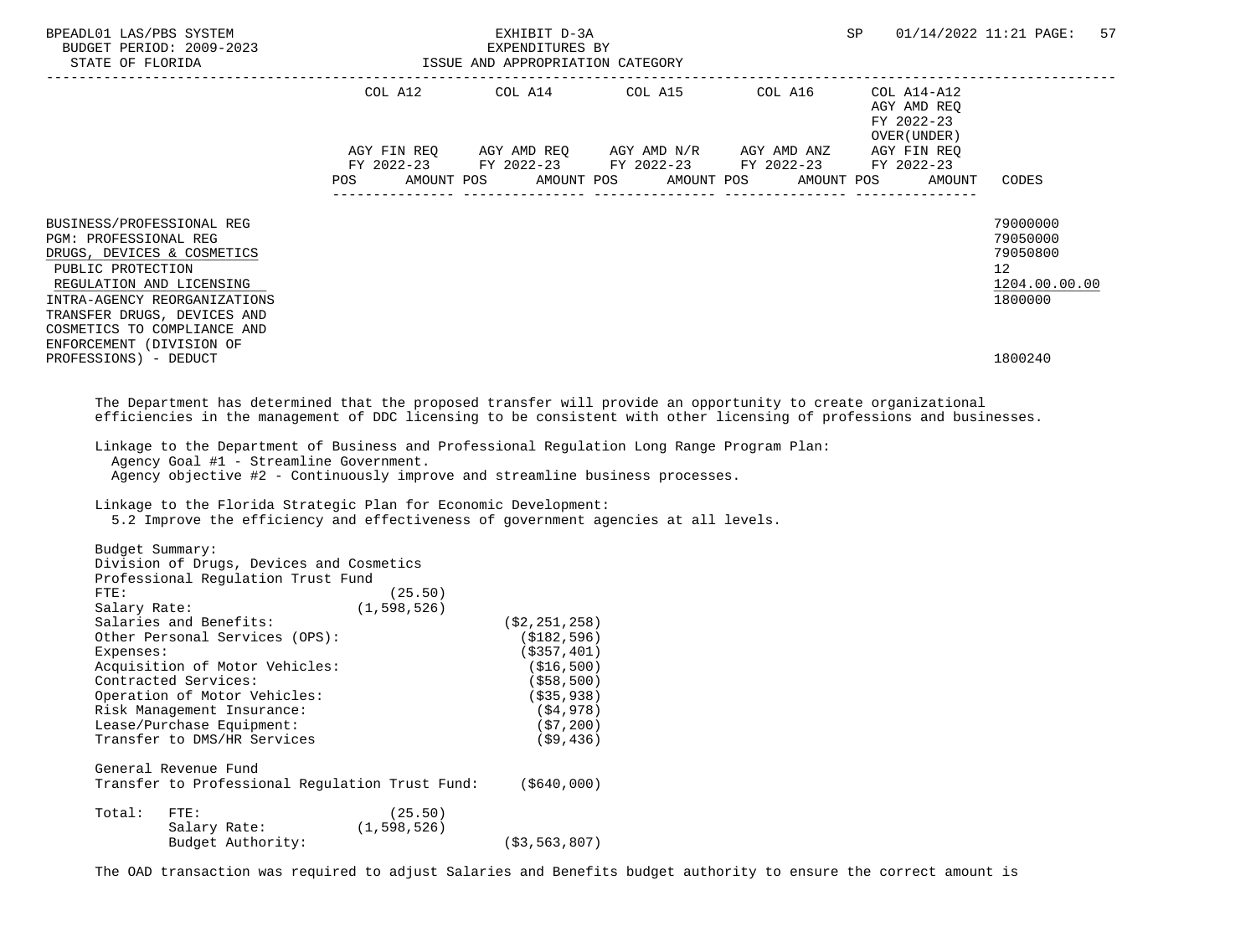| BPEADL01 LAS/PBS SYSTEM                                                                                                                                                                                                                              |                                                                                                                                                                                                                                                                                                                                                                                                                                                                                                                                    |                          | EXHIBIT D-3A                                                                                                                           |                                                                                                                                                                      | SP                                                                                                                                                                                                                                                        | 01/14/2022 11:21 PAGE:<br>57                                                               |
|------------------------------------------------------------------------------------------------------------------------------------------------------------------------------------------------------------------------------------------------------|------------------------------------------------------------------------------------------------------------------------------------------------------------------------------------------------------------------------------------------------------------------------------------------------------------------------------------------------------------------------------------------------------------------------------------------------------------------------------------------------------------------------------------|--------------------------|----------------------------------------------------------------------------------------------------------------------------------------|----------------------------------------------------------------------------------------------------------------------------------------------------------------------|-----------------------------------------------------------------------------------------------------------------------------------------------------------------------------------------------------------------------------------------------------------|--------------------------------------------------------------------------------------------|
|                                                                                                                                                                                                                                                      |                                                                                                                                                                                                                                                                                                                                                                                                                                                                                                                                    | <b>POS</b>               |                                                                                                                                        | COL A12 COL A14 COL A15 COL A16 COL A14-A12<br>AGY FIN REQ AGY AMD REQ AGY AMD N/R AGY AMD ANZ AGY FIN REQ<br>FY 2022-23 FY 2022-23 FY 2022-23 FY 2022-23 FY 2022-23 | LATALATING ASSESSMENT AND REQUIRED AND REQUIRED AND REQUIRED AND REQUIRED AND REQUIRED AND REQUIRED AND REQUIRED AND REQUIRED AND REQUIRED AND REQUIRED AND REQUIRED AND REQUIRED AND REQUIRED AND REQUIRED AND REQUIRED AND R<br>OVER (UNDER )<br>AMOUNT | CODES                                                                                      |
| BUSINESS/PROFESSIONAL REG<br>PGM: PROFESSIONAL REG<br>DRUGS, DEVICES & COSMETICS<br>PUBLIC PROTECTION<br>REGULATION AND LICENSING<br>TRANSFER DRUGS, DEVICES AND<br>COSMETICS TO COMPLIANCE AND<br>ENFORCEMENT (DIVISION OF<br>PROFESSIONS) - DEDUCT | INTRA-AGENCY REORGANIZATIONS                                                                                                                                                                                                                                                                                                                                                                                                                                                                                                       |                          |                                                                                                                                        |                                                                                                                                                                      |                                                                                                                                                                                                                                                           | 79000000<br>79050000<br>79050800<br>12 <sup>°</sup><br>1204.00.00.00<br>1800000<br>1800240 |
|                                                                                                                                                                                                                                                      | The Department has determined that the proposed transfer will provide an opportunity to create organizational<br>efficiencies in the management of DDC licensing to be consistent with other licensing of professions and businesses.<br>Linkage to the Department of Business and Professional Regulation Long Range Program Plan:<br>Agency Goal #1 - Streamline Government.<br>Agency objective #2 - Continuously improve and streamline business processes.<br>Linkage to the Florida Strategic Plan for Economic Development: |                          |                                                                                                                                        |                                                                                                                                                                      |                                                                                                                                                                                                                                                           |                                                                                            |
| Budget Summary:<br>FTE:<br>Expenses:                                                                                                                                                                                                                 | 5.2 Improve the efficiency and effectiveness of government agencies at all levels.<br>Division of Drugs, Devices and Cosmetics<br>Professional Regulation Trust Fund<br>Salary Rate: (1,598,526)<br>Salaries and Benefits: (1,598,526)<br>Other Personal Services (OPS):<br>Acquisition of Motor Vehicles:<br>Contracted Services:<br>Operation of Motor Vehicles:<br>Risk Management Insurance:<br>Lease/Purchase Equipment:<br>Transfer to DMS/HR Services                                                                       | (25.50)                  | (\$2,251,258)<br>(\$182,596)<br>( \$357, 401)<br>(\$16,500)<br>( \$58, 500)<br>$($ \$35,938)<br>( \$4, 978)<br>(57, 200)<br>( \$9,436) |                                                                                                                                                                      |                                                                                                                                                                                                                                                           |                                                                                            |
|                                                                                                                                                                                                                                                      | General Revenue Fund<br>Transfer to Professional Regulation Trust Fund:                                                                                                                                                                                                                                                                                                                                                                                                                                                            |                          | ( \$640,000)                                                                                                                           |                                                                                                                                                                      |                                                                                                                                                                                                                                                           |                                                                                            |
| Total:                                                                                                                                                                                                                                               | FTE:<br>Salary Rate:<br>Budget Authority:                                                                                                                                                                                                                                                                                                                                                                                                                                                                                          | (25.50)<br>(1, 598, 526) | ( \$3, 563, 807)                                                                                                                       |                                                                                                                                                                      |                                                                                                                                                                                                                                                           |                                                                                            |

The OAD transaction was required to adjust Salaries and Benefits budget authority to ensure the correct amount is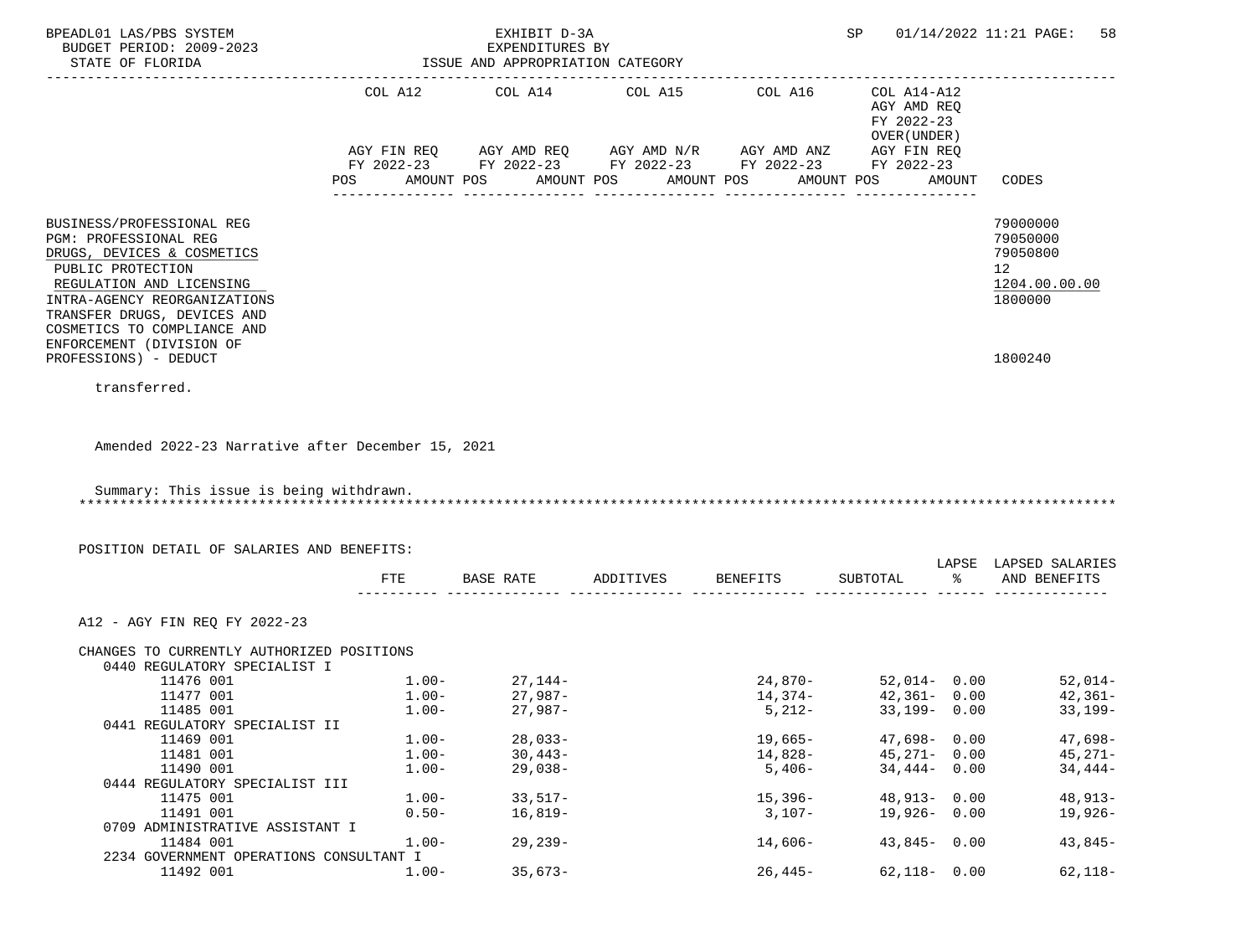| BUDGET PERIOD: 2009-2023                             |          | EXHIBIT D-3A<br>EXPENDITURES BY                        |            |            |                                                          |        | SP 01/14/2022 11:21 PAGE:<br>58 |
|------------------------------------------------------|----------|--------------------------------------------------------|------------|------------|----------------------------------------------------------|--------|---------------------------------|
| STATE OF FLORIDA                                     |          | ISSUE AND APPROPRIATION CATEGORY                       |            |            |                                                          |        |                                 |
|                                                      |          | COL A12 COL A14 COL A15                                |            | COL A16    | COL A14-A12<br>AGY AMD REQ<br>FY 2022-23<br>OVER (UNDER) |        |                                 |
|                                                      |          | AGY FIN REQ AGY AMD REQ AGY AMD N/R AGY AMD ANZ        |            |            | AGY FIN REQ                                              |        |                                 |
|                                                      |          | FY 2022-23 FY 2022-23 FY 2022-23 FY 2022-23 FY 2022-23 |            |            |                                                          |        |                                 |
|                                                      | POS      | AMOUNT POS                                             | AMOUNT POS | AMOUNT POS | AMOUNT POS                                               | AMOUNT | CODES                           |
| BUSINESS/PROFESSIONAL REG                            |          |                                                        |            |            |                                                          |        | 79000000                        |
| PGM: PROFESSIONAL REG                                |          |                                                        |            |            |                                                          |        | 79050000                        |
| DRUGS, DEVICES & COSMETICS                           |          |                                                        |            |            |                                                          |        | 79050800                        |
| PUBLIC PROTECTION                                    |          |                                                        |            |            |                                                          |        | 12 <sup>°</sup>                 |
| REGULATION AND LICENSING                             |          |                                                        |            |            |                                                          |        | 1204.00.00.00                   |
| INTRA-AGENCY REORGANIZATIONS                         |          |                                                        |            |            |                                                          |        | 1800000                         |
| TRANSFER DRUGS, DEVICES AND                          |          |                                                        |            |            |                                                          |        |                                 |
| COSMETICS TO COMPLIANCE AND                          |          |                                                        |            |            |                                                          |        |                                 |
| ENFORCEMENT (DIVISION OF<br>PROFESSIONS) - DEDUCT    |          |                                                        |            |            |                                                          |        | 1800240                         |
|                                                      |          |                                                        |            |            |                                                          |        |                                 |
| transferred.                                         |          |                                                        |            |            |                                                          |        |                                 |
|                                                      |          |                                                        |            |            |                                                          |        |                                 |
|                                                      |          |                                                        |            |            |                                                          |        |                                 |
| Summary: This issue is being withdrawn.              |          |                                                        |            |            |                                                          |        |                                 |
| POSITION DETAIL OF SALARIES AND BENEFITS:            |          |                                                        |            |            |                                                          |        |                                 |
|                                                      |          |                                                        |            |            |                                                          |        | LAPSE LAPSED SALARIES           |
|                                                      | FTE      | BASE RATE ADDITIVES BENEFITS                           |            |            | SUBTOTAL                                                 | ႜႜႜႜႜႜ | AND BENEFITS                    |
| A12 - AGY FIN REQ FY 2022-23                         |          |                                                        |            |            |                                                          |        |                                 |
| CHANGES TO CURRENTLY AUTHORIZED POSITIONS            |          |                                                        |            |            |                                                          |        |                                 |
| 0440 REGULATORY SPECIALIST I                         |          |                                                        |            |            |                                                          |        |                                 |
| 11476 001<br>11477 001                               | $1.00 -$ | $1.00 - 27,144 -$<br>27,987-                           |            | 14,374-    | $24,870-52,014-0.00$                                     |        | $52,014-$                       |
|                                                      |          |                                                        |            |            | $42,361 - 0.00$<br>$33,199 - 0.00$                       |        | $42,361-$                       |
| 11485 001<br>0441 REGULATORY SPECIALIST II           | $1.00-$  | $27,987-$                                              |            | $5,212-$   |                                                          |        | $33,199-$                       |
| 11469 001                                            | $1.00 -$ | $28,033-$                                              |            | $19,665-$  | $47,698 - 0.00$                                          |        | $47,698-$                       |
| 11481 001                                            | $1.00-$  | $30,443-$                                              |            | 14,828-    | $45,271 - 0.00$                                          |        | $45,271-$                       |
| 11490 001                                            | $1.00 -$ | $29,038-$                                              |            | $5,406-$   | $34,444 - 0.00$                                          |        | $34,444-$                       |
| 0444 REGULATORY SPECIALIST III                       |          |                                                        |            |            |                                                          |        |                                 |
| 11475 001                                            | $1.00 -$ | $33,517-$                                              |            | $15,396-$  | $48,913 - 0.00$                                          |        | $48,913-$                       |
| 11491 001                                            | $0.50 -$ | $16,819-$                                              |            | $3,107-$   | $19,926 - 0.00$                                          |        | 19,926-                         |
| 0709 ADMINISTRATIVE ASSISTANT I                      |          |                                                        |            |            |                                                          |        |                                 |
| 11484 001                                            | $1.00 -$ | $29, 239 -$                                            |            | $14,606-$  | $43,845 - 0.00$                                          |        | $43,845-$                       |
| 2234 GOVERNMENT OPERATIONS CONSULTANT I<br>11492 001 | $1.00-$  | $35,673-$                                              |            | $26,445-$  | $62,118 - 0.00$                                          |        | $62,118-$                       |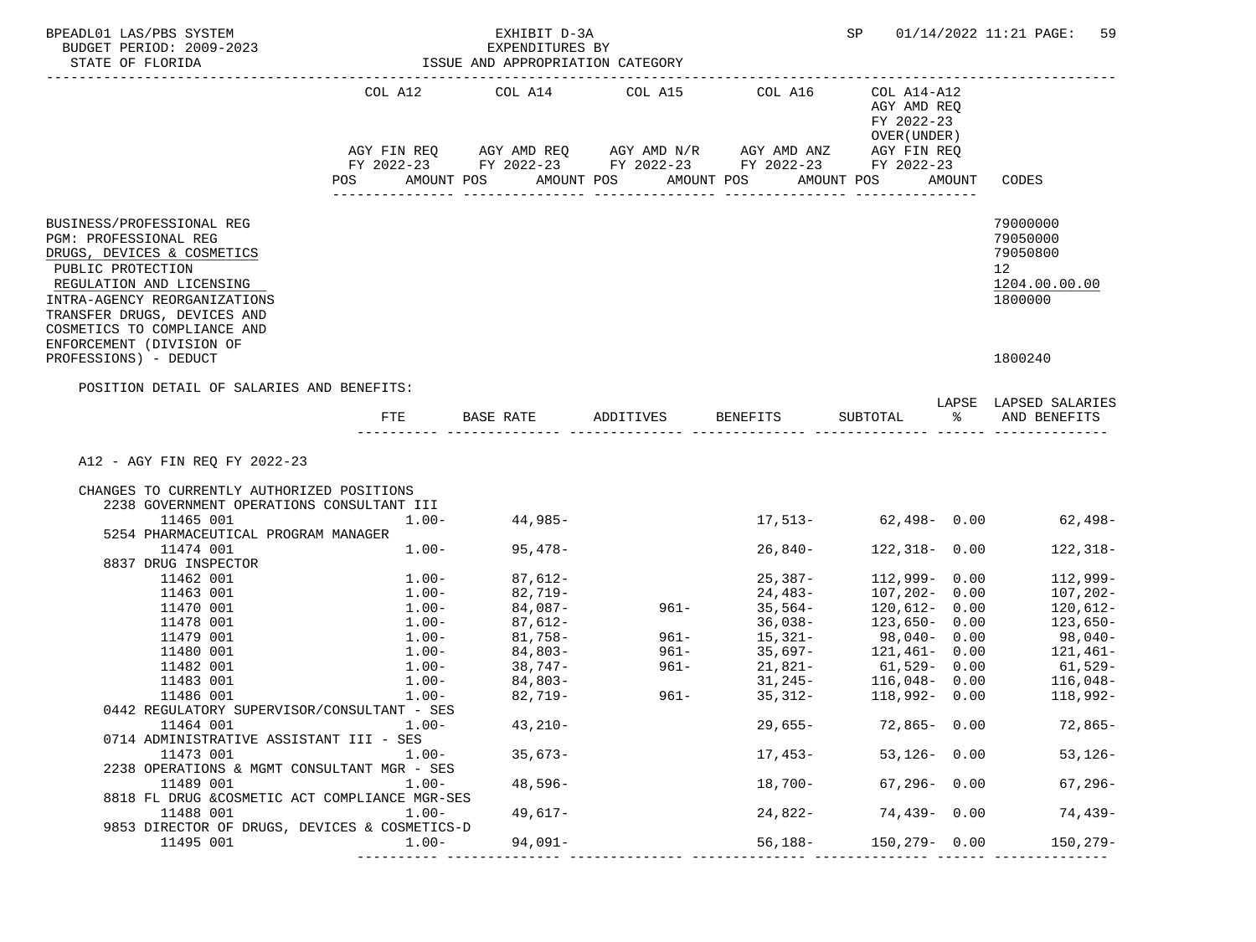| BPEADL01 LAS/PBS SYSTEM<br>BUDGET PERIOD: 2009-2023<br>STATE OF FLORIDA                                                |                                                                           | EXHIBIT D-3A<br>EXPENDITURES BY<br>ISSUE AND APPROPRIATION CATEGORY |              |                                                                        | SP                                                        |        | 01/14/2022 11:21 PAGE:<br>59   |
|------------------------------------------------------------------------------------------------------------------------|---------------------------------------------------------------------------|---------------------------------------------------------------------|--------------|------------------------------------------------------------------------|-----------------------------------------------------------|--------|--------------------------------|
|                                                                                                                        | COL A12 COL A14<br>FY 2022-23 FY 2022-23 FY 2022-23 FY 2022-23 FY 2022-23 |                                                                     | COL A15      | COL A16<br>AGY FIN REQ AGY AMD REQ AGY AMD N/R AGY AMD ANZ AGY FIN REQ | COL A14-A12<br>AGY AMD REQ<br>FY 2022-23<br>OVER (UNDER ) |        |                                |
|                                                                                                                        | AMOUNT POS<br>POS                                                         |                                                                     | AMOUNT POS   | AMOUNT POS                                                             | AMOUNT POS                                                | AMOUNT | CODES                          |
| BUSINESS/PROFESSIONAL REG                                                                                              |                                                                           |                                                                     |              |                                                                        |                                                           |        | 79000000                       |
| PGM: PROFESSIONAL REG                                                                                                  |                                                                           |                                                                     |              |                                                                        |                                                           |        | 79050000                       |
| DRUGS, DEVICES & COSMETICS                                                                                             |                                                                           |                                                                     |              |                                                                        |                                                           |        | 79050800                       |
| PUBLIC PROTECTION                                                                                                      |                                                                           |                                                                     |              |                                                                        |                                                           |        | 12                             |
| REGULATION AND LICENSING                                                                                               |                                                                           |                                                                     |              |                                                                        |                                                           |        | 1204.00.00.00                  |
| INTRA-AGENCY REORGANIZATIONS<br>TRANSFER DRUGS, DEVICES AND<br>COSMETICS TO COMPLIANCE AND                             |                                                                           |                                                                     |              |                                                                        |                                                           |        | 1800000                        |
| ENFORCEMENT (DIVISION OF                                                                                               |                                                                           |                                                                     |              |                                                                        |                                                           |        |                                |
| PROFESSIONS) - DEDUCT                                                                                                  |                                                                           |                                                                     |              |                                                                        |                                                           |        | 1800240                        |
|                                                                                                                        |                                                                           |                                                                     |              |                                                                        |                                                           |        |                                |
| POSITION DETAIL OF SALARIES AND BENEFITS:                                                                              |                                                                           |                                                                     |              |                                                                        |                                                           |        |                                |
|                                                                                                                        |                                                                           |                                                                     |              |                                                                        |                                                           |        | LAPSE LAPSED SALARIES          |
|                                                                                                                        | FTE                                                                       | BASE RATE                                                           |              | ADDITIVES BENEFITS                                                     | SUBTOTAL                                                  | ႜ      | AND BENEFITS                   |
| A12 - AGY FIN REQ FY 2022-23<br>CHANGES TO CURRENTLY AUTHORIZED POSITIONS<br>2238 GOVERNMENT OPERATIONS CONSULTANT III |                                                                           |                                                                     |              |                                                                        |                                                           |        |                                |
| 11465 001                                                                                                              | $1.00 -$                                                                  | $44,985-$                                                           |              |                                                                        |                                                           |        | $17,513-$ 62,498- 0.00 62,498- |
| 5254 PHARMACEUTICAL PROGRAM MANAGER<br>11474 001                                                                       | $1\ldots00-$                                                              | $95,478-$                                                           |              | 26,840-                                                                | $122,318 - 0.00$                                          |        | 122,318-                       |
| 8837 DRUG INSPECTOR                                                                                                    |                                                                           |                                                                     |              |                                                                        |                                                           |        |                                |
| 11462 001                                                                                                              | $1.00-$                                                                   | 87,612-                                                             |              | 25,387-                                                                | $112,999 - 0.00$                                          |        | 112,999-                       |
| 11463 001                                                                                                              | $1.00-$                                                                   | 82,719-                                                             |              | 24,483-                                                                | $107, 202 - 0.00$                                         |        | 107,202-                       |
| 11470 001                                                                                                              | $1\ldots00-$                                                              | $84,087-$                                                           | 961-         | 35,564-                                                                | 120,612- 0.00                                             |        | 120,612-                       |
| 11478 001                                                                                                              | 1.00-                                                                     | 87,612-                                                             |              | 36,038-                                                                | $123,650 - 0.00$                                          |        | $123,650-$                     |
| 11479 001                                                                                                              | $1.00-$                                                                   | $81,758-$                                                           | $961 -$      | 15,321-                                                                | 98,040- 0.00                                              |        | 98,040-                        |
| 11480 001                                                                                                              | $1.00-$                                                                   | 84,803-<br>38,747-                                                  | 961–<br>961– | 35,697-                                                                | $121,461 - 0.00$                                          |        | 121,461–                       |
| 11482 001                                                                                                              | $1.00-$                                                                   |                                                                     |              | 21,821-                                                                | 61,529- 0.00                                              |        | 61,529-                        |
| 11483 001                                                                                                              | $1.00 -$                                                                  | $84,803-$                                                           |              | 31,245-                                                                | $116,048-$ 0.00                                           |        | $116,048-$                     |
| 11486 001                                                                                                              | $1.00-$                                                                   | 82,719-                                                             | 961-         | 35,312-                                                                | $118,992 - 0.00$                                          |        | 118,992-                       |
| 0442 REGULATORY SUPERVISOR/CONSULTANT - SES                                                                            |                                                                           |                                                                     |              |                                                                        |                                                           |        |                                |
| 11464 001                                                                                                              | $1.00-$                                                                   | $43,210-$                                                           |              | 29,655-                                                                | 72,865- 0.00                                              |        | 72,865-                        |
| 0714 ADMINISTRATIVE ASSISTANT III - SES                                                                                |                                                                           |                                                                     |              |                                                                        |                                                           |        |                                |
| 11473 001                                                                                                              | $1.00-$                                                                   | $35,673-$                                                           |              | 17,453-                                                                | $53,126 - 0.00$                                           |        | $53,126-$                      |
| 2238 OPERATIONS & MGMT CONSULTANT MGR - SES                                                                            |                                                                           |                                                                     |              |                                                                        |                                                           |        |                                |
| 11489 001                                                                                                              | $1.00 -$                                                                  | 48,596-                                                             |              | 18,700-                                                                | $67,296 - 0.00$                                           |        | $67,296-$                      |
| 8818 FL DRUG & COSMETIC ACT COMPLIANCE MGR-SES<br>11488 001                                                            | $1.00 -$                                                                  | 49,617-                                                             |              | 24,822-                                                                | 74,439-0.00                                               |        | 74,439-                        |
| 9853 DIRECTOR OF DRUGS, DEVICES & COSMETICS-D                                                                          |                                                                           |                                                                     |              |                                                                        |                                                           |        |                                |
| 11495 001                                                                                                              | $1.00 -$                                                                  | 94,091-                                                             |              | $56,188-$                                                              | 150,279- 0.00                                             |        | $150, 279 -$                   |
|                                                                                                                        |                                                                           |                                                                     |              |                                                                        |                                                           |        |                                |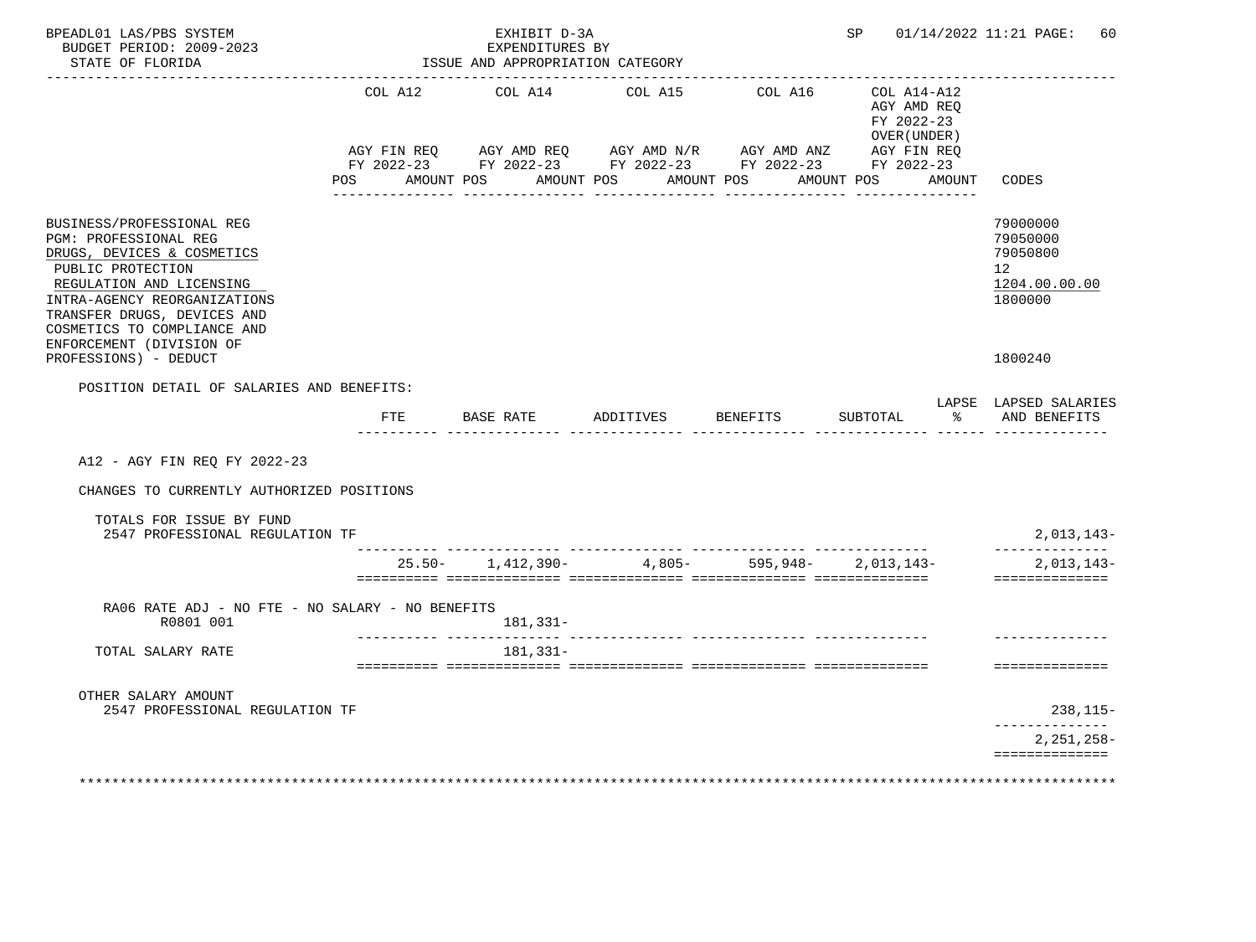| BPEADL01 LAS/PBS SYSTEM<br>BUDGET PERIOD: 2009-2023<br>STATE OF FLORIDA                                                                                                                                                                                     |                        | EXHIBIT D-3A<br>EXPENDITURES BY<br>ISSUE AND APPROPRIATION CATEGORY                                                  |                    |                 |                                                              |        | SP 01/14/2022 11:21 PAGE:<br>60                                                 |
|-------------------------------------------------------------------------------------------------------------------------------------------------------------------------------------------------------------------------------------------------------------|------------------------|----------------------------------------------------------------------------------------------------------------------|--------------------|-----------------|--------------------------------------------------------------|--------|---------------------------------------------------------------------------------|
|                                                                                                                                                                                                                                                             | COL A12<br>AGY FIN REQ | COL A14<br>AGY AMD REQ AGY AMD N/R AGY AMD ANZ AGY FIN REQ<br>FY 2022-23 FY 2022-23 FY 2022-23 FY 2022-23 FY 2022-23 | COL A15            | COL A16         | $COL A14 - A12$<br>AGY AMD REO<br>FY 2022-23<br>OVER (UNDER) |        |                                                                                 |
|                                                                                                                                                                                                                                                             |                        | POS AMOUNT POS AMOUNT POS AMOUNT POS                                                                                 | <u>___________</u> |                 | AMOUNT POS                                                   | AMOUNT | CODES                                                                           |
| BUSINESS/PROFESSIONAL REG<br>PGM: PROFESSIONAL REG<br>DRUGS, DEVICES & COSMETICS<br>PUBLIC PROTECTION<br>REGULATION AND LICENSING<br>INTRA-AGENCY REORGANIZATIONS<br>TRANSFER DRUGS, DEVICES AND<br>COSMETICS TO COMPLIANCE AND<br>ENFORCEMENT (DIVISION OF |                        |                                                                                                                      |                    |                 |                                                              |        | 79000000<br>79050000<br>79050800<br>12 <sup>°</sup><br>1204.00.00.00<br>1800000 |
| PROFESSIONS) - DEDUCT                                                                                                                                                                                                                                       |                        |                                                                                                                      |                    |                 |                                                              |        | 1800240                                                                         |
| POSITION DETAIL OF SALARIES AND BENEFITS:                                                                                                                                                                                                                   |                        |                                                                                                                      |                    |                 |                                                              |        | LAPSE LAPSED SALARIES                                                           |
|                                                                                                                                                                                                                                                             | <b>FTE</b>             | BASE RATE                                                                                                            | ADDITIVES          | <b>BENEFITS</b> | SUBTOTAL                                                     | ႜႂ     | AND BENEFITS                                                                    |
| A12 - AGY FIN REQ FY 2022-23                                                                                                                                                                                                                                |                        |                                                                                                                      |                    |                 |                                                              |        |                                                                                 |
| CHANGES TO CURRENTLY AUTHORIZED POSITIONS                                                                                                                                                                                                                   |                        |                                                                                                                      |                    |                 |                                                              |        |                                                                                 |
| TOTALS FOR ISSUE BY FUND<br>2547 PROFESSIONAL REGULATION TF                                                                                                                                                                                                 |                        |                                                                                                                      |                    |                 |                                                              |        | $2,013,143-$                                                                    |
|                                                                                                                                                                                                                                                             |                        | $25.50 - 1,412,390 -$                                                                                                | $4,805-$           | 595,948-        | 2,013,143-                                                   |        | $2,013,143-$<br>==============                                                  |
| RA06 RATE ADJ - NO FTE - NO SALARY - NO BENEFITS                                                                                                                                                                                                            |                        |                                                                                                                      |                    |                 |                                                              |        |                                                                                 |
| R0801 001                                                                                                                                                                                                                                                   |                        | 181,331-                                                                                                             |                    |                 |                                                              |        |                                                                                 |
| TOTAL SALARY RATE                                                                                                                                                                                                                                           |                        | 181,331-                                                                                                             |                    |                 |                                                              |        | ==============                                                                  |
| OTHER SALARY AMOUNT                                                                                                                                                                                                                                         |                        |                                                                                                                      |                    |                 |                                                              |        |                                                                                 |
| 2547 PROFESSIONAL REGULATION TF                                                                                                                                                                                                                             |                        |                                                                                                                      |                    |                 |                                                              |        | $238, 115 -$<br>. <u>.</u>                                                      |
|                                                                                                                                                                                                                                                             |                        |                                                                                                                      |                    |                 |                                                              |        | $2,251,258-$<br>==============                                                  |
|                                                                                                                                                                                                                                                             |                        |                                                                                                                      |                    |                 |                                                              |        |                                                                                 |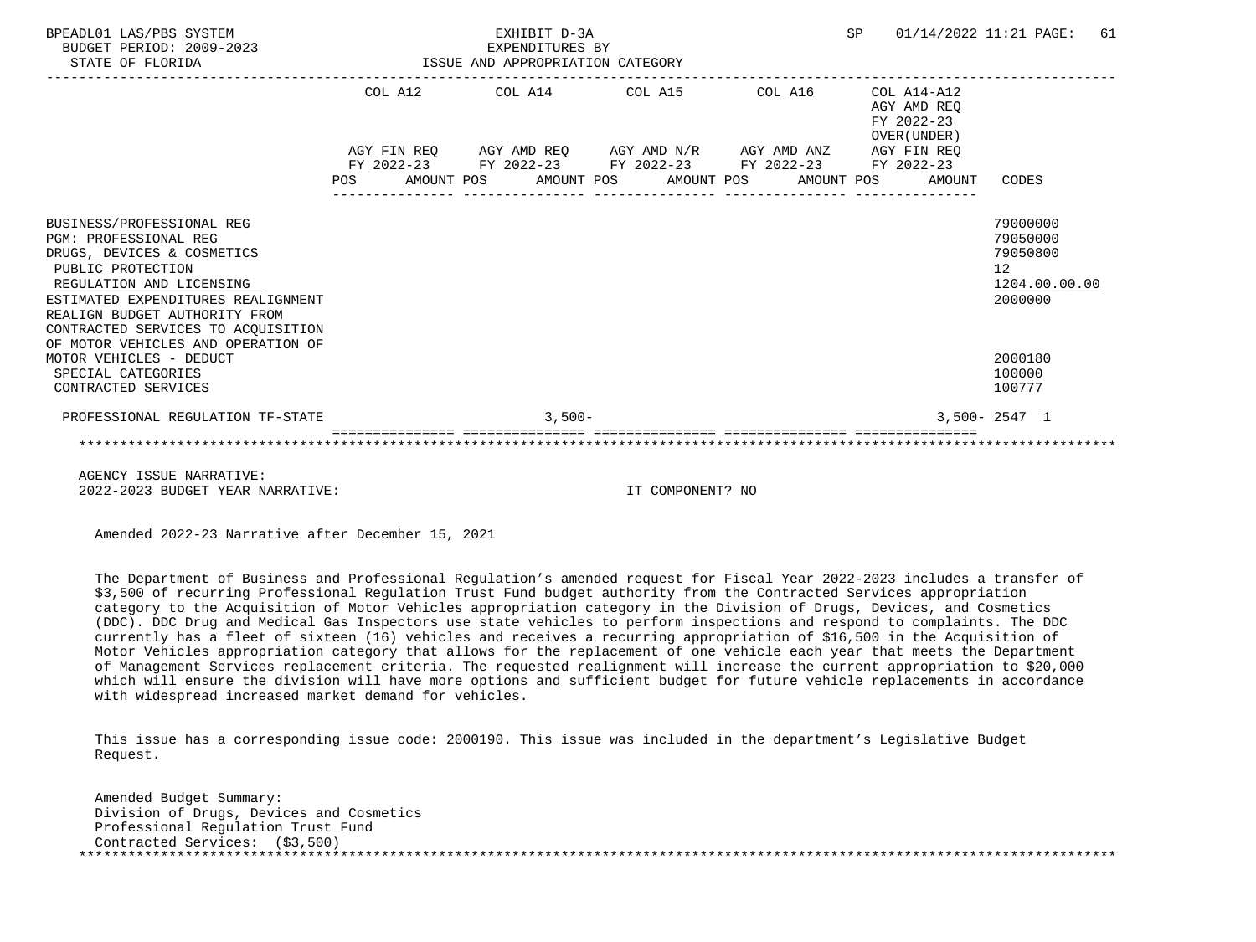| BPEADL01 LAS/PBS SYSTEM<br>BUDGET PERIOD: 2009-2023<br>STATE OF FLORIDA                                                                                                                                                                               | EXHIBIT D-3A<br><b>SP</b><br>EXPENDITURES BY<br>ISSUE AND APPROPRIATION CATEGORY |  |          |  |                                                                                                                                                                          |  |  |  |                                          | 01/14/2022 11:21 PAGE:                                                          | 61 |
|-------------------------------------------------------------------------------------------------------------------------------------------------------------------------------------------------------------------------------------------------------|----------------------------------------------------------------------------------|--|----------|--|--------------------------------------------------------------------------------------------------------------------------------------------------------------------------|--|--|--|------------------------------------------|---------------------------------------------------------------------------------|----|
|                                                                                                                                                                                                                                                       |                                                                                  |  |          |  | COL A12 COL A14 COL A15 COL A16                                                                                                                                          |  |  |  | COL A14-A12<br>AGY AMD REO<br>FY 2022-23 |                                                                                 |    |
|                                                                                                                                                                                                                                                       |                                                                                  |  |          |  | AGY FIN REQ AGY AMD REQ AGY AMD N/R AGY AMD ANZ AGY FIN REQ<br>FY 2022-23 FY 2022-23 FY 2022-23 FY 2022-23 FY 2022-23<br>POS AMOUNT POS AMOUNT POS AMOUNT POS AMOUNT POS |  |  |  | OVER (UNDER)<br>AMOUNT                   | CODES                                                                           |    |
| BUSINESS/PROFESSIONAL REG<br><b>PGM: PROFESSIONAL REG</b><br>DRUGS, DEVICES & COSMETICS<br>PUBLIC PROTECTION<br>REGULATION AND LICENSING<br>ESTIMATED EXPENDITURES REALIGNMENT<br>REALIGN BUDGET AUTHORITY FROM<br>CONTRACTED SERVICES TO ACOUISITION |                                                                                  |  |          |  |                                                                                                                                                                          |  |  |  |                                          | 79000000<br>79050000<br>79050800<br>12 <sup>°</sup><br>1204.00.00.00<br>2000000 |    |
| OF MOTOR VEHICLES AND OPERATION OF<br>MOTOR VEHICLES - DEDUCT<br>SPECIAL CATEGORIES<br>CONTRACTED SERVICES                                                                                                                                            |                                                                                  |  |          |  |                                                                                                                                                                          |  |  |  |                                          | 2000180<br>100000<br>100777                                                     |    |
| PROFESSIONAL REGULATION TF-STATE                                                                                                                                                                                                                      |                                                                                  |  | $3,500-$ |  |                                                                                                                                                                          |  |  |  |                                          | $3.500 - 2547$ 1                                                                |    |
|                                                                                                                                                                                                                                                       |                                                                                  |  |          |  |                                                                                                                                                                          |  |  |  |                                          |                                                                                 |    |
| ACUMUNI TOOUT MADDATUIT.                                                                                                                                                                                                                              |                                                                                  |  |          |  |                                                                                                                                                                          |  |  |  |                                          |                                                                                 |    |

 AGENCY ISSUE NARRATIVE: 2022-2023 BUDGET YEAR NARRATIVE: IT COMPONENT? NO

Amended 2022-23 Narrative after December 15, 2021

 The Department of Business and Professional Regulation's amended request for Fiscal Year 2022-2023 includes a transfer of \$3,500 of recurring Professional Regulation Trust Fund budget authority from the Contracted Services appropriation category to the Acquisition of Motor Vehicles appropriation category in the Division of Drugs, Devices, and Cosmetics (DDC). DDC Drug and Medical Gas Inspectors use state vehicles to perform inspections and respond to complaints. The DDC currently has a fleet of sixteen (16) vehicles and receives a recurring appropriation of \$16,500 in the Acquisition of Motor Vehicles appropriation category that allows for the replacement of one vehicle each year that meets the Department of Management Services replacement criteria. The requested realignment will increase the current appropriation to \$20,000 which will ensure the division will have more options and sufficient budget for future vehicle replacements in accordance with widespread increased market demand for vehicles.

 This issue has a corresponding issue code: 2000190. This issue was included in the department's Legislative Budget Request.

 Amended Budget Summary: Division of Drugs, Devices and Cosmetics Professional Regulation Trust Fund Contracted Services: (\$3,500) \*\*\*\*\*\*\*\*\*\*\*\*\*\*\*\*\*\*\*\*\*\*\*\*\*\*\*\*\*\*\*\*\*\*\*\*\*\*\*\*\*\*\*\*\*\*\*\*\*\*\*\*\*\*\*\*\*\*\*\*\*\*\*\*\*\*\*\*\*\*\*\*\*\*\*\*\*\*\*\*\*\*\*\*\*\*\*\*\*\*\*\*\*\*\*\*\*\*\*\*\*\*\*\*\*\*\*\*\*\*\*\*\*\*\*\*\*\*\*\*\*\*\*\*\*\*\*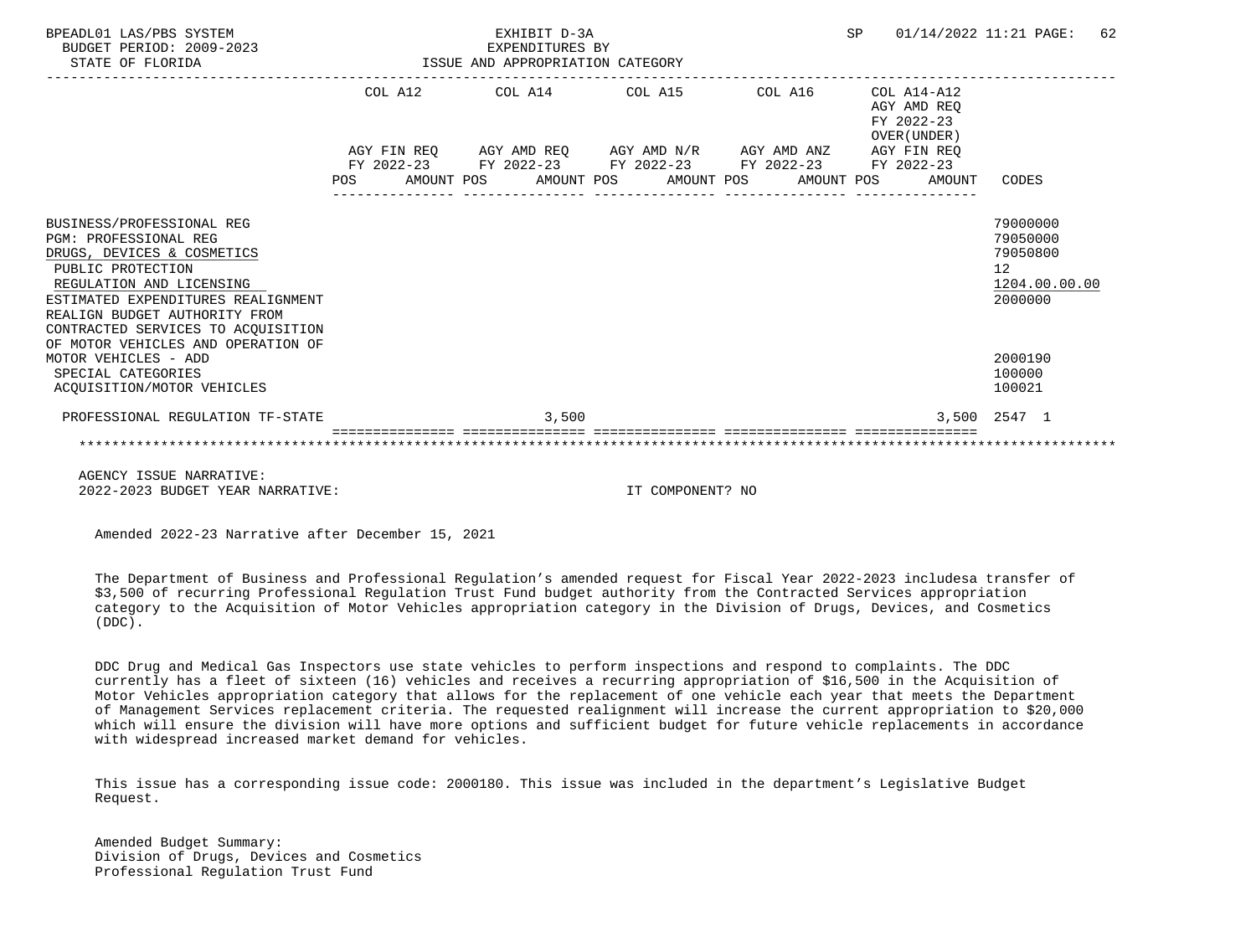| BPEADL01 LAS/PBS SYSTEM<br>BUDGET PERIOD: 2009-2023<br>STATE OF FLORIDA                                                                                                                                                                                                              | EXHIBIT D-3A<br><b>SP</b><br>EXPENDITURES BY<br>ISSUE AND APPROPRIATION CATEGORY |  |  |       |  |                                                        |  |  | 01/14/2022 11:21 PAGE:                                      |                                                                  | 62            |  |
|--------------------------------------------------------------------------------------------------------------------------------------------------------------------------------------------------------------------------------------------------------------------------------------|----------------------------------------------------------------------------------|--|--|-------|--|--------------------------------------------------------|--|--|-------------------------------------------------------------|------------------------------------------------------------------|---------------|--|
|                                                                                                                                                                                                                                                                                      |                                                                                  |  |  |       |  | COL A12 COL A14 COL A15 COL A16                        |  |  | COL A14-A12<br>AGY AMD REO<br>FY 2022-23<br>OVER (UNDER)    |                                                                  |               |  |
|                                                                                                                                                                                                                                                                                      |                                                                                  |  |  |       |  | FY 2022-23 FY 2022-23 FY 2022-23 FY 2022-23 FY 2022-23 |  |  | AGY FIN REQ AGY AMD REQ AGY AMD N/R AGY AMD ANZ AGY FIN REQ |                                                                  |               |  |
|                                                                                                                                                                                                                                                                                      | POS                                                                              |  |  |       |  | AMOUNT POS AMOUNT POS AMOUNT POS AMOUNT POS            |  |  | AMOUNT                                                      | CODES                                                            |               |  |
| BUSINESS/PROFESSIONAL REG<br>PGM: PROFESSIONAL REG<br>DRUGS, DEVICES & COSMETICS<br>PUBLIC PROTECTION<br>REGULATION AND LICENSING<br>ESTIMATED EXPENDITURES REALIGNMENT<br>REALIGN BUDGET AUTHORITY FROM<br>CONTRACTED SERVICES TO ACQUISITION<br>OF MOTOR VEHICLES AND OPERATION OF |                                                                                  |  |  |       |  |                                                        |  |  |                                                             | 79000000<br>79050000<br>79050800<br>$12 \overline{ }$<br>2000000 | 1204.00.00.00 |  |
| MOTOR VEHICLES - ADD<br>SPECIAL CATEGORIES<br>ACOUISITION/MOTOR VEHICLES                                                                                                                                                                                                             |                                                                                  |  |  |       |  |                                                        |  |  |                                                             | 2000190<br>100000<br>100021                                      |               |  |
| PROFESSIONAL REGULATION TF-STATE                                                                                                                                                                                                                                                     |                                                                                  |  |  | 3,500 |  |                                                        |  |  |                                                             | 3,500 2547 1                                                     |               |  |
|                                                                                                                                                                                                                                                                                      |                                                                                  |  |  |       |  |                                                        |  |  |                                                             |                                                                  |               |  |

 AGENCY ISSUE NARRATIVE: 2022-2023 BUDGET YEAR NARRATIVE: IT COMPONENT? NO

Amended 2022-23 Narrative after December 15, 2021

 The Department of Business and Professional Regulation's amended request for Fiscal Year 2022-2023 includesa transfer of \$3,500 of recurring Professional Regulation Trust Fund budget authority from the Contracted Services appropriation category to the Acquisition of Motor Vehicles appropriation category in the Division of Drugs, Devices, and Cosmetics (DDC).

 DDC Drug and Medical Gas Inspectors use state vehicles to perform inspections and respond to complaints. The DDC currently has a fleet of sixteen (16) vehicles and receives a recurring appropriation of \$16,500 in the Acquisition of Motor Vehicles appropriation category that allows for the replacement of one vehicle each year that meets the Department of Management Services replacement criteria. The requested realignment will increase the current appropriation to \$20,000 which will ensure the division will have more options and sufficient budget for future vehicle replacements in accordance with widespread increased market demand for vehicles.

 This issue has a corresponding issue code: 2000180. This issue was included in the department's Legislative Budget Request.

 Amended Budget Summary: Division of Drugs, Devices and Cosmetics Professional Regulation Trust Fund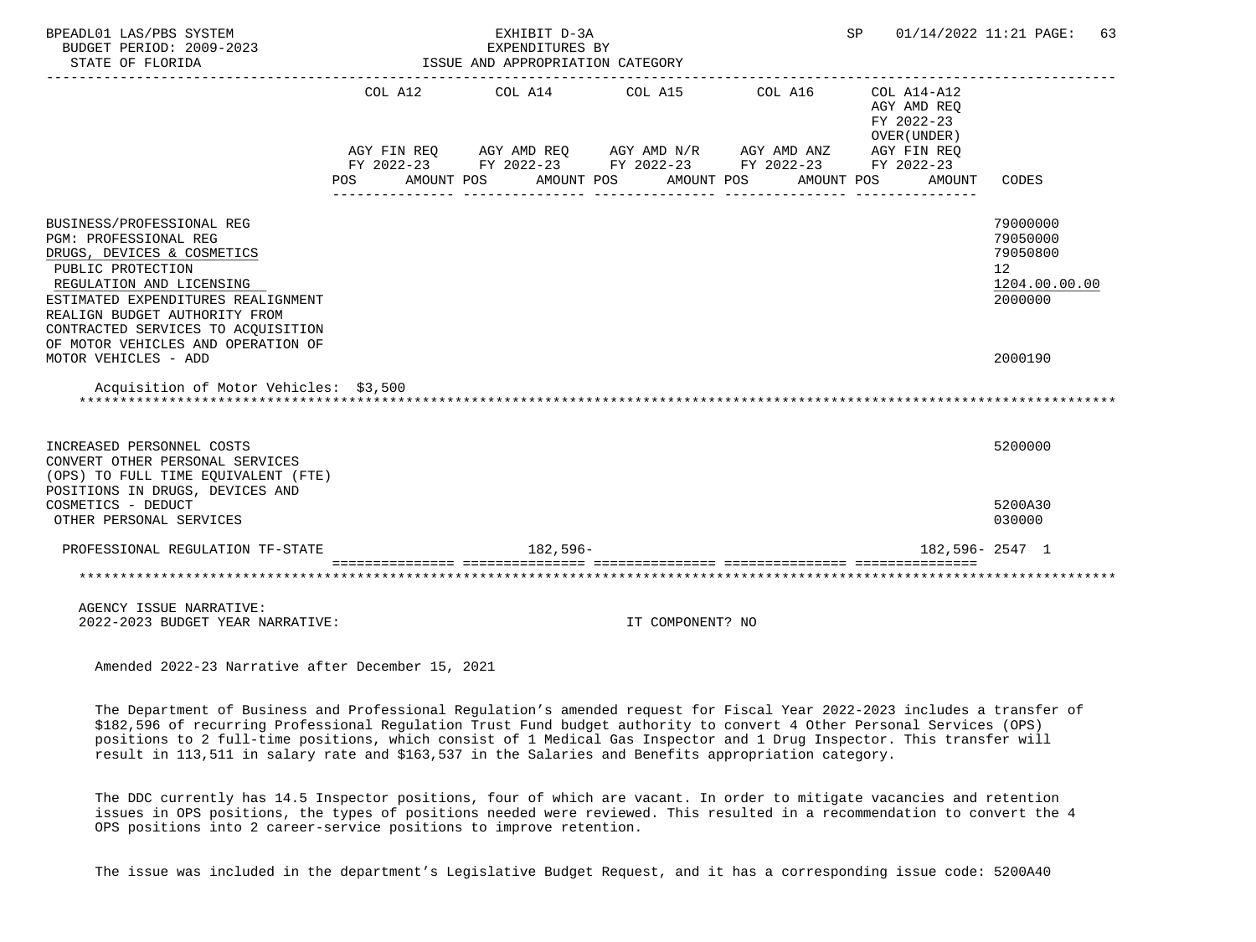| BPEADL01 LAS/PBS SYSTEM<br>BUDGET PERIOD: 2009-2023<br>STATE OF FLORIDA                                                                                                                                                                        |                    | ISSUE AND APPROPRIATION CATEGORY | EXHIBIT D-3A<br>EXPENDITURES BY |                                                                                                                                                |                       | SP |                                                                    | $01/14/2022$ $11:21$ PAGE:<br>63                                   |
|------------------------------------------------------------------------------------------------------------------------------------------------------------------------------------------------------------------------------------------------|--------------------|----------------------------------|---------------------------------|------------------------------------------------------------------------------------------------------------------------------------------------|-----------------------|----|--------------------------------------------------------------------|--------------------------------------------------------------------|
|                                                                                                                                                                                                                                                | COL A12<br>POS FOR | AMOUNT POS                       | COL A14<br>AMOUNT POS           | COL A15<br>AGY FIN REQ AGY AMD REQ AGY AMD N/R AGY AMD ANZ AGY FIN REQ<br>FY 2022-23 FY 2022-23 FY 2022-23 FY 2022-23 FY 2022-23<br>AMOUNT POS | COL A16<br>AMOUNT POS |    | COL A14-A12<br>AGY AMD REQ<br>FY 2022-23<br>OVER (UNDER)<br>AMOUNT | CODES                                                              |
| BUSINESS/PROFESSIONAL REG<br>PGM: PROFESSIONAL REG<br>DRUGS, DEVICES & COSMETICS<br>PUBLIC PROTECTION<br>REGULATION AND LICENSING<br>ESTIMATED EXPENDITURES REALIGNMENT<br>REALIGN BUDGET AUTHORITY FROM<br>CONTRACTED SERVICES TO ACQUISITION |                    |                                  |                                 |                                                                                                                                                |                       |    |                                                                    | 79000000<br>79050000<br>79050800<br>12<br>1204.00.00.00<br>2000000 |
| OF MOTOR VEHICLES AND OPERATION OF<br>MOTOR VEHICLES - ADD                                                                                                                                                                                     |                    |                                  |                                 |                                                                                                                                                |                       |    |                                                                    | 2000190                                                            |
| Acquisition of Motor Vehicles: \$3,500                                                                                                                                                                                                         |                    |                                  |                                 |                                                                                                                                                |                       |    |                                                                    |                                                                    |
| INCREASED PERSONNEL COSTS<br>CONVERT OTHER PERSONAL SERVICES<br>(OPS) TO FULL TIME EOUIVALENT (FTE)<br>POSITIONS IN DRUGS, DEVICES AND                                                                                                         |                    |                                  |                                 |                                                                                                                                                |                       |    |                                                                    | 5200000                                                            |
| COSMETICS - DEDUCT<br>OTHER PERSONAL SERVICES                                                                                                                                                                                                  |                    |                                  |                                 |                                                                                                                                                |                       |    |                                                                    | 5200A30<br>030000                                                  |
| PROFESSIONAL REGULATION TF-STATE                                                                                                                                                                                                               |                    |                                  | $182.596-$                      |                                                                                                                                                |                       |    |                                                                    | 182,596-2547 1                                                     |
|                                                                                                                                                                                                                                                |                    |                                  |                                 |                                                                                                                                                |                       |    |                                                                    |                                                                    |
| AGENCY ISSUE NARRATIVE:<br>$2022 - 2023$ RIIDGET YEAR NARRATIVE:                                                                                                                                                                               |                    |                                  |                                 | UN CUMPONENT? NO                                                                                                                               |                       |    |                                                                    |                                                                    |

 The Department of Business and Professional Regulation's amended request for Fiscal Year 2022-2023 includes a transfer of \$182,596 of recurring Professional Regulation Trust Fund budget authority to convert 4 Other Personal Services (OPS) positions to 2 full-time positions, which consist of 1 Medical Gas Inspector and 1 Drug Inspector. This transfer will result in 113,511 in salary rate and \$163,537 in the Salaries and Benefits appropriation category.

 The DDC currently has 14.5 Inspector positions, four of which are vacant. In order to mitigate vacancies and retention issues in OPS positions, the types of positions needed were reviewed. This resulted in a recommendation to convert the 4 OPS positions into 2 career-service positions to improve retention.

The issue was included in the department's Legislative Budget Request, and it has a corresponding issue code: 5200A40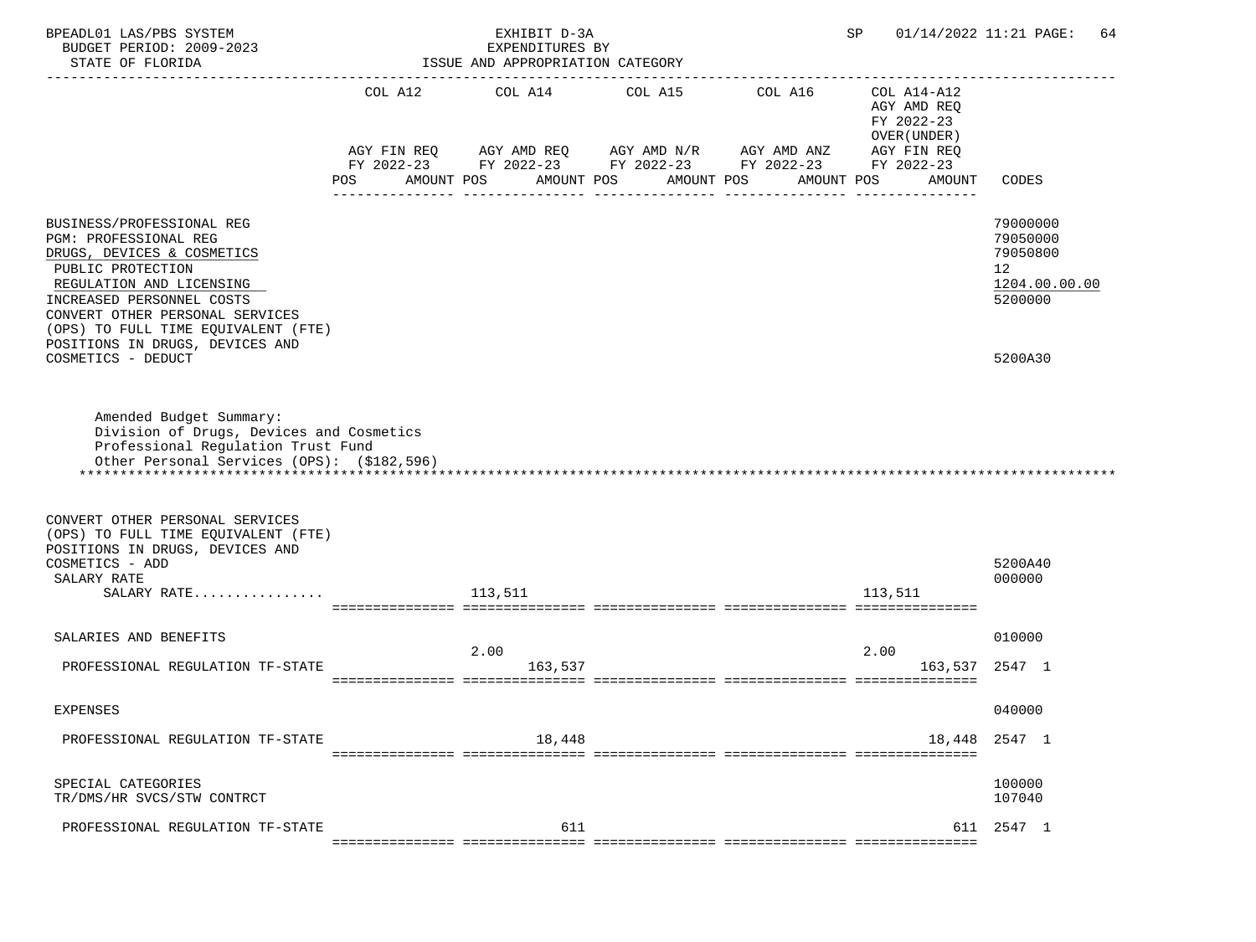| BPEADL01 LAS/PBS SYSTEM<br>BUDGET PERIOD: 2009-2023<br>STATE OF FLORIDA                                                                                                                                                                                                                           |     | EXHIBIT D-3A<br>EXPENDITURES BY<br>ISSUE AND APPROPRIATION CATEGORY |            | SP<br>-------------------                                                                                             | 01/14/2022 11:21 PAGE:<br>64                             |                                                                               |
|---------------------------------------------------------------------------------------------------------------------------------------------------------------------------------------------------------------------------------------------------------------------------------------------------|-----|---------------------------------------------------------------------|------------|-----------------------------------------------------------------------------------------------------------------------|----------------------------------------------------------|-------------------------------------------------------------------------------|
|                                                                                                                                                                                                                                                                                                   |     |                                                                     |            | COL A12 COL A14 COL A15 COL A16                                                                                       | COL A14-A12<br>AGY AMD REQ<br>FY 2022-23<br>OVER (UNDER) |                                                                               |
|                                                                                                                                                                                                                                                                                                   |     |                                                                     |            | AGY FIN REQ AGY AMD REQ AGY AMD N/R AGY AMD ANZ AGY FIN REQ<br>FY 2022-23 FY 2022-23 FY 2022-23 FY 2022-23 FY 2022-23 |                                                          |                                                                               |
|                                                                                                                                                                                                                                                                                                   | POS | AMOUNT POS                                                          | AMOUNT POS | AMOUNT POS                                                                                                            | AMOUNT POS<br>AMOUNT                                     | CODES                                                                         |
| BUSINESS/PROFESSIONAL REG<br>PGM: PROFESSIONAL REG<br>DRUGS, DEVICES & COSMETICS<br>PUBLIC PROTECTION<br>REGULATION AND LICENSING<br>INCREASED PERSONNEL COSTS<br>CONVERT OTHER PERSONAL SERVICES<br>(OPS) TO FULL TIME EQUIVALENT (FTE)<br>POSITIONS IN DRUGS, DEVICES AND<br>COSMETICS - DEDUCT |     |                                                                     |            |                                                                                                                       |                                                          | 79000000<br>79050000<br>79050800<br>12<br>1204.00.00.00<br>5200000<br>5200A30 |
| Amended Budget Summary:<br>Division of Drugs, Devices and Cosmetics<br>Professional Regulation Trust Fund<br>Other Personal Services (OPS): (\$182,596)                                                                                                                                           |     |                                                                     |            |                                                                                                                       |                                                          |                                                                               |
| CONVERT OTHER PERSONAL SERVICES<br>(OPS) TO FULL TIME EQUIVALENT (FTE)<br>POSITIONS IN DRUGS, DEVICES AND<br>COSMETICS - ADD<br>SALARY RATE<br>SALARY RATE                                                                                                                                        |     | 113,511                                                             |            |                                                                                                                       | 113,511                                                  | 5200A40<br>000000                                                             |
| SALARIES AND BENEFITS                                                                                                                                                                                                                                                                             |     |                                                                     |            |                                                                                                                       |                                                          | 010000                                                                        |
| PROFESSIONAL REGULATION TF-STATE                                                                                                                                                                                                                                                                  |     | 2.00<br>163,537                                                     |            |                                                                                                                       | 2.00                                                     | 163,537 2547 1                                                                |
| <b>EXPENSES</b>                                                                                                                                                                                                                                                                                   |     |                                                                     |            |                                                                                                                       |                                                          | 040000                                                                        |
| PROFESSIONAL REGULATION TF-STATE                                                                                                                                                                                                                                                                  |     | 18,448                                                              |            |                                                                                                                       | 18,448                                                   | 2547 1                                                                        |
| SPECIAL CATEGORIES<br>TR/DMS/HR SVCS/STW CONTRCT                                                                                                                                                                                                                                                  |     |                                                                     |            |                                                                                                                       |                                                          | 100000<br>107040                                                              |
| PROFESSIONAL REGULATION TF-STATE                                                                                                                                                                                                                                                                  |     | 611                                                                 |            |                                                                                                                       |                                                          | 611 2547 1                                                                    |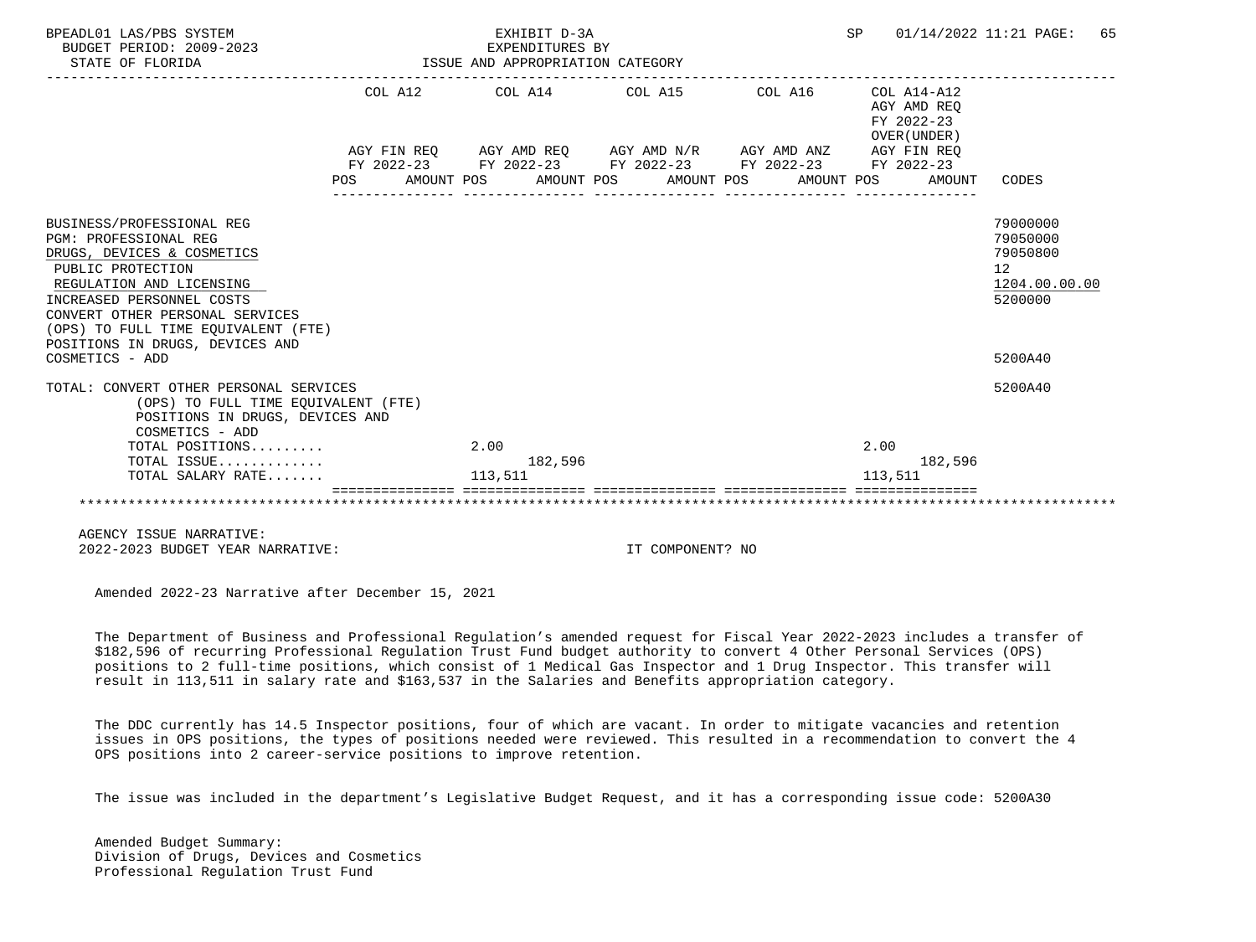| BPEADL01 LAS/PBS SYSTEM<br>BUDGET PERIOD: 2009-2023<br>STATE OF FLORIDA                                                                                                                                                                                                                        | EXPENDITURES BY<br>ISSUE AND APPROPRIATION CATEGORY | EXHIBIT D-3A |                                                             | SP                      |                                            | 01/14/2022 11:21 PAGE: 65                                                     |  |
|------------------------------------------------------------------------------------------------------------------------------------------------------------------------------------------------------------------------------------------------------------------------------------------------|-----------------------------------------------------|--------------|-------------------------------------------------------------|-------------------------|--------------------------------------------|-------------------------------------------------------------------------------|--|
|                                                                                                                                                                                                                                                                                                |                                                     |              | COL A12 COL A14 COL A15 COL A16                             | FY 2022-23              | COL A14-A12<br>AGY AMD REO<br>OVER (UNDER) |                                                                               |  |
|                                                                                                                                                                                                                                                                                                |                                                     |              | AGY FIN REQ AGY AMD REQ AGY AMD N/R AGY AMD ANZ AGY FIN REQ |                         |                                            |                                                                               |  |
|                                                                                                                                                                                                                                                                                                |                                                     |              | FY 2022-23 FY 2022-23 FY 2022-23 FY 2022-23 FY 2022-23      |                         |                                            |                                                                               |  |
|                                                                                                                                                                                                                                                                                                |                                                     |              | POS AMOUNT POS AMOUNT POS AMOUNT POS                        | AMOUNT POS AMOUNT CODES |                                            |                                                                               |  |
| BUSINESS/PROFESSIONAL REG<br>PGM: PROFESSIONAL REG<br>DRUGS, DEVICES & COSMETICS<br>PUBLIC PROTECTION<br>REGULATION AND LICENSING<br>INCREASED PERSONNEL COSTS<br>CONVERT OTHER PERSONAL SERVICES<br>(OPS) TO FULL TIME EOUIVALENT (FTE)<br>POSITIONS IN DRUGS, DEVICES AND<br>COSMETICS - ADD |                                                     |              |                                                             |                         |                                            | 79000000<br>79050000<br>79050800<br>12<br>1204.00.00.00<br>5200000<br>5200A40 |  |
| TOTAL: CONVERT OTHER PERSONAL SERVICES<br>(OPS) TO FULL TIME EQUIVALENT (FTE)<br>POSITIONS IN DRUGS, DEVICES AND<br>COSMETICS - ADD                                                                                                                                                            |                                                     |              |                                                             |                         |                                            | 5200A40                                                                       |  |
| TOTAL POSITIONS                                                                                                                                                                                                                                                                                |                                                     | 2.00         |                                                             | 2.00                    |                                            |                                                                               |  |
| TOTAL ISSUE                                                                                                                                                                                                                                                                                    |                                                     | 182,596      |                                                             |                         | 182,596                                    |                                                                               |  |
| TOTAL SALARY RATE                                                                                                                                                                                                                                                                              |                                                     | 113,511      |                                                             | 113,511                 |                                            |                                                                               |  |
|                                                                                                                                                                                                                                                                                                |                                                     |              |                                                             |                         |                                            |                                                                               |  |

 AGENCY ISSUE NARRATIVE: 2022-2023 BUDGET YEAR NARRATIVE: IT COMPONENT? NO

Amended 2022-23 Narrative after December 15, 2021

 The Department of Business and Professional Regulation's amended request for Fiscal Year 2022-2023 includes a transfer of \$182,596 of recurring Professional Regulation Trust Fund budget authority to convert 4 Other Personal Services (OPS) positions to 2 full-time positions, which consist of 1 Medical Gas Inspector and 1 Drug Inspector. This transfer will result in 113,511 in salary rate and \$163,537 in the Salaries and Benefits appropriation category.

 The DDC currently has 14.5 Inspector positions, four of which are vacant. In order to mitigate vacancies and retention issues in OPS positions, the types of positions needed were reviewed. This resulted in a recommendation to convert the 4 OPS positions into 2 career-service positions to improve retention.

The issue was included in the department's Legislative Budget Request, and it has a corresponding issue code: 5200A30

 Amended Budget Summary: Division of Drugs, Devices and Cosmetics Professional Regulation Trust Fund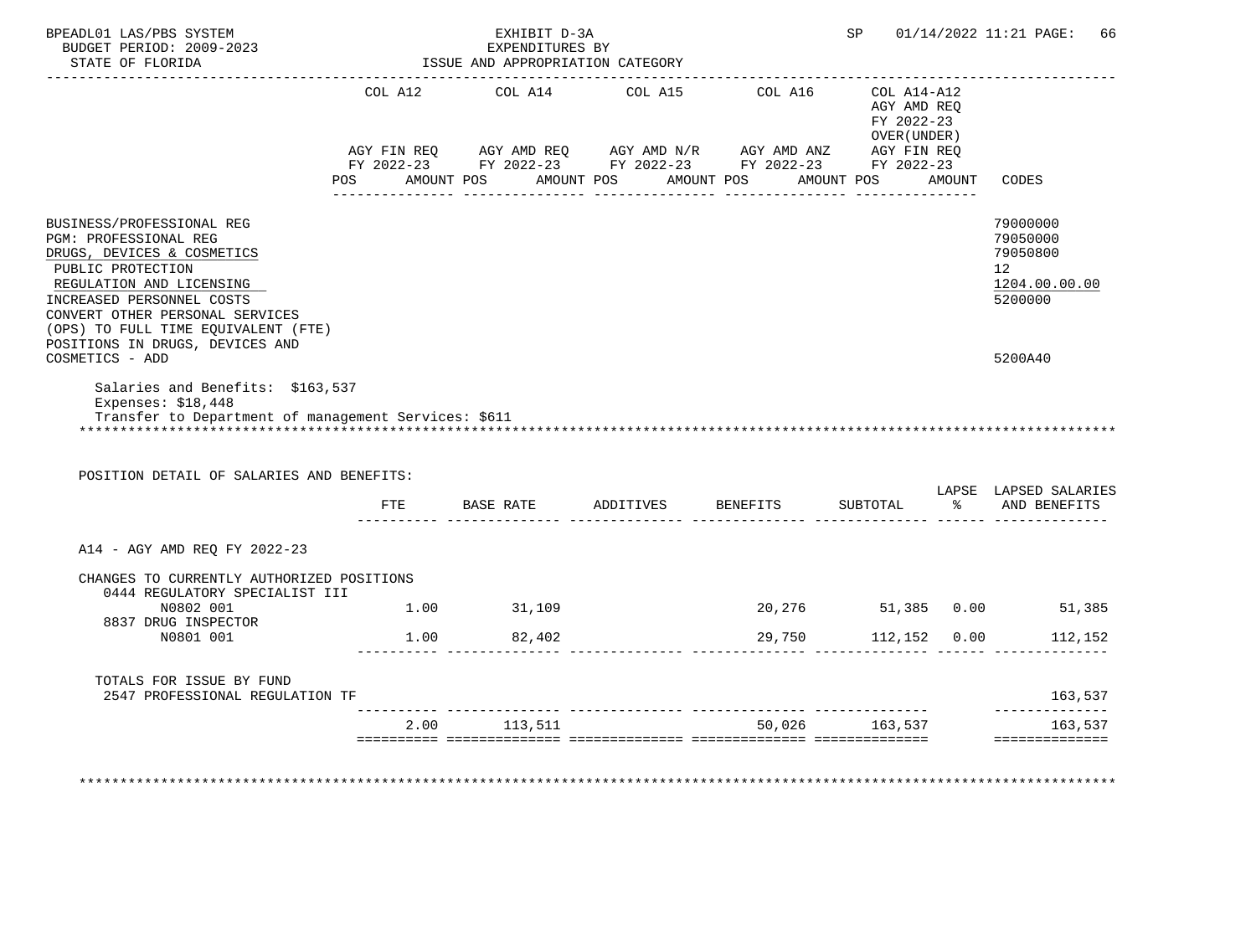| BUDGET PERIOD: 2009-2023<br>STATE OF FLORIDA                                                                                                                                                                                             |      | EXHIBIT D-3A<br>EXPENDITURES BY<br>ISSUE AND APPROPRIATION CATEGORY                                                                                                                                                                                                                                                                                                                                   |                    |                     | SP                                        |               | 01/14/2022 11:21 PAGE:<br>66                                       |
|------------------------------------------------------------------------------------------------------------------------------------------------------------------------------------------------------------------------------------------|------|-------------------------------------------------------------------------------------------------------------------------------------------------------------------------------------------------------------------------------------------------------------------------------------------------------------------------------------------------------------------------------------------------------|--------------------|---------------------|-------------------------------------------|---------------|--------------------------------------------------------------------|
|                                                                                                                                                                                                                                          |      | COL A12 COL A14 COL A15<br>$\begin{array}{lllllll} \text{AGY}\ \text{FIN}\ \text{REQ} & \text{AGY}\ \text{AMD}\ \text{REQ} & \text{AGY}\ \text{AMD}\ \text{N/R} & \text{AGY}\ \text{AMD}\ \text{ANZ} & \text{AGY}\ \text{FIN}\ \text{REQ} \\ \text{FY}\ 2022-23 & \text{FY}\ 2022-23 & \text{FY}\ 2022-23 & \text{FY}\ 2022-23 \end{array}$<br>POS AMOUNT POS AMOUNT POS AMOUNT POS AMOUNT POS AMOUNT |                    | COL A16 COL A14-A12 | AGY AMD REQ<br>FY 2022-23<br>OVER (UNDER) |               | <b>CODES</b>                                                       |
|                                                                                                                                                                                                                                          |      |                                                                                                                                                                                                                                                                                                                                                                                                       |                    |                     |                                           |               |                                                                    |
| BUSINESS/PROFESSIONAL REG<br>PGM: PROFESSIONAL REG<br>DRUGS, DEVICES & COSMETICS<br>PUBLIC PROTECTION<br>REGULATION AND LICENSING<br>INCREASED PERSONNEL COSTS<br>CONVERT OTHER PERSONAL SERVICES<br>(OPS) TO FULL TIME EQUIVALENT (FTE) |      |                                                                                                                                                                                                                                                                                                                                                                                                       |                    |                     |                                           |               | 79000000<br>79050000<br>79050800<br>12<br>1204.00.00.00<br>5200000 |
| POSITIONS IN DRUGS, DEVICES AND<br>COSMETICS - ADD                                                                                                                                                                                       |      |                                                                                                                                                                                                                                                                                                                                                                                                       |                    |                     |                                           |               | 5200A40                                                            |
| Salaries and Benefits: \$163,537<br>Expenses: $$18,448$<br>Transfer to Department of management Services: \$611<br>POSITION DETAIL OF SALARIES AND BENEFITS:                                                                             |      |                                                                                                                                                                                                                                                                                                                                                                                                       |                    |                     |                                           |               | LAPSE LAPSED SALARIES                                              |
|                                                                                                                                                                                                                                          | FTE  | BASE RATE                                                                                                                                                                                                                                                                                                                                                                                             | ADDITIVES BENEFITS |                     | SUBTOTAL                                  | $\frac{1}{6}$ | AND BENEFITS                                                       |
| A14 - AGY AMD REQ FY 2022-23                                                                                                                                                                                                             |      |                                                                                                                                                                                                                                                                                                                                                                                                       |                    |                     |                                           |               |                                                                    |
| CHANGES TO CURRENTLY AUTHORIZED POSITIONS<br>0444 REGULATORY SPECIALIST III                                                                                                                                                              |      |                                                                                                                                                                                                                                                                                                                                                                                                       |                    |                     |                                           |               |                                                                    |
|                                                                                                                                                                                                                                          |      | 1.00 31,109                                                                                                                                                                                                                                                                                                                                                                                           |                    |                     |                                           |               | 20,276 51,385 0.00 51,385                                          |
| N0802 001                                                                                                                                                                                                                                |      |                                                                                                                                                                                                                                                                                                                                                                                                       |                    |                     |                                           |               |                                                                    |
| 8837 DRUG INSPECTOR<br>N0801 001                                                                                                                                                                                                         |      | 1.00 82,402                                                                                                                                                                                                                                                                                                                                                                                           |                    | 29,750              | 112,152 0.00                              |               | 112,152                                                            |
| TOTALS FOR ISSUE BY FUND<br>2547 PROFESSIONAL REGULATION TF                                                                                                                                                                              |      |                                                                                                                                                                                                                                                                                                                                                                                                       |                    |                     |                                           |               | 163,537                                                            |
|                                                                                                                                                                                                                                          | 2.00 | 113,511                                                                                                                                                                                                                                                                                                                                                                                               |                    |                     | 50.026 163.537                            |               | --------------<br>163,537<br><b>BEBBEBBBBBBBBB</b>                 |